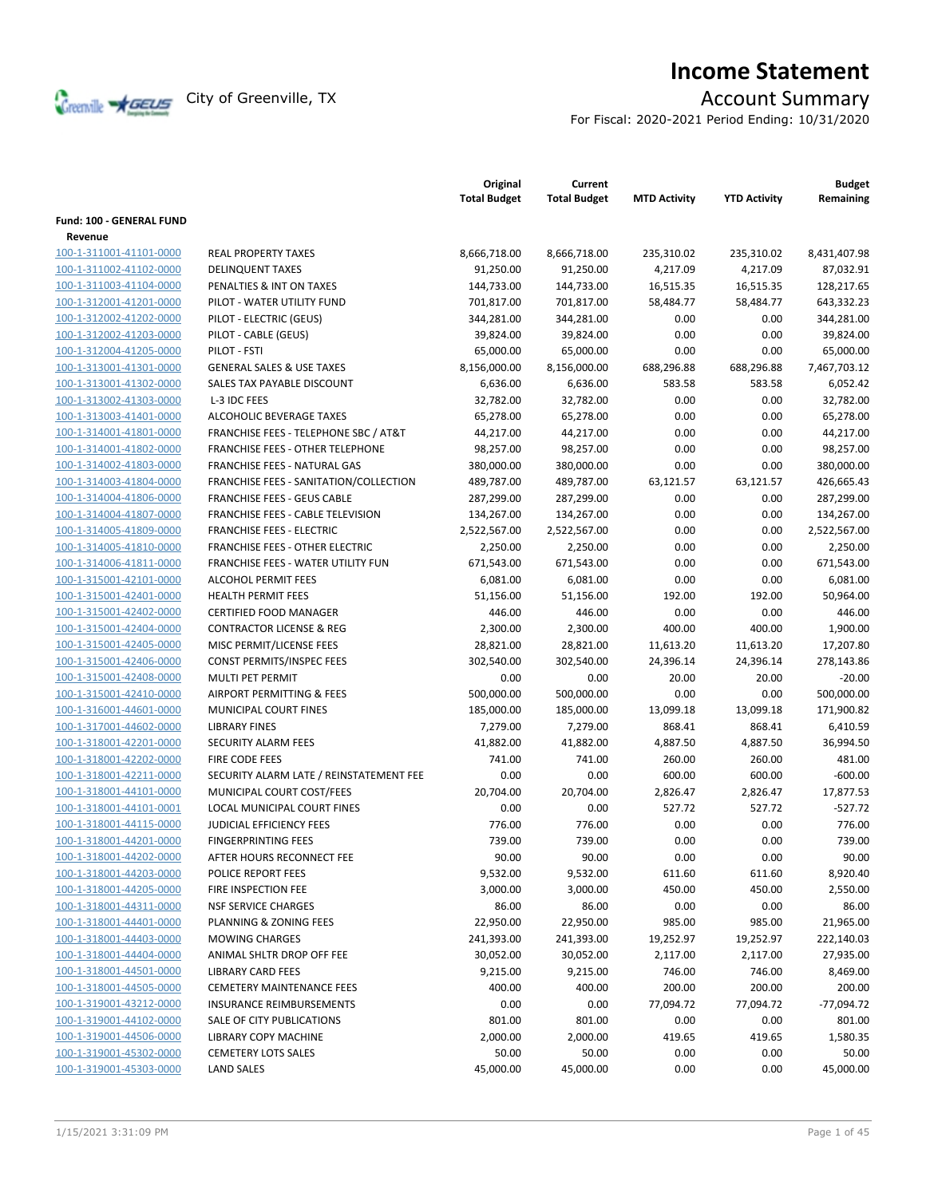

# **Income Statement**

For Fiscal: 2020-2021 Period Ending: 10/31/2020

|                          |                                                  | Original<br><b>Total Budget</b> | Current<br><b>Total Budget</b> | <b>MTD Activity</b> | <b>YTD Activity</b> | <b>Budget</b><br>Remaining |
|--------------------------|--------------------------------------------------|---------------------------------|--------------------------------|---------------------|---------------------|----------------------------|
| Fund: 100 - GENERAL FUND |                                                  |                                 |                                |                     |                     |                            |
| Revenue                  |                                                  |                                 |                                |                     |                     |                            |
| 100-1-311001-41101-0000  | <b>REAL PROPERTY TAXES</b>                       | 8,666,718.00                    | 8,666,718.00                   | 235,310.02          | 235,310.02          | 8,431,407.98               |
| 100-1-311002-41102-0000  | <b>DELINQUENT TAXES</b>                          | 91,250.00                       | 91,250.00                      | 4,217.09            | 4,217.09            | 87,032.91                  |
| 100-1-311003-41104-0000  | PENALTIES & INT ON TAXES                         | 144,733.00                      | 144,733.00                     | 16,515.35           | 16,515.35           | 128,217.65                 |
| 100-1-312001-41201-0000  | PILOT - WATER UTILITY FUND                       | 701,817.00                      | 701,817.00                     | 58,484.77           | 58,484.77           | 643,332.23                 |
| 100-1-312002-41202-0000  | PILOT - ELECTRIC (GEUS)                          | 344,281.00                      | 344,281.00                     | 0.00                | 0.00                | 344,281.00                 |
| 100-1-312002-41203-0000  | PILOT - CABLE (GEUS)                             | 39,824.00                       | 39,824.00                      | 0.00                | 0.00                | 39,824.00                  |
| 100-1-312004-41205-0000  | PILOT - FSTI                                     | 65,000.00                       | 65,000.00                      | 0.00                | 0.00                | 65,000.00                  |
| 100-1-313001-41301-0000  | <b>GENERAL SALES &amp; USE TAXES</b>             | 8,156,000.00                    | 8,156,000.00                   | 688,296.88          | 688,296.88          | 7,467,703.12               |
| 100-1-313001-41302-0000  | SALES TAX PAYABLE DISCOUNT                       | 6,636.00                        | 6,636.00                       | 583.58              | 583.58              | 6,052.42                   |
| 100-1-313002-41303-0000  | L-3 IDC FEES                                     | 32,782.00                       | 32,782.00                      | 0.00                | 0.00                | 32,782.00                  |
| 100-1-313003-41401-0000  | ALCOHOLIC BEVERAGE TAXES                         | 65,278.00                       | 65,278.00                      | 0.00                | 0.00                | 65,278.00                  |
| 100-1-314001-41801-0000  | <b>FRANCHISE FEES - TELEPHONE SBC / AT&amp;T</b> | 44,217.00                       | 44,217.00                      | 0.00                | 0.00                | 44,217.00                  |
| 100-1-314001-41802-0000  | <b>FRANCHISE FEES - OTHER TELEPHONE</b>          | 98,257.00                       | 98,257.00                      | 0.00                | 0.00                | 98,257.00                  |
| 100-1-314002-41803-0000  | FRANCHISE FEES - NATURAL GAS                     | 380,000.00                      | 380,000.00                     | 0.00                | 0.00                | 380,000.00                 |
| 100-1-314003-41804-0000  | FRANCHISE FEES - SANITATION/COLLECTION           | 489,787.00                      | 489,787.00                     | 63,121.57           | 63,121.57           | 426,665.43                 |
| 100-1-314004-41806-0000  | <b>FRANCHISE FEES - GEUS CABLE</b>               | 287,299.00                      | 287,299.00                     | 0.00                | 0.00                | 287,299.00                 |
| 100-1-314004-41807-0000  | FRANCHISE FEES - CABLE TELEVISION                | 134,267.00                      | 134,267.00                     | 0.00                | 0.00                | 134,267.00                 |
| 100-1-314005-41809-0000  | <b>FRANCHISE FEES - ELECTRIC</b>                 | 2,522,567.00                    | 2,522,567.00                   | 0.00                | 0.00                | 2,522,567.00               |
| 100-1-314005-41810-0000  | <b>FRANCHISE FEES - OTHER ELECTRIC</b>           | 2,250.00                        | 2,250.00                       | 0.00                | 0.00                | 2,250.00                   |
| 100-1-314006-41811-0000  | FRANCHISE FEES - WATER UTILITY FUN               | 671,543.00                      | 671,543.00                     | 0.00                | 0.00                | 671,543.00                 |
| 100-1-315001-42101-0000  | <b>ALCOHOL PERMIT FEES</b>                       | 6,081.00                        | 6,081.00                       | 0.00                | 0.00                | 6,081.00                   |
| 100-1-315001-42401-0000  | <b>HEALTH PERMIT FEES</b>                        | 51,156.00                       | 51,156.00                      | 192.00              | 192.00              | 50,964.00                  |
| 100-1-315001-42402-0000  | <b>CERTIFIED FOOD MANAGER</b>                    | 446.00                          | 446.00                         | 0.00                | 0.00                | 446.00                     |
| 100-1-315001-42404-0000  | <b>CONTRACTOR LICENSE &amp; REG</b>              | 2,300.00                        | 2,300.00                       | 400.00              | 400.00              | 1,900.00                   |
| 100-1-315001-42405-0000  | MISC PERMIT/LICENSE FEES                         | 28,821.00                       | 28,821.00                      | 11,613.20           | 11,613.20           | 17,207.80                  |
| 100-1-315001-42406-0000  | CONST PERMITS/INSPEC FEES                        | 302,540.00                      | 302,540.00                     | 24,396.14           | 24,396.14           | 278,143.86                 |
| 100-1-315001-42408-0000  | MULTI PET PERMIT                                 | 0.00                            | 0.00                           | 20.00               | 20.00               | $-20.00$                   |
| 100-1-315001-42410-0000  | AIRPORT PERMITTING & FEES                        | 500,000.00                      | 500,000.00                     | 0.00                | 0.00                | 500,000.00                 |
| 100-1-316001-44601-0000  | MUNICIPAL COURT FINES                            | 185,000.00                      | 185,000.00                     | 13,099.18           | 13,099.18           | 171,900.82                 |
| 100-1-317001-44602-0000  | <b>LIBRARY FINES</b>                             | 7,279.00                        | 7,279.00                       | 868.41              | 868.41              | 6,410.59                   |
| 100-1-318001-42201-0000  | SECURITY ALARM FEES                              | 41,882.00                       | 41,882.00                      | 4,887.50            | 4,887.50            | 36,994.50                  |
| 100-1-318001-42202-0000  | <b>FIRE CODE FEES</b>                            | 741.00                          | 741.00                         | 260.00              | 260.00              | 481.00                     |
| 100-1-318001-42211-0000  | SECURITY ALARM LATE / REINSTATEMENT FEE          | 0.00                            | 0.00                           | 600.00              | 600.00              | $-600.00$                  |
| 100-1-318001-44101-0000  | MUNICIPAL COURT COST/FEES                        | 20,704.00                       | 20,704.00                      | 2,826.47            | 2,826.47            | 17,877.53                  |
| 100-1-318001-44101-0001  | LOCAL MUNICIPAL COURT FINES                      | 0.00                            | 0.00                           | 527.72              | 527.72              | $-527.72$                  |
| 100-1-318001-44115-0000  | <b>JUDICIAL EFFICIENCY FEES</b>                  | 776.00                          | 776.00                         | 0.00                | 0.00                | 776.00                     |
| 100-1-318001-44201-0000  | <b>FINGERPRINTING FEES</b>                       | 739.00                          | 739.00                         | 0.00                | 0.00                | 739.00                     |
| 100-1-318001-44202-0000  | AFTER HOURS RECONNECT FEE                        | 90.00                           | 90.00                          | 0.00                | 0.00                | 90.00                      |
| 100-1-318001-44203-0000  | POLICE REPORT FEES                               | 9,532.00                        | 9,532.00                       | 611.60              | 611.60              | 8,920.40                   |
| 100-1-318001-44205-0000  | FIRE INSPECTION FEE                              | 3,000.00                        | 3,000.00                       | 450.00              | 450.00              | 2,550.00                   |
| 100-1-318001-44311-0000  | <b>NSF SERVICE CHARGES</b>                       | 86.00                           | 86.00                          | 0.00                | 0.00                | 86.00                      |
| 100-1-318001-44401-0000  | PLANNING & ZONING FEES                           | 22,950.00                       | 22,950.00                      | 985.00              | 985.00              | 21,965.00                  |
| 100-1-318001-44403-0000  | <b>MOWING CHARGES</b>                            | 241,393.00                      | 241,393.00                     | 19,252.97           | 19,252.97           | 222,140.03                 |
| 100-1-318001-44404-0000  | ANIMAL SHLTR DROP OFF FEE                        | 30,052.00                       | 30,052.00                      | 2,117.00            | 2,117.00            | 27,935.00                  |
| 100-1-318001-44501-0000  | <b>LIBRARY CARD FEES</b>                         | 9,215.00                        | 9,215.00                       | 746.00              | 746.00              | 8,469.00                   |
| 100-1-318001-44505-0000  | <b>CEMETERY MAINTENANCE FEES</b>                 | 400.00                          | 400.00                         | 200.00              | 200.00              | 200.00                     |
| 100-1-319001-43212-0000  | INSURANCE REIMBURSEMENTS                         | 0.00                            | 0.00                           | 77,094.72           | 77,094.72           | $-77,094.72$               |
| 100-1-319001-44102-0000  | SALE OF CITY PUBLICATIONS                        | 801.00                          | 801.00                         | 0.00                | 0.00                | 801.00                     |
| 100-1-319001-44506-0000  | LIBRARY COPY MACHINE                             | 2,000.00                        | 2,000.00                       | 419.65              | 419.65              | 1,580.35                   |
| 100-1-319001-45302-0000  | <b>CEMETERY LOTS SALES</b>                       | 50.00                           | 50.00                          | 0.00                | 0.00                | 50.00                      |
| 100-1-319001-45303-0000  | <b>LAND SALES</b>                                | 45,000.00                       | 45,000.00                      | 0.00                | 0.00                | 45,000.00                  |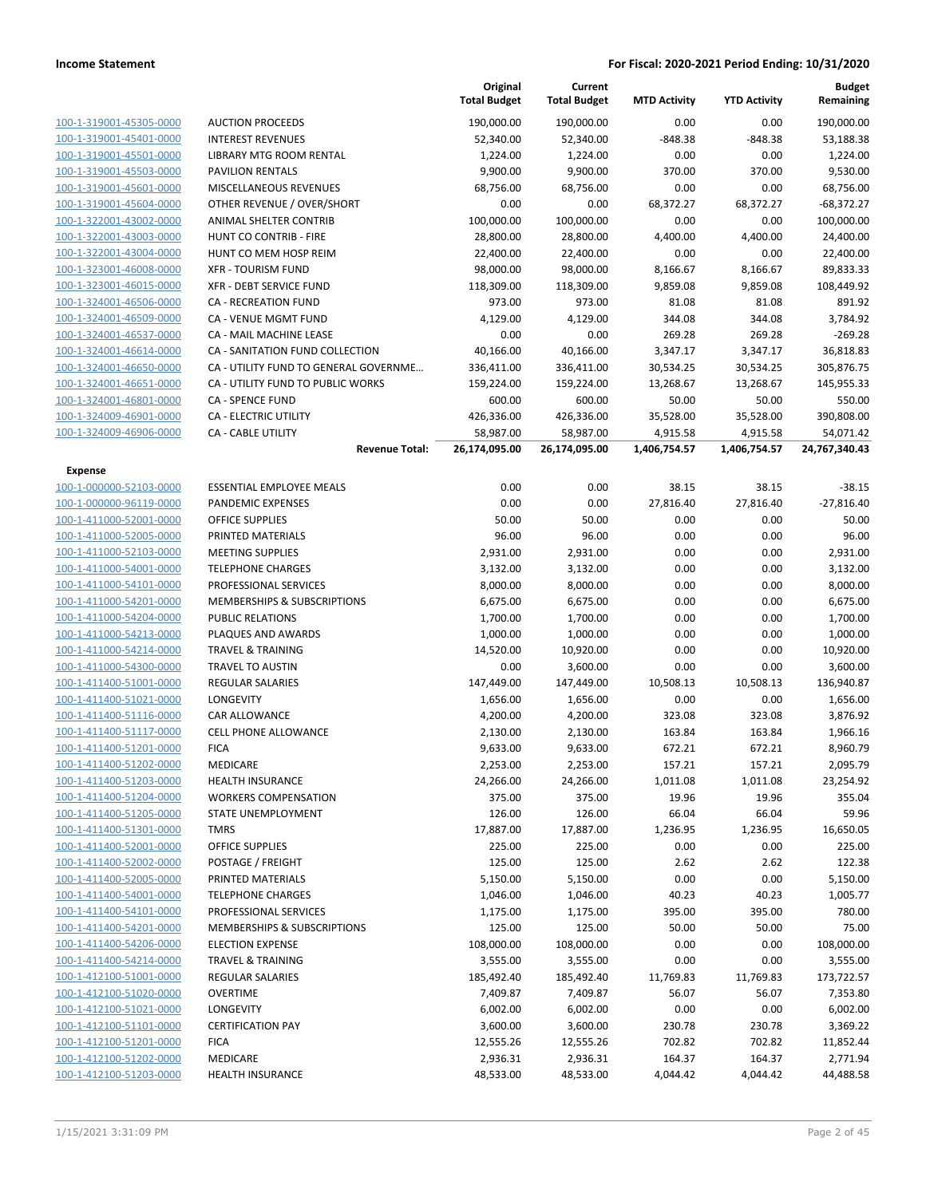|                                                    |                                                    | Original<br><b>Total Budget</b> | Current<br><b>Total Budget</b> | <b>MTD Activity</b> | <b>YTD Activity</b> | <b>Budget</b><br>Remaining |
|----------------------------------------------------|----------------------------------------------------|---------------------------------|--------------------------------|---------------------|---------------------|----------------------------|
| 100-1-319001-45305-0000                            | <b>AUCTION PROCEEDS</b>                            | 190,000.00                      | 190,000.00                     | 0.00                | 0.00                | 190,000.00                 |
| 100-1-319001-45401-0000                            | <b>INTEREST REVENUES</b>                           | 52,340.00                       | 52,340.00                      | $-848.38$           | $-848.38$           | 53,188.38                  |
| 100-1-319001-45501-0000                            | LIBRARY MTG ROOM RENTAL                            | 1,224.00                        | 1,224.00                       | 0.00                | 0.00                | 1,224.00                   |
| 100-1-319001-45503-0000                            | <b>PAVILION RENTALS</b>                            | 9,900.00                        | 9,900.00                       | 370.00              | 370.00              | 9,530.00                   |
| 100-1-319001-45601-0000                            | <b>MISCELLANEOUS REVENUES</b>                      | 68,756.00                       | 68,756.00                      | 0.00                | 0.00                | 68,756.00                  |
| 100-1-319001-45604-0000                            | OTHER REVENUE / OVER/SHORT                         | 0.00                            | 0.00                           | 68,372.27           | 68,372.27           | $-68,372.27$               |
| 100-1-322001-43002-0000                            | ANIMAL SHELTER CONTRIB                             | 100,000.00                      | 100,000.00                     | 0.00                | 0.00                | 100,000.00                 |
| 100-1-322001-43003-0000                            | HUNT CO CONTRIB - FIRE                             | 28,800.00                       | 28,800.00                      | 4,400.00            | 4,400.00            | 24,400.00                  |
| 100-1-322001-43004-0000                            | HUNT CO MEM HOSP REIM                              | 22,400.00                       | 22,400.00                      | 0.00                | 0.00                | 22,400.00                  |
| 100-1-323001-46008-0000                            | <b>XFR - TOURISM FUND</b>                          | 98,000.00                       | 98,000.00                      | 8,166.67            | 8,166.67            | 89,833.33                  |
| 100-1-323001-46015-0000                            | XFR - DEBT SERVICE FUND                            | 118,309.00                      | 118,309.00                     | 9,859.08            | 9,859.08            | 108,449.92                 |
| 100-1-324001-46506-0000                            | <b>CA - RECREATION FUND</b>                        | 973.00                          | 973.00                         | 81.08               | 81.08               | 891.92                     |
| 100-1-324001-46509-0000                            | CA - VENUE MGMT FUND                               | 4,129.00                        | 4,129.00                       | 344.08              | 344.08              | 3,784.92                   |
| 100-1-324001-46537-0000                            | CA - MAIL MACHINE LEASE                            | 0.00                            | 0.00                           | 269.28              | 269.28              | $-269.28$                  |
| 100-1-324001-46614-0000                            | CA - SANITATION FUND COLLECTION                    | 40,166.00                       | 40,166.00                      | 3,347.17            | 3,347.17            | 36,818.83                  |
| 100-1-324001-46650-0000                            | CA - UTILITY FUND TO GENERAL GOVERNME              | 336,411.00                      | 336,411.00                     | 30,534.25           | 30,534.25           | 305,876.75                 |
| 100-1-324001-46651-0000                            | CA - UTILITY FUND TO PUBLIC WORKS                  | 159,224.00                      | 159,224.00                     | 13,268.67           | 13,268.67           | 145,955.33                 |
| 100-1-324001-46801-0000                            | <b>CA - SPENCE FUND</b>                            | 600.00                          | 600.00                         | 50.00               | 50.00               | 550.00                     |
| 100-1-324009-46901-0000                            | CA - ELECTRIC UTILITY                              | 426,336.00                      | 426,336.00                     | 35,528.00           | 35,528.00           | 390,808.00                 |
| 100-1-324009-46906-0000                            | <b>CA - CABLE UTILITY</b>                          | 58,987.00                       | 58,987.00                      | 4,915.58            | 4,915.58            | 54,071.42                  |
|                                                    | <b>Revenue Total:</b>                              | 26,174,095.00                   | 26,174,095.00                  | 1,406,754.57        | 1,406,754.57        | 24,767,340.43              |
| Expense                                            |                                                    |                                 |                                |                     |                     |                            |
| 100-1-000000-52103-0000                            | <b>ESSENTIAL EMPLOYEE MEALS</b>                    | 0.00                            | 0.00                           | 38.15               | 38.15               | $-38.15$                   |
| 100-1-000000-96119-0000                            | <b>PANDEMIC EXPENSES</b>                           | 0.00                            | 0.00                           | 27,816.40           | 27,816.40           | $-27,816.40$               |
| 100-1-411000-52001-0000                            | <b>OFFICE SUPPLIES</b>                             | 50.00                           | 50.00                          | 0.00                | 0.00                | 50.00                      |
| 100-1-411000-52005-0000                            | PRINTED MATERIALS                                  | 96.00                           | 96.00                          | 0.00                | 0.00                | 96.00                      |
| 100-1-411000-52103-0000                            | <b>MEETING SUPPLIES</b>                            | 2,931.00                        | 2,931.00                       | 0.00                | 0.00                | 2,931.00                   |
| 100-1-411000-54001-0000                            | <b>TELEPHONE CHARGES</b>                           | 3,132.00                        | 3,132.00                       | 0.00                | 0.00                | 3,132.00                   |
| 100-1-411000-54101-0000                            | PROFESSIONAL SERVICES                              | 8,000.00                        | 8,000.00                       | 0.00                | 0.00                | 8,000.00                   |
| 100-1-411000-54201-0000                            | MEMBERSHIPS & SUBSCRIPTIONS                        | 6,675.00                        | 6,675.00                       | 0.00                | 0.00                | 6,675.00                   |
| 100-1-411000-54204-0000                            | <b>PUBLIC RELATIONS</b>                            | 1,700.00                        | 1,700.00                       | 0.00                | 0.00                | 1,700.00                   |
| 100-1-411000-54213-0000                            | PLAQUES AND AWARDS                                 | 1,000.00                        | 1,000.00                       | 0.00                | 0.00                | 1,000.00                   |
| 100-1-411000-54214-0000<br>100-1-411000-54300-0000 | <b>TRAVEL &amp; TRAINING</b>                       | 14,520.00                       | 10,920.00                      | 0.00                | 0.00                | 10,920.00                  |
|                                                    | <b>TRAVEL TO AUSTIN</b><br><b>REGULAR SALARIES</b> | 0.00                            | 3,600.00                       | 0.00                | 0.00                | 3,600.00                   |
| 100-1-411400-51001-0000                            | <b>LONGEVITY</b>                                   | 147,449.00                      | 147,449.00                     | 10,508.13           | 10,508.13           | 136,940.87                 |
| 100-1-411400-51021-0000                            |                                                    | 1,656.00                        | 1,656.00                       | 0.00                | 0.00                | 1,656.00                   |
| 100-1-411400-51116-0000                            | CAR ALLOWANCE<br><b>CELL PHONE ALLOWANCE</b>       | 4,200.00<br>2,130.00            | 4,200.00                       | 323.08              | 323.08              | 3,876.92                   |
| 100-1-411400-51117-0000                            |                                                    |                                 | 2,130.00                       | 163.84              | 163.84              | 1,966.16                   |
| 100-1-411400-51201-0000                            | <b>FICA</b>                                        | 9,633.00                        | 9,633.00                       | 672.21              | 672.21              | 8,960.79                   |
| 100-1-411400-51202-0000<br>100-1-411400-51203-0000 | MEDICARE                                           | 2,253.00                        | 2,253.00                       | 157.21              | 157.21              | 2,095.79                   |
| 100-1-411400-51204-0000                            | HEALTH INSURANCE<br><b>WORKERS COMPENSATION</b>    | 24,266.00                       | 24,266.00                      | 1,011.08            | 1,011.08            | 23,254.92                  |
| 100-1-411400-51205-0000                            | STATE UNEMPLOYMENT                                 | 375.00<br>126.00                | 375.00<br>126.00               | 19.96<br>66.04      | 19.96<br>66.04      | 355.04<br>59.96            |
| 100-1-411400-51301-0000                            | TMRS                                               | 17,887.00                       | 17,887.00                      | 1,236.95            | 1,236.95            | 16,650.05                  |
| 100-1-411400-52001-0000                            | <b>OFFICE SUPPLIES</b>                             | 225.00                          | 225.00                         | 0.00                | 0.00                | 225.00                     |
| 100-1-411400-52002-0000                            | POSTAGE / FREIGHT                                  | 125.00                          | 125.00                         |                     | 2.62                | 122.38                     |
| 100-1-411400-52005-0000                            | PRINTED MATERIALS                                  |                                 | 5,150.00                       | 2.62<br>0.00        | 0.00                | 5,150.00                   |
| 100-1-411400-54001-0000                            | <b>TELEPHONE CHARGES</b>                           | 5,150.00<br>1,046.00            | 1,046.00                       | 40.23               | 40.23               | 1,005.77                   |
| 100-1-411400-54101-0000                            | PROFESSIONAL SERVICES                              | 1,175.00                        | 1,175.00                       | 395.00              | 395.00              | 780.00                     |
| 100-1-411400-54201-0000                            | <b>MEMBERSHIPS &amp; SUBSCRIPTIONS</b>             | 125.00                          | 125.00                         | 50.00               | 50.00               | 75.00                      |
| 100-1-411400-54206-0000                            | <b>ELECTION EXPENSE</b>                            | 108,000.00                      | 108,000.00                     | 0.00                | 0.00                | 108,000.00                 |
| 100-1-411400-54214-0000                            | <b>TRAVEL &amp; TRAINING</b>                       | 3,555.00                        | 3,555.00                       | 0.00                | 0.00                | 3,555.00                   |
| 100-1-412100-51001-0000                            | <b>REGULAR SALARIES</b>                            | 185,492.40                      | 185,492.40                     | 11,769.83           | 11,769.83           | 173,722.57                 |
| 100-1-412100-51020-0000                            | <b>OVERTIME</b>                                    | 7,409.87                        | 7,409.87                       | 56.07               | 56.07               | 7,353.80                   |
| 100-1-412100-51021-0000                            | LONGEVITY                                          | 6,002.00                        | 6,002.00                       | 0.00                | 0.00                | 6,002.00                   |
| 100-1-412100-51101-0000                            | <b>CERTIFICATION PAY</b>                           | 3,600.00                        | 3,600.00                       | 230.78              | 230.78              | 3,369.22                   |
| 100-1-412100-51201-0000                            | <b>FICA</b>                                        | 12,555.26                       | 12,555.26                      | 702.82              | 702.82              | 11,852.44                  |
| 100-1-412100-51202-0000                            | MEDICARE                                           | 2,936.31                        | 2,936.31                       | 164.37              | 164.37              | 2,771.94                   |
| 100-1-412100-51203-0000                            | <b>HEALTH INSURANCE</b>                            | 48,533.00                       | 48,533.00                      | 4,044.42            | 4,044.42            | 44,488.58                  |
|                                                    |                                                    |                                 |                                |                     |                     |                            |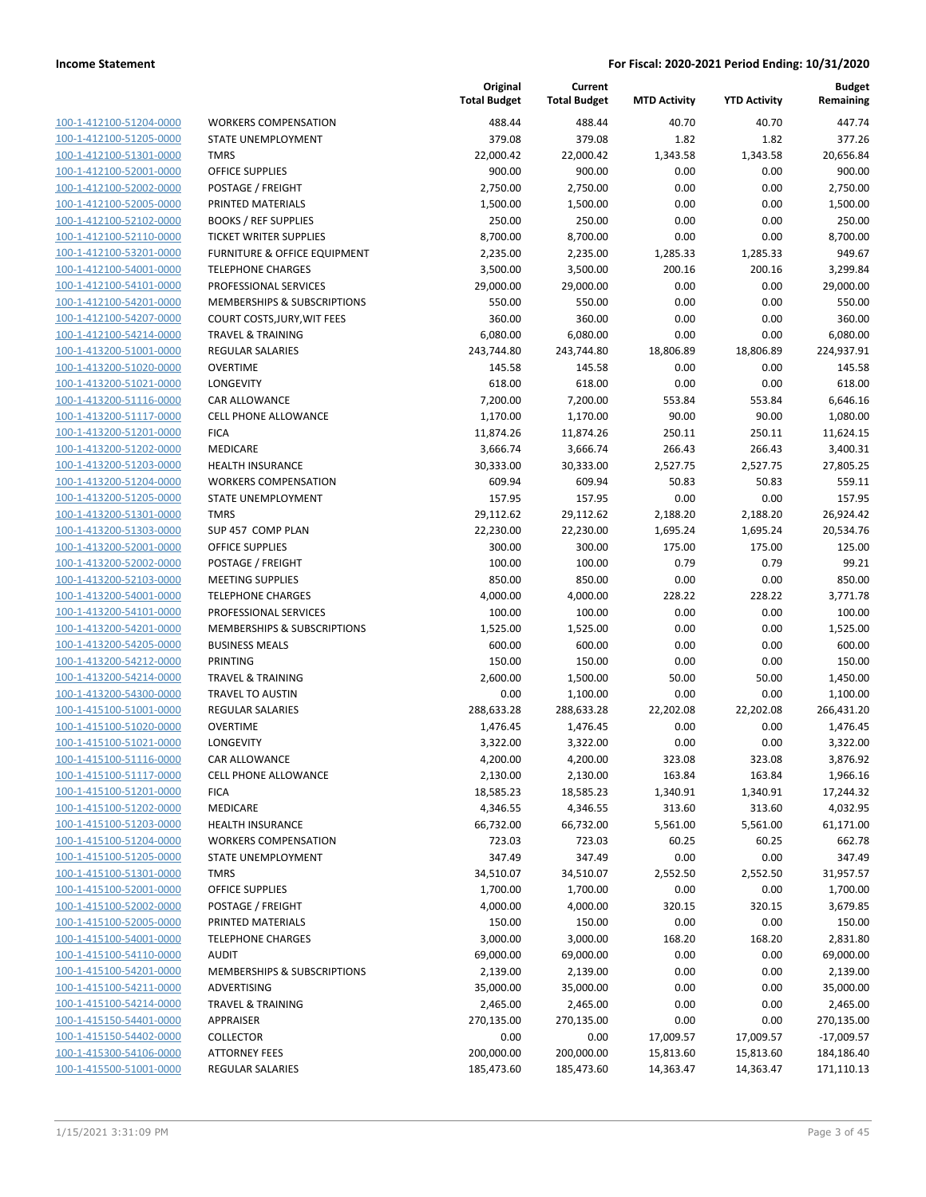| 100-1-412100-51204-0000        |
|--------------------------------|
| 100-1-412100-51205-0000        |
| 100-1-412100-51301-0000        |
| 100-1-412100-52001-0000        |
| 100-1-412100-52002-0000        |
| 100-1-412100-52005-0000        |
| 100-1-412100-52102-0000        |
| 100-1-412100-52110-0000        |
|                                |
| 100-1-412100-53201-0000        |
| 100-1-412100-54001-0000        |
| 100-1-412100-54101-0000        |
| 100-1-412100-54201-0000        |
| 100-1-412100-54207-0000        |
| 100-1-412100-54214-0000        |
| 100-1-413200-51001-0000        |
| 100-1-413200-51020-0000        |
| 100-1-413200-51021-0000        |
| 100-1-413200-51116-0000        |
|                                |
| 100-1-413200-51117-0000        |
| 100-1-413200-51201-0000        |
| 100-1-413200-51202-0000        |
| 100-1-413200-51203-0000        |
| 100-1-413200-51204-0000        |
| 100-1-413200-51205-0000        |
| 100-1-413200-51301-0000        |
| 100-1-413200-51303-0000        |
| 100-1-413200-52001-0000        |
| 100-1-413200-52002-0000        |
| 100-1-413200-52103-0000        |
|                                |
| 100-1-413200-54001-0000        |
| 100-1-413200-54101-0000        |
| 100-1-413200-54201-0000        |
| 100-1-413200-54205-0000        |
| 100-1-413200-54212-0000        |
| 100-1-413200-54214-0000        |
| 100-1-413200-54300-0000        |
| 100-1-415100-51001-0000        |
| 100-1-415100-51020-0000        |
| 100-1-415100-51021-0000        |
| 100-1-415100-51116-0000        |
| 100-1-415100-51117-0000        |
|                                |
| <u>100-1-415100-51201-0000</u> |
| <u>100-1-415100-51202-0000</u> |
| <u>100-1-415100-51203-0000</u> |
| 100-1-415100-51204-0000        |
| 100-1-415100-51205-0000        |
| 100-1-415100-51301-0000        |
| <u>100-1-415100-52001-0000</u> |
| 100-1-415100-52002-0000        |
| 100-1-415100-52005-0000        |
| 100-1-415100-54001-0000        |
|                                |
| 100-1-415100-54110-0000        |
| <u>100-1-415100-54201-0000</u> |
| 100-1-415100-54211-0000        |
| <u>100-1-415100-54214-0000</u> |
| <u>100-1-415150-54401-0000</u> |
| 100-1-415150-54402-0000        |
|                                |
| <u>100-1-415300-54106-0000</u> |
| <u>100-1-415500-51001-0000</u> |

| WORKERS COMPENSATION                  |
|---------------------------------------|
| STATE UNEMPLOYMENT                    |
| TMRS                                  |
| OFFICE SUPPLIES                       |
| POSTAGE / FREIGHT                     |
| PRINTED MATERIALS                     |
| BOOKS / REF SUPPLIES                  |
| TICKET WRITER SUPPLIES                |
| FURNITURE & OFFICE EQUIPMENT          |
| TELEPHONE CHARGES                     |
| PROFESSIONAL SERVICES                 |
| MEMBERSHIPS & SUBSCRIPTIONS           |
| COURT COSTS,JURY,WIT FEES             |
| TRAVEL & TRAINING<br>REGULAR SALARIES |
| OVERTIME                              |
| LONGEVITY                             |
| CAR ALLOWANCE                         |
| <b>CELL PHONE ALLOWANCE</b>           |
| FICA                                  |
| MEDICARE                              |
| HEALTH INSURANCE                      |
| WORKERS COMPENSATION                  |
| STATE UNEMPLOYMENT                    |
| TMRS                                  |
| SUP 457 COMP PLAN                     |
| OFFICE SUPPLIES                       |
| POSTAGE / FREIGHT                     |
| MEETING SUPPLIES                      |
| TELEPHONE CHARGES                     |
| PROFESSIONAL SERVICES                 |
| MEMBERSHIPS & SUBSCRIPTIONS           |
| BUSINESS MEALS                        |
| PRINTING                              |
| TRAVEL & TRAINING                     |
| TRAVEL TO AUSTIN                      |
| REGULAR SALARIES                      |
| OVERTIME                              |
| LONGEVITY                             |
| CAR ALLOWANCE                         |
| CELL PHONE ALLOWANCE                  |
| FICA<br>MEDICARE                      |
| <b>HEALTH INSURANCE</b>               |
| WORKERS COMPENSATION                  |
| <b>STATE UNEMPLOYMENT</b>             |
| TMRS                                  |
| <b>OFFICE SUPPLIES</b>                |
| POSTAGE / FREIGHT                     |
| PRINTED MATERIALS                     |
| <b>TELEPHONE CHARGES</b>              |
| AUDIT                                 |
| MEMBERSHIPS & SUBSCRIPTIONS           |
| ADVERTISING                           |
| TRAVEL & TRAINING                     |
| APPRAISER                             |
| COLLECTOR                             |
| ATTORNEY FFFS                         |

|                         |                                         | Original<br><b>Total Budget</b> | Current<br><b>Total Budget</b> | <b>MTD Activity</b> | <b>YTD Activity</b> | <b>Budget</b><br>Remaining |
|-------------------------|-----------------------------------------|---------------------------------|--------------------------------|---------------------|---------------------|----------------------------|
| 100-1-412100-51204-0000 | <b>WORKERS COMPENSATION</b>             | 488.44                          | 488.44                         | 40.70               | 40.70               | 447.74                     |
| 100-1-412100-51205-0000 | STATE UNEMPLOYMENT                      | 379.08                          | 379.08                         | 1.82                | 1.82                | 377.26                     |
| 100-1-412100-51301-0000 | <b>TMRS</b>                             | 22,000.42                       | 22,000.42                      | 1,343.58            | 1,343.58            | 20,656.84                  |
| 100-1-412100-52001-0000 | <b>OFFICE SUPPLIES</b>                  | 900.00                          | 900.00                         | 0.00                | 0.00                | 900.00                     |
| 100-1-412100-52002-0000 | POSTAGE / FREIGHT                       | 2,750.00                        | 2,750.00                       | 0.00                | 0.00                | 2,750.00                   |
| 100-1-412100-52005-0000 | PRINTED MATERIALS                       | 1,500.00                        | 1,500.00                       | 0.00                | 0.00                | 1,500.00                   |
| 100-1-412100-52102-0000 | <b>BOOKS / REF SUPPLIES</b>             | 250.00                          | 250.00                         | 0.00                | 0.00                | 250.00                     |
| 100-1-412100-52110-0000 | <b>TICKET WRITER SUPPLIES</b>           | 8,700.00                        | 8,700.00                       | 0.00                | 0.00                | 8,700.00                   |
| 100-1-412100-53201-0000 | <b>FURNITURE &amp; OFFICE EQUIPMENT</b> | 2,235.00                        | 2,235.00                       | 1,285.33            | 1,285.33            | 949.67                     |
| 100-1-412100-54001-0000 | <b>TELEPHONE CHARGES</b>                | 3,500.00                        | 3,500.00                       | 200.16              | 200.16              | 3,299.84                   |
| 100-1-412100-54101-0000 | PROFESSIONAL SERVICES                   | 29,000.00                       | 29,000.00                      | 0.00                | 0.00                | 29,000.00                  |
| 100-1-412100-54201-0000 | MEMBERSHIPS & SUBSCRIPTIONS             | 550.00                          | 550.00                         | 0.00                | 0.00                | 550.00                     |
| 100-1-412100-54207-0000 | COURT COSTS, JURY, WIT FEES             | 360.00                          | 360.00                         | 0.00                | 0.00                | 360.00                     |
| 100-1-412100-54214-0000 | <b>TRAVEL &amp; TRAINING</b>            | 6,080.00                        | 6,080.00                       | 0.00                | 0.00                | 6,080.00                   |
| 100-1-413200-51001-0000 | <b>REGULAR SALARIES</b>                 | 243,744.80                      | 243,744.80                     | 18,806.89           | 18,806.89           | 224,937.91                 |
| 100-1-413200-51020-0000 | <b>OVERTIME</b>                         | 145.58                          | 145.58                         | 0.00                | 0.00                | 145.58                     |
| 100-1-413200-51021-0000 | LONGEVITY                               | 618.00                          | 618.00                         | 0.00                | 0.00                | 618.00                     |
| 100-1-413200-51116-0000 | <b>CAR ALLOWANCE</b>                    | 7,200.00                        | 7,200.00                       | 553.84              | 553.84              | 6,646.16                   |
| 100-1-413200-51117-0000 | <b>CELL PHONE ALLOWANCE</b>             | 1,170.00                        | 1,170.00                       | 90.00               | 90.00               | 1,080.00                   |
| 100-1-413200-51201-0000 | <b>FICA</b>                             | 11,874.26                       | 11,874.26                      | 250.11              | 250.11              | 11,624.15                  |
| 100-1-413200-51202-0000 | MEDICARE                                | 3,666.74                        | 3,666.74                       | 266.43              | 266.43              | 3,400.31                   |
| 100-1-413200-51203-0000 | <b>HEALTH INSURANCE</b>                 | 30,333.00                       | 30,333.00                      | 2,527.75            | 2,527.75            | 27,805.25                  |
| 100-1-413200-51204-0000 | <b>WORKERS COMPENSATION</b>             | 609.94                          | 609.94                         | 50.83               | 50.83               | 559.11                     |
| 100-1-413200-51205-0000 | STATE UNEMPLOYMENT                      | 157.95                          | 157.95                         | 0.00                | 0.00                | 157.95                     |
| 100-1-413200-51301-0000 | <b>TMRS</b>                             | 29,112.62                       | 29,112.62                      | 2,188.20            | 2,188.20            | 26,924.42                  |
| 100-1-413200-51303-0000 | SUP 457 COMP PLAN                       | 22,230.00                       | 22,230.00                      | 1,695.24            | 1,695.24            | 20,534.76                  |
| 100-1-413200-52001-0000 | <b>OFFICE SUPPLIES</b>                  | 300.00                          | 300.00                         | 175.00              | 175.00              | 125.00                     |
| 100-1-413200-52002-0000 | POSTAGE / FREIGHT                       | 100.00                          | 100.00                         | 0.79                | 0.79                | 99.21                      |
| 100-1-413200-52103-0000 | <b>MEETING SUPPLIES</b>                 | 850.00                          | 850.00                         | 0.00                | 0.00                | 850.00                     |
| 100-1-413200-54001-0000 | <b>TELEPHONE CHARGES</b>                | 4,000.00                        | 4,000.00                       | 228.22              | 228.22              | 3,771.78                   |
| 100-1-413200-54101-0000 | PROFESSIONAL SERVICES                   | 100.00                          | 100.00                         | 0.00                | 0.00                | 100.00                     |
| 100-1-413200-54201-0000 | MEMBERSHIPS & SUBSCRIPTIONS             | 1,525.00                        | 1,525.00                       | 0.00                | 0.00                | 1,525.00                   |
| 100-1-413200-54205-0000 | <b>BUSINESS MEALS</b>                   | 600.00                          | 600.00                         | 0.00                | 0.00                | 600.00                     |
| 100-1-413200-54212-0000 | PRINTING                                | 150.00                          | 150.00                         | 0.00                | 0.00                | 150.00                     |
| 100-1-413200-54214-0000 | <b>TRAVEL &amp; TRAINING</b>            | 2,600.00                        | 1,500.00                       | 50.00               | 50.00               | 1,450.00                   |
| 100-1-413200-54300-0000 | TRAVEL TO AUSTIN                        | 0.00                            | 1,100.00                       | 0.00                | 0.00                | 1,100.00                   |
| 100-1-415100-51001-0000 | <b>REGULAR SALARIES</b>                 | 288,633.28                      | 288,633.28                     | 22,202.08           | 22,202.08           | 266,431.20                 |
| 100-1-415100-51020-0000 | <b>OVERTIME</b>                         | 1,476.45                        | 1,476.45                       | 0.00                | 0.00                | 1,476.45                   |
| 100-1-415100-51021-0000 | LONGEVITY                               | 3,322.00                        | 3,322.00                       | 0.00                | 0.00                | 3,322.00                   |
| 100-1-415100-51116-0000 | CAR ALLOWANCE                           | 4,200.00                        | 4,200.00                       | 323.08              | 323.08              | 3,876.92                   |
| 100-1-415100-51117-0000 | <b>CELL PHONE ALLOWANCE</b>             | 2,130.00                        | 2,130.00                       | 163.84              | 163.84              | 1,966.16                   |
| 100-1-415100-51201-0000 | <b>FICA</b>                             | 18,585.23                       | 18,585.23                      | 1,340.91            | 1,340.91            | 17,244.32                  |
| 100-1-415100-51202-0000 | <b>MEDICARE</b>                         | 4,346.55                        | 4,346.55                       | 313.60              | 313.60              | 4,032.95                   |
| 100-1-415100-51203-0000 | <b>HEALTH INSURANCE</b>                 | 66,732.00                       | 66,732.00                      | 5,561.00            | 5,561.00            | 61,171.00                  |
| 100-1-415100-51204-0000 | <b>WORKERS COMPENSATION</b>             | 723.03                          | 723.03                         | 60.25               | 60.25               | 662.78                     |
| 100-1-415100-51205-0000 | STATE UNEMPLOYMENT                      | 347.49                          | 347.49                         | 0.00                | 0.00                | 347.49                     |
| 100-1-415100-51301-0000 | <b>TMRS</b>                             | 34,510.07                       | 34,510.07                      | 2,552.50            | 2,552.50            | 31,957.57                  |
| 100-1-415100-52001-0000 | OFFICE SUPPLIES                         | 1,700.00                        | 1,700.00                       | 0.00                | 0.00                | 1,700.00                   |
| 100-1-415100-52002-0000 | POSTAGE / FREIGHT                       | 4,000.00                        | 4,000.00                       | 320.15              | 320.15              | 3,679.85                   |
| 100-1-415100-52005-0000 | PRINTED MATERIALS                       | 150.00                          | 150.00                         | 0.00                | 0.00                | 150.00                     |
| 100-1-415100-54001-0000 | <b>TELEPHONE CHARGES</b>                | 3,000.00                        | 3,000.00                       | 168.20              | 168.20              | 2,831.80                   |
| 100-1-415100-54110-0000 | <b>AUDIT</b>                            | 69,000.00                       | 69,000.00                      | 0.00                | 0.00                | 69,000.00                  |
| 100-1-415100-54201-0000 | MEMBERSHIPS & SUBSCRIPTIONS             | 2,139.00                        | 2,139.00                       | 0.00                | 0.00                | 2,139.00                   |
| 100-1-415100-54211-0000 | ADVERTISING                             | 35,000.00                       | 35,000.00                      | 0.00                | 0.00                | 35,000.00                  |
| 100-1-415100-54214-0000 | <b>TRAVEL &amp; TRAINING</b>            | 2,465.00                        | 2,465.00                       | 0.00                | 0.00                | 2,465.00                   |
| 100-1-415150-54401-0000 | APPRAISER                               | 270,135.00                      | 270,135.00                     | 0.00                | 0.00                | 270,135.00                 |
| 100-1-415150-54402-0000 | <b>COLLECTOR</b>                        | 0.00                            | 0.00                           | 17,009.57           | 17,009.57           | $-17,009.57$               |
| 100-1-415300-54106-0000 | <b>ATTORNEY FEES</b>                    | 200,000.00                      | 200,000.00                     | 15,813.60           | 15,813.60           | 184,186.40                 |
| 100-1-415500-51001-0000 | <b>REGULAR SALARIES</b>                 | 185,473.60                      | 185,473.60                     | 14,363.47           | 14,363.47           | 171,110.13                 |
|                         |                                         |                                 |                                |                     |                     |                            |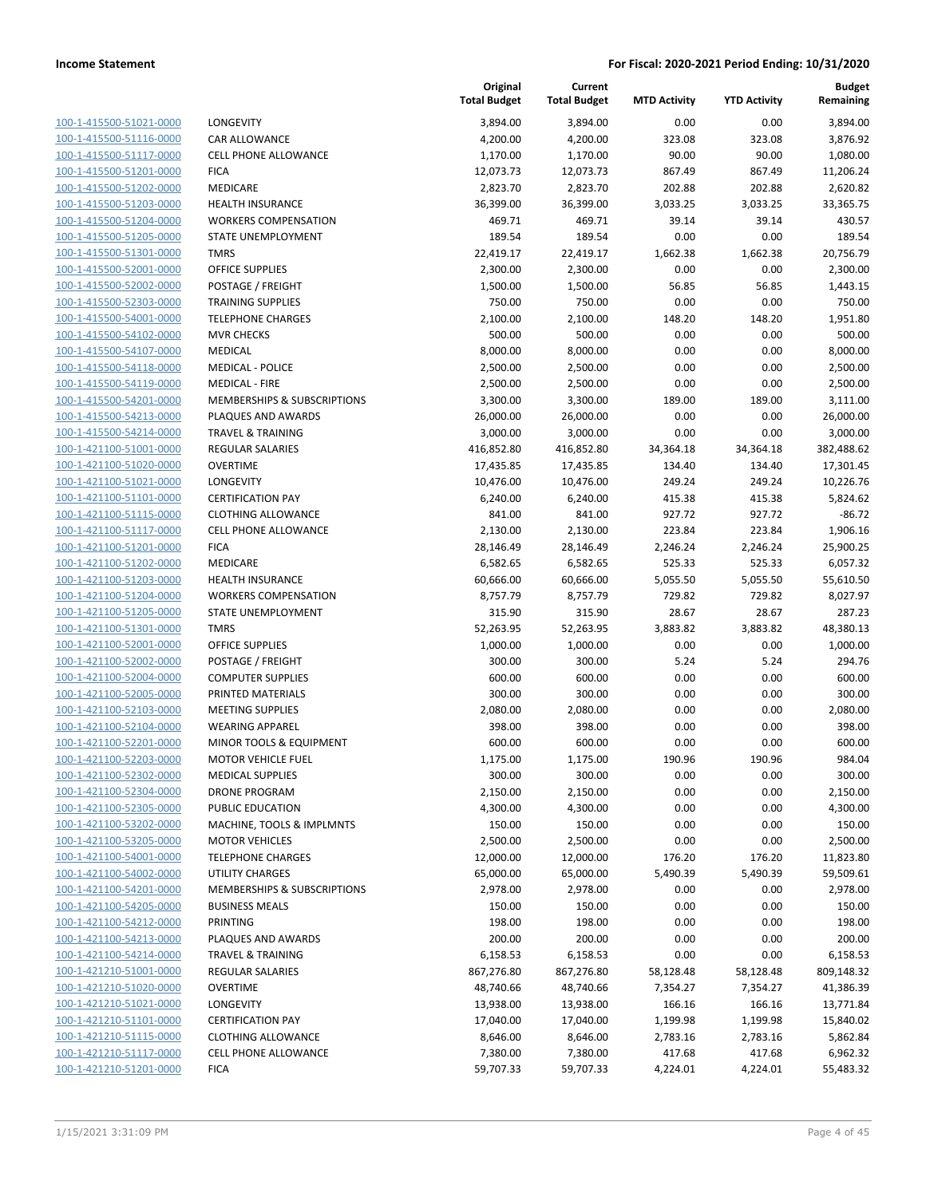| 100-1-415500-51021-0000        |
|--------------------------------|
| 100-1-415500-51116-0000        |
| 100-1-415500-51117-0000        |
| 100-1-415500-51201-0000        |
| 100-1-415500-51202-0000        |
| 100-1-415500-51203-0000        |
| 100-1-415500-51204-0000        |
| 100-1-415500-51205-0000        |
| 100-1-415500-51301-0000        |
| 100-1-415500-52001-0000        |
| 100-1-415500-52002-0000        |
| 100-1-415500-52303-0000        |
| 100-1-415500-54001-0000        |
| 100-1-415500-54102-0000        |
| <u>100-1-415500-54107-0000</u> |
| 100-1-415500-54118-0000        |
| 100-1-415500-54119-0000        |
| 100-1-415500-54201-0000        |
| 100-1-415500-54213-0000        |
| 100-1-415500-54214-0000        |
| 100-1-421100-51001-0000        |
| 100-1-421100-51020-0000        |
| 100-1-421100-51021-0000        |
| 100-1-421100-51101-0000        |
| <u>100-1-421100-51115-0000</u> |
| 100-1-421100-51117-0000        |
| 100-1-421100-51201-0000        |
| 100-1-421100-51202-0000        |
|                                |
| 100-1-421100-51203-0000        |
| 100-1-421100-51204-0000        |
| 100-1-421100-51205-0000        |
| 100-1-421100-51301-0000        |
| 100-1-421100-52001-0000        |
| 100-1-421100-52002-0000        |
| 100-1-421100-52004-0000        |
| 100-1-421100-52005-0000        |
| 100-1-421100-52103-0000        |
| 100-1-421100-52104-0000        |
| 100-1-421100-52201-0000        |
| 100-1-421100-52203-0000        |
| 100-1-421100-52302-0000        |
| <u>100-1-421100-52304-0000</u> |
| 100-1-421100-52305-0000        |
| <u>100-1-421100-53202-0000</u> |
| 100-1-421100-53205-0000        |
| <u>100-1-421100-54001-0000</u> |
| 100-1-421100-54002-0000        |
| 100-1-421100-54201-0000        |
| <u>100-1-421100-54205-0000</u> |
| <u>100-1-421100-54212-0000</u> |
| 100-1-421100-54213-0000        |
| 100-1-421100-54214-0000        |
| 100-1-421210-51001-0000        |
| <u>100-1-421210-51020-0000</u> |
| <u>100-1-421210-51021-0000</u> |
| <u>100-1-421210-51101-0000</u> |
| <u>100-1-421210-51115-0000</u> |
| 100-1-421210-51117-0000        |
| 100-1-421210-51201-0000        |
|                                |

| LONGEVITY                   |
|-----------------------------|
| CAR ALLOWANCE               |
| CELL PHONE ALLOWANCE        |
| FICA                        |
| MEDICARE                    |
| HEALTH INSURANCE            |
| WORKERS COMPENSATION        |
| STATE UNEMPLOYMENT          |
| TMRS                        |
| OFFICE SUPPLIES             |
| POSTAGE / FREIGHT           |
| TRAINING SUPPLIES           |
| TELEPHONE CHARGES           |
| <b>MVR CHECKS</b>           |
| MEDICAL                     |
| MEDICAL - POLICE            |
| MEDICAL - FIRE              |
| MEMBERSHIPS & SUBSCRIPTIONS |
| <b>PLAQUES AND AWARDS</b>   |
| TRAVEL & TRAINING           |
| REGULAR SALARIES            |
| OVERTIME                    |
| LONGEVITY                   |
| <b>CERTIFICATION PAY</b>    |
| CLOTHING ALLOWANCE          |
| CELL PHONE ALLOWANCE        |
| FICA                        |
| MEDICARE                    |
| HEALTH INSURANCE            |
| WORKERS COMPENSATION        |
| STATE UNEMPLOYMENT          |
| TMRS                        |
| OFFICE SUPPLIES             |
| POSTAGE / FREIGHT           |
| COMPUTER SUPPLIES           |
| PRINTED MATERIALS           |
| MEETING SUPPLIES            |
| <b>WEARING APPAREL</b>      |
| MINOR TOOLS & EQUIPMENT     |
| MOTOR VEHICLE FUEL          |
| <b>MEDICAL SUPPLIES</b>     |
| DRONE PROGRAM               |
| <b>PUBLIC EDUCATION</b>     |
| MACHINE, TOOLS & IMPLMNTS   |
| MOTOR VEHICLES              |
| <b>TELEPHONE CHARGES</b>    |
| UTILITY CHARGES             |
| MEMBERSHIPS & SUBSCRIPTIONS |
| <b>BUSINESS MEALS</b>       |
| PRINTING                    |
| PLAQUES AND AWARDS          |
| TRAVEL & TRAINING           |
| REGULAR SALARIES            |
| OVERTIME                    |
| LONGEVITY                   |
| <b>CERTIFICATION PAY</b>    |
| <b>CLOTHING ALLOWANCE</b>   |
| CELL PHONE ALLOWANCE        |
|                             |

|                                                    |                                                      | Original<br><b>Total Budget</b> | Current<br><b>Total Budget</b> | <b>MTD Activity</b> | <b>YTD Activity</b> | <b>Budget</b><br>Remaining |
|----------------------------------------------------|------------------------------------------------------|---------------------------------|--------------------------------|---------------------|---------------------|----------------------------|
| 100-1-415500-51021-0000                            | <b>LONGEVITY</b>                                     | 3,894.00                        | 3,894.00                       | 0.00                | 0.00                | 3,894.00                   |
| 100-1-415500-51116-0000                            | <b>CAR ALLOWANCE</b>                                 | 4,200.00                        | 4,200.00                       | 323.08              | 323.08              | 3,876.92                   |
| 100-1-415500-51117-0000                            | <b>CELL PHONE ALLOWANCE</b>                          | 1,170.00                        | 1,170.00                       | 90.00               | 90.00               | 1,080.00                   |
| 100-1-415500-51201-0000                            | <b>FICA</b>                                          | 12,073.73                       | 12,073.73                      | 867.49              | 867.49              | 11,206.24                  |
| 100-1-415500-51202-0000                            | MEDICARE                                             | 2,823.70                        | 2,823.70                       | 202.88              | 202.88              | 2,620.82                   |
| 100-1-415500-51203-0000                            | <b>HEALTH INSURANCE</b>                              | 36,399.00                       | 36,399.00                      | 3,033.25            | 3,033.25            | 33,365.75                  |
| 100-1-415500-51204-0000                            | <b>WORKERS COMPENSATION</b>                          | 469.71                          | 469.71                         | 39.14               | 39.14               | 430.57                     |
| 100-1-415500-51205-0000                            | STATE UNEMPLOYMENT                                   | 189.54                          | 189.54                         | 0.00                | 0.00                | 189.54                     |
| 100-1-415500-51301-0000                            | <b>TMRS</b>                                          | 22,419.17                       | 22,419.17                      | 1,662.38            | 1,662.38            | 20,756.79                  |
| 100-1-415500-52001-0000                            | <b>OFFICE SUPPLIES</b>                               | 2,300.00                        | 2,300.00                       | 0.00                | 0.00                | 2,300.00                   |
| 100-1-415500-52002-0000                            | POSTAGE / FREIGHT                                    | 1,500.00                        | 1,500.00                       | 56.85               | 56.85               | 1,443.15                   |
| 100-1-415500-52303-0000                            | <b>TRAINING SUPPLIES</b>                             | 750.00                          | 750.00                         | 0.00                | 0.00                | 750.00                     |
| 100-1-415500-54001-0000                            | <b>TELEPHONE CHARGES</b>                             | 2,100.00                        | 2,100.00                       | 148.20              | 148.20              | 1,951.80                   |
| 100-1-415500-54102-0000                            | <b>MVR CHECKS</b>                                    | 500.00                          | 500.00                         | 0.00                | 0.00                | 500.00                     |
| 100-1-415500-54107-0000<br>100-1-415500-54118-0000 | MEDICAL<br><b>MEDICAL - POLICE</b>                   | 8,000.00<br>2,500.00            | 8,000.00<br>2,500.00           | 0.00<br>0.00        | 0.00<br>0.00        | 8,000.00<br>2,500.00       |
| 100-1-415500-54119-0000                            | <b>MEDICAL - FIRE</b>                                | 2,500.00                        | 2,500.00                       | 0.00                | 0.00                | 2,500.00                   |
| 100-1-415500-54201-0000                            | MEMBERSHIPS & SUBSCRIPTIONS                          | 3,300.00                        | 3,300.00                       | 189.00              | 189.00              | 3,111.00                   |
| 100-1-415500-54213-0000                            | PLAQUES AND AWARDS                                   | 26,000.00                       | 26,000.00                      | 0.00                | 0.00                | 26,000.00                  |
| 100-1-415500-54214-0000                            | <b>TRAVEL &amp; TRAINING</b>                         | 3,000.00                        | 3,000.00                       | 0.00                | 0.00                | 3,000.00                   |
| 100-1-421100-51001-0000                            | <b>REGULAR SALARIES</b>                              | 416,852.80                      | 416,852.80                     | 34,364.18           | 34,364.18           | 382,488.62                 |
| 100-1-421100-51020-0000                            | <b>OVERTIME</b>                                      | 17,435.85                       | 17,435.85                      | 134.40              | 134.40              | 17,301.45                  |
| 100-1-421100-51021-0000                            | LONGEVITY                                            | 10,476.00                       | 10,476.00                      | 249.24              | 249.24              | 10,226.76                  |
| 100-1-421100-51101-0000                            | <b>CERTIFICATION PAY</b>                             | 6,240.00                        | 6,240.00                       | 415.38              | 415.38              | 5,824.62                   |
| 100-1-421100-51115-0000                            | <b>CLOTHING ALLOWANCE</b>                            | 841.00                          | 841.00                         | 927.72              | 927.72              | $-86.72$                   |
| 100-1-421100-51117-0000                            | <b>CELL PHONE ALLOWANCE</b>                          | 2,130.00                        | 2,130.00                       | 223.84              | 223.84              | 1,906.16                   |
| 100-1-421100-51201-0000                            | <b>FICA</b>                                          | 28,146.49                       | 28,146.49                      | 2,246.24            | 2,246.24            | 25,900.25                  |
| 100-1-421100-51202-0000                            | MEDICARE                                             | 6,582.65                        | 6,582.65                       | 525.33              | 525.33              | 6,057.32                   |
| 100-1-421100-51203-0000                            | <b>HEALTH INSURANCE</b>                              | 60,666.00                       | 60,666.00                      | 5,055.50            | 5,055.50            | 55,610.50                  |
| 100-1-421100-51204-0000                            | <b>WORKERS COMPENSATION</b>                          | 8,757.79                        | 8,757.79                       | 729.82              | 729.82              | 8,027.97                   |
| 100-1-421100-51205-0000                            | STATE UNEMPLOYMENT                                   | 315.90                          | 315.90                         | 28.67               | 28.67               | 287.23                     |
| 100-1-421100-51301-0000                            | <b>TMRS</b>                                          | 52,263.95                       | 52,263.95                      | 3,883.82            | 3,883.82            | 48,380.13                  |
| 100-1-421100-52001-0000                            | <b>OFFICE SUPPLIES</b>                               | 1,000.00                        | 1,000.00                       | 0.00                | 0.00                | 1,000.00                   |
| 100-1-421100-52002-0000                            | POSTAGE / FREIGHT                                    | 300.00                          | 300.00                         | 5.24                | 5.24                | 294.76                     |
| 100-1-421100-52004-0000                            | <b>COMPUTER SUPPLIES</b>                             | 600.00                          | 600.00                         | 0.00                | 0.00                | 600.00                     |
| 100-1-421100-52005-0000                            | PRINTED MATERIALS                                    | 300.00                          | 300.00                         | 0.00                | 0.00                | 300.00                     |
| 100-1-421100-52103-0000                            | <b>MEETING SUPPLIES</b>                              | 2,080.00                        | 2,080.00                       | 0.00                | 0.00                | 2,080.00                   |
| 100-1-421100-52104-0000                            | <b>WEARING APPAREL</b>                               | 398.00<br>600.00                | 398.00                         | 0.00                | 0.00                | 398.00                     |
| 100-1-421100-52201-0000                            | MINOR TOOLS & EQUIPMENT<br><b>MOTOR VEHICLE FUEL</b> |                                 | 600.00<br>1,175.00             | 0.00<br>190.96      | 0.00                | 600.00<br>984.04           |
| 100-1-421100-52203-0000<br>100-1-421100-52302-0000 | <b>MEDICAL SUPPLIES</b>                              | 1,175.00<br>300.00              | 300.00                         | 0.00                | 190.96<br>0.00      | 300.00                     |
| 100-1-421100-52304-0000                            | <b>DRONE PROGRAM</b>                                 | 2,150.00                        | 2,150.00                       | 0.00                | 0.00                | 2,150.00                   |
| 100-1-421100-52305-0000                            | PUBLIC EDUCATION                                     | 4,300.00                        | 4,300.00                       | 0.00                | 0.00                | 4,300.00                   |
| 100-1-421100-53202-0000                            | MACHINE, TOOLS & IMPLMNTS                            | 150.00                          | 150.00                         | 0.00                | 0.00                | 150.00                     |
| 100-1-421100-53205-0000                            | <b>MOTOR VEHICLES</b>                                | 2,500.00                        | 2,500.00                       | 0.00                | 0.00                | 2,500.00                   |
| 100-1-421100-54001-0000                            | <b>TELEPHONE CHARGES</b>                             | 12,000.00                       | 12,000.00                      | 176.20              | 176.20              | 11,823.80                  |
| 100-1-421100-54002-0000                            | <b>UTILITY CHARGES</b>                               | 65,000.00                       | 65,000.00                      | 5,490.39            | 5,490.39            | 59,509.61                  |
| 100-1-421100-54201-0000                            | MEMBERSHIPS & SUBSCRIPTIONS                          | 2,978.00                        | 2,978.00                       | 0.00                | 0.00                | 2,978.00                   |
| 100-1-421100-54205-0000                            | <b>BUSINESS MEALS</b>                                | 150.00                          | 150.00                         | 0.00                | 0.00                | 150.00                     |
| 100-1-421100-54212-0000                            | PRINTING                                             | 198.00                          | 198.00                         | 0.00                | 0.00                | 198.00                     |
| 100-1-421100-54213-0000                            | PLAQUES AND AWARDS                                   | 200.00                          | 200.00                         | 0.00                | 0.00                | 200.00                     |
| 100-1-421100-54214-0000                            | <b>TRAVEL &amp; TRAINING</b>                         | 6,158.53                        | 6,158.53                       | 0.00                | 0.00                | 6,158.53                   |
| 100-1-421210-51001-0000                            | <b>REGULAR SALARIES</b>                              | 867,276.80                      | 867,276.80                     | 58,128.48           | 58,128.48           | 809,148.32                 |
| 100-1-421210-51020-0000                            | OVERTIME                                             | 48,740.66                       | 48,740.66                      | 7,354.27            | 7,354.27            | 41,386.39                  |
| 100-1-421210-51021-0000                            | LONGEVITY                                            | 13,938.00                       | 13,938.00                      | 166.16              | 166.16              | 13,771.84                  |
| 100-1-421210-51101-0000                            | <b>CERTIFICATION PAY</b>                             | 17,040.00                       | 17,040.00                      | 1,199.98            | 1,199.98            | 15,840.02                  |
| 100-1-421210-51115-0000                            | <b>CLOTHING ALLOWANCE</b>                            | 8,646.00                        | 8,646.00                       | 2,783.16            | 2,783.16            | 5,862.84                   |
| 100-1-421210-51117-0000                            | <b>CELL PHONE ALLOWANCE</b>                          | 7,380.00                        | 7,380.00                       | 417.68              | 417.68              | 6,962.32                   |
| 100-1-421210-51201-0000                            | <b>FICA</b>                                          | 59,707.33                       | 59,707.33                      | 4,224.01            | 4,224.01            | 55,483.32                  |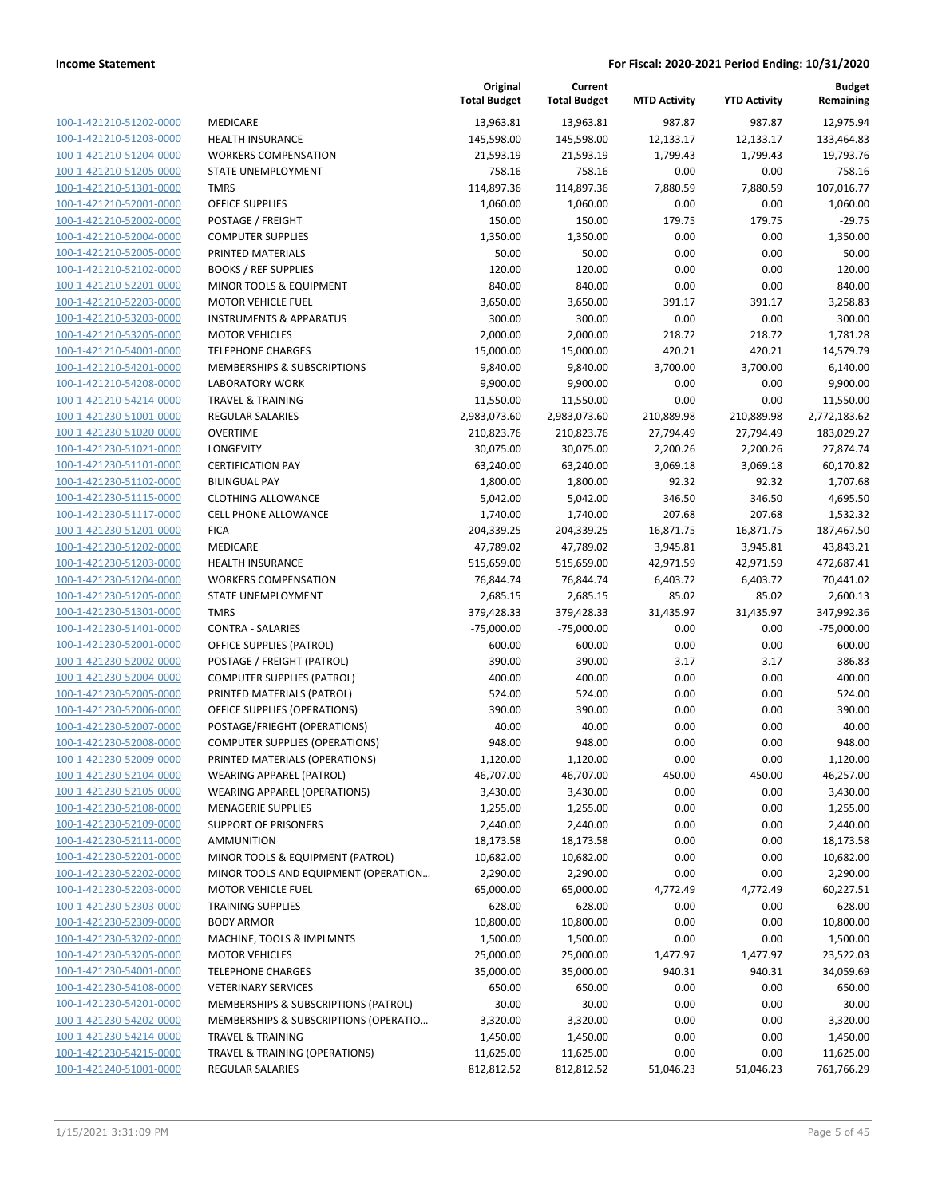| 100-1-421210-51202-0000                                          |
|------------------------------------------------------------------|
| 100-1-421210-51203-0000                                          |
| 100-1-421210-51204-0000                                          |
| 100-1-421210-51205-0000                                          |
| <u>100-1-421210-51301-0000</u>                                   |
| 100-1-421210-52001-0000                                          |
| 100-1-421210-52002-0000                                          |
| 100-1-421210-52004-0000                                          |
| 100-1-421210-52005-0000                                          |
| 100-1-421210-52102-0000                                          |
| 100-1-421210-52201-0000                                          |
| 100-1-421210-52203-0000                                          |
| 100-1-421210-53203-0000                                          |
| 100-1-421210-53205-0000                                          |
| <u>100-1-421210-54001-0000</u>                                   |
| 100-1-421210-54201-0000                                          |
| 100-1-421210-54208-0000                                          |
| 100-1-421210-54214-0000                                          |
| 100-1-421230-51001-0000                                          |
| 100-1-421230-51020-0000                                          |
| 100-1-421230-51021-0000                                          |
| 100-1-421230-51101-0000                                          |
| 100-1-421230-51102-0000                                          |
| 100-1-421230-51115-0000                                          |
| <u>100-1-421230-51117-0000</u>                                   |
| 100-1-421230-51201-0000                                          |
| 100-1-421230-51202-0000                                          |
| 100-1-421230-51203-0000                                          |
| 100-1-421230-51204-0000                                          |
| <u>100-1-421230-51205-0000</u>                                   |
| 100-1-421230-51301-0000                                          |
| 100-1-421230-51401-0000                                          |
| 100-1-421230-52001-0000                                          |
| 100-1-421230-52002-0000                                          |
| <u>100-1-421230-52004-0000</u>                                   |
| 100-1-421230-52005-0000                                          |
| 100-1-421230-52006-0000                                          |
| 100-1-421230-52007-0000                                          |
| 100-1-421230-52008-0000                                          |
| 100-1-421230-52009-0000                                          |
| 100-1-421230-52104-0000                                          |
| <u>100-1-421230-52105-0000</u>                                   |
| 100-1-421230-52108-0000                                          |
| 100-1-421230-52109-0000                                          |
| <u>100-1-421230-52111-0000</u>                                   |
| 100-1-421230-52201-0000                                          |
| <u>100-1-421230-52202-0000</u>                                   |
| 100-1-421230-52203-0000                                          |
| 100-1-421230-52303-0000                                          |
|                                                                  |
| <u>100-1-421230-52309-0000</u><br><u>100-1-421230-53202-0000</u> |
| 100-1-421230-53205-0000                                          |
| 100-1-421230-54001-0000                                          |
| 100-1-421230-54108-0000                                          |
|                                                                  |
| <u>100-1-421230-54201-0000</u>                                   |
| 100-1-421230-54202-0000                                          |
| <u>100-1-421230-54214-0000</u>                                   |
| <u>100-1-421230-54215-0000</u>                                   |
| 100-1-421240-51001-0000                                          |

|                         |                                       | Original<br><b>Total Budget</b> | Current<br><b>Total Budget</b> | <b>MTD Activity</b> | <b>YTD Activity</b> | <b>Budget</b><br>Remaining |
|-------------------------|---------------------------------------|---------------------------------|--------------------------------|---------------------|---------------------|----------------------------|
| 100-1-421210-51202-0000 | MEDICARE                              | 13,963.81                       | 13,963.81                      | 987.87              | 987.87              | 12,975.94                  |
| 100-1-421210-51203-0000 | <b>HEALTH INSURANCE</b>               | 145,598.00                      | 145,598.00                     | 12,133.17           | 12,133.17           | 133,464.83                 |
| 100-1-421210-51204-0000 | <b>WORKERS COMPENSATION</b>           | 21,593.19                       | 21,593.19                      | 1,799.43            | 1,799.43            | 19,793.76                  |
| 100-1-421210-51205-0000 | STATE UNEMPLOYMENT                    | 758.16                          | 758.16                         | 0.00                | 0.00                | 758.16                     |
| 100-1-421210-51301-0000 | <b>TMRS</b>                           | 114,897.36                      | 114,897.36                     | 7,880.59            | 7,880.59            | 107,016.77                 |
| 100-1-421210-52001-0000 | OFFICE SUPPLIES                       | 1,060.00                        | 1,060.00                       | 0.00                | 0.00                | 1,060.00                   |
| 100-1-421210-52002-0000 | POSTAGE / FREIGHT                     | 150.00                          | 150.00                         | 179.75              | 179.75              | $-29.75$                   |
| 100-1-421210-52004-0000 | <b>COMPUTER SUPPLIES</b>              | 1,350.00                        | 1,350.00                       | 0.00                | 0.00                | 1,350.00                   |
| 100-1-421210-52005-0000 | PRINTED MATERIALS                     | 50.00                           | 50.00                          | 0.00                | 0.00                | 50.00                      |
| 100-1-421210-52102-0000 | <b>BOOKS / REF SUPPLIES</b>           | 120.00                          | 120.00                         | 0.00                | 0.00                | 120.00                     |
| 100-1-421210-52201-0000 | MINOR TOOLS & EQUIPMENT               | 840.00                          | 840.00                         | 0.00                | 0.00                | 840.00                     |
| 100-1-421210-52203-0000 | <b>MOTOR VEHICLE FUEL</b>             | 3,650.00                        | 3,650.00                       | 391.17              | 391.17              | 3,258.83                   |
| 100-1-421210-53203-0000 | <b>INSTRUMENTS &amp; APPARATUS</b>    | 300.00                          | 300.00                         | 0.00                | 0.00                | 300.00                     |
| 100-1-421210-53205-0000 | <b>MOTOR VEHICLES</b>                 | 2,000.00                        | 2,000.00                       | 218.72              | 218.72              | 1,781.28                   |
| 100-1-421210-54001-0000 | <b>TELEPHONE CHARGES</b>              | 15,000.00                       | 15,000.00                      | 420.21              | 420.21              | 14,579.79                  |
| 100-1-421210-54201-0000 | MEMBERSHIPS & SUBSCRIPTIONS           | 9,840.00                        | 9,840.00                       | 3,700.00            | 3,700.00            | 6,140.00                   |
| 100-1-421210-54208-0000 | <b>LABORATORY WORK</b>                | 9,900.00                        | 9,900.00                       | 0.00                | 0.00                | 9,900.00                   |
| 100-1-421210-54214-0000 | <b>TRAVEL &amp; TRAINING</b>          | 11,550.00                       | 11,550.00                      | 0.00                | 0.00                | 11,550.00                  |
| 100-1-421230-51001-0000 | <b>REGULAR SALARIES</b>               | 2,983,073.60                    | 2,983,073.60                   | 210,889.98          | 210,889.98          | 2,772,183.62               |
| 100-1-421230-51020-0000 | <b>OVERTIME</b>                       | 210,823.76                      | 210,823.76                     | 27,794.49           | 27,794.49           | 183,029.27                 |
| 100-1-421230-51021-0000 | LONGEVITY                             | 30,075.00                       | 30,075.00                      | 2,200.26            | 2,200.26            | 27,874.74                  |
| 100-1-421230-51101-0000 | <b>CERTIFICATION PAY</b>              | 63,240.00                       | 63,240.00                      | 3,069.18            | 3,069.18            | 60,170.82                  |
| 100-1-421230-51102-0000 | <b>BILINGUAL PAY</b>                  | 1,800.00                        | 1,800.00                       | 92.32               | 92.32               | 1,707.68                   |
| 100-1-421230-51115-0000 | <b>CLOTHING ALLOWANCE</b>             | 5,042.00                        | 5,042.00                       | 346.50              | 346.50              | 4,695.50                   |
| 100-1-421230-51117-0000 | <b>CELL PHONE ALLOWANCE</b>           | 1,740.00                        | 1,740.00                       | 207.68              | 207.68              | 1,532.32                   |
| 100-1-421230-51201-0000 | <b>FICA</b>                           | 204,339.25                      | 204,339.25                     | 16,871.75           | 16,871.75           | 187,467.50                 |
| 100-1-421230-51202-0000 | MEDICARE                              | 47,789.02                       | 47,789.02                      | 3,945.81            | 3,945.81            | 43,843.21                  |
| 100-1-421230-51203-0000 | <b>HEALTH INSURANCE</b>               | 515,659.00                      | 515,659.00                     | 42,971.59           | 42,971.59           | 472,687.41                 |
| 100-1-421230-51204-0000 | <b>WORKERS COMPENSATION</b>           | 76,844.74                       | 76,844.74                      | 6,403.72            | 6,403.72            | 70,441.02                  |
| 100-1-421230-51205-0000 | STATE UNEMPLOYMENT                    | 2,685.15                        | 2,685.15                       | 85.02               | 85.02               | 2,600.13                   |
| 100-1-421230-51301-0000 | <b>TMRS</b>                           | 379,428.33                      | 379,428.33                     | 31,435.97           | 31,435.97           | 347,992.36                 |
| 100-1-421230-51401-0000 | <b>CONTRA - SALARIES</b>              | $-75,000.00$                    | $-75,000.00$                   | 0.00                | 0.00                | $-75,000.00$               |
| 100-1-421230-52001-0000 | <b>OFFICE SUPPLIES (PATROL)</b>       | 600.00                          | 600.00                         | 0.00                | 0.00                | 600.00                     |
| 100-1-421230-52002-0000 | POSTAGE / FREIGHT (PATROL)            | 390.00                          | 390.00                         | 3.17                | 3.17                | 386.83                     |
| 100-1-421230-52004-0000 | <b>COMPUTER SUPPLIES (PATROL)</b>     | 400.00                          | 400.00                         | 0.00                | 0.00                | 400.00                     |
| 100-1-421230-52005-0000 | PRINTED MATERIALS (PATROL)            | 524.00                          | 524.00                         | 0.00                | 0.00                | 524.00                     |
| 100-1-421230-52006-0000 | OFFICE SUPPLIES (OPERATIONS)          | 390.00                          | 390.00                         | 0.00                | 0.00                | 390.00                     |
| 100-1-421230-52007-0000 | POSTAGE/FRIEGHT (OPERATIONS)          | 40.00                           | 40.00                          | 0.00                | 0.00                | 40.00                      |
| 100-1-421230-52008-0000 | <b>COMPUTER SUPPLIES (OPERATIONS)</b> | 948.00                          | 948.00                         | 0.00                | 0.00                | 948.00                     |
| 100-1-421230-52009-0000 | PRINTED MATERIALS (OPERATIONS)        | 1,120.00                        | 1,120.00                       | 0.00                | 0.00                | 1,120.00                   |
| 100-1-421230-52104-0000 | WEARING APPAREL (PATROL)              | 46,707.00                       | 46,707.00                      | 450.00              | 450.00              | 46,257.00                  |
| 100-1-421230-52105-0000 | <b>WEARING APPAREL (OPERATIONS)</b>   | 3,430.00                        | 3,430.00                       | 0.00                | 0.00                | 3,430.00                   |
| 100-1-421230-52108-0000 | <b>MENAGERIE SUPPLIES</b>             | 1,255.00                        | 1,255.00                       | 0.00                | 0.00                | 1,255.00                   |
| 100-1-421230-52109-0000 | <b>SUPPORT OF PRISONERS</b>           | 2,440.00                        | 2,440.00                       | 0.00                | 0.00                | 2,440.00                   |
| 100-1-421230-52111-0000 | AMMUNITION                            | 18,173.58                       | 18,173.58                      | 0.00                | 0.00                | 18,173.58                  |
| 100-1-421230-52201-0000 | MINOR TOOLS & EQUIPMENT (PATROL)      | 10,682.00                       | 10,682.00                      | 0.00                | 0.00                | 10,682.00                  |
| 100-1-421230-52202-0000 | MINOR TOOLS AND EQUIPMENT (OPERATION  | 2,290.00                        | 2,290.00                       | 0.00                | 0.00                | 2,290.00                   |
| 100-1-421230-52203-0000 | <b>MOTOR VEHICLE FUEL</b>             | 65,000.00                       | 65,000.00                      | 4,772.49            | 4,772.49            | 60,227.51                  |
| 100-1-421230-52303-0000 | <b>TRAINING SUPPLIES</b>              | 628.00                          | 628.00                         | 0.00                | 0.00                | 628.00                     |
| 100-1-421230-52309-0000 | <b>BODY ARMOR</b>                     | 10,800.00                       | 10,800.00                      | 0.00                | 0.00                | 10,800.00                  |
| 100-1-421230-53202-0000 | MACHINE, TOOLS & IMPLMNTS             | 1,500.00                        | 1,500.00                       | 0.00                | 0.00                | 1,500.00                   |
| 100-1-421230-53205-0000 | <b>MOTOR VEHICLES</b>                 | 25,000.00                       | 25,000.00                      | 1,477.97            | 1,477.97            | 23,522.03                  |
| 100-1-421230-54001-0000 | <b>TELEPHONE CHARGES</b>              | 35,000.00                       | 35,000.00                      | 940.31              | 940.31              | 34,059.69                  |
| 100-1-421230-54108-0000 | <b>VETERINARY SERVICES</b>            | 650.00                          | 650.00                         | 0.00                | 0.00                | 650.00                     |
| 100-1-421230-54201-0000 | MEMBERSHIPS & SUBSCRIPTIONS (PATROL)  | 30.00                           | 30.00                          | 0.00                | 0.00                | 30.00                      |
| 100-1-421230-54202-0000 | MEMBERSHIPS & SUBSCRIPTIONS (OPERATIO | 3,320.00                        | 3,320.00                       | 0.00                | 0.00                | 3,320.00                   |
| 100-1-421230-54214-0000 | <b>TRAVEL &amp; TRAINING</b>          | 1,450.00                        | 1,450.00                       | 0.00                | 0.00                | 1,450.00                   |
| 100-1-421230-54215-0000 | TRAVEL & TRAINING (OPERATIONS)        | 11,625.00                       | 11,625.00                      | 0.00                | 0.00                | 11,625.00                  |
| 100-1-421240-51001-0000 | REGULAR SALARIES                      | 812,812.52                      | 812,812.52                     | 51,046.23           | 51,046.23           | 761,766.29                 |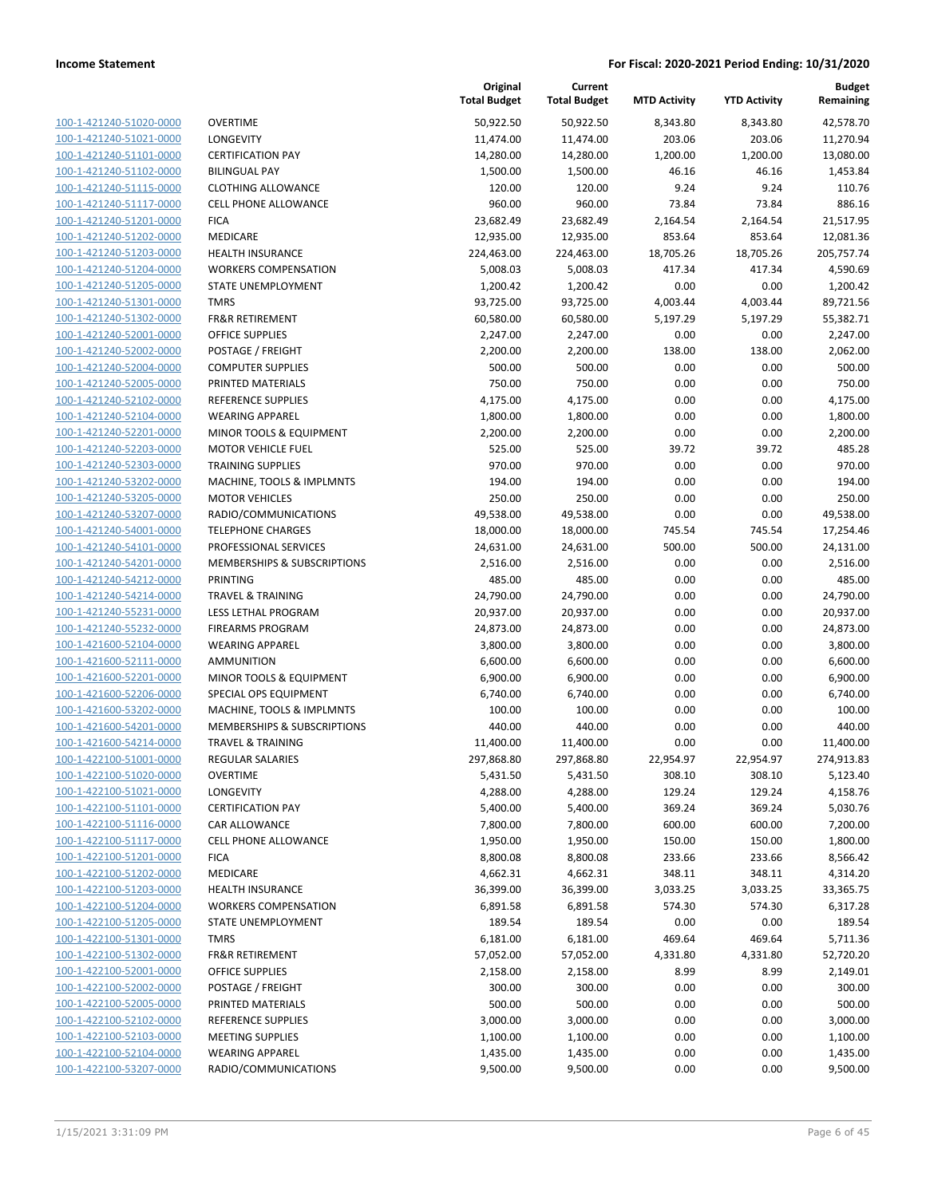| 100-1-421240-51020-0000                                   |
|-----------------------------------------------------------|
| 100-1-421240-51021-0000                                   |
| 100-1-421240-51101-0000                                   |
| 100-1-421240-51102-0000                                   |
| <u>100-1-421240-51115-0000</u>                            |
| 100-1-421240-51117-0000                                   |
| 100-1-421240-51201-0000                                   |
| 100-1-421240-51202-0000                                   |
| 100-1-421240-51203-0000                                   |
| <u>100-1-421240-51204-0000</u>                            |
| 100-1-421240-51205-0000                                   |
| 100-1-421240-51301-0000                                   |
| 100-1-421240-51302-0000                                   |
| 100-1-421240-52001-0000                                   |
| 100-1-421240-52002-0000                                   |
| <u>100-1-421240-52004-0000</u>                            |
| 100-1-421240-52005-0000                                   |
| 100-1-421240-52102-0000                                   |
| 100-1-421240-52104-0000                                   |
| <u>100-1-421240-52201-0000</u>                            |
| 100-1-421240-52203-0000                                   |
| 100-1-421240-52303-0000                                   |
| 100-1-421240-53202-0000                                   |
| 100-1-421240-53205-0000                                   |
| <u>100-1-421240-53207-0000</u>                            |
| 100-1-421240-54001-0000                                   |
| 100-1-421240-54101-0000                                   |
| 100-1-421240-54201-0000                                   |
| <u>100-1-421240-54212-0000</u>                            |
| <u>100-1-421240-54214-0000</u>                            |
| 100-1-421240-55231-0000                                   |
| 100-1-421240-55232-0000                                   |
| 100-1-421600-52104-0000                                   |
| <u>100-1-421600-52111-0000</u>                            |
|                                                           |
| <u>100-1-421600-52201-0000</u><br>100-1-421600-52206-0000 |
|                                                           |
| 100-1-421600-53202-0000<br>100-1-421600-54201-0000        |
|                                                           |
| 100-1-421600-54214-0000                                   |
| <u>100-1-422100-51001-0000</u>                            |
| <u>100-1-422100-51020-0000</u>                            |
| 100-1-422100-51021-0000                                   |
| 100-1-422100-51101-0000                                   |
| <u>100-1-422100-51116-0000</u>                            |
| <u>100-1-422100-51117-0000</u>                            |
| <u>100-1-422100-51201-0000</u>                            |
| 100-1-422100-51202-0000                                   |
| 100-1-422100-51203-0000                                   |
| <u>100-1-422100-51204-0000</u>                            |
| <u>100-1-422100-51205-0000</u>                            |
| <u>100-1-422100-51301-0000</u>                            |
| 100-1-422100-51302-0000                                   |
| 100-1-422100-52001-0000                                   |
| <u>100-1-422100-52002-0000</u>                            |
| <u>100-1-422100-52005-0000</u>                            |
| <u>100-1-422100-52102-0000</u>                            |
| 100-1-422100-52103-0000                                   |
| 100-1-422100-52104-0000                                   |
| 100-1-422100-53207-0000                                   |
|                                                           |

|                                                    |                                             | Original<br><b>Total Budget</b> | Current<br><b>Total Budget</b> | <b>MTD Activity</b> | <b>YTD Activity</b> | <b>Budget</b><br>Remaining |
|----------------------------------------------------|---------------------------------------------|---------------------------------|--------------------------------|---------------------|---------------------|----------------------------|
| 100-1-421240-51020-0000                            | <b>OVERTIME</b>                             | 50,922.50                       | 50,922.50                      | 8,343.80            | 8,343.80            | 42,578.70                  |
| 100-1-421240-51021-0000                            | LONGEVITY                                   | 11,474.00                       | 11,474.00                      | 203.06              | 203.06              | 11,270.94                  |
| 100-1-421240-51101-0000                            | <b>CERTIFICATION PAY</b>                    | 14,280.00                       | 14,280.00                      | 1,200.00            | 1,200.00            | 13,080.00                  |
| 100-1-421240-51102-0000                            | <b>BILINGUAL PAY</b>                        | 1,500.00                        | 1,500.00                       | 46.16               | 46.16               | 1,453.84                   |
| 100-1-421240-51115-0000                            | <b>CLOTHING ALLOWANCE</b>                   | 120.00                          | 120.00                         | 9.24                | 9.24                | 110.76                     |
| 100-1-421240-51117-0000                            | <b>CELL PHONE ALLOWANCE</b>                 | 960.00                          | 960.00                         | 73.84               | 73.84               | 886.16                     |
| 100-1-421240-51201-0000                            | <b>FICA</b>                                 | 23,682.49                       | 23,682.49                      | 2,164.54            | 2,164.54            | 21,517.95                  |
| 100-1-421240-51202-0000                            | MEDICARE                                    | 12,935.00                       | 12,935.00                      | 853.64              | 853.64              | 12,081.36                  |
| 100-1-421240-51203-0000                            | <b>HEALTH INSURANCE</b>                     | 224,463.00                      | 224,463.00                     | 18,705.26           | 18,705.26           | 205,757.74                 |
| 100-1-421240-51204-0000                            | <b>WORKERS COMPENSATION</b>                 | 5,008.03                        | 5,008.03                       | 417.34              | 417.34              | 4,590.69                   |
| 100-1-421240-51205-0000                            | STATE UNEMPLOYMENT                          | 1,200.42                        | 1,200.42                       | 0.00                | 0.00                | 1,200.42                   |
| 100-1-421240-51301-0000                            | <b>TMRS</b>                                 | 93,725.00                       | 93,725.00                      | 4,003.44            | 4,003.44            | 89,721.56                  |
| 100-1-421240-51302-0000                            | <b>FR&amp;R RETIREMENT</b>                  | 60,580.00                       | 60,580.00                      | 5,197.29            | 5,197.29            | 55,382.71                  |
| 100-1-421240-52001-0000                            | <b>OFFICE SUPPLIES</b>                      | 2,247.00                        | 2,247.00                       | 0.00                | 0.00                | 2,247.00                   |
| 100-1-421240-52002-0000                            | POSTAGE / FREIGHT                           | 2,200.00                        | 2,200.00                       | 138.00              | 138.00              | 2,062.00                   |
| 100-1-421240-52004-0000                            | <b>COMPUTER SUPPLIES</b>                    | 500.00                          | 500.00                         | 0.00                | 0.00                | 500.00                     |
| 100-1-421240-52005-0000                            | PRINTED MATERIALS                           | 750.00                          | 750.00                         | 0.00                | 0.00                | 750.00                     |
| 100-1-421240-52102-0000                            | REFERENCE SUPPLIES                          | 4,175.00                        | 4,175.00                       | 0.00                | 0.00                | 4,175.00                   |
| 100-1-421240-52104-0000                            | <b>WEARING APPAREL</b>                      | 1,800.00                        | 1,800.00                       | 0.00                | 0.00                | 1,800.00                   |
| 100-1-421240-52201-0000                            | MINOR TOOLS & EQUIPMENT                     | 2,200.00                        | 2,200.00                       | 0.00                | 0.00                | 2,200.00                   |
| 100-1-421240-52203-0000                            | <b>MOTOR VEHICLE FUEL</b>                   | 525.00                          | 525.00                         | 39.72               | 39.72               | 485.28                     |
| 100-1-421240-52303-0000                            | <b>TRAINING SUPPLIES</b>                    | 970.00                          | 970.00                         | 0.00                | 0.00                | 970.00                     |
| 100-1-421240-53202-0000                            | MACHINE, TOOLS & IMPLMNTS                   | 194.00                          | 194.00                         | 0.00                | 0.00                | 194.00                     |
| 100-1-421240-53205-0000                            | <b>MOTOR VEHICLES</b>                       | 250.00                          | 250.00                         | 0.00                | 0.00                | 250.00                     |
| 100-1-421240-53207-0000                            | RADIO/COMMUNICATIONS                        | 49,538.00                       | 49,538.00                      | 0.00                | 0.00                | 49,538.00                  |
| 100-1-421240-54001-0000                            | <b>TELEPHONE CHARGES</b>                    | 18,000.00                       | 18,000.00                      | 745.54              | 745.54              | 17,254.46                  |
| 100-1-421240-54101-0000                            | PROFESSIONAL SERVICES                       | 24,631.00                       | 24,631.00                      | 500.00              | 500.00              | 24,131.00                  |
| 100-1-421240-54201-0000                            | MEMBERSHIPS & SUBSCRIPTIONS                 | 2,516.00                        | 2,516.00                       | 0.00                | 0.00                | 2,516.00                   |
| 100-1-421240-54212-0000                            | PRINTING                                    | 485.00                          | 485.00                         | 0.00                | 0.00                | 485.00                     |
| 100-1-421240-54214-0000                            | <b>TRAVEL &amp; TRAINING</b>                | 24,790.00                       | 24,790.00                      | 0.00                | 0.00                | 24,790.00                  |
| 100-1-421240-55231-0000                            | LESS LETHAL PROGRAM                         | 20,937.00                       | 20,937.00                      | 0.00                | 0.00                | 20,937.00                  |
| 100-1-421240-55232-0000                            | <b>FIREARMS PROGRAM</b>                     | 24,873.00                       | 24,873.00                      | 0.00                | 0.00                | 24,873.00                  |
| 100-1-421600-52104-0000<br>100-1-421600-52111-0000 | <b>WEARING APPAREL</b><br><b>AMMUNITION</b> | 3,800.00                        | 3,800.00                       | 0.00<br>0.00        | 0.00<br>0.00        | 3,800.00                   |
| 100-1-421600-52201-0000                            | MINOR TOOLS & EQUIPMENT                     | 6,600.00<br>6,900.00            | 6,600.00<br>6,900.00           | 0.00                | 0.00                | 6,600.00<br>6,900.00       |
| 100-1-421600-52206-0000                            | SPECIAL OPS EQUIPMENT                       | 6,740.00                        | 6,740.00                       | 0.00                | 0.00                | 6,740.00                   |
| 100-1-421600-53202-0000                            | MACHINE, TOOLS & IMPLMNTS                   | 100.00                          | 100.00                         | 0.00                | 0.00                | 100.00                     |
| 100-1-421600-54201-0000                            | MEMBERSHIPS & SUBSCRIPTIONS                 | 440.00                          | 440.00                         | 0.00                | 0.00                | 440.00                     |
| 100-1-421600-54214-0000                            | <b>TRAVEL &amp; TRAINING</b>                | 11,400.00                       | 11,400.00                      | 0.00                | 0.00                | 11,400.00                  |
| 100-1-422100-51001-0000                            | REGULAR SALARIES                            | 297,868.80                      | 297,868.80                     | 22,954.97           | 22,954.97           | 274,913.83                 |
| 100-1-422100-51020-0000                            | <b>OVERTIME</b>                             | 5,431.50                        | 5,431.50                       | 308.10              | 308.10              | 5,123.40                   |
| 100-1-422100-51021-0000                            | LONGEVITY                                   | 4,288.00                        | 4,288.00                       | 129.24              | 129.24              | 4,158.76                   |
| 100-1-422100-51101-0000                            | <b>CERTIFICATION PAY</b>                    | 5,400.00                        | 5,400.00                       | 369.24              | 369.24              | 5,030.76                   |
| 100-1-422100-51116-0000                            | CAR ALLOWANCE                               | 7,800.00                        | 7,800.00                       | 600.00              | 600.00              | 7,200.00                   |
| 100-1-422100-51117-0000                            | CELL PHONE ALLOWANCE                        | 1,950.00                        | 1,950.00                       | 150.00              | 150.00              | 1,800.00                   |
| 100-1-422100-51201-0000                            | <b>FICA</b>                                 | 8,800.08                        | 8,800.08                       | 233.66              | 233.66              | 8,566.42                   |
| 100-1-422100-51202-0000                            | MEDICARE                                    | 4,662.31                        | 4,662.31                       | 348.11              | 348.11              | 4,314.20                   |
| 100-1-422100-51203-0000                            | <b>HEALTH INSURANCE</b>                     | 36,399.00                       | 36,399.00                      | 3,033.25            | 3,033.25            | 33,365.75                  |
| 100-1-422100-51204-0000                            | <b>WORKERS COMPENSATION</b>                 | 6,891.58                        | 6,891.58                       | 574.30              | 574.30              | 6,317.28                   |
| 100-1-422100-51205-0000                            | STATE UNEMPLOYMENT                          | 189.54                          | 189.54                         | 0.00                | 0.00                | 189.54                     |
| 100-1-422100-51301-0000                            | <b>TMRS</b>                                 | 6,181.00                        | 6,181.00                       | 469.64              | 469.64              | 5,711.36                   |
| 100-1-422100-51302-0000                            | <b>FR&amp;R RETIREMENT</b>                  | 57,052.00                       | 57,052.00                      | 4,331.80            | 4,331.80            | 52,720.20                  |
| 100-1-422100-52001-0000                            | OFFICE SUPPLIES                             | 2,158.00                        | 2,158.00                       | 8.99                | 8.99                | 2,149.01                   |
| 100-1-422100-52002-0000                            | POSTAGE / FREIGHT                           | 300.00                          | 300.00                         | 0.00                | 0.00                | 300.00                     |
| 100-1-422100-52005-0000                            | PRINTED MATERIALS                           | 500.00                          | 500.00                         | 0.00                | 0.00                | 500.00                     |
| 100-1-422100-52102-0000                            | REFERENCE SUPPLIES                          | 3,000.00                        | 3,000.00                       | 0.00                | 0.00                | 3,000.00                   |
| 100-1-422100-52103-0000                            | <b>MEETING SUPPLIES</b>                     | 1,100.00                        | 1,100.00                       | 0.00                | 0.00                | 1,100.00                   |
| 100-1-422100-52104-0000                            | <b>WEARING APPAREL</b>                      | 1,435.00                        | 1,435.00                       | 0.00                | 0.00                | 1,435.00                   |
| 100-1-422100-53207-0000                            | RADIO/COMMUNICATIONS                        | 9,500.00                        | 9,500.00                       | 0.00                | 0.00                | 9,500.00                   |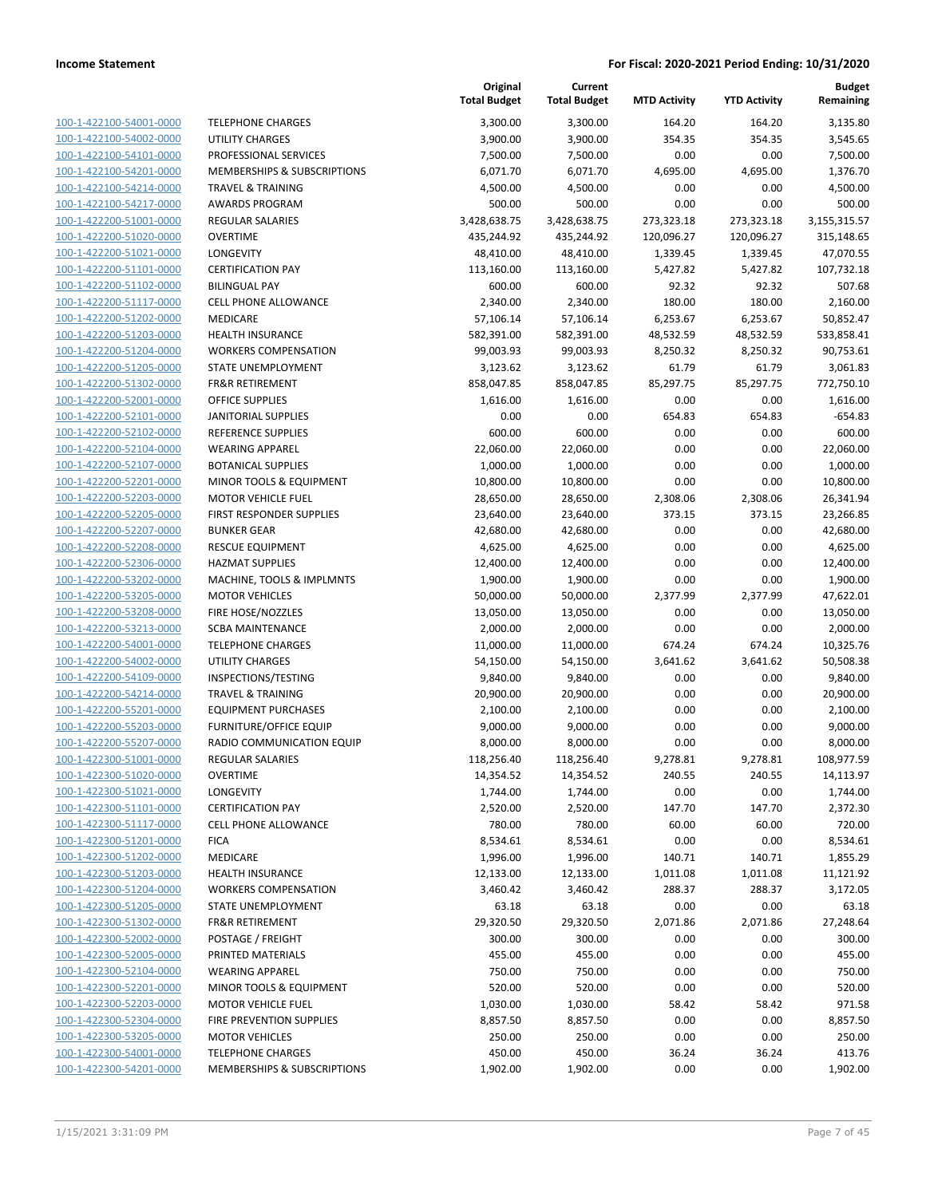| 100-1-422100-54001-0000        |
|--------------------------------|
| 100-1-422100-54002-0000        |
| 100-1-422100-54101-0000        |
| 100-1-422100-54201-0000        |
| 100-1-422100-54214-0000        |
| 100-1-422100-54217-0000        |
| 100-1-422200-51001-0000        |
| 100-1-422200-51020-0000        |
| 100-1-422200-51021-0000        |
| 100-1-422200-51101-0000        |
| 100-1-422200-51102-0000        |
| 100-1-422200-51117-0000        |
| 100-1-422200-51202-0000        |
| 100-1-422200-51203-0000        |
| 100-1-422200-51204-0000        |
| 100-1-422200-51205-0000        |
| 100-1-422200-51302-0000        |
| 100-1-422200-52001-0000        |
| 100-1-422200-52101-0000        |
| 100-1-422200-52102-0000        |
| 100-1-422200-52104-0000        |
| 100-1-422200-52107-0000        |
| 100-1-422200-52201-0000        |
| 100-1-422200-52203-0000        |
| 100-1-422200-52205-0000        |
| 100-1-422200-52207-0000        |
| 100-1-422200-52208-0000        |
| 100-1-422200-52306-0000        |
| 100-1-422200-53202-0000        |
| 100-1-422200-53205-0000        |
| 100-1-422200-53208-0000        |
| 100-1-422200-53213-0000        |
| 100-1-422200-54001-0000        |
| 100-1-422200-54002-0000        |
| 100-1-422200-54109-0000        |
| 100-1-422200-54214-0000        |
| 100-1-422200-55201-0000        |
| 100-1-422200-55203-0000        |
| 100-1-422200-55207-0000        |
| 100-1-422300-51001-0000        |
| 100-1-422300-51020-0000        |
| <u>100-1-422300-51021-0000</u> |
| <u>100-1-422300-51101-0000</u> |
| <u>100-1-422300-51117-0000</u> |
| <u>100-1-422300-51201-0000</u> |
| <u>100-1-422300-51202-0000</u> |
| 100-1-422300-51203-0000        |
| 100-1-422300-51204-0000        |
| <u>100-1-422300-51205-0000</u> |
| <u>100-1-422300-51302-0000</u> |
| 100-1-422300-52002-0000        |
| 100-1-422300-52005-0000        |
| 100-1-422300-52104-0000        |
| <u>100-1-422300-52201-0000</u> |
| <u>100-1-422300-52203-0000</u> |
| <u>100-1-422300-52304-0000</u> |
| 100-1-422300-53205-0000        |
| <u>100-1-422300-54001-0000</u> |
| 100-1-422300-54201-0000        |

| TELEPHONE CHARGES                      |
|----------------------------------------|
| <b>UTILITY CHARGES</b>                 |
| PROFESSIONAL SERVICES                  |
| <b>MEMBERSHIPS &amp; SUBSCRIPTIONS</b> |
| TRAVEL & TRAINING                      |
| <b>AWARDS PROGRAM</b>                  |
| <b>REGULAR SALARIES</b>                |
| <b>OVERTIME</b>                        |
| <b>LONGEVITY</b>                       |
| <b>CERTIFICATION PAY</b>               |
| <b>BILINGUAL PAY</b>                   |
| <b>CELL PHONE ALLOWANCE</b>            |
| <b>MEDICARE</b>                        |
| <b>HEALTH INSURANCE</b>                |
| <b>WORKERS COMPENSATION</b>            |
| STATE UNEMPLOYMENT                     |
| <b>FR&amp;R RETIREMENT</b>             |
| <b>OFFICE SUPPLIES</b>                 |
| <b>JANITORIAL SUPPLIES</b>             |
| REFERENCE SUPPLIES                     |
| <b>WEARING APPAREL</b>                 |
| <b>BOTANICAL SUPPLIES</b>              |
| MINOR TOOLS & EQUIPMENT                |
| <b>MOTOR VEHICLE FUEL</b>              |
| <b>FIRST RESPONDER SUPPLIES</b>        |
| <b>BUNKER GEAR</b>                     |
| <b>RESCUE EQUIPMENT</b>                |
| <b>HAZMAT SUPPLIES</b>                 |
| MACHINE, TOOLS & IMPLMNTS              |
| <b>MOTOR VEHICLES</b>                  |
| FIRE HOSE/NOZZLES                      |
| SCBA MAINTENANCE                       |
| <b>TELEPHONE CHARGES</b>               |
| <b>UTILITY CHARGES</b>                 |
| INSPECTIONS/TESTING                    |
| TRAVEL & TRAINING                      |
| <b>EQUIPMENT PURCHASES</b>             |
| <b>FURNITURE/OFFICE EQUIP</b>          |
| RADIO COMMUNICATION EQUIP              |
| <b>REGULAR SALARIES</b>                |
| OVERTIME                               |
| LONGEVITY                              |
| <b>CERTIFICATION PAY</b>               |
| <b>CELL PHONE ALLOWANCE</b>            |
| <b>FICA</b>                            |
| <b>MEDICARE</b>                        |
| <b>HEALTH INSURANCE</b>                |
| <b>WORKERS COMPENSATION</b>            |
| <b>STATE UNEMPLOYMENT</b>              |
| <b>FR&amp;R RETIREMENT</b>             |
| POSTAGE / FREIGHT                      |
| PRINTED MATERIALS                      |
| <b>WEARING APPAREL</b>                 |
| MINOR TOOLS & EQUIPMENT                |
| <b>MOTOR VEHICLE FUEL</b>              |
| <b>FIRE PREVENTION SUPPLIES</b>        |
| <b>MOTOR VEHICLES</b>                  |
| <b>TELENUONE</b>                       |

|                         |                                        | Original<br><b>Total Budget</b> | Current<br><b>Total Budget</b> | <b>MTD Activity</b> | <b>YTD Activity</b> | <b>Budget</b><br>Remaining |
|-------------------------|----------------------------------------|---------------------------------|--------------------------------|---------------------|---------------------|----------------------------|
| 100-1-422100-54001-0000 | <b>TELEPHONE CHARGES</b>               | 3,300.00                        | 3,300.00                       | 164.20              | 164.20              | 3,135.80                   |
| 100-1-422100-54002-0000 | <b>UTILITY CHARGES</b>                 | 3,900.00                        | 3,900.00                       | 354.35              | 354.35              | 3,545.65                   |
| 100-1-422100-54101-0000 | PROFESSIONAL SERVICES                  | 7,500.00                        | 7,500.00                       | 0.00                | 0.00                | 7,500.00                   |
| 100-1-422100-54201-0000 | <b>MEMBERSHIPS &amp; SUBSCRIPTIONS</b> | 6,071.70                        | 6,071.70                       | 4,695.00            | 4,695.00            | 1,376.70                   |
| 100-1-422100-54214-0000 | <b>TRAVEL &amp; TRAINING</b>           | 4,500.00                        | 4,500.00                       | 0.00                | 0.00                | 4,500.00                   |
| 100-1-422100-54217-0000 | <b>AWARDS PROGRAM</b>                  | 500.00                          | 500.00                         | 0.00                | 0.00                | 500.00                     |
| 100-1-422200-51001-0000 | <b>REGULAR SALARIES</b>                | 3,428,638.75                    | 3,428,638.75                   | 273,323.18          | 273,323.18          | 3,155,315.57               |
| 100-1-422200-51020-0000 | <b>OVERTIME</b>                        | 435,244.92                      | 435,244.92                     | 120,096.27          | 120,096.27          | 315,148.65                 |
| 100-1-422200-51021-0000 | LONGEVITY                              | 48,410.00                       | 48,410.00                      | 1,339.45            | 1,339.45            | 47,070.55                  |
| 100-1-422200-51101-0000 | <b>CERTIFICATION PAY</b>               | 113,160.00                      | 113,160.00                     | 5,427.82            | 5,427.82            | 107,732.18                 |
| 100-1-422200-51102-0000 | <b>BILINGUAL PAY</b>                   | 600.00                          | 600.00                         | 92.32               | 92.32               | 507.68                     |
| 100-1-422200-51117-0000 | <b>CELL PHONE ALLOWANCE</b>            | 2,340.00                        | 2,340.00                       | 180.00              | 180.00              | 2,160.00                   |
| 100-1-422200-51202-0000 | MEDICARE                               | 57,106.14                       | 57,106.14                      | 6,253.67            | 6,253.67            | 50,852.47                  |
| 100-1-422200-51203-0000 | <b>HEALTH INSURANCE</b>                | 582,391.00                      | 582,391.00                     | 48,532.59           | 48,532.59           | 533,858.41                 |
| 100-1-422200-51204-0000 | <b>WORKERS COMPENSATION</b>            | 99,003.93                       | 99,003.93                      | 8,250.32            | 8,250.32            | 90,753.61                  |
| 100-1-422200-51205-0000 | <b>STATE UNEMPLOYMENT</b>              | 3,123.62                        | 3,123.62                       | 61.79               | 61.79               | 3,061.83                   |
| 100-1-422200-51302-0000 | <b>FR&amp;R RETIREMENT</b>             | 858,047.85                      | 858,047.85                     | 85,297.75           | 85,297.75           | 772,750.10                 |
| 100-1-422200-52001-0000 | <b>OFFICE SUPPLIES</b>                 | 1,616.00                        | 1,616.00                       | 0.00                | 0.00                | 1,616.00                   |
| 100-1-422200-52101-0000 | <b>JANITORIAL SUPPLIES</b>             | 0.00                            | 0.00                           | 654.83              | 654.83              | $-654.83$                  |
| 100-1-422200-52102-0000 | REFERENCE SUPPLIES                     | 600.00                          | 600.00                         | 0.00                | 0.00                | 600.00                     |
| 100-1-422200-52104-0000 | <b>WEARING APPAREL</b>                 | 22,060.00                       | 22,060.00                      | 0.00                | 0.00                | 22,060.00                  |
| 100-1-422200-52107-0000 | <b>BOTANICAL SUPPLIES</b>              | 1,000.00                        | 1,000.00                       | 0.00                | 0.00                | 1,000.00                   |
| 100-1-422200-52201-0000 | MINOR TOOLS & EQUIPMENT                | 10,800.00                       | 10,800.00                      | 0.00                | 0.00                | 10,800.00                  |
| 100-1-422200-52203-0000 | <b>MOTOR VEHICLE FUEL</b>              | 28,650.00                       | 28,650.00                      | 2,308.06            | 2,308.06            | 26,341.94                  |
| 100-1-422200-52205-0000 | FIRST RESPONDER SUPPLIES               | 23,640.00                       | 23,640.00                      | 373.15              | 373.15              | 23,266.85                  |
| 100-1-422200-52207-0000 | <b>BUNKER GEAR</b>                     | 42,680.00                       | 42,680.00                      | 0.00                | 0.00                | 42,680.00                  |
| 100-1-422200-52208-0000 | <b>RESCUE EQUIPMENT</b>                | 4,625.00                        | 4,625.00                       | 0.00                | 0.00                | 4,625.00                   |
| 100-1-422200-52306-0000 | <b>HAZMAT SUPPLIES</b>                 | 12,400.00                       | 12,400.00                      | 0.00                | 0.00                | 12,400.00                  |
| 100-1-422200-53202-0000 | MACHINE, TOOLS & IMPLMNTS              | 1,900.00                        | 1,900.00                       | 0.00                | 0.00                | 1,900.00                   |
| 100-1-422200-53205-0000 | <b>MOTOR VEHICLES</b>                  | 50,000.00                       | 50,000.00                      | 2,377.99            | 2,377.99            | 47,622.01                  |
| 100-1-422200-53208-0000 | FIRE HOSE/NOZZLES                      | 13,050.00                       | 13,050.00                      | 0.00                | 0.00                | 13,050.00                  |
| 100-1-422200-53213-0000 | <b>SCBA MAINTENANCE</b>                | 2,000.00                        | 2,000.00                       | 0.00                | 0.00                | 2,000.00                   |
| 100-1-422200-54001-0000 | <b>TELEPHONE CHARGES</b>               | 11,000.00                       | 11,000.00                      | 674.24              | 674.24              | 10,325.76                  |
| 100-1-422200-54002-0000 | <b>UTILITY CHARGES</b>                 | 54,150.00                       | 54,150.00                      | 3,641.62            | 3,641.62            | 50,508.38                  |
| 100-1-422200-54109-0000 | INSPECTIONS/TESTING                    | 9,840.00                        | 9,840.00                       | 0.00                | 0.00                | 9,840.00                   |
| 100-1-422200-54214-0000 | <b>TRAVEL &amp; TRAINING</b>           | 20,900.00                       | 20,900.00                      | 0.00                | 0.00                | 20,900.00                  |
| 100-1-422200-55201-0000 | <b>EQUIPMENT PURCHASES</b>             | 2,100.00                        | 2,100.00                       | 0.00                | 0.00                | 2,100.00                   |
| 100-1-422200-55203-0000 | <b>FURNITURE/OFFICE EQUIP</b>          | 9,000.00                        | 9,000.00                       | 0.00                | 0.00                | 9,000.00                   |
| 100-1-422200-55207-0000 | RADIO COMMUNICATION EQUIP              | 8,000.00                        | 8,000.00                       | 0.00                | 0.00                | 8,000.00                   |
| 100-1-422300-51001-0000 | REGULAR SALARIES                       | 118,256.40                      | 118,256.40                     | 9,278.81            | 9,278.81            | 108,977.59                 |
| 100-1-422300-51020-0000 | <b>OVERTIME</b>                        | 14,354.52                       | 14,354.52                      | 240.55              | 240.55              | 14,113.97                  |
| 100-1-422300-51021-0000 | LONGEVITY                              | 1,744.00                        | 1,744.00                       | 0.00                | 0.00                | 1,744.00                   |
| 100-1-422300-51101-0000 | <b>CERTIFICATION PAY</b>               | 2,520.00                        | 2,520.00                       | 147.70              | 147.70              | 2,372.30                   |
| 100-1-422300-51117-0000 | <b>CELL PHONE ALLOWANCE</b>            | 780.00                          | 780.00                         | 60.00               | 60.00               | 720.00                     |
| 100-1-422300-51201-0000 | <b>FICA</b>                            | 8,534.61                        | 8,534.61                       | 0.00                | 0.00                | 8,534.61                   |
| 100-1-422300-51202-0000 | MEDICARE                               | 1,996.00                        | 1,996.00                       | 140.71              | 140.71              | 1,855.29                   |
| 100-1-422300-51203-0000 | <b>HEALTH INSURANCE</b>                | 12,133.00                       | 12,133.00                      | 1,011.08            | 1,011.08            | 11,121.92                  |
| 100-1-422300-51204-0000 | <b>WORKERS COMPENSATION</b>            | 3,460.42                        | 3,460.42                       | 288.37              | 288.37              | 3,172.05                   |
| 100-1-422300-51205-0000 | STATE UNEMPLOYMENT                     | 63.18                           | 63.18                          | 0.00                | 0.00                | 63.18                      |
| 100-1-422300-51302-0000 | FR&R RETIREMENT                        | 29,320.50                       | 29,320.50                      | 2,071.86            | 2,071.86            | 27,248.64                  |
| 100-1-422300-52002-0000 | POSTAGE / FREIGHT                      | 300.00                          | 300.00                         | 0.00                | 0.00                | 300.00                     |
| 100-1-422300-52005-0000 | PRINTED MATERIALS                      | 455.00                          | 455.00                         | 0.00                | 0.00                | 455.00                     |
| 100-1-422300-52104-0000 | <b>WEARING APPAREL</b>                 | 750.00                          | 750.00                         | 0.00                | 0.00                | 750.00                     |
| 100-1-422300-52201-0000 | MINOR TOOLS & EQUIPMENT                | 520.00                          | 520.00                         | 0.00                | 0.00                | 520.00                     |
| 100-1-422300-52203-0000 | <b>MOTOR VEHICLE FUEL</b>              | 1,030.00                        | 1,030.00                       | 58.42               | 58.42               | 971.58                     |
| 100-1-422300-52304-0000 | FIRE PREVENTION SUPPLIES               | 8,857.50                        | 8,857.50                       | 0.00                | 0.00                | 8,857.50                   |
| 100-1-422300-53205-0000 | <b>MOTOR VEHICLES</b>                  | 250.00                          | 250.00                         | 0.00                | 0.00                | 250.00                     |
| 100-1-422300-54001-0000 | <b>TELEPHONE CHARGES</b>               | 450.00                          | 450.00                         | 36.24               | 36.24               | 413.76                     |
| 100-1-422300-54201-0000 | MEMBERSHIPS & SUBSCRIPTIONS            | 1,902.00                        | 1,902.00                       | 0.00                | 0.00                | 1,902.00                   |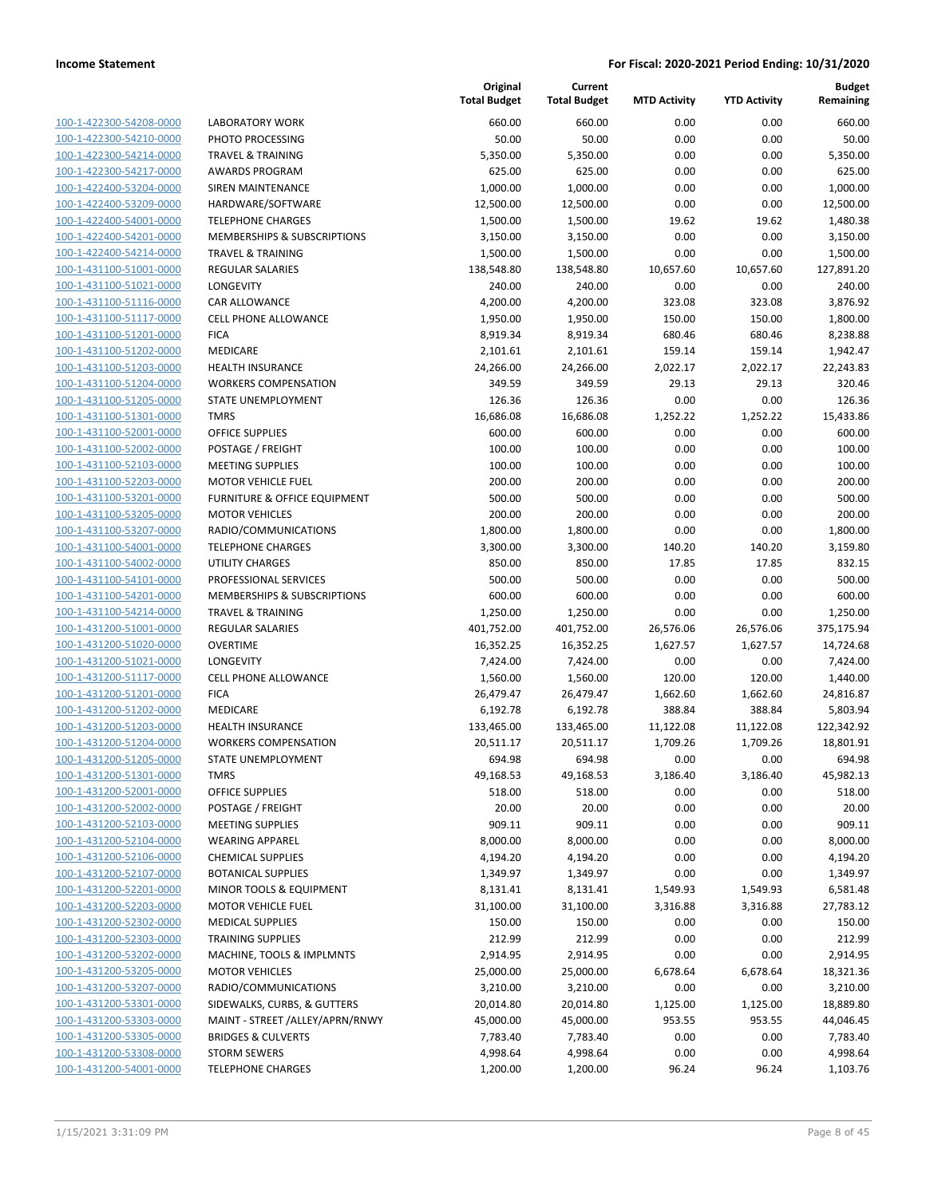| 100-1-422300-54208-0000        |
|--------------------------------|
| 100-1-422300-54210-0000        |
| 100-1-422300-54214-0000        |
| 100-1-422300-54217-0000        |
| 100-1-422400-53204-0000        |
| 100-1-422400-53209-0000        |
|                                |
| 100-1-422400-54001-0000        |
| 100-1-422400-54201-0000        |
| 100-1-422400-54214-0000        |
| 100-1-431100-51001-0000        |
| 100-1-431100-51021-0000        |
| 100-1-431100-51116-0000        |
| 100-1-431100-51117-0000        |
| 100-1-431100-51201-0000        |
| 100-1-431100-51202-0000        |
| 100-1-431100-51203-0000        |
| 100-1-431100-51204-0000        |
| 100-1-431100-51205-0000        |
| 100-1-431100-51301-0000        |
|                                |
| 100-1-431100-52001-0000        |
| 100-1-431100-52002-0000        |
| 100-1-431100-52103-0000        |
| 100-1-431100-52203-0000        |
| 100-1-431100-53201-0000        |
| 100-1-431100-53205-0000        |
| 100-1-431100-53207-0000        |
| 100-1-431100-54001-0000        |
| 100-1-431100-54002-0000        |
| 100-1-431100-54101-0000        |
|                                |
| 100-1-431100-54201-0000        |
| 100-1-431100-54214-0000        |
| 100-1-431200-51001-0000        |
| 100-1-431200-51020-0000        |
| 100-1-431200-51021-0000        |
| 100-1-431200-51117-0000        |
| 100-1-431200-51201-0000        |
| 100-1-431200-51202-0000        |
| 100-1-431200-51203-0000        |
| 100-1-431200-51204-0000        |
| 100-1-431200-51205-0000        |
| 100-1-431200-51301-0000        |
|                                |
| <u>100-1-431200-52001-0000</u> |
| 100-1-431200-52002-0000        |
| 100-1-431200-52103-0000        |
| 100-1-431200-52104-0000        |
| 100-1-431200-52106-0000        |
| <u>100-1-431200-52107-0000</u> |
| <u>100-1-431200-52201-0000</u> |
| 100-1-431200-52203-0000        |
| 100-1-431200-52302-0000        |
| 100-1-431200-52303-0000        |
|                                |
| <u>100-1-431200-53202-0000</u> |
| <u>100-1-431200-53205-0000</u> |
| 100-1-431200-53207-0000        |
| 100-1-431200-53301-0000        |
| 100-1-431200-53303-0000        |
| <u>100-1-431200-53305-0000</u> |
| <u>100-1-431200-53308-0000</u> |
| 100-1-431200-54001-0000        |
|                                |

|                         |                                 | Original<br><b>Total Budget</b> | Current<br><b>Total Budget</b> | <b>MTD Activity</b> | <b>YTD Activity</b> | <b>Budget</b><br>Remaining |
|-------------------------|---------------------------------|---------------------------------|--------------------------------|---------------------|---------------------|----------------------------|
| 100-1-422300-54208-0000 | <b>LABORATORY WORK</b>          | 660.00                          | 660.00                         | 0.00                | 0.00                | 660.00                     |
| 100-1-422300-54210-0000 | PHOTO PROCESSING                | 50.00                           | 50.00                          | 0.00                | 0.00                | 50.00                      |
| 100-1-422300-54214-0000 | <b>TRAVEL &amp; TRAINING</b>    | 5,350.00                        | 5,350.00                       | 0.00                | 0.00                | 5,350.00                   |
| 100-1-422300-54217-0000 | <b>AWARDS PROGRAM</b>           | 625.00                          | 625.00                         | 0.00                | 0.00                | 625.00                     |
| 100-1-422400-53204-0000 | SIREN MAINTENANCE               | 1,000.00                        | 1,000.00                       | 0.00                | 0.00                | 1,000.00                   |
| 100-1-422400-53209-0000 | HARDWARE/SOFTWARE               | 12,500.00                       | 12,500.00                      | 0.00                | 0.00                | 12,500.00                  |
| 100-1-422400-54001-0000 | <b>TELEPHONE CHARGES</b>        | 1,500.00                        | 1,500.00                       | 19.62               | 19.62               | 1,480.38                   |
| 100-1-422400-54201-0000 | MEMBERSHIPS & SUBSCRIPTIONS     | 3,150.00                        | 3,150.00                       | 0.00                | 0.00                | 3,150.00                   |
| 100-1-422400-54214-0000 | <b>TRAVEL &amp; TRAINING</b>    | 1,500.00                        | 1,500.00                       | 0.00                | 0.00                | 1,500.00                   |
| 100-1-431100-51001-0000 | REGULAR SALARIES                | 138,548.80                      | 138,548.80                     | 10,657.60           | 10,657.60           | 127,891.20                 |
| 100-1-431100-51021-0000 | LONGEVITY                       | 240.00                          | 240.00                         | 0.00                | 0.00                | 240.00                     |
| 100-1-431100-51116-0000 | <b>CAR ALLOWANCE</b>            | 4,200.00                        | 4,200.00                       | 323.08              | 323.08              | 3,876.92                   |
| 100-1-431100-51117-0000 | <b>CELL PHONE ALLOWANCE</b>     | 1,950.00                        | 1,950.00                       | 150.00              | 150.00              | 1,800.00                   |
| 100-1-431100-51201-0000 | <b>FICA</b>                     | 8,919.34                        | 8,919.34                       | 680.46              | 680.46              | 8,238.88                   |
| 100-1-431100-51202-0000 | MEDICARE                        | 2,101.61                        | 2,101.61                       | 159.14              | 159.14              | 1,942.47                   |
| 100-1-431100-51203-0000 | <b>HEALTH INSURANCE</b>         | 24,266.00                       | 24,266.00                      | 2,022.17            | 2,022.17            | 22,243.83                  |
| 100-1-431100-51204-0000 | <b>WORKERS COMPENSATION</b>     | 349.59                          | 349.59                         | 29.13               | 29.13               | 320.46                     |
| 100-1-431100-51205-0000 | STATE UNEMPLOYMENT              | 126.36                          | 126.36                         | 0.00                | 0.00                | 126.36                     |
| 100-1-431100-51301-0000 | <b>TMRS</b>                     | 16,686.08                       | 16,686.08                      | 1,252.22            | 1,252.22            | 15,433.86                  |
| 100-1-431100-52001-0000 | OFFICE SUPPLIES                 | 600.00                          | 600.00                         | 0.00                | 0.00                | 600.00                     |
| 100-1-431100-52002-0000 | POSTAGE / FREIGHT               | 100.00                          | 100.00                         | 0.00                | 0.00                | 100.00                     |
| 100-1-431100-52103-0000 | <b>MEETING SUPPLIES</b>         | 100.00                          | 100.00                         | 0.00                | 0.00                | 100.00                     |
| 100-1-431100-52203-0000 | <b>MOTOR VEHICLE FUEL</b>       | 200.00                          | 200.00                         | 0.00                | 0.00                | 200.00                     |
| 100-1-431100-53201-0000 | FURNITURE & OFFICE EQUIPMENT    | 500.00                          | 500.00                         | 0.00                | 0.00                | 500.00                     |
| 100-1-431100-53205-0000 | <b>MOTOR VEHICLES</b>           | 200.00                          | 200.00                         | 0.00                | 0.00                | 200.00                     |
| 100-1-431100-53207-0000 | RADIO/COMMUNICATIONS            | 1,800.00                        | 1,800.00                       | 0.00                | 0.00                | 1,800.00                   |
| 100-1-431100-54001-0000 | <b>TELEPHONE CHARGES</b>        | 3,300.00                        | 3,300.00                       | 140.20              | 140.20              | 3,159.80                   |
| 100-1-431100-54002-0000 | UTILITY CHARGES                 | 850.00                          | 850.00                         | 17.85               | 17.85               | 832.15                     |
| 100-1-431100-54101-0000 | PROFESSIONAL SERVICES           | 500.00                          | 500.00                         | 0.00                | 0.00                | 500.00                     |
| 100-1-431100-54201-0000 | MEMBERSHIPS & SUBSCRIPTIONS     | 600.00                          | 600.00                         | 0.00                | 0.00                | 600.00                     |
| 100-1-431100-54214-0000 | <b>TRAVEL &amp; TRAINING</b>    | 1,250.00                        | 1,250.00                       | 0.00                | 0.00                | 1,250.00                   |
| 100-1-431200-51001-0000 | <b>REGULAR SALARIES</b>         | 401,752.00                      | 401,752.00                     | 26,576.06           | 26,576.06           | 375,175.94                 |
| 100-1-431200-51020-0000 | <b>OVERTIME</b>                 | 16,352.25                       | 16,352.25                      | 1,627.57            | 1,627.57            | 14,724.68                  |
| 100-1-431200-51021-0000 | LONGEVITY                       | 7,424.00                        | 7,424.00                       | 0.00                | 0.00                | 7,424.00                   |
| 100-1-431200-51117-0000 | <b>CELL PHONE ALLOWANCE</b>     | 1,560.00                        | 1,560.00                       | 120.00              | 120.00              | 1,440.00                   |
| 100-1-431200-51201-0000 | <b>FICA</b>                     | 26,479.47                       | 26,479.47                      | 1,662.60            | 1,662.60            | 24,816.87                  |
| 100-1-431200-51202-0000 | MEDICARE                        | 6,192.78                        | 6,192.78                       | 388.84              | 388.84              | 5,803.94                   |
| 100-1-431200-51203-0000 | <b>HEALTH INSURANCE</b>         | 133,465.00                      | 133,465.00                     | 11,122.08           | 11,122.08           | 122,342.92                 |
| 100-1-431200-51204-0000 | <b>WORKERS COMPENSATION</b>     | 20,511.17                       | 20,511.17                      | 1,709.26            | 1,709.26            | 18,801.91                  |
| 100-1-431200-51205-0000 | STATE UNEMPLOYMENT              | 694.98                          | 694.98                         | 0.00                | 0.00                | 694.98                     |
| 100-1-431200-51301-0000 | <b>TMRS</b>                     | 49,168.53                       | 49,168.53                      | 3,186.40            | 3,186.40            | 45,982.13                  |
| 100-1-431200-52001-0000 | <b>OFFICE SUPPLIES</b>          | 518.00                          | 518.00                         | 0.00                | 0.00                | 518.00                     |
| 100-1-431200-52002-0000 | POSTAGE / FREIGHT               | 20.00                           | 20.00                          | 0.00                | 0.00                | 20.00                      |
| 100-1-431200-52103-0000 | <b>MEETING SUPPLIES</b>         | 909.11                          | 909.11                         | 0.00                | 0.00                | 909.11                     |
| 100-1-431200-52104-0000 | <b>WEARING APPAREL</b>          | 8,000.00                        | 8,000.00                       | 0.00                | 0.00                | 8,000.00                   |
| 100-1-431200-52106-0000 | <b>CHEMICAL SUPPLIES</b>        | 4,194.20                        | 4,194.20                       | 0.00                | 0.00                | 4,194.20                   |
| 100-1-431200-52107-0000 | <b>BOTANICAL SUPPLIES</b>       | 1,349.97                        | 1,349.97                       | 0.00                | 0.00                | 1,349.97                   |
| 100-1-431200-52201-0000 | MINOR TOOLS & EQUIPMENT         | 8,131.41                        | 8,131.41                       | 1,549.93            | 1,549.93            | 6,581.48                   |
| 100-1-431200-52203-0000 | <b>MOTOR VEHICLE FUEL</b>       | 31,100.00                       | 31,100.00                      | 3,316.88            | 3,316.88            | 27,783.12                  |
| 100-1-431200-52302-0000 | <b>MEDICAL SUPPLIES</b>         | 150.00                          | 150.00                         | 0.00                | 0.00                | 150.00                     |
| 100-1-431200-52303-0000 | <b>TRAINING SUPPLIES</b>        | 212.99                          | 212.99                         | 0.00                | 0.00                | 212.99                     |
| 100-1-431200-53202-0000 | MACHINE, TOOLS & IMPLMNTS       | 2,914.95                        | 2,914.95                       | 0.00                | 0.00                | 2,914.95                   |
| 100-1-431200-53205-0000 | <b>MOTOR VEHICLES</b>           | 25,000.00                       | 25,000.00                      | 6,678.64            | 6,678.64            | 18,321.36                  |
| 100-1-431200-53207-0000 | RADIO/COMMUNICATIONS            | 3,210.00                        | 3,210.00                       | 0.00                | 0.00                | 3,210.00                   |
| 100-1-431200-53301-0000 | SIDEWALKS, CURBS, & GUTTERS     | 20,014.80                       | 20,014.80                      | 1,125.00            | 1,125.00            | 18,889.80                  |
| 100-1-431200-53303-0000 | MAINT - STREET /ALLEY/APRN/RNWY | 45,000.00                       | 45,000.00                      | 953.55              | 953.55              | 44,046.45                  |
| 100-1-431200-53305-0000 | <b>BRIDGES &amp; CULVERTS</b>   | 7,783.40                        | 7,783.40                       | 0.00                | 0.00                | 7,783.40                   |
| 100-1-431200-53308-0000 | <b>STORM SEWERS</b>             | 4,998.64                        | 4,998.64                       | 0.00                | 0.00                | 4,998.64                   |
| 100-1-431200-54001-0000 | <b>TELEPHONE CHARGES</b>        | 1,200.00                        | 1,200.00                       | 96.24               | 96.24               | 1,103.76                   |
|                         |                                 |                                 |                                |                     |                     |                            |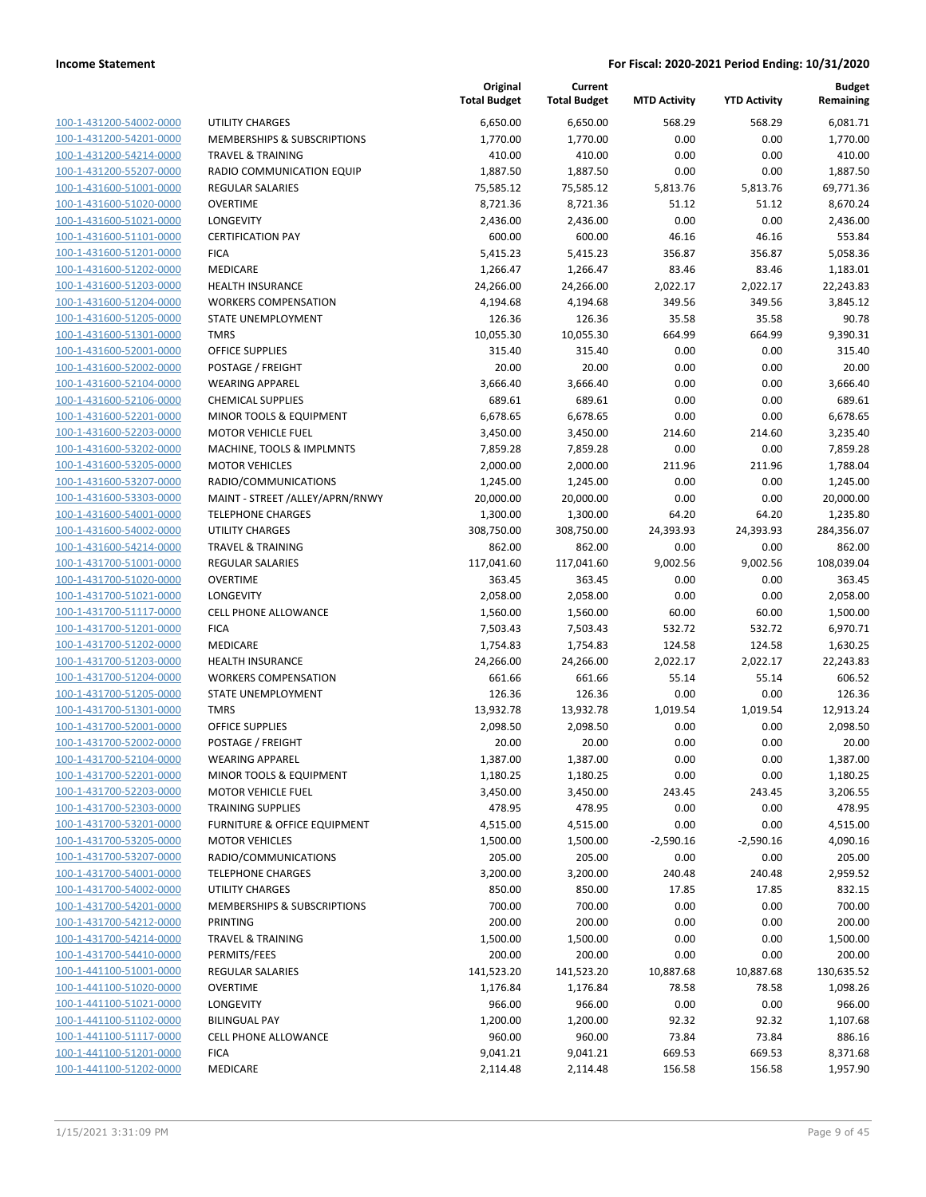| 100-1-431200-54002-0000        |
|--------------------------------|
| 100-1-431200-54201-0000        |
| 100-1-431200-54214-0000        |
| 100-1-431200-55207-0000        |
| 100-1-431600-51001-0000        |
| 100-1-431600-51020-0000        |
| 100-1-431600-51021-0000        |
| 100-1-431600-51101-0000        |
| 100-1-431600-51201-0000        |
| 100-1-431600-51202-0000        |
| 100-1-431600-51203-0000        |
| 100-1-431600-51204-0000        |
| 100-1-431600-51205-0000        |
| 100-1-431600-51301-0000        |
| 100-1-431600-52001-0000        |
| 100-1-431600-52002-0000        |
| 100-1-431600-52104-0000        |
| 100-1-431600-52106-0000        |
| 100-1-431600-52201-0000        |
| 100-1-431600-52203-0000        |
| 100-1-431600-53202-0000        |
| 100-1-431600-53205-0000        |
| 100-1-431600-53207-0000        |
| 100-1-431600-53303-0000        |
| 100-1-431600-54001-0000        |
| 100-1-431600-54002-0000        |
| 100-1-431600-54214-0000        |
| 100-1-431700-51001-0000        |
| 100-1-431700-51020-0000        |
| 100-1-431700-51021-0000        |
| 100-1-431700-51117-0000        |
| 100-1-431700-51201-0000        |
| 100-1-431700-51202-0000        |
| 100-1-431700-51203-0000        |
|                                |
| 100-1-431700-51204-0000        |
| 100-1-431700-51205-0000        |
| 100-1-431700-51301-0000        |
| 100-1-431700-52001-0000        |
| 100-1-431700-52002-0000        |
| 100-1-431700-52104-0000        |
| 100-1-431700-52201-0000        |
| <u>100-1-431700-52203-0000</u> |
| 100-1-431700-52303-0000        |
| 100-1-431700-53201-0000        |
| 100-1-431700-53205-0000        |
| 100-1-431700-53207-0000        |
| 100-1-431700-54001-0000        |
| <u>100-1-431700-54002-0000</u> |
| 100-1-431700-54201-0000        |
| <u>100-1-431700-54212-0000</u> |
| <u>100-1-431700-54214-0000</u> |
| <u>100-1-431700-54410-0000</u> |
| <u>100-1-441100-51001-0000</u> |
| 100-1-441100-51020-0000        |
| 100-1-441100-51021-0000        |
| <u>100-1-441100-51102-0000</u> |
| 100-1-441100-51117-0000        |
| <u>100-1-441100-51201-0000</u> |
| 100-1-441100-51202-0000        |
|                                |

|                         |                                 | Original<br><b>Total Budget</b> | Current<br><b>Total Budget</b> | <b>MTD Activity</b> | <b>YTD Activity</b> | <b>Budget</b><br>Remaining |
|-------------------------|---------------------------------|---------------------------------|--------------------------------|---------------------|---------------------|----------------------------|
| 100-1-431200-54002-0000 | <b>UTILITY CHARGES</b>          | 6,650.00                        | 6,650.00                       | 568.29              | 568.29              | 6,081.71                   |
| 100-1-431200-54201-0000 | MEMBERSHIPS & SUBSCRIPTIONS     | 1,770.00                        | 1,770.00                       | 0.00                | 0.00                | 1,770.00                   |
| 100-1-431200-54214-0000 | <b>TRAVEL &amp; TRAINING</b>    | 410.00                          | 410.00                         | 0.00                | 0.00                | 410.00                     |
| 100-1-431200-55207-0000 | RADIO COMMUNICATION EQUIP       | 1,887.50                        | 1,887.50                       | 0.00                | 0.00                | 1,887.50                   |
| 100-1-431600-51001-0000 | <b>REGULAR SALARIES</b>         | 75,585.12                       | 75,585.12                      | 5,813.76            | 5,813.76            | 69,771.36                  |
| 100-1-431600-51020-0000 | <b>OVERTIME</b>                 | 8,721.36                        | 8,721.36                       | 51.12               | 51.12               | 8,670.24                   |
| 100-1-431600-51021-0000 | <b>LONGEVITY</b>                | 2,436.00                        | 2,436.00                       | 0.00                | 0.00                | 2,436.00                   |
| 100-1-431600-51101-0000 | <b>CERTIFICATION PAY</b>        | 600.00                          | 600.00                         | 46.16               | 46.16               | 553.84                     |
| 100-1-431600-51201-0000 | <b>FICA</b>                     | 5,415.23                        | 5,415.23                       | 356.87              | 356.87              | 5,058.36                   |
| 100-1-431600-51202-0000 | MEDICARE                        | 1,266.47                        | 1,266.47                       | 83.46               | 83.46               | 1,183.01                   |
| 100-1-431600-51203-0000 | <b>HEALTH INSURANCE</b>         | 24,266.00                       | 24,266.00                      | 2,022.17            | 2,022.17            | 22,243.83                  |
| 100-1-431600-51204-0000 | <b>WORKERS COMPENSATION</b>     | 4,194.68                        | 4,194.68                       | 349.56              | 349.56              | 3,845.12                   |
| 100-1-431600-51205-0000 | STATE UNEMPLOYMENT              | 126.36                          | 126.36                         | 35.58               | 35.58               | 90.78                      |
| 100-1-431600-51301-0000 | <b>TMRS</b>                     | 10,055.30                       | 10,055.30                      | 664.99              | 664.99              | 9,390.31                   |
| 100-1-431600-52001-0000 | <b>OFFICE SUPPLIES</b>          | 315.40                          | 315.40                         | 0.00                | 0.00                | 315.40                     |
| 100-1-431600-52002-0000 | POSTAGE / FREIGHT               | 20.00                           | 20.00                          | 0.00                | 0.00                | 20.00                      |
| 100-1-431600-52104-0000 | <b>WEARING APPAREL</b>          | 3,666.40                        | 3,666.40                       | 0.00                | 0.00                | 3,666.40                   |
| 100-1-431600-52106-0000 | <b>CHEMICAL SUPPLIES</b>        | 689.61                          | 689.61                         | 0.00                | 0.00                | 689.61                     |
| 100-1-431600-52201-0000 | MINOR TOOLS & EQUIPMENT         | 6,678.65                        | 6,678.65                       | 0.00                | 0.00                | 6,678.65                   |
| 100-1-431600-52203-0000 | <b>MOTOR VEHICLE FUEL</b>       | 3,450.00                        | 3,450.00                       | 214.60              | 214.60              | 3,235.40                   |
| 100-1-431600-53202-0000 | MACHINE, TOOLS & IMPLMNTS       | 7,859.28                        | 7,859.28                       | 0.00                | 0.00                | 7,859.28                   |
| 100-1-431600-53205-0000 | <b>MOTOR VEHICLES</b>           | 2,000.00                        | 2,000.00                       | 211.96              | 211.96              | 1,788.04                   |
| 100-1-431600-53207-0000 | RADIO/COMMUNICATIONS            | 1,245.00                        | 1,245.00                       | 0.00                | 0.00                | 1,245.00                   |
| 100-1-431600-53303-0000 | MAINT - STREET /ALLEY/APRN/RNWY | 20,000.00                       | 20,000.00                      | 0.00                | 0.00                | 20,000.00                  |
| 100-1-431600-54001-0000 | <b>TELEPHONE CHARGES</b>        | 1,300.00                        | 1,300.00                       | 64.20               | 64.20               | 1,235.80                   |
| 100-1-431600-54002-0000 | UTILITY CHARGES                 | 308,750.00                      | 308,750.00                     | 24,393.93           | 24,393.93           | 284,356.07                 |
| 100-1-431600-54214-0000 | <b>TRAVEL &amp; TRAINING</b>    | 862.00                          | 862.00                         | 0.00                | 0.00                | 862.00                     |
| 100-1-431700-51001-0000 | <b>REGULAR SALARIES</b>         | 117,041.60                      | 117,041.60                     | 9,002.56            | 9,002.56            | 108,039.04                 |
| 100-1-431700-51020-0000 | <b>OVERTIME</b>                 | 363.45                          | 363.45                         | 0.00                | 0.00                | 363.45                     |
| 100-1-431700-51021-0000 | <b>LONGEVITY</b>                | 2,058.00                        | 2,058.00                       | 0.00                | 0.00                | 2,058.00                   |
| 100-1-431700-51117-0000 | <b>CELL PHONE ALLOWANCE</b>     | 1,560.00                        | 1,560.00                       | 60.00               | 60.00               | 1,500.00                   |
| 100-1-431700-51201-0000 | <b>FICA</b>                     | 7,503.43                        | 7,503.43                       | 532.72              | 532.72              | 6,970.71                   |
| 100-1-431700-51202-0000 | <b>MEDICARE</b>                 | 1,754.83                        | 1,754.83                       | 124.58              | 124.58              | 1,630.25                   |
| 100-1-431700-51203-0000 | <b>HEALTH INSURANCE</b>         | 24,266.00                       | 24,266.00                      | 2,022.17            | 2,022.17            | 22,243.83                  |
| 100-1-431700-51204-0000 | <b>WORKERS COMPENSATION</b>     | 661.66                          | 661.66                         | 55.14               | 55.14               | 606.52                     |
| 100-1-431700-51205-0000 | STATE UNEMPLOYMENT              | 126.36                          | 126.36                         | 0.00                | 0.00                | 126.36                     |
| 100-1-431700-51301-0000 | <b>TMRS</b>                     | 13,932.78                       | 13,932.78                      | 1,019.54            | 1,019.54            | 12,913.24                  |
| 100-1-431700-52001-0000 | OFFICE SUPPLIES                 | 2,098.50                        | 2,098.50                       | 0.00                | 0.00                | 2,098.50                   |
| 100-1-431700-52002-0000 | POSTAGE / FREIGHT               | 20.00                           | 20.00                          | 0.00                | 0.00                | 20.00                      |
| 100-1-431700-52104-0000 | <b>WEARING APPAREL</b>          | 1,387.00                        | 1,387.00                       | 0.00                | 0.00                | 1,387.00                   |
| 100-1-431700-52201-0000 | MINOR TOOLS & EQUIPMENT         | 1,180.25                        | 1,180.25                       | 0.00                | 0.00                | 1,180.25                   |
| 100-1-431700-52203-0000 | <b>MOTOR VEHICLE FUEL</b>       | 3,450.00                        | 3,450.00                       | 243.45              | 243.45              | 3,206.55                   |
| 100-1-431700-52303-0000 | <b>TRAINING SUPPLIES</b>        | 478.95                          | 478.95                         | 0.00                | 0.00                | 478.95                     |
| 100-1-431700-53201-0000 | FURNITURE & OFFICE EQUIPMENT    | 4,515.00                        | 4,515.00                       | 0.00                | 0.00                | 4,515.00                   |
| 100-1-431700-53205-0000 | <b>MOTOR VEHICLES</b>           | 1,500.00                        | 1,500.00                       | $-2,590.16$         | $-2,590.16$         | 4,090.16                   |
| 100-1-431700-53207-0000 | RADIO/COMMUNICATIONS            | 205.00                          | 205.00                         | 0.00                | 0.00                | 205.00                     |
| 100-1-431700-54001-0000 | <b>TELEPHONE CHARGES</b>        | 3,200.00                        | 3,200.00                       | 240.48              | 240.48              | 2,959.52                   |
| 100-1-431700-54002-0000 | <b>UTILITY CHARGES</b>          | 850.00                          | 850.00                         | 17.85               | 17.85               | 832.15                     |
| 100-1-431700-54201-0000 | MEMBERSHIPS & SUBSCRIPTIONS     | 700.00                          | 700.00                         | 0.00                | 0.00                | 700.00                     |
| 100-1-431700-54212-0000 | <b>PRINTING</b>                 | 200.00                          | 200.00                         | 0.00                | 0.00                | 200.00                     |
| 100-1-431700-54214-0000 | <b>TRAVEL &amp; TRAINING</b>    | 1,500.00                        | 1,500.00                       | 0.00                | 0.00                | 1,500.00                   |
| 100-1-431700-54410-0000 | PERMITS/FEES                    | 200.00                          | 200.00                         | 0.00                | 0.00                | 200.00                     |
| 100-1-441100-51001-0000 | <b>REGULAR SALARIES</b>         | 141,523.20                      | 141,523.20                     | 10,887.68           | 10,887.68           | 130,635.52                 |
| 100-1-441100-51020-0000 | <b>OVERTIME</b>                 | 1,176.84                        | 1,176.84                       | 78.58               | 78.58               | 1,098.26                   |
| 100-1-441100-51021-0000 | LONGEVITY                       | 966.00                          | 966.00                         | 0.00                | 0.00                | 966.00                     |
| 100-1-441100-51102-0000 | <b>BILINGUAL PAY</b>            | 1,200.00                        | 1,200.00                       | 92.32               | 92.32               | 1,107.68                   |
| 100-1-441100-51117-0000 | CELL PHONE ALLOWANCE            | 960.00                          | 960.00                         | 73.84               | 73.84               | 886.16                     |
| 100-1-441100-51201-0000 | <b>FICA</b>                     | 9,041.21                        | 9,041.21                       | 669.53              | 669.53              | 8,371.68                   |
| 100-1-441100-51202-0000 | MEDICARE                        | 2,114.48                        | 2,114.48                       | 156.58              | 156.58              | 1,957.90                   |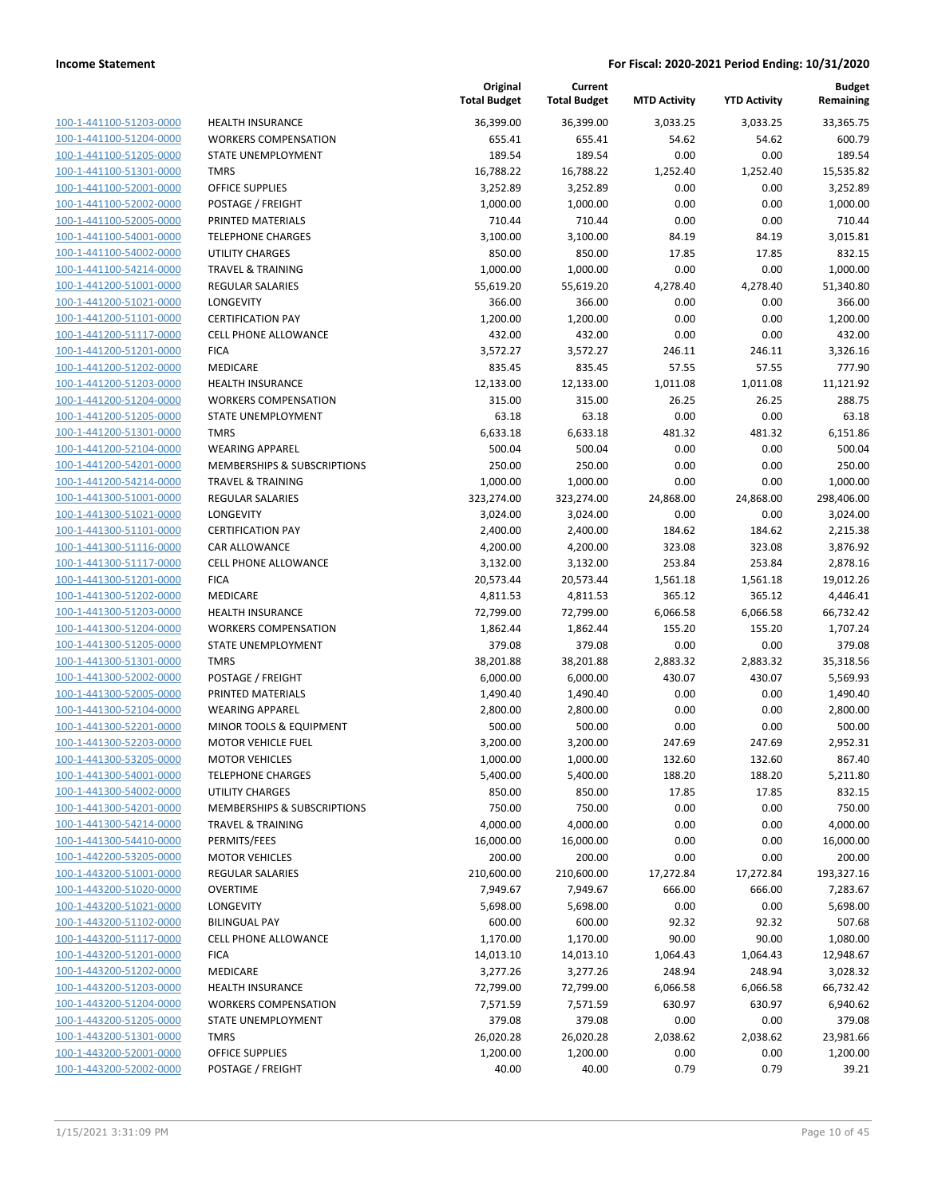| 100-1-441100-51203-0000        |
|--------------------------------|
| 100-1-441100-51204-0000        |
| 100-1-441100-51205-0000        |
| 100-1-441100-51301-0000        |
| <u>100-1-441100-52001-0000</u> |
| 100-1-441100-52002-0000        |
| 100-1-441100-52005-0000        |
| 100-1-441100-54001-0000        |
| 100-1-441100-54002-0000        |
| 100-1-441100-54214-0000        |
| 100-1-441200-51001-0000        |
| 100-1-441200-51021-0000        |
| 100-1-441200-51101-0000        |
| 100-1-441200-51117-0000        |
| 100-1-441200-51201-0000        |
| 100-1-441200-51202-0000        |
| 100-1-441200-51203-0000        |
| 100-1-441200-51204-0000        |
| 100-1-441200-51205-0000        |
| 100-1-441200-51301-0000        |
|                                |
| 100-1-441200-52104-0000        |
| 100-1-441200-54201-0000        |
| 100-1-441200-54214-0000        |
| 100-1-441300-51001-0000        |
| <u>100-1-441300-51021-0000</u> |
| 100-1-441300-51101-0000        |
| 100-1-441300-51116-0000        |
| 100-1-441300-51117-0000        |
| 100-1-441300-51201-0000        |
| 100-1-441300-51202-0000        |
| 100-1-441300-51203-0000        |
| 100-1-441300-51204-0000        |
| 100-1-441300-51205-0000        |
| 100-1-441300-51301-0000        |
| <u>100-1-441300-52002-0000</u> |
| 100-1-441300-52005-0000        |
| 100-1-441300-52104-0000        |
| 100-1-441300-52201-0000        |
| 100-1-441300-52203-0000        |
| 100-1-441300-53205-0000        |
| 100-1-441300-54001-0000        |
| 100-1-441300-54002-0000        |
| 100-1-441300-54201-0000        |
| 100-1-441300-54214-0000        |
|                                |
| <u>100-1-441300-54410-0000</u> |
| <u>100-1-442200-53205-0000</u> |
| 100-1-443200-51001-0000        |
| 100-1-443200-51020-0000        |
| 100-1-443200-51021-0000        |
| <u>100-1-443200-51102-0000</u> |
| <u>100-1-443200-51117-0000</u> |
| 100-1-443200-51201-0000        |
| 100-1-443200-51202-0000        |
| <u>100-1-443200-51203-0000</u> |
| <u>100-1-443200-51204-0000</u> |
| <u>100-1-443200-51205-0000</u> |
| 100-1-443200-51301-0000        |
| 100-1-443200-52001-0000        |
| 100-1-443200-52002-0000        |
|                                |

|                                                    |                                             | Original<br><b>Total Budget</b> | Current<br><b>Total Budget</b> | <b>MTD Activity</b> | <b>YTD Activity</b> | <b>Budget</b><br>Remaining |
|----------------------------------------------------|---------------------------------------------|---------------------------------|--------------------------------|---------------------|---------------------|----------------------------|
| 100-1-441100-51203-0000                            | <b>HEALTH INSURANCE</b>                     | 36,399.00                       | 36,399.00                      | 3,033.25            | 3,033.25            | 33,365.75                  |
| 100-1-441100-51204-0000                            | <b>WORKERS COMPENSATION</b>                 | 655.41                          | 655.41                         | 54.62               | 54.62               | 600.79                     |
| 100-1-441100-51205-0000                            | STATE UNEMPLOYMENT                          | 189.54                          | 189.54                         | 0.00                | 0.00                | 189.54                     |
| 100-1-441100-51301-0000                            | <b>TMRS</b>                                 | 16,788.22                       | 16,788.22                      | 1,252.40            | 1,252.40            | 15,535.82                  |
| 100-1-441100-52001-0000                            | <b>OFFICE SUPPLIES</b>                      | 3,252.89                        | 3,252.89                       | 0.00                | 0.00                | 3,252.89                   |
| 100-1-441100-52002-0000                            | POSTAGE / FREIGHT                           | 1,000.00                        | 1,000.00                       | 0.00                | 0.00                | 1,000.00                   |
| 100-1-441100-52005-0000                            | PRINTED MATERIALS                           | 710.44                          | 710.44                         | 0.00                | 0.00                | 710.44                     |
| 100-1-441100-54001-0000                            | <b>TELEPHONE CHARGES</b>                    | 3,100.00                        | 3,100.00                       | 84.19               | 84.19               | 3,015.81                   |
| 100-1-441100-54002-0000                            | <b>UTILITY CHARGES</b>                      | 850.00                          | 850.00                         | 17.85               | 17.85               | 832.15                     |
| 100-1-441100-54214-0000                            | <b>TRAVEL &amp; TRAINING</b>                | 1,000.00                        | 1,000.00                       | 0.00                | 0.00                | 1,000.00                   |
| 100-1-441200-51001-0000                            | <b>REGULAR SALARIES</b>                     | 55,619.20                       | 55,619.20                      | 4,278.40            | 4,278.40            | 51,340.80                  |
| 100-1-441200-51021-0000                            | LONGEVITY                                   | 366.00                          | 366.00                         | 0.00                | 0.00                | 366.00                     |
| 100-1-441200-51101-0000                            | <b>CERTIFICATION PAY</b>                    | 1,200.00                        | 1,200.00                       | 0.00                | 0.00                | 1,200.00                   |
| 100-1-441200-51117-0000                            | <b>CELL PHONE ALLOWANCE</b>                 | 432.00                          | 432.00                         | 0.00                | 0.00                | 432.00                     |
| 100-1-441200-51201-0000                            | <b>FICA</b>                                 | 3,572.27                        | 3,572.27                       | 246.11              | 246.11              | 3,326.16                   |
| 100-1-441200-51202-0000                            | MEDICARE                                    | 835.45                          | 835.45                         | 57.55               | 57.55               | 777.90                     |
| 100-1-441200-51203-0000                            | <b>HEALTH INSURANCE</b>                     | 12,133.00                       | 12,133.00                      | 1,011.08            | 1,011.08            | 11,121.92                  |
| 100-1-441200-51204-0000                            | <b>WORKERS COMPENSATION</b>                 | 315.00                          | 315.00                         | 26.25               | 26.25               | 288.75                     |
| 100-1-441200-51205-0000                            | STATE UNEMPLOYMENT                          | 63.18                           | 63.18                          | 0.00                | 0.00                | 63.18                      |
| 100-1-441200-51301-0000                            | <b>TMRS</b>                                 | 6,633.18                        | 6,633.18                       | 481.32              | 481.32              | 6,151.86                   |
| 100-1-441200-52104-0000                            | <b>WEARING APPAREL</b>                      | 500.04                          | 500.04                         | 0.00                | 0.00                | 500.04                     |
| 100-1-441200-54201-0000                            | <b>MEMBERSHIPS &amp; SUBSCRIPTIONS</b>      | 250.00                          | 250.00                         | 0.00                | 0.00                | 250.00                     |
| 100-1-441200-54214-0000                            | <b>TRAVEL &amp; TRAINING</b>                | 1,000.00                        | 1,000.00                       | 0.00                | 0.00                | 1,000.00                   |
| 100-1-441300-51001-0000                            | <b>REGULAR SALARIES</b>                     | 323,274.00                      | 323,274.00                     | 24,868.00           | 24,868.00           | 298,406.00                 |
| 100-1-441300-51021-0000                            | LONGEVITY                                   | 3,024.00                        | 3,024.00                       | 0.00                | 0.00                | 3,024.00                   |
| 100-1-441300-51101-0000                            | <b>CERTIFICATION PAY</b>                    | 2,400.00                        | 2,400.00                       | 184.62              | 184.62              | 2,215.38                   |
| 100-1-441300-51116-0000                            | <b>CAR ALLOWANCE</b>                        | 4,200.00                        | 4,200.00                       | 323.08              | 323.08              | 3,876.92                   |
| 100-1-441300-51117-0000                            | <b>CELL PHONE ALLOWANCE</b>                 | 3,132.00                        | 3,132.00                       | 253.84              | 253.84              | 2,878.16                   |
| 100-1-441300-51201-0000                            | <b>FICA</b>                                 | 20,573.44                       | 20,573.44                      | 1,561.18            | 1,561.18            | 19,012.26                  |
| 100-1-441300-51202-0000                            | MEDICARE                                    | 4,811.53                        | 4,811.53                       | 365.12              | 365.12              | 4,446.41                   |
| 100-1-441300-51203-0000                            | <b>HEALTH INSURANCE</b>                     | 72,799.00                       | 72,799.00                      | 6,066.58            | 6,066.58            | 66,732.42                  |
| 100-1-441300-51204-0000                            | <b>WORKERS COMPENSATION</b>                 | 1,862.44                        | 1,862.44                       | 155.20              | 155.20              | 1,707.24                   |
| 100-1-441300-51205-0000                            | STATE UNEMPLOYMENT                          | 379.08                          | 379.08                         | 0.00                | 0.00                | 379.08                     |
| 100-1-441300-51301-0000                            | <b>TMRS</b>                                 | 38,201.88                       | 38,201.88                      | 2,883.32            | 2,883.32            | 35,318.56                  |
| 100-1-441300-52002-0000<br>100-1-441300-52005-0000 | POSTAGE / FREIGHT                           | 6,000.00                        | 6,000.00                       | 430.07              | 430.07              | 5,569.93                   |
| 100-1-441300-52104-0000                            | PRINTED MATERIALS<br><b>WEARING APPAREL</b> | 1,490.40                        | 1,490.40                       | 0.00<br>0.00        | 0.00<br>0.00        | 1,490.40<br>2,800.00       |
| 100-1-441300-52201-0000                            | MINOR TOOLS & EQUIPMENT                     | 2,800.00                        | 2,800.00                       |                     |                     |                            |
| 100-1-441300-52203-0000                            | <b>MOTOR VEHICLE FUEL</b>                   | 500.00                          | 500.00                         | 0.00                | 0.00                | 500.00                     |
| 100-1-441300-53205-0000                            | <b>MOTOR VEHICLES</b>                       | 3,200.00<br>1,000.00            | 3,200.00<br>1,000.00           | 247.69<br>132.60    | 247.69<br>132.60    | 2,952.31<br>867.40         |
| 100-1-441300-54001-0000                            | <b>TELEPHONE CHARGES</b>                    | 5,400.00                        | 5,400.00                       | 188.20              | 188.20              | 5,211.80                   |
| 100-1-441300-54002-0000                            | <b>UTILITY CHARGES</b>                      | 850.00                          | 850.00                         | 17.85               | 17.85               | 832.15                     |
| 100-1-441300-54201-0000                            | MEMBERSHIPS & SUBSCRIPTIONS                 | 750.00                          | 750.00                         | 0.00                | 0.00                | 750.00                     |
| 100-1-441300-54214-0000                            | <b>TRAVEL &amp; TRAINING</b>                | 4,000.00                        | 4,000.00                       | 0.00                | 0.00                | 4,000.00                   |
| 100-1-441300-54410-0000                            | PERMITS/FEES                                | 16,000.00                       | 16,000.00                      | 0.00                | 0.00                | 16,000.00                  |
| 100-1-442200-53205-0000                            | <b>MOTOR VEHICLES</b>                       | 200.00                          | 200.00                         | 0.00                | 0.00                | 200.00                     |
| 100-1-443200-51001-0000                            | <b>REGULAR SALARIES</b>                     | 210,600.00                      | 210,600.00                     | 17,272.84           | 17,272.84           | 193,327.16                 |
| 100-1-443200-51020-0000                            | <b>OVERTIME</b>                             | 7,949.67                        | 7,949.67                       | 666.00              | 666.00              | 7,283.67                   |
| 100-1-443200-51021-0000                            | LONGEVITY                                   | 5,698.00                        | 5,698.00                       | 0.00                | 0.00                | 5,698.00                   |
| 100-1-443200-51102-0000                            | <b>BILINGUAL PAY</b>                        | 600.00                          | 600.00                         | 92.32               | 92.32               | 507.68                     |
| 100-1-443200-51117-0000                            | <b>CELL PHONE ALLOWANCE</b>                 | 1,170.00                        | 1,170.00                       | 90.00               | 90.00               | 1,080.00                   |
| 100-1-443200-51201-0000                            | <b>FICA</b>                                 | 14,013.10                       | 14,013.10                      | 1,064.43            | 1,064.43            | 12,948.67                  |
| 100-1-443200-51202-0000                            | MEDICARE                                    | 3,277.26                        | 3,277.26                       | 248.94              | 248.94              | 3,028.32                   |
| 100-1-443200-51203-0000                            | <b>HEALTH INSURANCE</b>                     | 72,799.00                       | 72,799.00                      | 6,066.58            | 6,066.58            | 66,732.42                  |
| 100-1-443200-51204-0000                            | <b>WORKERS COMPENSATION</b>                 | 7,571.59                        | 7,571.59                       | 630.97              | 630.97              | 6,940.62                   |
| 100-1-443200-51205-0000                            | STATE UNEMPLOYMENT                          | 379.08                          | 379.08                         | 0.00                | 0.00                | 379.08                     |
| 100-1-443200-51301-0000                            | <b>TMRS</b>                                 | 26,020.28                       | 26,020.28                      | 2,038.62            | 2,038.62            | 23,981.66                  |
| 100-1-443200-52001-0000                            | <b>OFFICE SUPPLIES</b>                      | 1,200.00                        | 1,200.00                       | 0.00                | 0.00                | 1,200.00                   |
| 100-1-443200-52002-0000                            | POSTAGE / FREIGHT                           | 40.00                           | 40.00                          | 0.79                | 0.79                | 39.21                      |
|                                                    |                                             |                                 |                                |                     |                     |                            |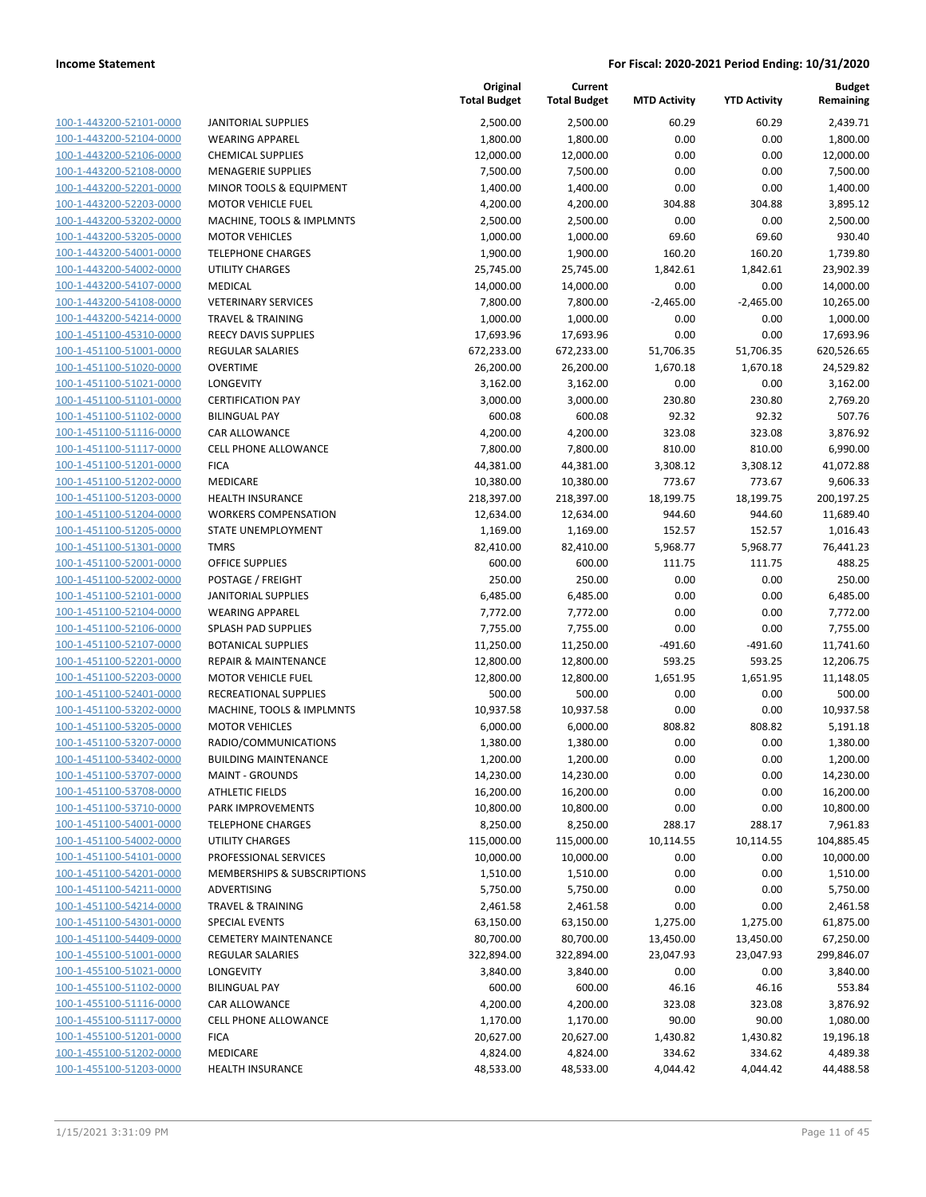| 100-1-443200-52101-0000             |
|-------------------------------------|
| 100-1-443200-52104-0000             |
| 100-1-443200-52106-0000             |
| <u>100-1-443200-52108-0000</u>      |
| 100-1-443200-52201-0000             |
| 100-1-443200-52203-0000             |
| 100-1-443200-53202-0000             |
|                                     |
| 100-1-443200-53205-0000             |
| <u>100-1-443200-54001-0000</u>      |
| 100-1-443200-54002-0000             |
| 100-1-443200-54107-0000             |
| 100-1-443200-54108-0000             |
| 100-1-443200-54214-0000             |
| <u>100-1-451100-45310-0000</u>      |
| 100-1-451100-51001-0000             |
| 100-1-451100-51020-0000             |
| 100-1-451100-51021-0000             |
| 100-1-451100-51101-0000             |
|                                     |
| <u>100-1-451100-51102-0000</u>      |
| 100-1-451100-51116-0000             |
| 100-1-451100-51117-0000             |
| 100-1-451100-51201-0000             |
| 100-1-451100-51202-0000             |
| <u>100-1-451100-51203-0000</u>      |
| 100-1-451100-51204-0000             |
| 100-1-451100-51205-0000             |
| 100-1-451100-51301-0000             |
| 100-1-451100-52001-0000             |
| <u>100-1-451100-52002-0000</u>      |
| 100-1-451100-52101-0000             |
|                                     |
| 100-1-451100-52104-0000             |
| 100-1-451100-52106-0000             |
| 100-1-451100-52107-0000             |
| <u>100-1-451100-52201-0000</u>      |
| 100-1-451100-52203-0000             |
| 100-1-451100-52401-0000             |
| 100-1-451100-53202-0000             |
| 100-1-451100-53205-0000             |
| <u>100-1-451100-53207-0000</u>      |
| 100-1-451100-53402-0000             |
| 100-1-451100-53707-0000             |
| 100-1-451100-53708-0000             |
| 100-1-451100-53710-0000             |
|                                     |
| 100-1-451100-54001-0000             |
| 100-1-451100-54002-0000             |
| 100-1-451100-54101-0000             |
| 100-1-451100-54201-0000             |
| 100-1-451100-54211-0000             |
| 100-1-451100-54214-0000             |
| <u>100-1-451100-54301-0000</u>      |
| 100-1-451100-54409-0000             |
| 100-1-455100-51001-0000             |
| <u>100-1-455100-51021-0000</u>      |
| 100-1-455100-51102-0000             |
|                                     |
| 100-1-455100-51116-0000             |
| 1-455100-51117-0000<br><u> 100-</u> |
| 100-1-455100-51201-0000             |
| 100-1-455100-51202-0000             |
| <u>100-1-455100-51203-0000</u>      |
|                                     |

| <b>JANITORIAL SUPPLIES</b>         |
|------------------------------------|
| <b>WEARING APPAREL</b>             |
| <b>CHEMICAL SUPPLIES</b>           |
| <b>MENAGERIE SUPPLIES</b>          |
| <b>MINOR TOOLS &amp; EQUIPMENT</b> |
| <b>MOTOR VEHICLE FUEL</b>          |
| MACHINE, TOOLS & IMPLMNTS          |
| <b>MOTOR VEHICLES</b>              |
| <b>TELEPHONE CHARGES</b>           |
| UTILITY CHARGES                    |
| <b>MEDICAL</b>                     |
| <b>VETERINARY SERVICES</b>         |
| <b>TRAVEL &amp; TRAINING</b>       |
| <b>REECY DAVIS SUPPLIES</b>        |
| <b>REGULAR SALARIES</b>            |
| <b>OVERTIME</b>                    |
| <b>LONGEVITY</b>                   |
| <b>CERTIFICATION PAY</b>           |
| <b>BILINGUAL PAY</b>               |
| <b>CAR ALLOWANCE</b>               |
| <b>CELL PHONE ALLOWANCE</b>        |
| <b>FICA</b>                        |
| <b>MEDICARE</b>                    |
| <b>HEALTH INSURANCE</b>            |
| <b>WORKERS COMPENSATION</b>        |
| STATE UNEMPLOYMENT                 |
| TMRS                               |
| <b>OFFICE SUPPLIES</b>             |
| POSTAGE / FREIGHT                  |
| JANITORIAL SUPPLIES                |
| <b>WEARING APPAREL</b>             |
| <b>SPLASH PAD SUPPLIES</b>         |
| <b>BOTANICAL SUPPLIES</b>          |
| <b>REPAIR &amp; MAINTENANCE</b>    |
| <b>MOTOR VEHICLE FUEL</b>          |
| RECREATIONAL SUPPLIES              |
| MACHINE, TOOLS & IMPLMNTS          |
| <b>MOTOR VEHICLES</b>              |
| RADIO/COMMUNICATIONS               |
| <b>BUILDING MAINTENANCE</b>        |
| <b>MAINT - GROUNDS</b>             |
| <b>ATHLETIC FIELDS</b>             |
| <b>PARK IMPROVEMENTS</b>           |
| <b>TELEPHONE CHARGES</b>           |
| <b>UTILITY CHARGES</b>             |
| <b>PROFESSIONAL SERVICES</b>       |
| MEMBERSHIPS & SUBSCRIPTIONS        |
| <b>ADVERTISING</b>                 |
| TRAVEL & TRAINING                  |
| <b>SPECIAL EVENTS</b>              |
| <b>CEMETERY MAINTENANCE</b>        |
| <b>REGULAR SALARIES</b>            |
| <b>LONGEVITY</b>                   |
| <b>BILINGUAL PAY</b>               |
| CAR ALLOWANCE                      |
| <b>CELL PHONE ALLOWANCE</b>        |
| <b>FICA</b>                        |
| <b>MEDICARE</b>                    |

|                                                    |                                                              | Original<br><b>Total Budget</b> | Current<br><b>Total Budget</b> | <b>MTD Activity</b> | <b>YTD Activity</b> | <b>Budget</b><br>Remaining |
|----------------------------------------------------|--------------------------------------------------------------|---------------------------------|--------------------------------|---------------------|---------------------|----------------------------|
| 100-1-443200-52101-0000                            | <b>JANITORIAL SUPPLIES</b>                                   | 2,500.00                        | 2,500.00                       | 60.29               | 60.29               | 2,439.71                   |
| 100-1-443200-52104-0000                            | <b>WEARING APPAREL</b>                                       | 1,800.00                        | 1,800.00                       | 0.00                | 0.00                | 1,800.00                   |
| 100-1-443200-52106-0000                            | <b>CHEMICAL SUPPLIES</b>                                     | 12,000.00                       | 12,000.00                      | 0.00                | 0.00                | 12,000.00                  |
| 100-1-443200-52108-0000                            | <b>MENAGERIE SUPPLIES</b>                                    | 7,500.00                        | 7,500.00                       | 0.00                | 0.00                | 7,500.00                   |
| 100-1-443200-52201-0000                            | MINOR TOOLS & EQUIPMENT                                      | 1,400.00                        | 1,400.00                       | 0.00                | 0.00                | 1,400.00                   |
| 100-1-443200-52203-0000                            | <b>MOTOR VEHICLE FUEL</b>                                    | 4,200.00                        | 4,200.00                       | 304.88              | 304.88              | 3,895.12                   |
| 100-1-443200-53202-0000                            | MACHINE, TOOLS & IMPLMNTS                                    | 2,500.00                        | 2,500.00                       | 0.00                | 0.00                | 2,500.00                   |
| 100-1-443200-53205-0000                            | <b>MOTOR VEHICLES</b>                                        | 1,000.00                        | 1,000.00                       | 69.60               | 69.60               | 930.40                     |
| 100-1-443200-54001-0000                            | <b>TELEPHONE CHARGES</b>                                     | 1,900.00                        | 1,900.00                       | 160.20              | 160.20              | 1,739.80                   |
| 100-1-443200-54002-0000                            | UTILITY CHARGES                                              | 25,745.00                       | 25,745.00                      | 1,842.61            | 1,842.61            | 23,902.39                  |
| 100-1-443200-54107-0000                            | MEDICAL                                                      | 14,000.00                       | 14,000.00                      | 0.00                | 0.00                | 14,000.00                  |
| 100-1-443200-54108-0000                            | <b>VETERINARY SERVICES</b><br><b>TRAVEL &amp; TRAINING</b>   | 7,800.00                        | 7,800.00                       | $-2,465.00$         | $-2,465.00$         | 10,265.00<br>1,000.00      |
| 100-1-443200-54214-0000<br>100-1-451100-45310-0000 | REECY DAVIS SUPPLIES                                         | 1,000.00<br>17,693.96           | 1,000.00<br>17,693.96          | 0.00<br>0.00        | 0.00<br>0.00        | 17,693.96                  |
| 100-1-451100-51001-0000                            | <b>REGULAR SALARIES</b>                                      | 672,233.00                      | 672,233.00                     | 51,706.35           | 51,706.35           | 620,526.65                 |
| 100-1-451100-51020-0000                            | <b>OVERTIME</b>                                              | 26,200.00                       | 26,200.00                      | 1,670.18            | 1,670.18            | 24,529.82                  |
| 100-1-451100-51021-0000                            | LONGEVITY                                                    | 3,162.00                        | 3,162.00                       | 0.00                | 0.00                | 3,162.00                   |
| 100-1-451100-51101-0000                            | <b>CERTIFICATION PAY</b>                                     | 3,000.00                        | 3,000.00                       | 230.80              | 230.80              | 2,769.20                   |
| 100-1-451100-51102-0000                            | <b>BILINGUAL PAY</b>                                         | 600.08                          | 600.08                         | 92.32               | 92.32               | 507.76                     |
| 100-1-451100-51116-0000                            | CAR ALLOWANCE                                                | 4,200.00                        | 4,200.00                       | 323.08              | 323.08              | 3,876.92                   |
| 100-1-451100-51117-0000                            | <b>CELL PHONE ALLOWANCE</b>                                  | 7,800.00                        | 7,800.00                       | 810.00              | 810.00              | 6,990.00                   |
| 100-1-451100-51201-0000                            | <b>FICA</b>                                                  | 44,381.00                       | 44,381.00                      | 3,308.12            | 3,308.12            | 41,072.88                  |
| 100-1-451100-51202-0000                            | MEDICARE                                                     | 10,380.00                       | 10,380.00                      | 773.67              | 773.67              | 9,606.33                   |
| 100-1-451100-51203-0000                            | <b>HEALTH INSURANCE</b>                                      | 218,397.00                      | 218,397.00                     | 18,199.75           | 18,199.75           | 200,197.25                 |
| 100-1-451100-51204-0000                            | <b>WORKERS COMPENSATION</b>                                  | 12,634.00                       | 12,634.00                      | 944.60              | 944.60              | 11,689.40                  |
| 100-1-451100-51205-0000                            | STATE UNEMPLOYMENT                                           | 1,169.00                        | 1,169.00                       | 152.57              | 152.57              | 1,016.43                   |
| 100-1-451100-51301-0000                            | <b>TMRS</b>                                                  | 82,410.00                       | 82,410.00                      | 5,968.77            | 5,968.77            | 76,441.23                  |
| 100-1-451100-52001-0000                            | <b>OFFICE SUPPLIES</b>                                       | 600.00                          | 600.00                         | 111.75              | 111.75              | 488.25                     |
| 100-1-451100-52002-0000                            | POSTAGE / FREIGHT                                            | 250.00                          | 250.00                         | 0.00                | 0.00                | 250.00                     |
| 100-1-451100-52101-0000                            | <b>JANITORIAL SUPPLIES</b>                                   | 6,485.00                        | 6,485.00                       | 0.00                | 0.00                | 6,485.00                   |
| 100-1-451100-52104-0000                            | <b>WEARING APPAREL</b>                                       | 7,772.00                        | 7,772.00                       | 0.00                | 0.00                | 7,772.00                   |
| 100-1-451100-52106-0000                            | SPLASH PAD SUPPLIES                                          | 7,755.00                        | 7,755.00                       | 0.00                | 0.00                | 7,755.00                   |
| 100-1-451100-52107-0000                            | <b>BOTANICAL SUPPLIES</b>                                    | 11,250.00                       | 11,250.00                      | $-491.60$           | $-491.60$           | 11,741.60                  |
| 100-1-451100-52201-0000<br>100-1-451100-52203-0000 | <b>REPAIR &amp; MAINTENANCE</b><br><b>MOTOR VEHICLE FUEL</b> | 12,800.00<br>12,800.00          | 12,800.00<br>12,800.00         | 593.25<br>1,651.95  | 593.25<br>1,651.95  | 12,206.75<br>11,148.05     |
| 100-1-451100-52401-0000                            | RECREATIONAL SUPPLIES                                        | 500.00                          | 500.00                         | 0.00                | 0.00                | 500.00                     |
| 100-1-451100-53202-0000                            | MACHINE, TOOLS & IMPLMNTS                                    | 10,937.58                       | 10,937.58                      | 0.00                | 0.00                | 10,937.58                  |
| 100-1-451100-53205-0000                            | <b>MOTOR VEHICLES</b>                                        | 6,000.00                        | 6,000.00                       | 808.82              | 808.82              | 5,191.18                   |
| 100-1-451100-53207-0000                            | RADIO/COMMUNICATIONS                                         | 1,380.00                        | 1,380.00                       | 0.00                | 0.00                | 1,380.00                   |
| 100-1-451100-53402-0000                            | <b>BUILDING MAINTENANCE</b>                                  | 1,200.00                        | 1,200.00                       | 0.00                | 0.00                | 1,200.00                   |
| 100-1-451100-53707-0000                            | <b>MAINT - GROUNDS</b>                                       | 14,230.00                       | 14,230.00                      | 0.00                | 0.00                | 14,230.00                  |
| 100-1-451100-53708-0000                            | <b>ATHLETIC FIELDS</b>                                       | 16,200.00                       | 16,200.00                      | 0.00                | 0.00                | 16,200.00                  |
| 100-1-451100-53710-0000                            | PARK IMPROVEMENTS                                            | 10,800.00                       | 10,800.00                      | 0.00                | 0.00                | 10,800.00                  |
| 100-1-451100-54001-0000                            | <b>TELEPHONE CHARGES</b>                                     | 8,250.00                        | 8,250.00                       | 288.17              | 288.17              | 7,961.83                   |
| 100-1-451100-54002-0000                            | UTILITY CHARGES                                              | 115,000.00                      | 115,000.00                     | 10,114.55           | 10,114.55           | 104,885.45                 |
| 100-1-451100-54101-0000                            | PROFESSIONAL SERVICES                                        | 10,000.00                       | 10,000.00                      | 0.00                | 0.00                | 10,000.00                  |
| 100-1-451100-54201-0000                            | MEMBERSHIPS & SUBSCRIPTIONS                                  | 1,510.00                        | 1,510.00                       | 0.00                | 0.00                | 1,510.00                   |
| 100-1-451100-54211-0000                            | ADVERTISING                                                  | 5,750.00                        | 5,750.00                       | 0.00                | 0.00                | 5,750.00                   |
| 100-1-451100-54214-0000                            | <b>TRAVEL &amp; TRAINING</b>                                 | 2,461.58                        | 2,461.58                       | 0.00                | 0.00                | 2,461.58                   |
| 100-1-451100-54301-0000                            | <b>SPECIAL EVENTS</b>                                        | 63,150.00                       | 63,150.00                      | 1,275.00            | 1,275.00            | 61,875.00                  |
| 100-1-451100-54409-0000                            | <b>CEMETERY MAINTENANCE</b>                                  | 80,700.00                       | 80,700.00                      | 13,450.00           | 13,450.00           | 67,250.00                  |
| 100-1-455100-51001-0000                            | REGULAR SALARIES                                             | 322,894.00                      | 322,894.00                     | 23,047.93           | 23,047.93           | 299,846.07                 |
| 100-1-455100-51021-0000                            | LONGEVITY                                                    | 3,840.00                        | 3,840.00                       | 0.00                | 0.00                | 3,840.00                   |
| 100-1-455100-51102-0000<br>100-1-455100-51116-0000 | <b>BILINGUAL PAY</b><br>CAR ALLOWANCE                        | 600.00<br>4,200.00              | 600.00<br>4,200.00             | 46.16<br>323.08     | 46.16<br>323.08     | 553.84<br>3,876.92         |
| 100-1-455100-51117-0000                            | CELL PHONE ALLOWANCE                                         | 1,170.00                        | 1,170.00                       | 90.00               | 90.00               | 1,080.00                   |
| 100-1-455100-51201-0000                            | <b>FICA</b>                                                  | 20,627.00                       | 20,627.00                      | 1,430.82            | 1,430.82            | 19,196.18                  |
| 100-1-455100-51202-0000                            | MEDICARE                                                     | 4,824.00                        | 4,824.00                       | 334.62              | 334.62              | 4,489.38                   |
| 100-1-455100-51203-0000                            | <b>HEALTH INSURANCE</b>                                      | 48,533.00                       | 48,533.00                      | 4,044.42            | 4,044.42            | 44,488.58                  |
|                                                    |                                                              |                                 |                                |                     |                     |                            |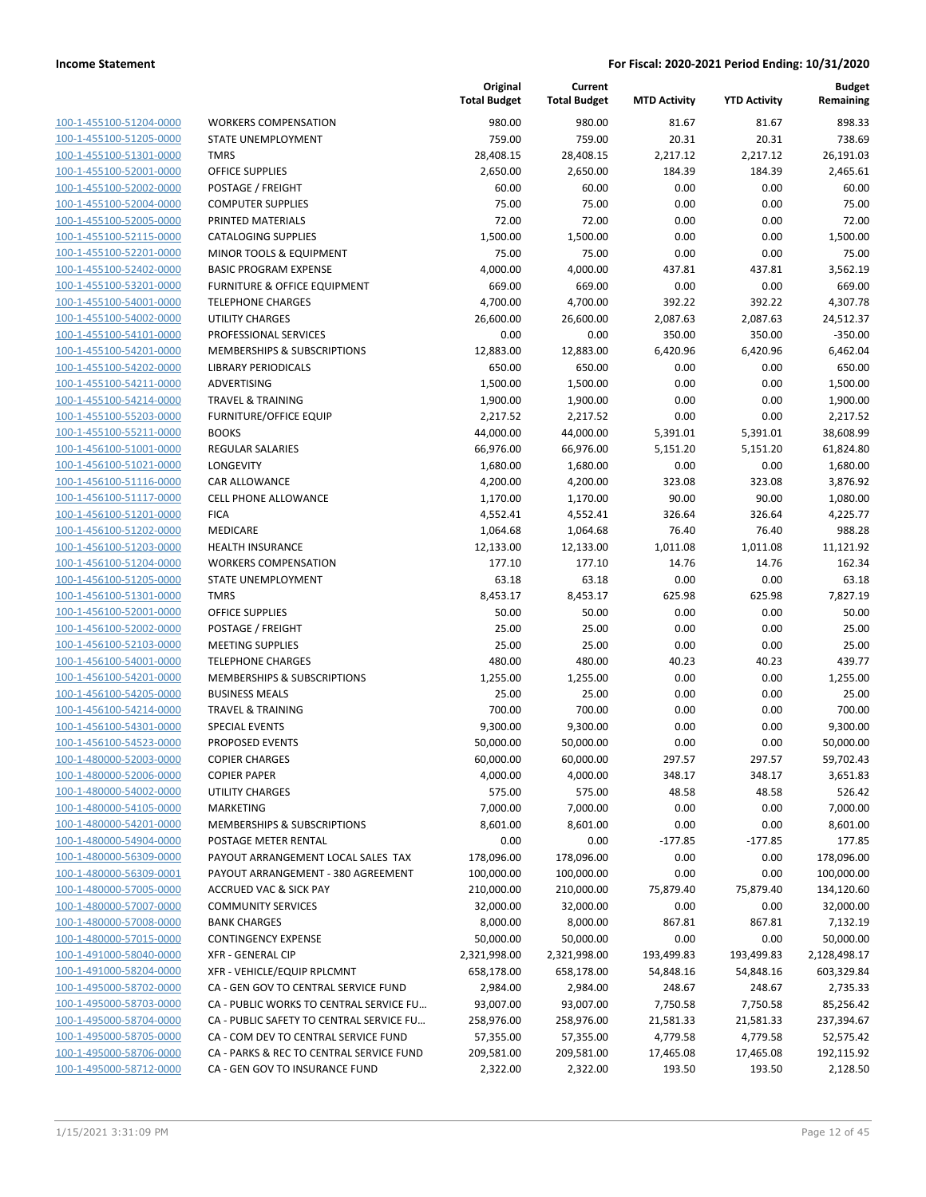| 100-1-455100-51204-0000        |
|--------------------------------|
| 100-1-455100-51205-0000        |
| 100-1-455100-51301-0000        |
| 100-1-455100-52001-0000        |
| 100-1-455100-52002-0000        |
| 100-1-455100-52004-0000        |
| 100-1-455100-52005-0000        |
| 100-1-455100-52115-0000        |
| 100-1-455100-52201-0000        |
| 100-1-455100-52402-0000        |
| 100-1-455100-53201-0000        |
|                                |
| 100-1-455100-54001-0000        |
| 100-1-455100-54002-0000        |
| 100-1-455100-54101-0000        |
| 100-1-455100-54201-0000        |
| 100-1-455100-54202-0000        |
| 100-1-455100-54211-0000        |
| 100-1-455100-54214-0000        |
| 100-1-455100-55203-0000        |
| 100-1-455100-55211-0000        |
| 100-1-456100-51001-0000        |
| 100-1-456100-51021-0000        |
| 100-1-456100-51116-0000        |
| 100-1-456100-51117-0000        |
| 100-1-456100-51201-0000        |
|                                |
| 100-1-456100-51202-0000        |
| 100-1-456100-51203-0000        |
| 100-1-456100-51204-0000        |
| 100-1-456100-51205-0000        |
| 100-1-456100-51301-0000        |
| 100-1-456100-52001-0000        |
| 100-1-456100-52002-0000        |
| 100-1-456100-52103-0000        |
| 100-1-456100-54001-0000        |
| 100-1-456100-54201-0000        |
| 100-1-456100-54205-0000        |
| 100-1-456100-54214-0000        |
| 100-1-456100-54301-0000        |
| 100-1-456100-54523-0000        |
|                                |
| 100-1-480000-52003-0000        |
| 100-1-480000-52006-0000        |
| <u>100-1-480000-54002-0000</u> |
| 100-1-480000-54105-0000        |
| 100-1-480000-54201-0000        |
| 100-1-480000-54904-0000        |
| 100-1-480000-56309-0000        |
| 100-1-480000-56309-0001        |
| 100-1-480000-57005-0000        |
| 100-1-480000-57007-0000        |
| 100-1-480000-57008-0000        |
| 100-1-480000-57015-0000        |
| 100-1-491000-58040-0000        |
| 100-1-491000-58204-0000        |
|                                |
| 100-1-495000-58702-0000        |
| 100-1-495000-58703-0000        |
| 100-1-495000-58704-0000        |
| <u>100-1-495000-58705-0000</u> |
| <u>100-1-495000-58706-0000</u> |
| 100-1-495000-58712-0000        |
|                                |

|                         |                                          | Original<br><b>Total Budget</b> | Current<br><b>Total Budget</b> | <b>MTD Activity</b> | <b>YTD Activity</b> | <b>Budget</b><br>Remaining |
|-------------------------|------------------------------------------|---------------------------------|--------------------------------|---------------------|---------------------|----------------------------|
| 100-1-455100-51204-0000 | <b>WORKERS COMPENSATION</b>              | 980.00                          | 980.00                         | 81.67               | 81.67               | 898.33                     |
| 100-1-455100-51205-0000 | STATE UNEMPLOYMENT                       | 759.00                          | 759.00                         | 20.31               | 20.31               | 738.69                     |
| 100-1-455100-51301-0000 | <b>TMRS</b>                              | 28,408.15                       | 28,408.15                      | 2,217.12            | 2,217.12            | 26,191.03                  |
| 100-1-455100-52001-0000 | <b>OFFICE SUPPLIES</b>                   | 2,650.00                        | 2,650.00                       | 184.39              | 184.39              | 2,465.61                   |
| 100-1-455100-52002-0000 | POSTAGE / FREIGHT                        | 60.00                           | 60.00                          | 0.00                | 0.00                | 60.00                      |
| 100-1-455100-52004-0000 | <b>COMPUTER SUPPLIES</b>                 | 75.00                           | 75.00                          | 0.00                | 0.00                | 75.00                      |
| 100-1-455100-52005-0000 | PRINTED MATERIALS                        | 72.00                           | 72.00                          | 0.00                | 0.00                | 72.00                      |
| 100-1-455100-52115-0000 | <b>CATALOGING SUPPLIES</b>               | 1,500.00                        | 1,500.00                       | 0.00                | 0.00                | 1,500.00                   |
| 100-1-455100-52201-0000 | <b>MINOR TOOLS &amp; EQUIPMENT</b>       | 75.00                           | 75.00                          | 0.00                | 0.00                | 75.00                      |
| 100-1-455100-52402-0000 | <b>BASIC PROGRAM EXPENSE</b>             | 4,000.00                        | 4,000.00                       | 437.81              | 437.81              | 3,562.19                   |
| 100-1-455100-53201-0000 | FURNITURE & OFFICE EQUIPMENT             | 669.00                          | 669.00                         | 0.00                | 0.00                | 669.00                     |
| 100-1-455100-54001-0000 | <b>TELEPHONE CHARGES</b>                 | 4,700.00                        | 4,700.00                       | 392.22              | 392.22              | 4,307.78                   |
| 100-1-455100-54002-0000 | <b>UTILITY CHARGES</b>                   | 26,600.00                       | 26,600.00                      | 2,087.63            | 2,087.63            | 24,512.37                  |
| 100-1-455100-54101-0000 | PROFESSIONAL SERVICES                    | 0.00                            | 0.00                           | 350.00              | 350.00              | $-350.00$                  |
| 100-1-455100-54201-0000 | MEMBERSHIPS & SUBSCRIPTIONS              | 12,883.00                       | 12,883.00                      | 6,420.96            | 6,420.96            | 6,462.04                   |
| 100-1-455100-54202-0000 | LIBRARY PERIODICALS                      | 650.00                          | 650.00                         | 0.00                | 0.00                | 650.00                     |
| 100-1-455100-54211-0000 | ADVERTISING                              | 1,500.00                        | 1,500.00                       | 0.00                | 0.00                | 1,500.00                   |
| 100-1-455100-54214-0000 | <b>TRAVEL &amp; TRAINING</b>             | 1,900.00                        | 1,900.00                       | 0.00                | 0.00                | 1,900.00                   |
| 100-1-455100-55203-0000 | <b>FURNITURE/OFFICE EQUIP</b>            | 2,217.52                        | 2,217.52                       | 0.00                | 0.00                | 2,217.52                   |
| 100-1-455100-55211-0000 | <b>BOOKS</b>                             | 44,000.00                       | 44,000.00                      | 5,391.01            | 5,391.01            | 38,608.99                  |
| 100-1-456100-51001-0000 | REGULAR SALARIES                         | 66,976.00                       | 66,976.00                      | 5,151.20            | 5,151.20            | 61,824.80                  |
| 100-1-456100-51021-0000 | <b>LONGEVITY</b>                         | 1,680.00                        | 1,680.00                       | 0.00                | 0.00                | 1,680.00                   |
| 100-1-456100-51116-0000 | CAR ALLOWANCE                            | 4,200.00                        | 4,200.00                       | 323.08              | 323.08              | 3,876.92                   |
| 100-1-456100-51117-0000 | <b>CELL PHONE ALLOWANCE</b>              | 1,170.00                        | 1,170.00                       | 90.00               | 90.00               | 1,080.00                   |
| 100-1-456100-51201-0000 | <b>FICA</b>                              | 4,552.41                        | 4,552.41                       | 326.64              | 326.64              | 4,225.77                   |
| 100-1-456100-51202-0000 | MEDICARE                                 | 1,064.68                        | 1,064.68                       | 76.40               | 76.40               | 988.28                     |
| 100-1-456100-51203-0000 | <b>HEALTH INSURANCE</b>                  | 12,133.00                       | 12,133.00                      | 1,011.08            | 1,011.08            | 11,121.92                  |
| 100-1-456100-51204-0000 | <b>WORKERS COMPENSATION</b>              | 177.10                          | 177.10                         | 14.76               | 14.76               | 162.34                     |
| 100-1-456100-51205-0000 | STATE UNEMPLOYMENT                       | 63.18                           | 63.18                          | 0.00                | 0.00                | 63.18                      |
| 100-1-456100-51301-0000 | <b>TMRS</b>                              | 8,453.17                        | 8,453.17                       | 625.98              | 625.98              | 7,827.19                   |
| 100-1-456100-52001-0000 | <b>OFFICE SUPPLIES</b>                   | 50.00                           | 50.00                          | 0.00                | 0.00                | 50.00                      |
| 100-1-456100-52002-0000 | POSTAGE / FREIGHT                        | 25.00                           | 25.00                          | 0.00                | 0.00                | 25.00                      |
| 100-1-456100-52103-0000 | <b>MEETING SUPPLIES</b>                  | 25.00                           | 25.00                          | 0.00                | 0.00                | 25.00                      |
| 100-1-456100-54001-0000 | <b>TELEPHONE CHARGES</b>                 | 480.00                          | 480.00                         | 40.23               | 40.23               | 439.77                     |
| 100-1-456100-54201-0000 | MEMBERSHIPS & SUBSCRIPTIONS              | 1,255.00                        | 1,255.00                       | 0.00                | 0.00                | 1,255.00                   |
| 100-1-456100-54205-0000 | <b>BUSINESS MEALS</b>                    | 25.00                           | 25.00                          | 0.00                | 0.00                | 25.00                      |
| 100-1-456100-54214-0000 | <b>TRAVEL &amp; TRAINING</b>             | 700.00                          | 700.00                         | 0.00                | 0.00                | 700.00                     |
| 100-1-456100-54301-0000 | <b>SPECIAL EVENTS</b>                    | 9,300.00                        | 9,300.00                       | 0.00                | 0.00                | 9,300.00                   |
| 100-1-456100-54523-0000 | PROPOSED EVENTS                          | 50,000.00                       | 50,000.00                      | 0.00                | 0.00                | 50,000.00                  |
| 100-1-480000-52003-0000 | <b>COPIER CHARGES</b>                    | 60,000.00                       | 60,000.00                      | 297.57              | 297.57              | 59,702.43                  |
| 100-1-480000-52006-0000 | <b>COPIER PAPER</b>                      | 4,000.00                        | 4,000.00                       | 348.17              | 348.17              | 3,651.83                   |
| 100-1-480000-54002-0000 | UTILITY CHARGES                          | 575.00                          | 575.00                         | 48.58               | 48.58               | 526.42                     |
| 100-1-480000-54105-0000 | <b>MARKETING</b>                         | 7,000.00                        | 7,000.00                       | 0.00                | 0.00                | 7,000.00                   |
| 100-1-480000-54201-0000 | MEMBERSHIPS & SUBSCRIPTIONS              | 8,601.00                        | 8,601.00                       | 0.00                | 0.00                | 8,601.00                   |
| 100-1-480000-54904-0000 | POSTAGE METER RENTAL                     | 0.00                            | 0.00                           | $-177.85$           | $-177.85$           | 177.85                     |
| 100-1-480000-56309-0000 | PAYOUT ARRANGEMENT LOCAL SALES TAX       | 178,096.00                      | 178,096.00                     | 0.00                | 0.00                | 178,096.00                 |
| 100-1-480000-56309-0001 | PAYOUT ARRANGEMENT - 380 AGREEMENT       | 100,000.00                      | 100,000.00                     | 0.00                | 0.00                | 100,000.00                 |
| 100-1-480000-57005-0000 | <b>ACCRUED VAC &amp; SICK PAY</b>        | 210,000.00                      | 210,000.00                     | 75,879.40           | 75,879.40           | 134,120.60                 |
| 100-1-480000-57007-0000 | <b>COMMUNITY SERVICES</b>                | 32,000.00                       | 32,000.00                      | 0.00                | 0.00                | 32,000.00                  |
| 100-1-480000-57008-0000 | <b>BANK CHARGES</b>                      | 8,000.00                        | 8,000.00                       | 867.81              | 867.81              | 7,132.19                   |
| 100-1-480000-57015-0000 | <b>CONTINGENCY EXPENSE</b>               | 50,000.00                       | 50,000.00                      | 0.00                | 0.00                | 50,000.00                  |
| 100-1-491000-58040-0000 | <b>XFR - GENERAL CIP</b>                 | 2,321,998.00                    | 2,321,998.00                   | 193,499.83          | 193,499.83          | 2,128,498.17               |
| 100-1-491000-58204-0000 | XFR - VEHICLE/EQUIP RPLCMNT              | 658,178.00                      | 658,178.00                     | 54,848.16           | 54,848.16           | 603,329.84                 |
| 100-1-495000-58702-0000 | CA - GEN GOV TO CENTRAL SERVICE FUND     | 2,984.00                        | 2,984.00                       | 248.67              | 248.67              | 2,735.33                   |
| 100-1-495000-58703-0000 | CA - PUBLIC WORKS TO CENTRAL SERVICE FU  | 93,007.00                       | 93,007.00                      | 7,750.58            | 7,750.58            | 85,256.42                  |
| 100-1-495000-58704-0000 | CA - PUBLIC SAFETY TO CENTRAL SERVICE FU | 258,976.00                      | 258,976.00                     | 21,581.33           | 21,581.33           | 237,394.67                 |
| 100-1-495000-58705-0000 | CA - COM DEV TO CENTRAL SERVICE FUND     | 57,355.00                       | 57,355.00                      | 4,779.58            | 4,779.58            | 52,575.42                  |
| 100-1-495000-58706-0000 | CA - PARKS & REC TO CENTRAL SERVICE FUND | 209,581.00                      | 209,581.00                     | 17,465.08           | 17,465.08           | 192,115.92                 |
| 100-1-495000-58712-0000 | CA - GEN GOV TO INSURANCE FUND           | 2,322.00                        | 2,322.00                       | 193.50              | 193.50              | 2,128.50                   |
|                         |                                          |                                 |                                |                     |                     |                            |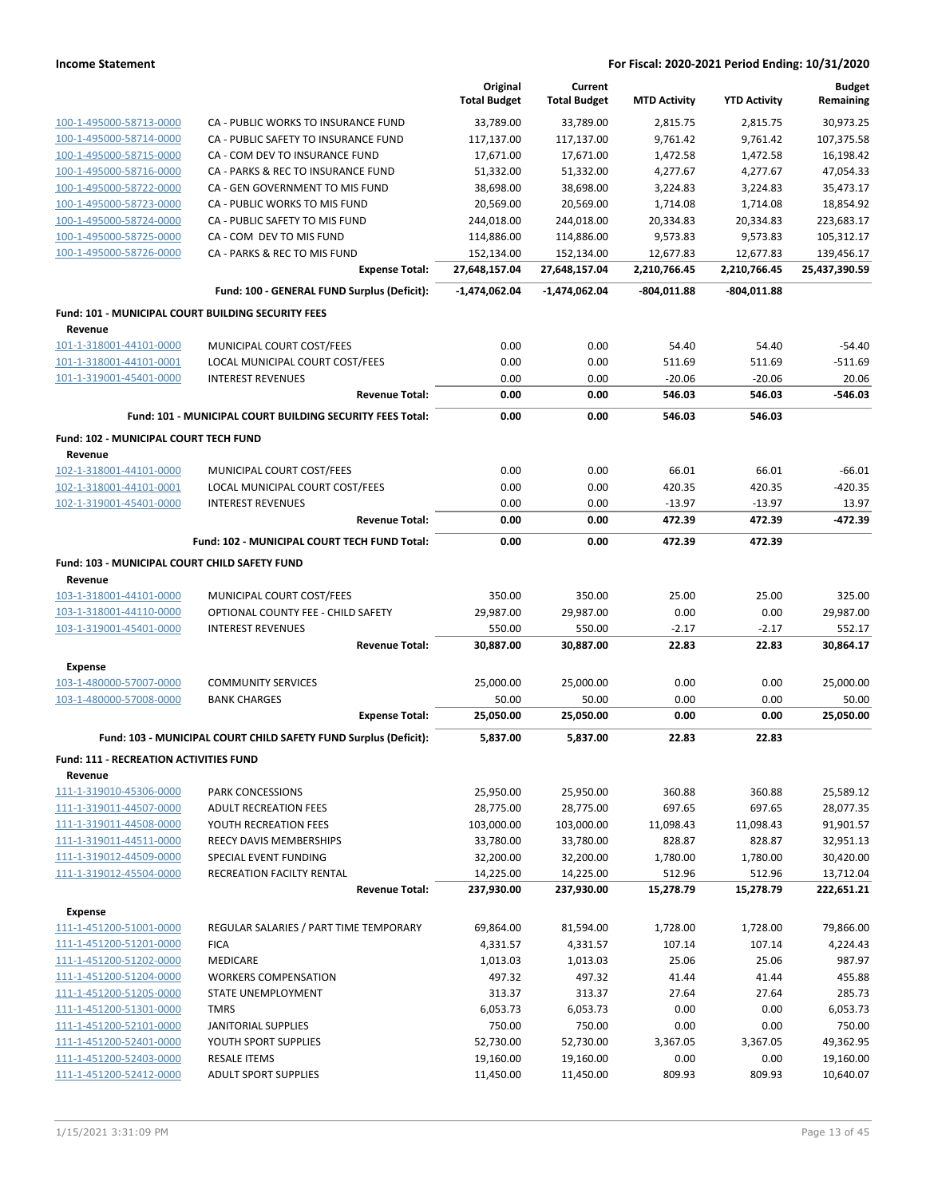|                                                               |                                                                  | Original<br><b>Total Budget</b> | Current<br><b>Total Budget</b> | <b>MTD Activity</b> | <b>YTD Activity</b> | <b>Budget</b><br>Remaining |
|---------------------------------------------------------------|------------------------------------------------------------------|---------------------------------|--------------------------------|---------------------|---------------------|----------------------------|
| 100-1-495000-58713-0000                                       | CA - PUBLIC WORKS TO INSURANCE FUND                              | 33,789.00                       | 33,789.00                      | 2,815.75            | 2,815.75            | 30,973.25                  |
| 100-1-495000-58714-0000                                       | CA - PUBLIC SAFETY TO INSURANCE FUND                             | 117,137.00                      | 117,137.00                     | 9,761.42            | 9,761.42            | 107,375.58                 |
| 100-1-495000-58715-0000                                       | CA - COM DEV TO INSURANCE FUND                                   | 17,671.00                       | 17,671.00                      | 1,472.58            | 1,472.58            | 16,198.42                  |
| 100-1-495000-58716-0000                                       | CA - PARKS & REC TO INSURANCE FUND                               | 51,332.00                       | 51,332.00                      | 4,277.67            | 4,277.67            | 47,054.33                  |
| 100-1-495000-58722-0000                                       | CA - GEN GOVERNMENT TO MIS FUND                                  | 38,698.00                       | 38,698.00                      | 3,224.83            | 3,224.83            | 35,473.17                  |
| 100-1-495000-58723-0000                                       | CA - PUBLIC WORKS TO MIS FUND                                    | 20,569.00                       | 20,569.00                      | 1,714.08            | 1,714.08            | 18,854.92                  |
| 100-1-495000-58724-0000                                       | CA - PUBLIC SAFETY TO MIS FUND                                   | 244,018.00                      | 244,018.00                     | 20,334.83           | 20,334.83           | 223,683.17                 |
| 100-1-495000-58725-0000                                       | CA - COM DEV TO MIS FUND                                         | 114,886.00                      | 114,886.00                     | 9,573.83            | 9,573.83            | 105,312.17                 |
| 100-1-495000-58726-0000                                       | CA - PARKS & REC TO MIS FUND                                     | 152,134.00                      | 152,134.00                     | 12,677.83           | 12,677.83           | 139,456.17                 |
|                                                               | <b>Expense Total:</b>                                            | 27,648,157.04                   | 27,648,157.04                  | 2,210,766.45        | 2,210,766.45        | 25,437,390.59              |
|                                                               | Fund: 100 - GENERAL FUND Surplus (Deficit):                      | $-1,474,062.04$                 | -1,474,062.04                  | -804,011.88         | -804,011.88         |                            |
| Fund: 101 - MUNICIPAL COURT BUILDING SECURITY FEES<br>Revenue |                                                                  |                                 |                                |                     |                     |                            |
| 101-1-318001-44101-0000                                       | MUNICIPAL COURT COST/FEES                                        | 0.00                            | 0.00                           | 54.40               | 54.40               | $-54.40$                   |
| 101-1-318001-44101-0001                                       | LOCAL MUNICIPAL COURT COST/FEES                                  | 0.00                            | 0.00                           | 511.69              | 511.69              | $-511.69$                  |
| 101-1-319001-45401-0000                                       | <b>INTEREST REVENUES</b>                                         | 0.00                            | 0.00                           | $-20.06$            | $-20.06$            | 20.06                      |
|                                                               | <b>Revenue Total:</b>                                            | 0.00                            | 0.00                           | 546.03              | 546.03              | -546.03                    |
|                                                               | Fund: 101 - MUNICIPAL COURT BUILDING SECURITY FEES Total:        | 0.00                            | 0.00                           | 546.03              | 546.03              |                            |
| Fund: 102 - MUNICIPAL COURT TECH FUND                         |                                                                  |                                 |                                |                     |                     |                            |
| Revenue<br>102-1-318001-44101-0000                            | MUNICIPAL COURT COST/FEES                                        | 0.00                            | 0.00                           | 66.01               | 66.01               | $-66.01$                   |
| 102-1-318001-44101-0001                                       | LOCAL MUNICIPAL COURT COST/FEES                                  | 0.00                            | 0.00                           | 420.35              | 420.35              | $-420.35$                  |
| 102-1-319001-45401-0000                                       | <b>INTEREST REVENUES</b>                                         | 0.00                            | 0.00                           | $-13.97$            | $-13.97$            | 13.97                      |
|                                                               | <b>Revenue Total:</b>                                            | 0.00                            | 0.00                           | 472.39              | 472.39              | -472.39                    |
|                                                               | Fund: 102 - MUNICIPAL COURT TECH FUND Total:                     | 0.00                            | 0.00                           | 472.39              | 472.39              |                            |
| Fund: 103 - MUNICIPAL COURT CHILD SAFETY FUND                 |                                                                  |                                 |                                |                     |                     |                            |
| Revenue                                                       |                                                                  |                                 |                                |                     |                     |                            |
| 103-1-318001-44101-0000                                       | MUNICIPAL COURT COST/FEES                                        | 350.00                          | 350.00                         | 25.00               | 25.00               | 325.00                     |
| 103-1-318001-44110-0000                                       | OPTIONAL COUNTY FEE - CHILD SAFETY<br><b>INTEREST REVENUES</b>   | 29,987.00<br>550.00             | 29,987.00<br>550.00            | 0.00<br>$-2.17$     | 0.00<br>$-2.17$     | 29,987.00<br>552.17        |
| 103-1-319001-45401-0000                                       | <b>Revenue Total:</b>                                            | 30,887.00                       | 30,887.00                      | 22.83               | 22.83               | 30,864.17                  |
| <b>Expense</b>                                                |                                                                  |                                 |                                |                     |                     |                            |
| 103-1-480000-57007-0000                                       | <b>COMMUNITY SERVICES</b>                                        | 25,000.00                       | 25,000.00                      | 0.00                | 0.00                | 25,000.00                  |
| 103-1-480000-57008-0000                                       | <b>BANK CHARGES</b>                                              | 50.00                           | 50.00                          | 0.00                | 0.00                | 50.00                      |
|                                                               | <b>Expense Total:</b>                                            | 25,050.00                       | 25,050.00                      | 0.00                | 0.00                | 25,050.00                  |
|                                                               | Fund: 103 - MUNICIPAL COURT CHILD SAFETY FUND Surplus (Deficit): | 5.837.00                        | 5,837.00                       | 22.83               | 22.83               |                            |
| Fund: 111 - RECREATION ACTIVITIES FUND                        |                                                                  |                                 |                                |                     |                     |                            |
| Revenue                                                       |                                                                  |                                 |                                |                     |                     |                            |
| 111-1-319010-45306-0000                                       | PARK CONCESSIONS                                                 | 25,950.00                       | 25,950.00                      | 360.88              | 360.88              | 25,589.12                  |
| 111-1-319011-44507-0000                                       | <b>ADULT RECREATION FEES</b>                                     | 28,775.00                       | 28,775.00                      | 697.65              | 697.65              | 28,077.35                  |
| 111-1-319011-44508-0000                                       | YOUTH RECREATION FEES                                            | 103,000.00                      | 103,000.00                     | 11,098.43           | 11,098.43           | 91,901.57                  |
| 111-1-319011-44511-0000                                       | REECY DAVIS MEMBERSHIPS                                          | 33,780.00                       | 33,780.00                      | 828.87<br>1,780.00  | 828.87              | 32,951.13                  |
| 111-1-319012-44509-0000<br>111-1-319012-45504-0000            | SPECIAL EVENT FUNDING<br>RECREATION FACILTY RENTAL               | 32,200.00<br>14,225.00          | 32,200.00<br>14,225.00         | 512.96              | 1,780.00<br>512.96  | 30,420.00<br>13,712.04     |
|                                                               | <b>Revenue Total:</b>                                            | 237,930.00                      | 237,930.00                     | 15,278.79           | 15,278.79           | 222,651.21                 |
| <b>Expense</b>                                                |                                                                  |                                 |                                |                     |                     |                            |
| 111-1-451200-51001-0000                                       | REGULAR SALARIES / PART TIME TEMPORARY                           | 69,864.00                       | 81,594.00                      | 1,728.00            | 1,728.00            | 79,866.00                  |
| 111-1-451200-51201-0000                                       | <b>FICA</b>                                                      | 4,331.57                        | 4,331.57                       | 107.14              | 107.14              | 4,224.43                   |
| 111-1-451200-51202-0000                                       | MEDICARE                                                         | 1,013.03                        | 1,013.03                       | 25.06               | 25.06               | 987.97                     |
| 111-1-451200-51204-0000                                       | <b>WORKERS COMPENSATION</b>                                      | 497.32                          | 497.32                         | 41.44               | 41.44               | 455.88                     |
| 111-1-451200-51205-0000                                       | STATE UNEMPLOYMENT                                               | 313.37                          | 313.37                         | 27.64               | 27.64               | 285.73                     |
| 111-1-451200-51301-0000                                       | <b>TMRS</b>                                                      | 6,053.73                        | 6,053.73                       | 0.00                | 0.00                | 6,053.73                   |
| 111-1-451200-52101-0000                                       | <b>JANITORIAL SUPPLIES</b>                                       | 750.00                          | 750.00                         | 0.00                | 0.00                | 750.00                     |
| 111-1-451200-52401-0000                                       | YOUTH SPORT SUPPLIES                                             | 52,730.00                       | 52,730.00                      | 3,367.05            | 3,367.05            | 49,362.95                  |
| 111-1-451200-52403-0000                                       | <b>RESALE ITEMS</b>                                              | 19,160.00                       | 19,160.00                      | 0.00                | 0.00                | 19,160.00                  |
| 111-1-451200-52412-0000                                       | <b>ADULT SPORT SUPPLIES</b>                                      | 11,450.00                       | 11,450.00                      | 809.93              | 809.93              | 10,640.07                  |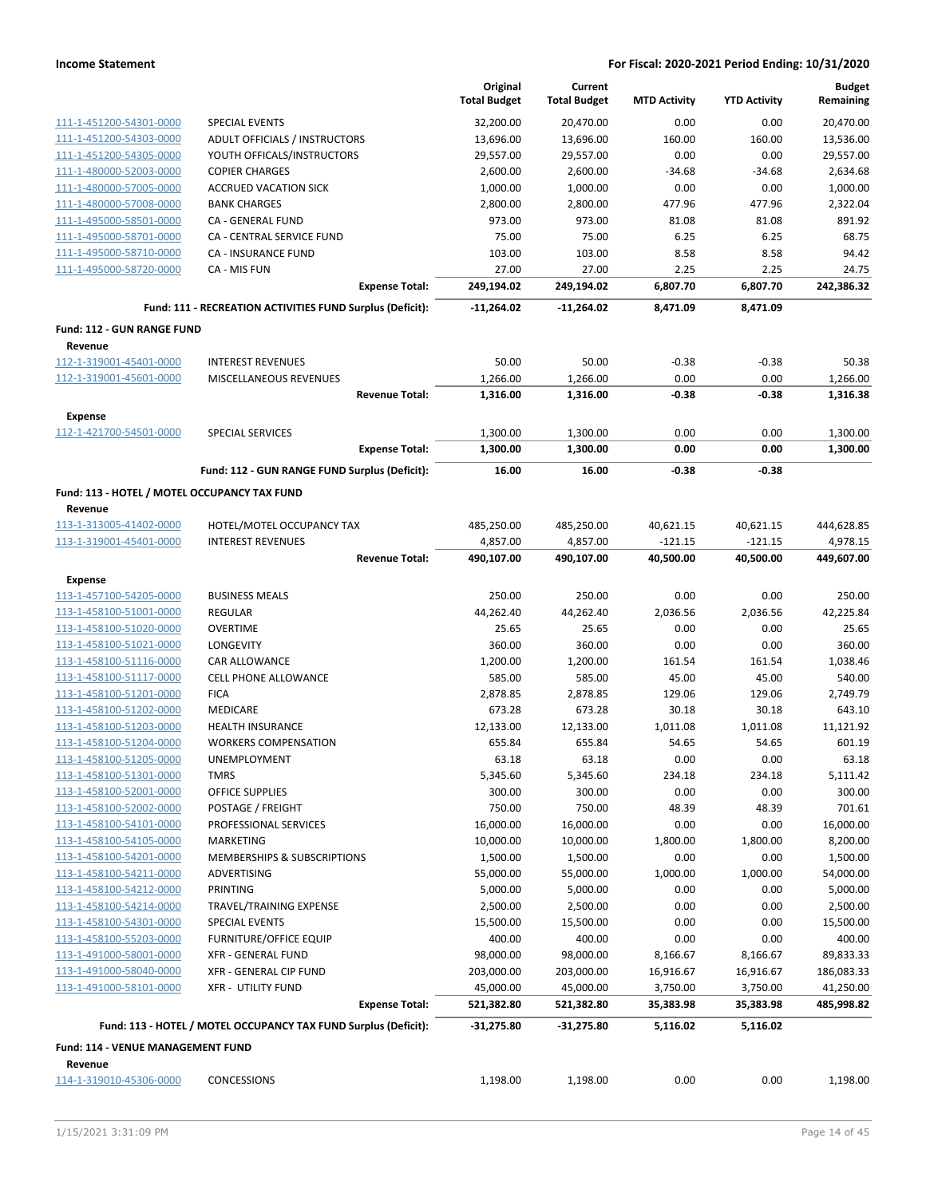|                                                     |                                                                 | Original<br><b>Total Budget</b> | Current<br><b>Total Budget</b> | <b>MTD Activity</b>    | <b>YTD Activity</b>    | <b>Budget</b><br>Remaining |
|-----------------------------------------------------|-----------------------------------------------------------------|---------------------------------|--------------------------------|------------------------|------------------------|----------------------------|
| 111-1-451200-54301-0000                             | <b>SPECIAL EVENTS</b>                                           | 32,200.00                       | 20,470.00                      | 0.00                   | 0.00                   | 20,470.00                  |
| 111-1-451200-54303-0000                             | ADULT OFFICIALS / INSTRUCTORS                                   | 13,696.00                       | 13,696.00                      | 160.00                 | 160.00                 | 13,536.00                  |
| 111-1-451200-54305-0000                             | YOUTH OFFICALS/INSTRUCTORS                                      | 29,557.00                       | 29,557.00                      | 0.00                   | 0.00                   | 29,557.00                  |
| 111-1-480000-52003-0000                             | <b>COPIER CHARGES</b>                                           | 2,600.00                        | 2,600.00                       | $-34.68$               | $-34.68$               | 2,634.68                   |
| 111-1-480000-57005-0000                             | <b>ACCRUED VACATION SICK</b>                                    | 1,000.00                        | 1,000.00                       | 0.00                   | 0.00                   | 1,000.00                   |
| 111-1-480000-57008-0000                             | <b>BANK CHARGES</b>                                             | 2,800.00                        | 2,800.00                       | 477.96                 | 477.96                 | 2,322.04                   |
| 111-1-495000-58501-0000                             | CA - GENERAL FUND                                               | 973.00                          | 973.00                         | 81.08                  | 81.08                  | 891.92                     |
| 111-1-495000-58701-0000                             | CA - CENTRAL SERVICE FUND                                       | 75.00                           | 75.00                          | 6.25                   | 6.25                   | 68.75                      |
| 111-1-495000-58710-0000                             | <b>CA - INSURANCE FUND</b>                                      | 103.00                          | 103.00                         | 8.58                   | 8.58                   | 94.42                      |
| 111-1-495000-58720-0000                             | CA - MIS FUN                                                    | 27.00                           | 27.00                          | 2.25                   | 2.25                   | 24.75                      |
|                                                     | <b>Expense Total:</b>                                           | 249,194.02                      | 249,194.02                     | 6,807.70               | 6,807.70               | 242,386.32                 |
|                                                     | Fund: 111 - RECREATION ACTIVITIES FUND Surplus (Deficit):       | -11,264.02                      | -11,264.02                     | 8,471.09               | 8,471.09               |                            |
| Fund: 112 - GUN RANGE FUND<br>Revenue               |                                                                 |                                 |                                |                        |                        |                            |
| 112-1-319001-45401-0000                             | <b>INTEREST REVENUES</b>                                        | 50.00                           | 50.00                          | $-0.38$                | $-0.38$                | 50.38                      |
| 112-1-319001-45601-0000                             | MISCELLANEOUS REVENUES                                          | 1,266.00                        | 1,266.00                       | 0.00                   | 0.00                   | 1,266.00                   |
|                                                     | <b>Revenue Total:</b>                                           | 1,316.00                        | 1,316.00                       | $-0.38$                | $-0.38$                | 1,316.38                   |
| <b>Expense</b>                                      |                                                                 |                                 |                                |                        |                        |                            |
| 112-1-421700-54501-0000                             | <b>SPECIAL SERVICES</b><br><b>Expense Total:</b>                | 1,300.00<br>1,300.00            | 1,300.00<br>1,300.00           | 0.00<br>0.00           | 0.00<br>0.00           | 1,300.00<br>1,300.00       |
|                                                     |                                                                 |                                 |                                |                        |                        |                            |
|                                                     | Fund: 112 - GUN RANGE FUND Surplus (Deficit):                   | 16.00                           | 16.00                          | $-0.38$                | $-0.38$                |                            |
| Fund: 113 - HOTEL / MOTEL OCCUPANCY TAX FUND        |                                                                 |                                 |                                |                        |                        |                            |
| Revenue                                             |                                                                 |                                 |                                |                        |                        |                            |
| 113-1-313005-41402-0000<br>113-1-319001-45401-0000  | HOTEL/MOTEL OCCUPANCY TAX<br><b>INTEREST REVENUES</b>           | 485,250.00                      | 485,250.00<br>4,857.00         | 40,621.15              | 40,621.15              | 444,628.85                 |
|                                                     | <b>Revenue Total:</b>                                           | 4,857.00<br>490,107.00          | 490,107.00                     | $-121.15$<br>40,500.00 | $-121.15$<br>40,500.00 | 4,978.15<br>449,607.00     |
|                                                     |                                                                 |                                 |                                |                        |                        |                            |
| <b>Expense</b><br>113-1-457100-54205-0000           | <b>BUSINESS MEALS</b>                                           | 250.00                          | 250.00                         | 0.00                   | 0.00                   | 250.00                     |
| 113-1-458100-51001-0000                             | <b>REGULAR</b>                                                  | 44,262.40                       | 44,262.40                      | 2,036.56               | 2,036.56               | 42,225.84                  |
| 113-1-458100-51020-0000                             | <b>OVERTIME</b>                                                 | 25.65                           | 25.65                          | 0.00                   | 0.00                   | 25.65                      |
| 113-1-458100-51021-0000                             | LONGEVITY                                                       | 360.00                          | 360.00                         | 0.00                   | 0.00                   | 360.00                     |
| 113-1-458100-51116-0000                             | <b>CAR ALLOWANCE</b>                                            | 1,200.00                        | 1,200.00                       | 161.54                 | 161.54                 | 1,038.46                   |
| 113-1-458100-51117-0000                             | <b>CELL PHONE ALLOWANCE</b>                                     | 585.00                          | 585.00                         | 45.00                  | 45.00                  | 540.00                     |
| 113-1-458100-51201-0000                             | <b>FICA</b>                                                     | 2,878.85                        | 2,878.85                       | 129.06                 | 129.06                 | 2,749.79                   |
| 113-1-458100-51202-0000                             | MEDICARE                                                        | 673.28                          | 673.28                         | 30.18                  | 30.18                  | 643.10                     |
| 113-1-458100-51203-0000                             | <b>HEALTH INSURANCE</b>                                         | 12,133.00                       | 12,133.00                      | 1,011.08               | 1,011.08               | 11,121.92                  |
| 113-1-458100-51204-0000                             | <b>WORKERS COMPENSATION</b>                                     | 655.84                          | 655.84                         | 54.65                  | 54.65                  | 601.19                     |
| 113-1-458100-51205-0000                             | UNEMPLOYMENT                                                    | 63.18                           | 63.18                          | 0.00                   | 0.00                   | 63.18                      |
| 113-1-458100-51301-0000                             | TMRS                                                            | 5,345.60                        | 5,345.60                       | 234.18                 | 234.18                 | 5,111.42                   |
| 113-1-458100-52001-0000                             | <b>OFFICE SUPPLIES</b>                                          | 300.00                          | 300.00                         | 0.00                   | 0.00                   | 300.00                     |
| 113-1-458100-52002-0000                             | POSTAGE / FREIGHT                                               | 750.00                          | 750.00                         | 48.39                  | 48.39                  | 701.61                     |
| 113-1-458100-54101-0000                             | PROFESSIONAL SERVICES                                           | 16,000.00                       | 16,000.00                      | 0.00                   | 0.00                   | 16,000.00                  |
| 113-1-458100-54105-0000                             | <b>MARKETING</b>                                                | 10,000.00                       | 10,000.00                      | 1,800.00               | 1,800.00               | 8,200.00                   |
| 113-1-458100-54201-0000                             | MEMBERSHIPS & SUBSCRIPTIONS                                     | 1,500.00                        | 1,500.00                       | 0.00                   | 0.00                   | 1,500.00                   |
| 113-1-458100-54211-0000                             | ADVERTISING                                                     | 55,000.00                       | 55,000.00                      | 1,000.00               | 1,000.00               | 54,000.00                  |
| 113-1-458100-54212-0000                             | PRINTING                                                        | 5,000.00                        | 5,000.00                       | 0.00                   | 0.00                   | 5,000.00                   |
| 113-1-458100-54214-0000                             | TRAVEL/TRAINING EXPENSE                                         | 2,500.00                        | 2,500.00                       | 0.00                   | 0.00                   | 2,500.00                   |
| 113-1-458100-54301-0000                             | <b>SPECIAL EVENTS</b>                                           | 15,500.00                       | 15,500.00                      | 0.00                   | 0.00                   | 15,500.00                  |
| 113-1-458100-55203-0000                             | <b>FURNITURE/OFFICE EQUIP</b>                                   | 400.00                          | 400.00                         | 0.00                   | 0.00                   | 400.00                     |
| 113-1-491000-58001-0000                             | <b>XFR - GENERAL FUND</b>                                       | 98,000.00                       | 98,000.00                      | 8,166.67               | 8,166.67               | 89,833.33                  |
| 113-1-491000-58040-0000                             | XFR - GENERAL CIP FUND                                          | 203,000.00                      | 203,000.00                     | 16,916.67              | 16,916.67              | 186,083.33                 |
| 113-1-491000-58101-0000                             | <b>XFR - UTILITY FUND</b>                                       | 45,000.00                       | 45,000.00                      | 3,750.00               | 3,750.00               | 41,250.00                  |
|                                                     | <b>Expense Total:</b>                                           | 521,382.80                      | 521,382.80                     | 35,383.98              | 35,383.98              | 485,998.82                 |
|                                                     | Fund: 113 - HOTEL / MOTEL OCCUPANCY TAX FUND Surplus (Deficit): | -31,275.80                      | -31,275.80                     | 5,116.02               | 5,116.02               |                            |
| <b>Fund: 114 - VENUE MANAGEMENT FUND</b><br>Revenue |                                                                 |                                 |                                |                        |                        |                            |
| 114-1-319010-45306-0000                             | <b>CONCESSIONS</b>                                              | 1,198.00                        | 1,198.00                       | 0.00                   | 0.00                   | 1,198.00                   |
|                                                     |                                                                 |                                 |                                |                        |                        |                            |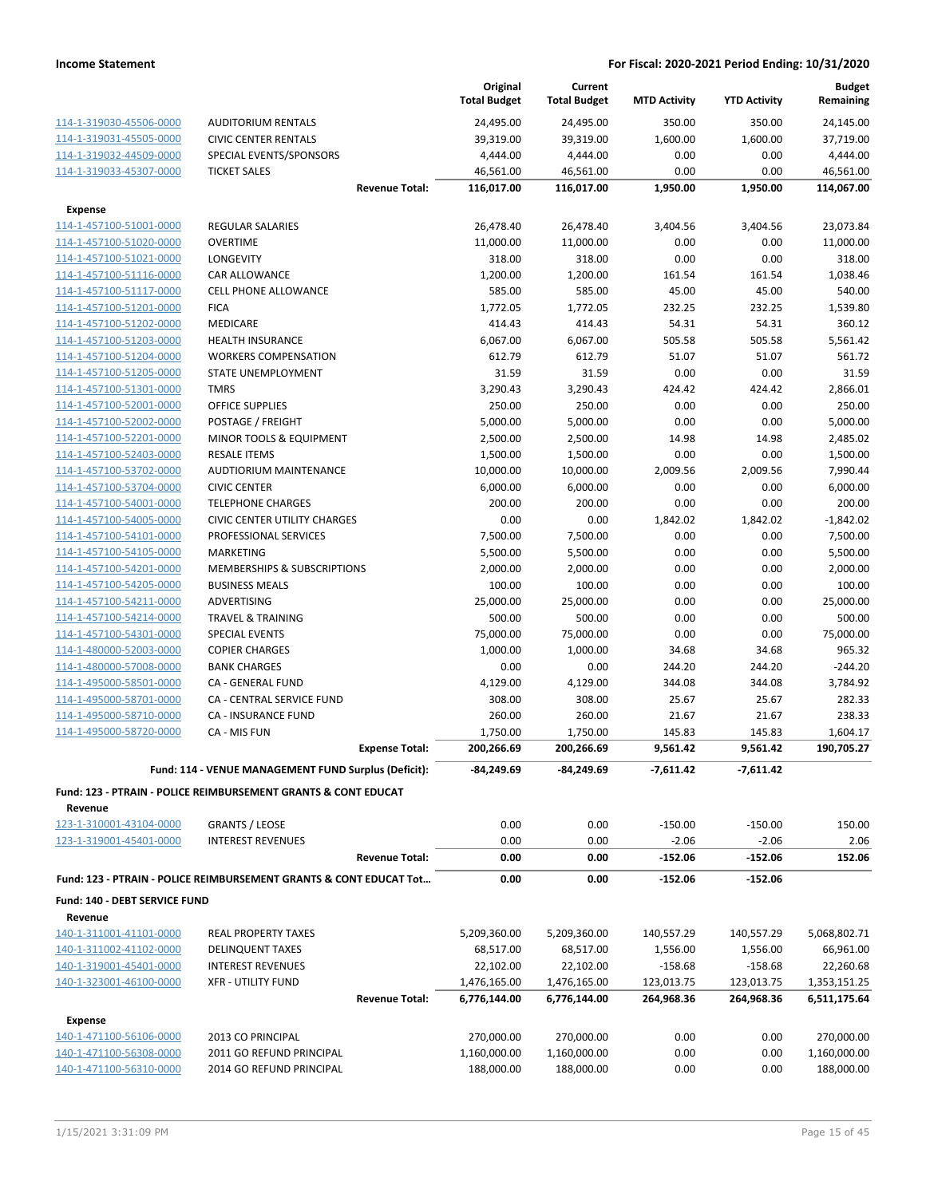|                                                    |                                                                               | Original<br><b>Total Budget</b> | Current<br><b>Total Budget</b> | <b>MTD Activity</b> | <b>YTD Activity</b> | <b>Budget</b><br>Remaining |
|----------------------------------------------------|-------------------------------------------------------------------------------|---------------------------------|--------------------------------|---------------------|---------------------|----------------------------|
| 114-1-319030-45506-0000                            | <b>AUDITORIUM RENTALS</b>                                                     | 24,495.00                       | 24,495.00                      | 350.00              | 350.00              | 24,145.00                  |
| 114-1-319031-45505-0000                            | <b>CIVIC CENTER RENTALS</b>                                                   | 39,319.00                       | 39,319.00                      | 1,600.00            | 1,600.00            | 37,719.00                  |
| 114-1-319032-44509-0000                            | SPECIAL EVENTS/SPONSORS                                                       | 4,444.00                        | 4,444.00                       | 0.00                | 0.00                | 4,444.00                   |
| 114-1-319033-45307-0000                            | <b>TICKET SALES</b>                                                           | 46,561.00                       | 46,561.00                      | 0.00                | 0.00                | 46.561.00                  |
|                                                    | <b>Revenue Total:</b>                                                         | 116,017.00                      | 116,017.00                     | 1,950.00            | 1,950.00            | 114,067.00                 |
| <b>Expense</b>                                     |                                                                               |                                 |                                |                     |                     |                            |
| 114-1-457100-51001-0000                            | <b>REGULAR SALARIES</b>                                                       | 26,478.40                       | 26,478.40                      | 3,404.56            | 3,404.56            | 23,073.84                  |
| 114-1-457100-51020-0000                            | <b>OVERTIME</b>                                                               | 11,000.00                       | 11,000.00                      | 0.00                | 0.00                | 11,000.00                  |
| 114-1-457100-51021-0000                            | <b>LONGEVITY</b>                                                              | 318.00                          | 318.00                         | 0.00                | 0.00                | 318.00                     |
| 114-1-457100-51116-0000                            | CAR ALLOWANCE                                                                 | 1,200.00                        | 1,200.00                       | 161.54              | 161.54              | 1,038.46                   |
| 114-1-457100-51117-0000                            | <b>CELL PHONE ALLOWANCE</b>                                                   | 585.00                          | 585.00                         | 45.00               | 45.00               | 540.00                     |
| 114-1-457100-51201-0000                            | <b>FICA</b>                                                                   | 1,772.05                        | 1,772.05                       | 232.25              | 232.25              | 1,539.80                   |
| 114-1-457100-51202-0000                            | <b>MEDICARE</b>                                                               | 414.43                          | 414.43                         | 54.31               | 54.31               | 360.12                     |
| 114-1-457100-51203-0000                            | <b>HEALTH INSURANCE</b>                                                       | 6,067.00                        | 6,067.00                       | 505.58              | 505.58              | 5,561.42                   |
| 114-1-457100-51204-0000                            | <b>WORKERS COMPENSATION</b>                                                   | 612.79                          | 612.79                         | 51.07               | 51.07               | 561.72                     |
| 114-1-457100-51205-0000                            | STATE UNEMPLOYMENT                                                            | 31.59                           | 31.59                          | 0.00                | 0.00                | 31.59                      |
| 114-1-457100-51301-0000                            | <b>TMRS</b>                                                                   | 3,290.43                        | 3,290.43                       | 424.42              | 424.42              | 2.866.01                   |
| 114-1-457100-52001-0000                            | <b>OFFICE SUPPLIES</b>                                                        | 250.00                          | 250.00                         | 0.00                | 0.00                | 250.00                     |
| 114-1-457100-52002-0000                            | POSTAGE / FREIGHT                                                             | 5,000.00                        | 5,000.00                       | 0.00                | 0.00                | 5,000.00                   |
| 114-1-457100-52201-0000                            | MINOR TOOLS & EQUIPMENT                                                       | 2,500.00                        | 2,500.00                       | 14.98               | 14.98               | 2,485.02                   |
| 114-1-457100-52403-0000                            | <b>RESALE ITEMS</b>                                                           | 1,500.00                        | 1,500.00                       | 0.00                | 0.00                | 1,500.00                   |
| 114-1-457100-53702-0000                            | <b>AUDTIORIUM MAINTENANCE</b>                                                 | 10,000.00                       | 10,000.00                      | 2,009.56            | 2,009.56            | 7,990.44                   |
| 114-1-457100-53704-0000                            | <b>CIVIC CENTER</b>                                                           | 6,000.00                        | 6,000.00                       | 0.00                | 0.00                | 6,000.00                   |
| 114-1-457100-54001-0000                            | <b>TELEPHONE CHARGES</b>                                                      | 200.00                          | 200.00                         | 0.00                | 0.00                | 200.00                     |
| 114-1-457100-54005-0000                            | <b>CIVIC CENTER UTILITY CHARGES</b>                                           | 0.00                            | 0.00                           | 1,842.02            | 1,842.02            | $-1,842.02$                |
| 114-1-457100-54101-0000                            | PROFESSIONAL SERVICES                                                         | 7,500.00                        | 7,500.00                       | 0.00                | 0.00                | 7,500.00                   |
| 114-1-457100-54105-0000                            | MARKETING                                                                     | 5,500.00                        | 5,500.00                       | 0.00                | 0.00                | 5,500.00                   |
| 114-1-457100-54201-0000                            | MEMBERSHIPS & SUBSCRIPTIONS                                                   | 2,000.00                        | 2,000.00                       | 0.00                | 0.00                | 2,000.00                   |
| 114-1-457100-54205-0000                            | <b>BUSINESS MEALS</b>                                                         | 100.00                          | 100.00                         | 0.00                | 0.00                | 100.00                     |
| 114-1-457100-54211-0000                            | ADVERTISING                                                                   | 25,000.00                       | 25,000.00                      | 0.00                | 0.00                | 25,000.00                  |
| 114-1-457100-54214-0000                            | <b>TRAVEL &amp; TRAINING</b>                                                  | 500.00                          | 500.00                         | 0.00                | 0.00                | 500.00                     |
| 114-1-457100-54301-0000<br>114-1-480000-52003-0000 | <b>SPECIAL EVENTS</b><br><b>COPIER CHARGES</b>                                | 75,000.00<br>1,000.00           | 75,000.00<br>1,000.00          | 0.00<br>34.68       | 0.00<br>34.68       | 75,000.00<br>965.32        |
| 114-1-480000-57008-0000                            | <b>BANK CHARGES</b>                                                           | 0.00                            | 0.00                           | 244.20              | 244.20              | $-244.20$                  |
| 114-1-495000-58501-0000                            | CA - GENERAL FUND                                                             | 4,129.00                        | 4,129.00                       | 344.08              | 344.08              | 3,784.92                   |
| 114-1-495000-58701-0000                            | CA - CENTRAL SERVICE FUND                                                     | 308.00                          | 308.00                         | 25.67               | 25.67               | 282.33                     |
| 114-1-495000-58710-0000                            | <b>CA - INSURANCE FUND</b>                                                    | 260.00                          | 260.00                         | 21.67               | 21.67               | 238.33                     |
| 114-1-495000-58720-0000                            | CA - MIS FUN                                                                  | 1,750.00                        | 1,750.00                       | 145.83              | 145.83              | 1,604.17                   |
|                                                    | <b>Expense Total:</b>                                                         | 200,266.69                      | 200,266.69                     | 9,561.42            | 9,561.42            | 190,705.27                 |
|                                                    | Fund: 114 - VENUE MANAGEMENT FUND Surplus (Deficit):                          | $-84,249.69$                    | $-84,249.69$                   | $-7,611.42$         | $-7,611.42$         |                            |
|                                                    |                                                                               |                                 |                                |                     |                     |                            |
|                                                    | <b>Fund: 123 - PTRAIN - POLICE REIMBURSEMENT GRANTS &amp; CONT EDUCAT</b>     |                                 |                                |                     |                     |                            |
| Revenue                                            |                                                                               |                                 |                                |                     |                     |                            |
| 123-1-310001-43104-0000                            | <b>GRANTS / LEOSE</b>                                                         | 0.00                            | 0.00                           | $-150.00$           | $-150.00$           | 150.00                     |
| 123-1-319001-45401-0000                            | <b>INTEREST REVENUES</b>                                                      | 0.00                            | 0.00                           | $-2.06$             | $-2.06$             | 2.06                       |
|                                                    | <b>Revenue Total:</b>                                                         | 0.00                            | 0.00                           | $-152.06$           | $-152.06$           | 152.06                     |
|                                                    | <b>Fund: 123 - PTRAIN - POLICE REIMBURSEMENT GRANTS &amp; CONT EDUCAT Tot</b> | 0.00                            | 0.00                           | $-152.06$           | $-152.06$           |                            |
| Fund: 140 - DEBT SERVICE FUND                      |                                                                               |                                 |                                |                     |                     |                            |
| Revenue                                            |                                                                               |                                 |                                |                     |                     |                            |
| 140-1-311001-41101-0000                            | <b>REAL PROPERTY TAXES</b>                                                    | 5,209,360.00                    | 5,209,360.00                   | 140,557.29          | 140,557.29          | 5,068,802.71               |
| 140-1-311002-41102-0000                            | <b>DELINQUENT TAXES</b>                                                       | 68,517.00                       | 68,517.00                      | 1,556.00            | 1,556.00            | 66,961.00                  |
| 140-1-319001-45401-0000                            | <b>INTEREST REVENUES</b>                                                      | 22,102.00                       | 22,102.00                      | $-158.68$           | $-158.68$           | 22,260.68                  |
| 140-1-323001-46100-0000                            | <b>XFR - UTILITY FUND</b>                                                     | 1,476,165.00                    | 1,476,165.00                   | 123,013.75          | 123,013.75          | 1,353,151.25               |
|                                                    | <b>Revenue Total:</b>                                                         | 6,776,144.00                    | 6,776,144.00                   | 264,968.36          | 264,968.36          | 6,511,175.64               |
| <b>Expense</b>                                     |                                                                               |                                 |                                |                     |                     |                            |
| 140-1-471100-56106-0000                            | 2013 CO PRINCIPAL                                                             | 270,000.00                      | 270,000.00                     | 0.00                | 0.00                | 270,000.00                 |
| 140-1-471100-56308-0000                            | 2011 GO REFUND PRINCIPAL                                                      | 1,160,000.00                    | 1,160,000.00                   | 0.00                | 0.00                | 1,160,000.00               |
| 140-1-471100-56310-0000                            | 2014 GO REFUND PRINCIPAL                                                      | 188,000.00                      | 188,000.00                     | 0.00                | 0.00                | 188,000.00                 |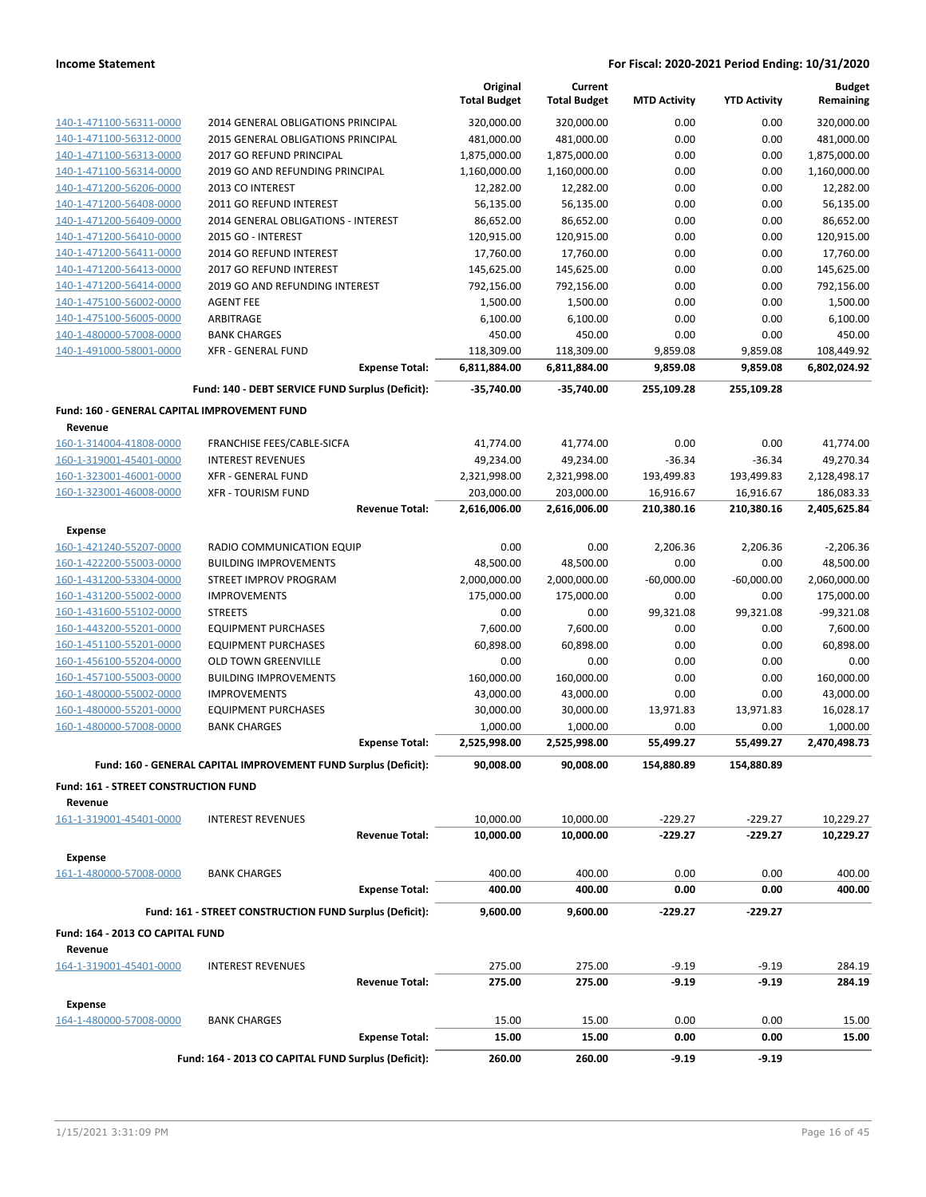|                                                         |                                                                                          | Original<br><b>Total Budget</b> | Current<br><b>Total Budget</b> | <b>MTD Activity</b> | <b>YTD Activity</b>     | <b>Budget</b><br>Remaining |
|---------------------------------------------------------|------------------------------------------------------------------------------------------|---------------------------------|--------------------------------|---------------------|-------------------------|----------------------------|
| 140-1-471100-56311-0000                                 | 2014 GENERAL OBLIGATIONS PRINCIPAL                                                       | 320,000.00                      | 320,000.00                     | 0.00                | 0.00                    | 320,000.00                 |
| 140-1-471100-56312-0000                                 | 2015 GENERAL OBLIGATIONS PRINCIPAL                                                       | 481,000.00                      | 481,000.00                     | 0.00                | 0.00                    | 481,000.00                 |
| 140-1-471100-56313-0000                                 | 2017 GO REFUND PRINCIPAL                                                                 | 1,875,000.00                    | 1,875,000.00                   | 0.00                | 0.00                    | 1,875,000.00               |
| 140-1-471100-56314-0000                                 | 2019 GO AND REFUNDING PRINCIPAL                                                          | 1,160,000.00                    | 1,160,000.00                   | 0.00                | 0.00                    | 1,160,000.00               |
| 140-1-471200-56206-0000                                 | 2013 CO INTEREST                                                                         | 12,282.00                       | 12,282.00                      | 0.00                | 0.00                    | 12,282.00                  |
| 140-1-471200-56408-0000                                 | 2011 GO REFUND INTEREST                                                                  | 56,135.00                       | 56,135.00                      | 0.00                | 0.00                    | 56,135.00                  |
| 140-1-471200-56409-0000                                 | 2014 GENERAL OBLIGATIONS - INTEREST                                                      | 86,652.00                       | 86,652.00                      | 0.00                | 0.00                    | 86,652.00                  |
| 140-1-471200-56410-0000                                 | 2015 GO - INTEREST                                                                       | 120,915.00                      | 120,915.00                     | 0.00                | 0.00                    | 120,915.00                 |
| 140-1-471200-56411-0000                                 | 2014 GO REFUND INTEREST                                                                  | 17,760.00                       | 17,760.00                      | 0.00                | 0.00                    | 17,760.00                  |
| 140-1-471200-56413-0000                                 | 2017 GO REFUND INTEREST                                                                  | 145,625.00                      | 145,625.00                     | 0.00                | 0.00                    | 145,625.00                 |
| 140-1-471200-56414-0000                                 | 2019 GO AND REFUNDING INTEREST                                                           | 792,156.00                      | 792,156.00                     | 0.00                | 0.00                    | 792,156.00                 |
| 140-1-475100-56002-0000                                 | <b>AGENT FEE</b>                                                                         | 1,500.00                        | 1,500.00                       | 0.00                | 0.00                    | 1,500.00                   |
| 140-1-475100-56005-0000                                 | ARBITRAGE                                                                                | 6,100.00                        | 6,100.00                       | 0.00                | 0.00                    | 6,100.00                   |
| 140-1-480000-57008-0000                                 | <b>BANK CHARGES</b>                                                                      | 450.00                          | 450.00                         | 0.00                | 0.00                    | 450.00                     |
| 140-1-491000-58001-0000                                 | <b>XFR - GENERAL FUND</b>                                                                | 118,309.00                      | 118,309.00                     | 9,859.08            | 9,859.08                | 108,449.92                 |
|                                                         | <b>Expense Total:</b>                                                                    | 6,811,884.00                    | 6,811,884.00                   | 9,859.08            | 9,859.08                | 6,802,024.92               |
|                                                         | Fund: 140 - DEBT SERVICE FUND Surplus (Deficit):                                         | $-35,740.00$                    | $-35.740.00$                   | 255,109.28          | 255,109.28              |                            |
| Fund: 160 - GENERAL CAPITAL IMPROVEMENT FUND<br>Revenue |                                                                                          |                                 |                                |                     |                         |                            |
| 160-1-314004-41808-0000                                 | FRANCHISE FEES/CABLE-SICFA                                                               | 41,774.00                       | 41,774.00                      | 0.00                | 0.00                    | 41,774.00                  |
| 160-1-319001-45401-0000                                 | <b>INTEREST REVENUES</b>                                                                 | 49,234.00                       | 49,234.00                      | $-36.34$            | $-36.34$                | 49,270.34                  |
| 160-1-323001-46001-0000                                 | <b>XFR - GENERAL FUND</b>                                                                | 2,321,998.00                    | 2,321,998.00                   | 193,499.83          | 193,499.83              | 2,128,498.17               |
| 160-1-323001-46008-0000                                 | <b>XFR - TOURISM FUND</b>                                                                | 203,000.00                      | 203,000.00                     | 16,916.67           | 16,916.67               | 186,083.33                 |
|                                                         | <b>Revenue Total:</b>                                                                    | 2,616,006.00                    | 2,616,006.00                   | 210,380.16          | 210,380.16              | 2,405,625.84               |
| <b>Expense</b>                                          |                                                                                          |                                 |                                |                     |                         |                            |
| 160-1-421240-55207-0000                                 | RADIO COMMUNICATION EQUIP                                                                | 0.00                            | 0.00                           | 2,206.36            | 2,206.36                | $-2,206.36$                |
| 160-1-422200-55003-0000                                 | <b>BUILDING IMPROVEMENTS</b>                                                             | 48,500.00                       | 48,500.00                      | 0.00                | 0.00                    | 48,500.00                  |
| 160-1-431200-53304-0000                                 | STREET IMPROV PROGRAM                                                                    | 2,000,000.00                    | 2,000,000.00                   | $-60,000.00$        | $-60,000.00$            | 2,060,000.00               |
| 160-1-431200-55002-0000                                 | <b>IMPROVEMENTS</b>                                                                      | 175,000.00                      | 175,000.00                     | 0.00                | 0.00                    | 175,000.00                 |
| 160-1-431600-55102-0000                                 | <b>STREETS</b>                                                                           | 0.00                            | 0.00                           | 99,321.08           | 99,321.08               | $-99,321.08$               |
| 160-1-443200-55201-0000                                 | <b>EQUIPMENT PURCHASES</b>                                                               | 7,600.00                        | 7,600.00                       | 0.00                | 0.00                    | 7,600.00                   |
| 160-1-451100-55201-0000                                 | <b>EQUIPMENT PURCHASES</b>                                                               | 60,898.00                       | 60,898.00                      | 0.00                | 0.00                    | 60,898.00                  |
| 160-1-456100-55204-0000                                 | <b>OLD TOWN GREENVILLE</b>                                                               | 0.00                            | 0.00                           | 0.00                | 0.00                    | 0.00                       |
| 160-1-457100-55003-0000                                 | <b>BUILDING IMPROVEMENTS</b>                                                             | 160,000.00                      | 160,000.00                     | 0.00                | 0.00                    | 160,000.00                 |
| 160-1-480000-55002-0000                                 | <b>IMPROVEMENTS</b>                                                                      | 43,000.00                       | 43,000.00                      | 0.00                | 0.00                    | 43,000.00                  |
| 160-1-480000-55201-0000                                 | <b>EQUIPMENT PURCHASES</b>                                                               | 30,000.00                       | 30,000.00                      | 13,971.83           | 13,971.83               | 16,028.17                  |
| 160-1-480000-57008-0000                                 | <b>BANK CHARGES</b>                                                                      | 1,000.00                        | 1,000.00                       | 0.00<br>55,499.27   | 0.00                    | 1,000.00                   |
|                                                         | <b>Expense Total:</b><br>Fund: 160 - GENERAL CAPITAL IMPROVEMENT FUND Surplus (Deficit): | 2,525,998.00<br>90,008.00       | 2,525,998.00<br>90,008.00      | 154,880.89          | 55,499.27<br>154,880.89 | 2,470,498.73               |
| Fund: 161 - STREET CONSTRUCTION FUND                    |                                                                                          |                                 |                                |                     |                         |                            |
| Revenue                                                 |                                                                                          |                                 |                                |                     |                         |                            |
| 161-1-319001-45401-0000                                 | <b>INTEREST REVENUES</b>                                                                 | 10,000.00                       | 10,000.00                      | $-229.27$           | $-229.27$               | 10,229.27                  |
|                                                         | <b>Revenue Total:</b>                                                                    | 10,000.00                       | 10,000.00                      | $-229.27$           | $-229.27$               | 10,229.27                  |
| <b>Expense</b>                                          |                                                                                          |                                 |                                |                     |                         |                            |
| 161-1-480000-57008-0000                                 | <b>BANK CHARGES</b><br><b>Expense Total:</b>                                             | 400.00<br>400.00                | 400.00<br>400.00               | 0.00<br>0.00        | 0.00<br>0.00            | 400.00<br>400.00           |
|                                                         |                                                                                          |                                 |                                |                     |                         |                            |
|                                                         | Fund: 161 - STREET CONSTRUCTION FUND Surplus (Deficit):                                  | 9,600.00                        | 9,600.00                       | -229.27             | -229.27                 |                            |
| Fund: 164 - 2013 CO CAPITAL FUND<br>Revenue             |                                                                                          |                                 |                                |                     |                         |                            |
| 164-1-319001-45401-0000                                 | <b>INTEREST REVENUES</b>                                                                 | 275.00                          | 275.00                         | $-9.19$             | $-9.19$                 | 284.19                     |
|                                                         | <b>Revenue Total:</b>                                                                    | 275.00                          | 275.00                         | $-9.19$             | $-9.19$                 | 284.19                     |
| <b>Expense</b>                                          |                                                                                          |                                 |                                |                     |                         |                            |
| 164-1-480000-57008-0000                                 | <b>BANK CHARGES</b>                                                                      | 15.00                           | 15.00                          | 0.00                | 0.00                    | 15.00                      |
|                                                         | <b>Expense Total:</b>                                                                    | 15.00                           | 15.00                          | 0.00                | 0.00                    | 15.00                      |
|                                                         | Fund: 164 - 2013 CO CAPITAL FUND Surplus (Deficit):                                      | 260.00                          | 260.00                         | $-9.19$             | $-9.19$                 |                            |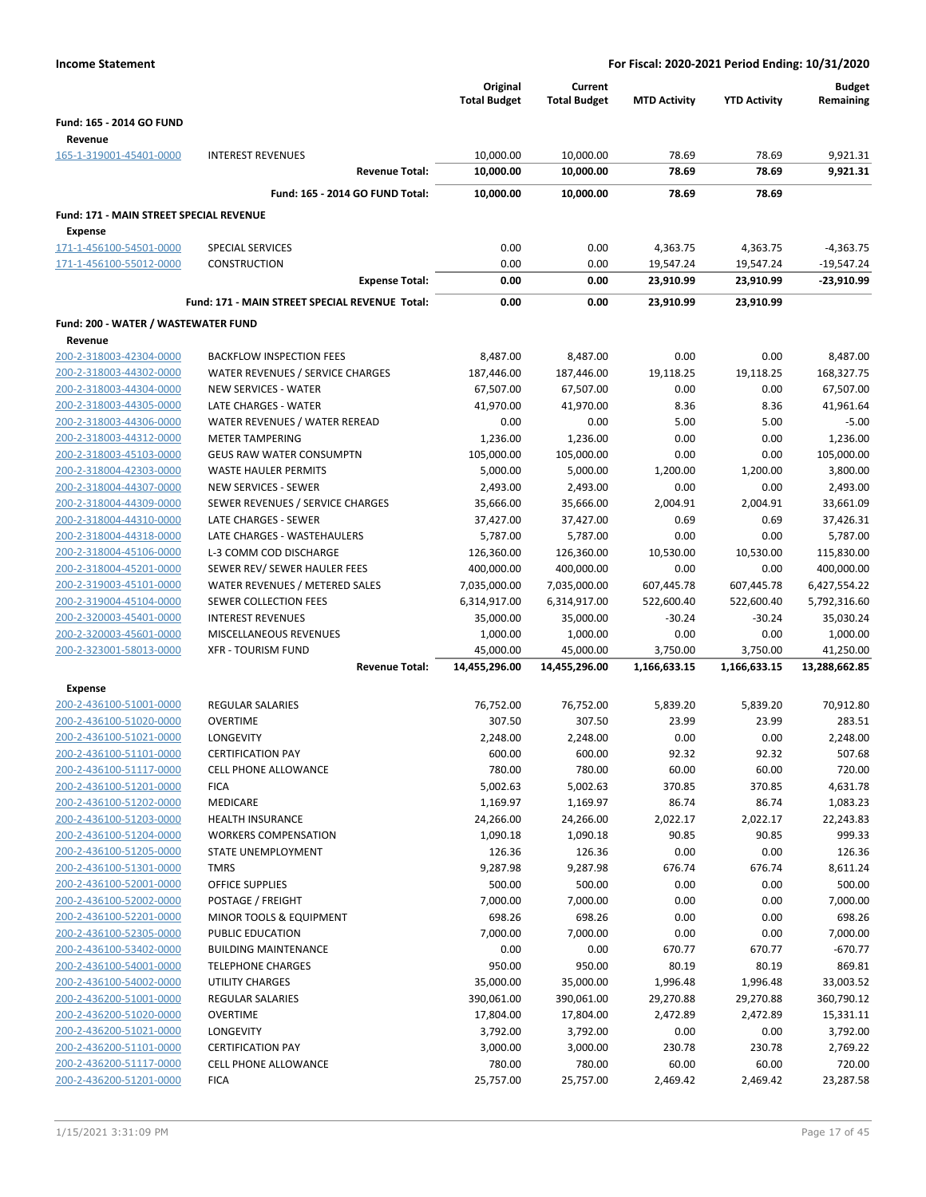|                                                    |                                                     | Original<br><b>Total Budget</b> | Current<br><b>Total Budget</b> | <b>MTD Activity</b> | <b>YTD Activity</b> | <b>Budget</b><br>Remaining |
|----------------------------------------------------|-----------------------------------------------------|---------------------------------|--------------------------------|---------------------|---------------------|----------------------------|
| Fund: 165 - 2014 GO FUND                           |                                                     |                                 |                                |                     |                     |                            |
| Revenue                                            |                                                     |                                 |                                |                     |                     |                            |
| 165-1-319001-45401-0000                            | <b>INTEREST REVENUES</b>                            | 10,000.00                       | 10,000.00                      | 78.69               | 78.69               | 9,921.31                   |
|                                                    | <b>Revenue Total:</b>                               | 10,000.00                       | 10,000.00                      | 78.69               | 78.69               | 9,921.31                   |
|                                                    | Fund: 165 - 2014 GO FUND Total:                     | 10,000.00                       | 10,000.00                      | 78.69               | 78.69               |                            |
| Fund: 171 - MAIN STREET SPECIAL REVENUE            |                                                     |                                 |                                |                     |                     |                            |
| Expense                                            |                                                     |                                 |                                |                     |                     |                            |
| 171-1-456100-54501-0000                            | SPECIAL SERVICES                                    | 0.00                            | 0.00                           | 4,363.75            | 4,363.75            | $-4,363.75$                |
| 171-1-456100-55012-0000                            | CONSTRUCTION                                        | 0.00                            | 0.00                           | 19,547.24           | 19,547.24           | $-19,547.24$               |
|                                                    | <b>Expense Total:</b>                               | 0.00                            | 0.00                           | 23,910.99           | 23,910.99           | $-23,910.99$               |
|                                                    |                                                     |                                 |                                |                     |                     |                            |
|                                                    | Fund: 171 - MAIN STREET SPECIAL REVENUE Total:      | 0.00                            | 0.00                           | 23,910.99           | 23,910.99           |                            |
| Fund: 200 - WATER / WASTEWATER FUND                |                                                     |                                 |                                |                     |                     |                            |
| Revenue                                            |                                                     |                                 |                                |                     |                     |                            |
| 200-2-318003-42304-0000                            | <b>BACKFLOW INSPECTION FEES</b>                     | 8,487.00                        | 8,487.00                       | 0.00                | 0.00                | 8,487.00                   |
| 200-2-318003-44302-0000                            | WATER REVENUES / SERVICE CHARGES                    | 187,446.00                      | 187,446.00                     | 19,118.25           | 19,118.25           | 168,327.75                 |
| 200-2-318003-44304-0000                            | <b>NEW SERVICES - WATER</b><br>LATE CHARGES - WATER | 67,507.00                       | 67,507.00<br>41,970.00         | 0.00                | 0.00<br>8.36        | 67,507.00<br>41,961.64     |
| 200-2-318003-44305-0000<br>200-2-318003-44306-0000 | WATER REVENUES / WATER REREAD                       | 41,970.00<br>0.00               | 0.00                           | 8.36<br>5.00        | 5.00                | $-5.00$                    |
| 200-2-318003-44312-0000                            | <b>METER TAMPERING</b>                              | 1,236.00                        | 1,236.00                       | 0.00                | 0.00                | 1,236.00                   |
| 200-2-318003-45103-0000                            | <b>GEUS RAW WATER CONSUMPTN</b>                     | 105,000.00                      | 105,000.00                     | 0.00                | 0.00                | 105,000.00                 |
| 200-2-318004-42303-0000                            | WASTE HAULER PERMITS                                | 5,000.00                        | 5,000.00                       | 1,200.00            | 1,200.00            | 3,800.00                   |
| 200-2-318004-44307-0000                            | NEW SERVICES - SEWER                                | 2,493.00                        | 2,493.00                       | 0.00                | 0.00                | 2,493.00                   |
| 200-2-318004-44309-0000                            | SEWER REVENUES / SERVICE CHARGES                    | 35,666.00                       | 35,666.00                      | 2,004.91            | 2,004.91            | 33,661.09                  |
| 200-2-318004-44310-0000                            | LATE CHARGES - SEWER                                | 37,427.00                       | 37,427.00                      | 0.69                | 0.69                | 37,426.31                  |
| 200-2-318004-44318-0000                            | LATE CHARGES - WASTEHAULERS                         | 5,787.00                        | 5,787.00                       | 0.00                | 0.00                | 5,787.00                   |
| 200-2-318004-45106-0000                            | L-3 COMM COD DISCHARGE                              | 126,360.00                      | 126,360.00                     | 10,530.00           | 10,530.00           | 115,830.00                 |
| 200-2-318004-45201-0000                            | SEWER REV/ SEWER HAULER FEES                        | 400,000.00                      | 400,000.00                     | 0.00                | 0.00                | 400,000.00                 |
| 200-2-319003-45101-0000                            | WATER REVENUES / METERED SALES                      | 7,035,000.00                    | 7,035,000.00                   | 607,445.78          | 607,445.78          | 6,427,554.22               |
| 200-2-319004-45104-0000                            | SEWER COLLECTION FEES                               | 6,314,917.00                    | 6,314,917.00                   | 522,600.40          | 522,600.40          | 5,792,316.60               |
| 200-2-320003-45401-0000                            | <b>INTEREST REVENUES</b>                            | 35,000.00                       | 35,000.00                      | $-30.24$            | $-30.24$            | 35,030.24                  |
| 200-2-320003-45601-0000                            | MISCELLANEOUS REVENUES                              | 1,000.00                        | 1,000.00                       | 0.00                | 0.00                | 1,000.00                   |
| 200-2-323001-58013-0000                            | <b>XFR - TOURISM FUND</b>                           | 45,000.00                       | 45,000.00                      | 3,750.00            | 3,750.00            | 41,250.00                  |
|                                                    | <b>Revenue Total:</b>                               | 14,455,296.00                   | 14,455,296.00                  | 1,166,633.15        | 1,166,633.15        | 13,288,662.85              |
| <b>Expense</b>                                     |                                                     |                                 |                                |                     |                     |                            |
| 200-2-436100-51001-0000                            | <b>REGULAR SALARIES</b>                             | 76,752.00                       | 76,752.00                      | 5,839.20            | 5,839.20            | 70,912.80                  |
| 200-2-436100-51020-0000                            | <b>OVERTIME</b>                                     | 307.50                          | 307.50                         | 23.99               | 23.99               | 283.51                     |
| 200-2-436100-51021-0000                            | LONGEVITY                                           | 2,248.00                        | 2,248.00                       | 0.00                | 0.00                | 2,248.00                   |
| 200-2-436100-51101-0000                            | <b>CERTIFICATION PAY</b>                            | 600.00                          | 600.00                         | 92.32               | 92.32               | 507.68                     |
| 200-2-436100-51117-0000                            | <b>CELL PHONE ALLOWANCE</b>                         | 780.00                          | 780.00                         | 60.00               | 60.00               | 720.00                     |
| 200-2-436100-51201-0000                            | <b>FICA</b>                                         | 5,002.63                        | 5,002.63                       | 370.85              | 370.85              | 4,631.78                   |
| 200-2-436100-51202-0000                            | <b>MEDICARE</b>                                     | 1,169.97                        | 1,169.97                       | 86.74               | 86.74               | 1,083.23                   |
| 200-2-436100-51203-0000                            | <b>HEALTH INSURANCE</b>                             | 24,266.00                       | 24,266.00                      | 2,022.17            | 2,022.17            | 22,243.83                  |
| 200-2-436100-51204-0000                            | <b>WORKERS COMPENSATION</b>                         | 1,090.18                        | 1,090.18                       | 90.85               | 90.85               | 999.33                     |
| 200-2-436100-51205-0000<br>200-2-436100-51301-0000 | STATE UNEMPLOYMENT<br><b>TMRS</b>                   | 126.36<br>9,287.98              | 126.36<br>9,287.98             | 0.00<br>676.74      | 0.00<br>676.74      | 126.36<br>8,611.24         |
| 200-2-436100-52001-0000                            | <b>OFFICE SUPPLIES</b>                              | 500.00                          | 500.00                         | 0.00                | 0.00                | 500.00                     |
| 200-2-436100-52002-0000                            | POSTAGE / FREIGHT                                   | 7,000.00                        | 7,000.00                       | 0.00                | 0.00                | 7,000.00                   |
| 200-2-436100-52201-0000                            | MINOR TOOLS & EQUIPMENT                             | 698.26                          | 698.26                         | 0.00                | 0.00                | 698.26                     |
| 200-2-436100-52305-0000                            | PUBLIC EDUCATION                                    | 7,000.00                        | 7,000.00                       | 0.00                | 0.00                | 7,000.00                   |
| 200-2-436100-53402-0000                            | <b>BUILDING MAINTENANCE</b>                         | 0.00                            | 0.00                           | 670.77              | 670.77              | $-670.77$                  |
| 200-2-436100-54001-0000                            | <b>TELEPHONE CHARGES</b>                            | 950.00                          | 950.00                         | 80.19               | 80.19               | 869.81                     |
| 200-2-436100-54002-0000                            | UTILITY CHARGES                                     | 35,000.00                       | 35,000.00                      | 1,996.48            | 1,996.48            | 33,003.52                  |
| 200-2-436200-51001-0000                            | <b>REGULAR SALARIES</b>                             | 390,061.00                      | 390,061.00                     | 29,270.88           | 29,270.88           | 360,790.12                 |
| 200-2-436200-51020-0000                            | <b>OVERTIME</b>                                     | 17,804.00                       | 17,804.00                      | 2,472.89            | 2,472.89            | 15,331.11                  |
| 200-2-436200-51021-0000                            | <b>LONGEVITY</b>                                    | 3,792.00                        | 3,792.00                       | 0.00                | 0.00                | 3,792.00                   |
| 200-2-436200-51101-0000                            | <b>CERTIFICATION PAY</b>                            | 3,000.00                        | 3,000.00                       | 230.78              | 230.78              | 2,769.22                   |
| 200-2-436200-51117-0000                            | <b>CELL PHONE ALLOWANCE</b>                         | 780.00                          | 780.00                         | 60.00               | 60.00               | 720.00                     |
| 200-2-436200-51201-0000                            | <b>FICA</b>                                         | 25,757.00                       | 25,757.00                      | 2,469.42            | 2,469.42            | 23,287.58                  |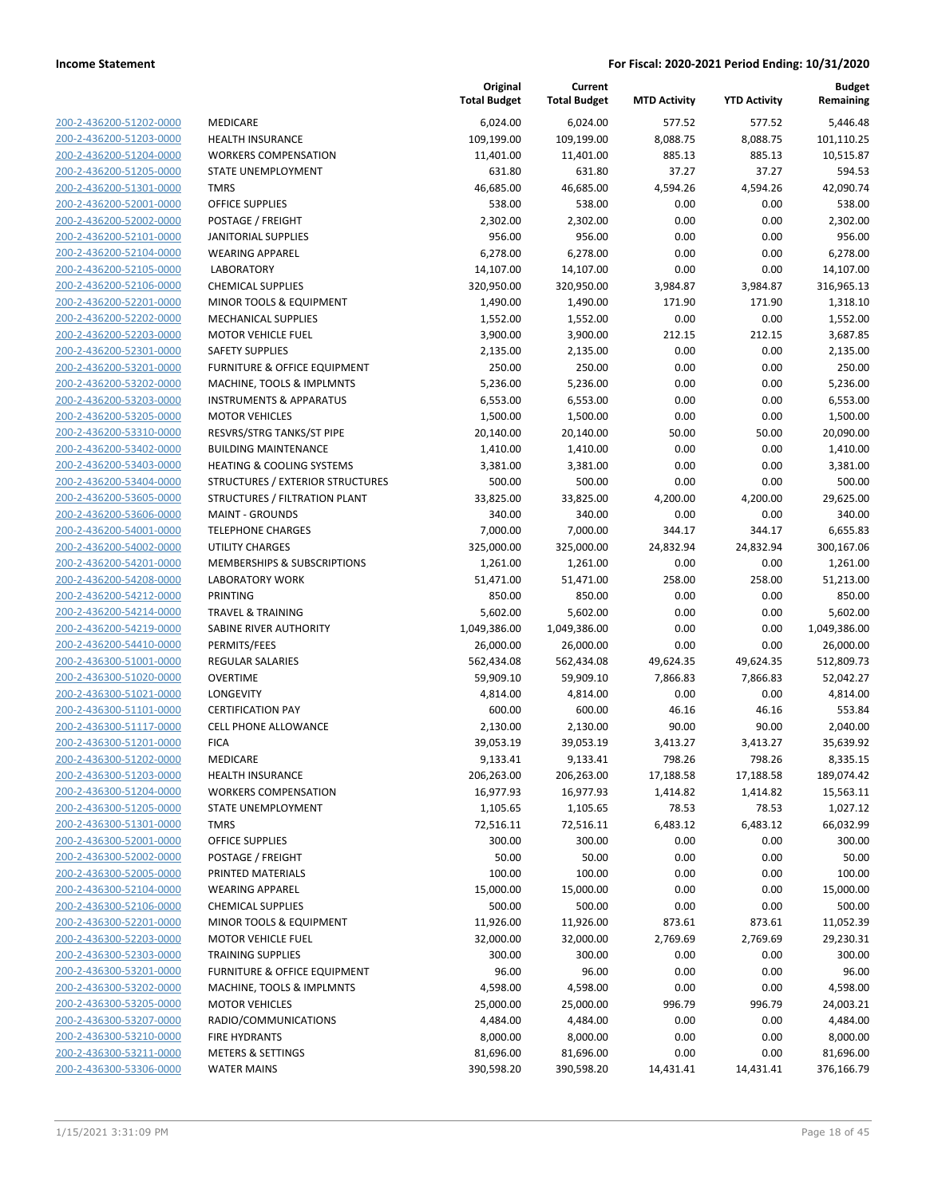|                                                    |                                                             | Original<br><b>Total Budget</b> | Current<br><b>Total Budget</b> | <b>MTD Activity</b> | <b>YTD Activity</b> | <b>Budget</b><br>Remaining |
|----------------------------------------------------|-------------------------------------------------------------|---------------------------------|--------------------------------|---------------------|---------------------|----------------------------|
| 200-2-436200-51202-0000                            | MEDICARE                                                    | 6,024.00                        | 6,024.00                       | 577.52              | 577.52              | 5,446.48                   |
| 200-2-436200-51203-0000                            | <b>HEALTH INSURANCE</b>                                     | 109,199.00                      | 109,199.00                     | 8,088.75            | 8,088.75            | 101,110.25                 |
| 200-2-436200-51204-0000                            | <b>WORKERS COMPENSATION</b>                                 | 11,401.00                       | 11,401.00                      | 885.13              | 885.13              | 10,515.87                  |
| 200-2-436200-51205-0000                            | <b>STATE UNEMPLOYMENT</b>                                   | 631.80                          | 631.80                         | 37.27               | 37.27               | 594.53                     |
| 200-2-436200-51301-0000                            | <b>TMRS</b>                                                 | 46,685.00                       | 46,685.00                      | 4,594.26            | 4,594.26            | 42,090.74                  |
| 200-2-436200-52001-0000                            | <b>OFFICE SUPPLIES</b>                                      | 538.00                          | 538.00                         | 0.00                | 0.00                | 538.00                     |
| 200-2-436200-52002-0000                            | POSTAGE / FREIGHT                                           | 2,302.00                        | 2,302.00                       | 0.00                | 0.00                | 2,302.00                   |
| 200-2-436200-52101-0000                            | <b>JANITORIAL SUPPLIES</b>                                  | 956.00                          | 956.00                         | 0.00                | 0.00                | 956.00                     |
| 200-2-436200-52104-0000                            | <b>WEARING APPAREL</b>                                      | 6,278.00                        | 6,278.00                       | 0.00                | 0.00                | 6,278.00                   |
| 200-2-436200-52105-0000                            | <b>LABORATORY</b>                                           | 14,107.00                       | 14,107.00                      | 0.00                | 0.00                | 14,107.00                  |
| 200-2-436200-52106-0000                            | <b>CHEMICAL SUPPLIES</b>                                    | 320,950.00                      | 320,950.00                     | 3,984.87            | 3,984.87            | 316,965.13                 |
| 200-2-436200-52201-0000                            | MINOR TOOLS & EQUIPMENT                                     | 1,490.00                        | 1,490.00                       | 171.90              | 171.90              | 1,318.10                   |
| 200-2-436200-52202-0000                            | <b>MECHANICAL SUPPLIES</b>                                  | 1,552.00                        | 1,552.00                       | 0.00                | 0.00                | 1,552.00                   |
| 200-2-436200-52203-0000                            | <b>MOTOR VEHICLE FUEL</b>                                   | 3,900.00                        | 3,900.00                       | 212.15              | 212.15              | 3,687.85                   |
| 200-2-436200-52301-0000                            | <b>SAFETY SUPPLIES</b>                                      | 2,135.00                        | 2,135.00                       | 0.00                | 0.00                | 2,135.00                   |
| 200-2-436200-53201-0000                            | <b>FURNITURE &amp; OFFICE EQUIPMENT</b>                     | 250.00                          | 250.00                         | 0.00                | 0.00                | 250.00                     |
| 200-2-436200-53202-0000<br>200-2-436200-53203-0000 | MACHINE, TOOLS & IMPLMNTS                                   | 5,236.00                        | 5,236.00                       | 0.00<br>0.00        | 0.00<br>0.00        | 5,236.00                   |
| 200-2-436200-53205-0000                            | <b>INSTRUMENTS &amp; APPARATUS</b><br><b>MOTOR VEHICLES</b> | 6,553.00<br>1,500.00            | 6,553.00<br>1,500.00           | 0.00                | 0.00                | 6,553.00<br>1,500.00       |
| 200-2-436200-53310-0000                            | RESVRS/STRG TANKS/ST PIPE                                   | 20,140.00                       | 20,140.00                      | 50.00               | 50.00               | 20,090.00                  |
| 200-2-436200-53402-0000                            | <b>BUILDING MAINTENANCE</b>                                 | 1,410.00                        | 1,410.00                       | 0.00                | 0.00                | 1,410.00                   |
| 200-2-436200-53403-0000                            | <b>HEATING &amp; COOLING SYSTEMS</b>                        | 3,381.00                        | 3,381.00                       | 0.00                | 0.00                | 3,381.00                   |
| 200-2-436200-53404-0000                            | STRUCTURES / EXTERIOR STRUCTURES                            | 500.00                          | 500.00                         | 0.00                | 0.00                | 500.00                     |
| 200-2-436200-53605-0000                            | STRUCTURES / FILTRATION PLANT                               | 33,825.00                       | 33,825.00                      | 4,200.00            | 4,200.00            | 29,625.00                  |
| 200-2-436200-53606-0000                            | <b>MAINT - GROUNDS</b>                                      | 340.00                          | 340.00                         | 0.00                | 0.00                | 340.00                     |
| 200-2-436200-54001-0000                            | <b>TELEPHONE CHARGES</b>                                    | 7,000.00                        | 7,000.00                       | 344.17              | 344.17              | 6,655.83                   |
| 200-2-436200-54002-0000                            | <b>UTILITY CHARGES</b>                                      | 325,000.00                      | 325,000.00                     | 24,832.94           | 24,832.94           | 300,167.06                 |
| 200-2-436200-54201-0000                            | MEMBERSHIPS & SUBSCRIPTIONS                                 | 1,261.00                        | 1,261.00                       | 0.00                | 0.00                | 1,261.00                   |
| 200-2-436200-54208-0000                            | <b>LABORATORY WORK</b>                                      | 51,471.00                       | 51,471.00                      | 258.00              | 258.00              | 51,213.00                  |
| 200-2-436200-54212-0000                            | PRINTING                                                    | 850.00                          | 850.00                         | 0.00                | 0.00                | 850.00                     |
| 200-2-436200-54214-0000                            | <b>TRAVEL &amp; TRAINING</b>                                | 5,602.00                        | 5,602.00                       | 0.00                | 0.00                | 5,602.00                   |
| 200-2-436200-54219-0000                            | SABINE RIVER AUTHORITY                                      | 1,049,386.00                    | 1,049,386.00                   | 0.00                | 0.00                | 1,049,386.00               |
| 200-2-436200-54410-0000                            | PERMITS/FEES                                                | 26,000.00                       | 26,000.00                      | 0.00                | 0.00                | 26,000.00                  |
| 200-2-436300-51001-0000                            | <b>REGULAR SALARIES</b>                                     | 562,434.08                      | 562,434.08                     | 49,624.35           | 49,624.35           | 512,809.73                 |
| 200-2-436300-51020-0000                            | <b>OVERTIME</b>                                             | 59,909.10                       | 59,909.10                      | 7,866.83            | 7,866.83            | 52,042.27                  |
| 200-2-436300-51021-0000                            | <b>LONGEVITY</b>                                            | 4,814.00                        | 4,814.00                       | 0.00                | 0.00                | 4,814.00                   |
| 200-2-436300-51101-0000                            | <b>CERTIFICATION PAY</b>                                    | 600.00                          | 600.00                         | 46.16               | 46.16               | 553.84                     |
| 200-2-436300-51117-0000                            | <b>CELL PHONE ALLOWANCE</b>                                 | 2,130.00                        | 2,130.00                       | 90.00               | 90.00               | 2,040.00                   |
| 200-2-436300-51201-0000                            | <b>FICA</b>                                                 | 39,053.19                       | 39,053.19                      | 3,413.27            | 3,413.27            | 35,639.92                  |
| 200-2-436300-51202-0000                            | <b>MEDICARE</b>                                             | 9,133.41                        | 9,133.41                       | 798.26              | 798.26              | 8,335.15                   |
| 200-2-436300-51203-0000                            | <b>HEALTH INSURANCE</b>                                     | 206,263.00                      | 206,263.00                     | 17,188.58           | 17,188.58           | 189,074.42                 |
| 200-2-436300-51204-0000                            | <b>WORKERS COMPENSATION</b>                                 | 16,977.93                       | 16,977.93                      | 1,414.82            | 1,414.82            | 15,563.11                  |
| 200-2-436300-51205-0000                            | STATE UNEMPLOYMENT                                          | 1,105.65                        | 1,105.65                       | 78.53               | 78.53               | 1,027.12                   |
| 200-2-436300-51301-0000                            | <b>TMRS</b>                                                 | 72,516.11                       | 72,516.11                      | 6,483.12            | 6,483.12            | 66,032.99                  |
| 200-2-436300-52001-0000                            | <b>OFFICE SUPPLIES</b>                                      | 300.00                          | 300.00                         | 0.00                | 0.00                | 300.00                     |
| 200-2-436300-52002-0000                            | POSTAGE / FREIGHT                                           | 50.00                           | 50.00                          | 0.00                | 0.00                | 50.00                      |
| 200-2-436300-52005-0000                            | PRINTED MATERIALS                                           | 100.00                          | 100.00                         | 0.00                | 0.00                | 100.00                     |
| 200-2-436300-52104-0000<br>200-2-436300-52106-0000 | <b>WEARING APPAREL</b>                                      | 15,000.00                       | 15,000.00                      | 0.00                | 0.00                | 15,000.00                  |
| 200-2-436300-52201-0000                            | <b>CHEMICAL SUPPLIES</b><br>MINOR TOOLS & EQUIPMENT         | 500.00<br>11,926.00             | 500.00                         | 0.00<br>873.61      | 0.00<br>873.61      | 500.00<br>11,052.39        |
| 200-2-436300-52203-0000                            | <b>MOTOR VEHICLE FUEL</b>                                   | 32,000.00                       | 11,926.00<br>32,000.00         | 2,769.69            | 2,769.69            | 29,230.31                  |
| 200-2-436300-52303-0000                            | <b>TRAINING SUPPLIES</b>                                    | 300.00                          | 300.00                         | 0.00                | 0.00                | 300.00                     |
| 200-2-436300-53201-0000                            | <b>FURNITURE &amp; OFFICE EQUIPMENT</b>                     | 96.00                           | 96.00                          | 0.00                | 0.00                | 96.00                      |
| 200-2-436300-53202-0000                            | MACHINE, TOOLS & IMPLMNTS                                   | 4,598.00                        | 4,598.00                       | 0.00                | 0.00                | 4,598.00                   |
| 200-2-436300-53205-0000                            | <b>MOTOR VEHICLES</b>                                       | 25,000.00                       | 25,000.00                      | 996.79              | 996.79              | 24,003.21                  |
| 200-2-436300-53207-0000                            | RADIO/COMMUNICATIONS                                        | 4,484.00                        | 4,484.00                       | 0.00                | 0.00                | 4,484.00                   |
| 200-2-436300-53210-0000                            | <b>FIRE HYDRANTS</b>                                        | 8,000.00                        | 8,000.00                       | 0.00                | 0.00                | 8,000.00                   |
| 200-2-436300-53211-0000                            | <b>METERS &amp; SETTINGS</b>                                | 81,696.00                       | 81,696.00                      | 0.00                | 0.00                | 81,696.00                  |
| 200-2-436300-53306-0000                            | <b>WATER MAINS</b>                                          | 390,598.20                      | 390,598.20                     | 14,431.41           | 14,431.41           | 376,166.79                 |
|                                                    |                                                             |                                 |                                |                     |                     |                            |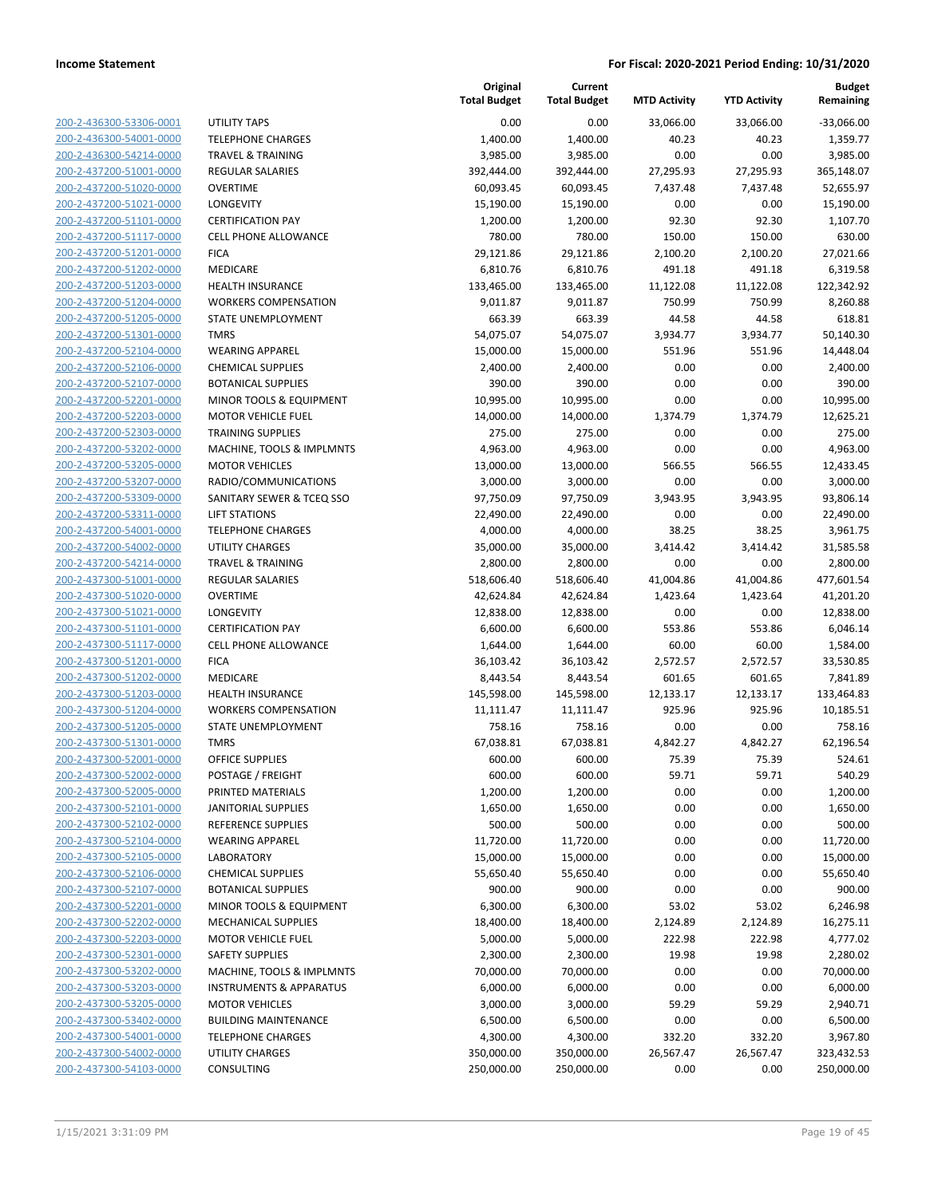**Current**

**Original**

**Budget**

| 200-2-436300-53306-0001                                   |
|-----------------------------------------------------------|
| 200-2-436300-54001-0000                                   |
| 200-2-436300-54214-0000                                   |
| 200-2-437200-51001-0000                                   |
| 200-2-437200-51020-0000                                   |
| 200-2-437200-51021-0000                                   |
|                                                           |
| 200-2-437200-51101-0000                                   |
| 200-2-437200-51117-0000                                   |
| 200-2-437200-51201-0000                                   |
| 2-437200-51202-0000<br>$200 -$                            |
| 200-2-437200-51203-0000                                   |
| 200-2-437200-51204-0000                                   |
| 200-2-437200-51205-0000                                   |
| 200-2-437200-51301-0000                                   |
| 200-2-437200-52104-0000                                   |
| 200-2-437200-52106-0000                                   |
|                                                           |
| 200-2-437200-52107-0000                                   |
| 200-2-437200-52201-0000                                   |
| 200-2-437200-52203-0000                                   |
| 2-437200-52303-0000<br>200-                               |
| 200-2-437200-53202-0000                                   |
| 200-2-437200-53205-0000                                   |
| 200-2-437200-53207-0000                                   |
| 200-2-437200-53309-0000                                   |
| 200-2-437200-53311-0000                                   |
| 200-2-437200-54001-0000                                   |
| 200-2-437200-54002-0000                                   |
| 200-2-437200-54214-0000                                   |
| 200-2-437300-51001-0000                                   |
| 2-437300-51020-0000<br>200-                               |
|                                                           |
| 200-2-437300-51021-0000                                   |
| 200-2-437300-51101-0000                                   |
| 200-2-437300-51117-0000                                   |
| 200-2-437300-51201-0000                                   |
| 200-2-437300-51202-0000                                   |
| 200-2-437300-51203-0000                                   |
| 200-2-437300-51204-0000                                   |
| 200-2-437300-51205-0000                                   |
| 200-2-437300-51301-0000                                   |
| 2-437300-52001-0000<br>200-                               |
| 200-2-437300-52002-0000                                   |
| 200-2-437300-52005-0000                                   |
| 200-2-437300-52101-0000                                   |
|                                                           |
| <u>200-2-437300-52102-0000</u>                            |
| 200-2-437300-52104-0000                                   |
| 200-2-437300-52105-0000                                   |
| 200-2-437300-52106-0000                                   |
| <u>200-2-437300-52107-0000</u>                            |
| 200-2-437300-52201-0000                                   |
| 200-2-437300-52202-0000                                   |
| 200-2-437300-52203-0000                                   |
|                                                           |
| 200-2-437300-52301-0000                                   |
|                                                           |
| 200-2-437300-53202-0000                                   |
| 200-2-437300-53203-0000                                   |
| 200-2-437300-53205-0000                                   |
| 200-2-437300-53402-0000                                   |
| 200-2-437300-54001-0000                                   |
| <u>200-2-437300-54002-0000</u><br>200-2-437300-54103-0000 |

|                         |                                    | <b>Total Budget</b> | <b>Total Budget</b> | <b>MTD Activity</b> | <b>YTD Activity</b> | Remaining    |
|-------------------------|------------------------------------|---------------------|---------------------|---------------------|---------------------|--------------|
| 200-2-436300-53306-0001 | UTILITY TAPS                       | 0.00                | 0.00                | 33,066.00           | 33,066.00           | $-33,066.00$ |
| 200-2-436300-54001-0000 | <b>TELEPHONE CHARGES</b>           | 1,400.00            | 1,400.00            | 40.23               | 40.23               | 1,359.77     |
| 200-2-436300-54214-0000 | <b>TRAVEL &amp; TRAINING</b>       | 3,985.00            | 3,985.00            | 0.00                | 0.00                | 3,985.00     |
| 200-2-437200-51001-0000 | <b>REGULAR SALARIES</b>            | 392,444.00          | 392,444.00          | 27,295.93           | 27,295.93           | 365,148.07   |
| 200-2-437200-51020-0000 | <b>OVERTIME</b>                    | 60,093.45           | 60,093.45           | 7,437.48            | 7,437.48            | 52,655.97    |
| 200-2-437200-51021-0000 | LONGEVITY                          | 15,190.00           | 15,190.00           | 0.00                | 0.00                | 15,190.00    |
| 200-2-437200-51101-0000 | <b>CERTIFICATION PAY</b>           | 1,200.00            | 1,200.00            | 92.30               | 92.30               | 1,107.70     |
| 200-2-437200-51117-0000 | <b>CELL PHONE ALLOWANCE</b>        | 780.00              | 780.00              | 150.00              | 150.00              | 630.00       |
| 200-2-437200-51201-0000 | <b>FICA</b>                        | 29,121.86           | 29,121.86           | 2,100.20            | 2,100.20            | 27,021.66    |
| 200-2-437200-51202-0000 | MEDICARE                           | 6,810.76            | 6,810.76            | 491.18              | 491.18              | 6,319.58     |
| 200-2-437200-51203-0000 | HEALTH INSURANCE                   | 133,465.00          | 133,465.00          | 11,122.08           | 11,122.08           | 122,342.92   |
| 200-2-437200-51204-0000 | <b>WORKERS COMPENSATION</b>        | 9,011.87            | 9,011.87            | 750.99              | 750.99              | 8,260.88     |
| 200-2-437200-51205-0000 | STATE UNEMPLOYMENT                 | 663.39              | 663.39              | 44.58               | 44.58               | 618.81       |
| 200-2-437200-51301-0000 | <b>TMRS</b>                        | 54,075.07           | 54,075.07           | 3,934.77            | 3,934.77            | 50,140.30    |
| 200-2-437200-52104-0000 | <b>WEARING APPAREL</b>             | 15,000.00           | 15,000.00           | 551.96              | 551.96              | 14,448.04    |
| 200-2-437200-52106-0000 | <b>CHEMICAL SUPPLIES</b>           | 2,400.00            | 2,400.00            | 0.00                | 0.00                | 2,400.00     |
| 200-2-437200-52107-0000 | <b>BOTANICAL SUPPLIES</b>          | 390.00              | 390.00              | 0.00                | 0.00                | 390.00       |
| 200-2-437200-52201-0000 | MINOR TOOLS & EQUIPMENT            | 10,995.00           | 10,995.00           | 0.00                | 0.00                | 10,995.00    |
| 200-2-437200-52203-0000 | <b>MOTOR VEHICLE FUEL</b>          | 14,000.00           | 14,000.00           | 1,374.79            | 1,374.79            | 12,625.21    |
| 200-2-437200-52303-0000 | <b>TRAINING SUPPLIES</b>           | 275.00              | 275.00              | 0.00                | 0.00                | 275.00       |
| 200-2-437200-53202-0000 | MACHINE, TOOLS & IMPLMNTS          | 4,963.00            | 4,963.00            | 0.00                | 0.00                | 4,963.00     |
| 200-2-437200-53205-0000 | <b>MOTOR VEHICLES</b>              | 13,000.00           | 13,000.00           | 566.55              | 566.55              | 12,433.45    |
| 200-2-437200-53207-0000 | RADIO/COMMUNICATIONS               | 3,000.00            | 3,000.00            | 0.00                | 0.00                | 3,000.00     |
| 200-2-437200-53309-0000 | SANITARY SEWER & TCEQ SSO          | 97,750.09           | 97,750.09           | 3,943.95            | 3,943.95            | 93,806.14    |
| 200-2-437200-53311-0000 | <b>LIFT STATIONS</b>               | 22,490.00           | 22,490.00           | 0.00                | 0.00                | 22,490.00    |
| 200-2-437200-54001-0000 | <b>TELEPHONE CHARGES</b>           | 4,000.00            | 4,000.00            | 38.25               | 38.25               | 3,961.75     |
| 200-2-437200-54002-0000 | <b>UTILITY CHARGES</b>             | 35,000.00           | 35,000.00           | 3,414.42            | 3,414.42            | 31,585.58    |
| 200-2-437200-54214-0000 | <b>TRAVEL &amp; TRAINING</b>       | 2,800.00            | 2,800.00            | 0.00                | 0.00                | 2,800.00     |
| 200-2-437300-51001-0000 | REGULAR SALARIES                   | 518,606.40          | 518,606.40          | 41,004.86           | 41,004.86           | 477,601.54   |
| 200-2-437300-51020-0000 | <b>OVERTIME</b>                    | 42,624.84           | 42,624.84           | 1,423.64            | 1,423.64            | 41,201.20    |
| 200-2-437300-51021-0000 | LONGEVITY                          | 12,838.00           | 12,838.00           | 0.00                | 0.00                | 12,838.00    |
| 200-2-437300-51101-0000 | <b>CERTIFICATION PAY</b>           | 6,600.00            | 6,600.00            | 553.86              | 553.86              | 6,046.14     |
| 200-2-437300-51117-0000 | <b>CELL PHONE ALLOWANCE</b>        | 1,644.00            | 1,644.00            | 60.00               | 60.00               | 1,584.00     |
| 200-2-437300-51201-0000 | <b>FICA</b>                        | 36,103.42           | 36,103.42           | 2,572.57            | 2,572.57            | 33,530.85    |
| 200-2-437300-51202-0000 | MEDICARE                           | 8,443.54            | 8,443.54            | 601.65              | 601.65              | 7,841.89     |
| 200-2-437300-51203-0000 | <b>HEALTH INSURANCE</b>            | 145,598.00          | 145,598.00          | 12,133.17           | 12,133.17           | 133,464.83   |
| 200-2-437300-51204-0000 | <b>WORKERS COMPENSATION</b>        | 11,111.47           | 11,111.47           | 925.96              | 925.96              | 10,185.51    |
| 200-2-437300-51205-0000 | STATE UNEMPLOYMENT                 | 758.16              | 758.16              | 0.00                | 0.00                | 758.16       |
| 200-2-437300-51301-0000 | <b>TMRS</b>                        | 67,038.81           | 67,038.81           | 4,842.27            | 4,842.27            | 62,196.54    |
| 200-2-437300-52001-0000 | <b>OFFICE SUPPLIES</b>             | 600.00              | 600.00              | 75.39               | 75.39               | 524.61       |
| 200-2-437300-52002-0000 | POSTAGE / FREIGHT                  | 600.00              | 600.00              | 59.71               | 59.71               | 540.29       |
| 200-2-437300-52005-0000 | PRINTED MATERIALS                  | 1,200.00            | 1,200.00            | 0.00                | 0.00                | 1,200.00     |
| 200-2-437300-52101-0000 | <b>JANITORIAL SUPPLIES</b>         | 1,650.00            | 1,650.00            | 0.00                | 0.00                | 1,650.00     |
| 200-2-437300-52102-0000 | REFERENCE SUPPLIES                 | 500.00              | 500.00              | 0.00                | 0.00                | 500.00       |
| 200-2-437300-52104-0000 | <b>WEARING APPAREL</b>             | 11,720.00           | 11,720.00           | 0.00                | 0.00                | 11,720.00    |
| 200-2-437300-52105-0000 | LABORATORY                         | 15,000.00           | 15,000.00           | 0.00                | 0.00                | 15,000.00    |
| 200-2-437300-52106-0000 | <b>CHEMICAL SUPPLIES</b>           | 55,650.40           | 55,650.40           | 0.00                | 0.00                | 55,650.40    |
| 200-2-437300-52107-0000 | <b>BOTANICAL SUPPLIES</b>          | 900.00              | 900.00              | 0.00                | 0.00                | 900.00       |
| 200-2-437300-52201-0000 | MINOR TOOLS & EQUIPMENT            | 6,300.00            | 6,300.00            | 53.02               | 53.02               | 6,246.98     |
| 200-2-437300-52202-0000 | <b>MECHANICAL SUPPLIES</b>         | 18,400.00           | 18,400.00           | 2,124.89            | 2,124.89            | 16,275.11    |
| 200-2-437300-52203-0000 | <b>MOTOR VEHICLE FUEL</b>          | 5,000.00            | 5,000.00            | 222.98              | 222.98              | 4,777.02     |
| 200-2-437300-52301-0000 | <b>SAFETY SUPPLIES</b>             | 2,300.00            | 2,300.00            | 19.98               | 19.98               | 2,280.02     |
| 200-2-437300-53202-0000 | MACHINE, TOOLS & IMPLMNTS          | 70,000.00           | 70,000.00           | 0.00                | 0.00                | 70,000.00    |
| 200-2-437300-53203-0000 | <b>INSTRUMENTS &amp; APPARATUS</b> | 6,000.00            | 6,000.00            | 0.00                | 0.00                | 6,000.00     |
| 200-2-437300-53205-0000 | <b>MOTOR VEHICLES</b>              | 3,000.00            | 3,000.00            | 59.29               | 59.29               | 2,940.71     |
| 200-2-437300-53402-0000 | <b>BUILDING MAINTENANCE</b>        | 6,500.00            | 6,500.00            | 0.00                | 0.00                | 6,500.00     |
| 200-2-437300-54001-0000 | <b>TELEPHONE CHARGES</b>           | 4,300.00            | 4,300.00            | 332.20              | 332.20              | 3,967.80     |
| 200-2-437300-54002-0000 | <b>UTILITY CHARGES</b>             | 350,000.00          | 350,000.00          | 26,567.47           | 26,567.47           | 323,432.53   |
| 200-2-437300-54103-0000 | CONSULTING                         | 250,000.00          | 250,000.00          | 0.00                | 0.00                | 250,000.00   |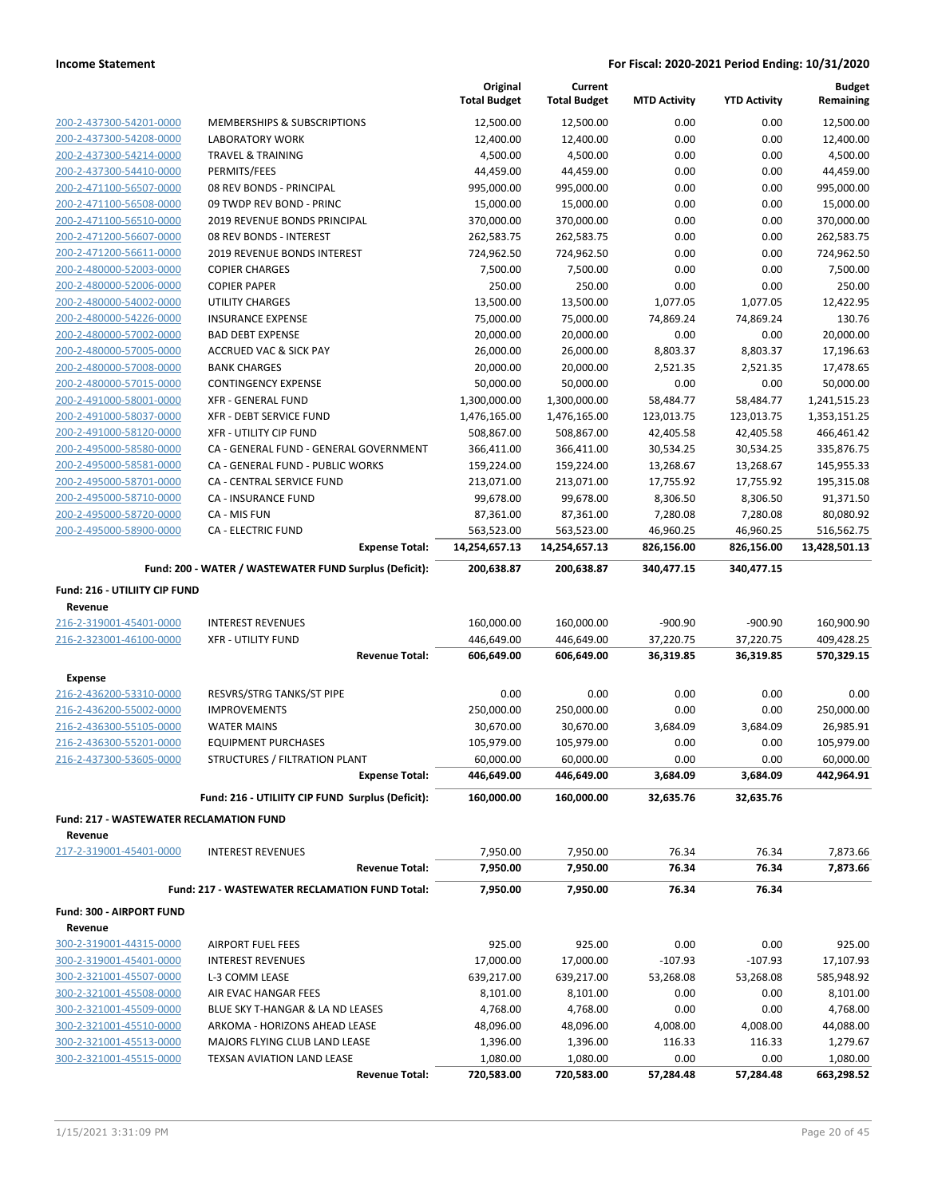|                                                    |                                                          | Original<br><b>Total Budget</b> | Current<br><b>Total Budget</b> | <b>MTD Activity</b>     | <b>YTD Activity</b>     | <b>Budget</b><br>Remaining |
|----------------------------------------------------|----------------------------------------------------------|---------------------------------|--------------------------------|-------------------------|-------------------------|----------------------------|
| 200-2-437300-54201-0000                            | <b>MEMBERSHIPS &amp; SUBSCRIPTIONS</b>                   | 12,500.00                       | 12,500.00                      | 0.00                    | 0.00                    | 12,500.00                  |
| 200-2-437300-54208-0000                            | <b>LABORATORY WORK</b>                                   | 12,400.00                       | 12,400.00                      | 0.00                    | 0.00                    | 12,400.00                  |
| 200-2-437300-54214-0000                            | <b>TRAVEL &amp; TRAINING</b>                             | 4,500.00                        | 4,500.00                       | 0.00                    | 0.00                    | 4,500.00                   |
| 200-2-437300-54410-0000                            | PERMITS/FEES                                             | 44,459.00                       | 44,459.00                      | 0.00                    | 0.00                    | 44,459.00                  |
| 200-2-471100-56507-0000                            | 08 REV BONDS - PRINCIPAL                                 | 995,000.00                      | 995,000.00                     | 0.00                    | 0.00                    | 995,000.00                 |
| 200-2-471100-56508-0000                            | 09 TWDP REV BOND - PRINC                                 | 15,000.00                       | 15,000.00                      | 0.00                    | 0.00                    | 15,000.00                  |
| 200-2-471100-56510-0000                            | 2019 REVENUE BONDS PRINCIPAL                             | 370,000.00                      | 370,000.00                     | 0.00                    | 0.00                    | 370,000.00                 |
| 200-2-471200-56607-0000                            | 08 REV BONDS - INTEREST                                  | 262,583.75                      | 262,583.75                     | 0.00                    | 0.00                    | 262,583.75                 |
| 200-2-471200-56611-0000                            | 2019 REVENUE BONDS INTEREST                              | 724,962.50                      | 724,962.50                     | 0.00                    | 0.00                    | 724,962.50                 |
| 200-2-480000-52003-0000                            | <b>COPIER CHARGES</b>                                    | 7,500.00                        | 7,500.00                       | 0.00                    | 0.00                    | 7,500.00                   |
| 200-2-480000-52006-0000                            | <b>COPIER PAPER</b>                                      | 250.00                          | 250.00                         | 0.00                    | 0.00                    | 250.00                     |
| 200-2-480000-54002-0000                            | <b>UTILITY CHARGES</b>                                   | 13,500.00                       | 13,500.00                      | 1,077.05                | 1,077.05                | 12,422.95                  |
| 200-2-480000-54226-0000                            | <b>INSURANCE EXPENSE</b>                                 | 75,000.00                       | 75,000.00                      | 74,869.24               | 74,869.24               | 130.76                     |
| 200-2-480000-57002-0000                            | <b>BAD DEBT EXPENSE</b>                                  | 20,000.00                       | 20,000.00                      | 0.00                    | 0.00                    | 20,000.00                  |
| 200-2-480000-57005-0000                            | <b>ACCRUED VAC &amp; SICK PAY</b>                        | 26,000.00                       | 26,000.00                      | 8,803.37                | 8,803.37                | 17,196.63                  |
| 200-2-480000-57008-0000                            | <b>BANK CHARGES</b>                                      | 20,000.00                       | 20,000.00                      | 2,521.35                | 2,521.35                | 17,478.65                  |
| 200-2-480000-57015-0000                            | <b>CONTINGENCY EXPENSE</b>                               | 50,000.00                       | 50,000.00                      | 0.00                    | 0.00                    | 50,000.00                  |
| 200-2-491000-58001-0000                            | <b>XFR - GENERAL FUND</b>                                | 1,300,000.00                    | 1,300,000.00                   | 58,484.77               | 58,484.77               | 1,241,515.23               |
| 200-2-491000-58037-0000<br>200-2-491000-58120-0000 | XFR - DEBT SERVICE FUND<br><b>XFR - UTILITY CIP FUND</b> | 1,476,165.00<br>508,867.00      | 1,476,165.00<br>508,867.00     | 123,013.75<br>42,405.58 | 123,013.75<br>42,405.58 | 1,353,151.25<br>466,461.42 |
| 200-2-495000-58580-0000                            | CA - GENERAL FUND - GENERAL GOVERNMENT                   | 366,411.00                      | 366,411.00                     | 30,534.25               | 30,534.25               | 335,876.75                 |
| 200-2-495000-58581-0000                            | CA - GENERAL FUND - PUBLIC WORKS                         | 159,224.00                      | 159,224.00                     | 13,268.67               | 13,268.67               | 145,955.33                 |
| 200-2-495000-58701-0000                            | <b>CA - CENTRAL SERVICE FUND</b>                         | 213,071.00                      | 213,071.00                     | 17,755.92               | 17,755.92               | 195,315.08                 |
| 200-2-495000-58710-0000                            | CA - INSURANCE FUND                                      | 99,678.00                       | 99,678.00                      | 8,306.50                | 8,306.50                | 91,371.50                  |
| 200-2-495000-58720-0000                            | CA - MIS FUN                                             | 87,361.00                       | 87,361.00                      | 7,280.08                | 7,280.08                | 80,080.92                  |
| 200-2-495000-58900-0000                            | <b>CA - ELECTRIC FUND</b>                                | 563,523.00                      | 563,523.00                     | 46,960.25               | 46,960.25               | 516,562.75                 |
|                                                    | <b>Expense Total:</b>                                    | 14,254,657.13                   | 14,254,657.13                  | 826,156.00              | 826,156.00              | 13,428,501.13              |
|                                                    |                                                          |                                 |                                |                         |                         |                            |
|                                                    | Fund: 200 - WATER / WASTEWATER FUND Surplus (Deficit):   | 200,638.87                      | 200,638.87                     | 340,477.15              | 340,477.15              |                            |
| Fund: 216 - UTILIITY CIP FUND                      |                                                          |                                 |                                |                         |                         |                            |
| Revenue                                            |                                                          |                                 |                                |                         |                         |                            |
| 216-2-319001-45401-0000                            | <b>INTEREST REVENUES</b>                                 | 160,000.00                      | 160,000.00                     | $-900.90$               | $-900.90$               | 160,900.90                 |
| 216-2-323001-46100-0000                            | <b>XFR - UTILITY FUND</b>                                | 446,649.00                      | 446,649.00                     | 37,220.75               | 37,220.75               | 409,428.25                 |
|                                                    | <b>Revenue Total:</b>                                    | 606,649.00                      | 606,649.00                     | 36,319.85               | 36,319.85               | 570,329.15                 |
| <b>Expense</b>                                     |                                                          |                                 |                                |                         |                         |                            |
| 216-2-436200-53310-0000                            | RESVRS/STRG TANKS/ST PIPE                                | 0.00                            | 0.00                           | 0.00                    | 0.00                    | 0.00                       |
| 216-2-436200-55002-0000                            | <b>IMPROVEMENTS</b>                                      | 250,000.00                      | 250,000.00                     | 0.00                    | 0.00                    | 250,000.00                 |
| 216-2-436300-55105-0000                            | <b>WATER MAINS</b>                                       | 30,670.00                       | 30,670.00                      | 3,684.09                | 3,684.09                | 26,985.91                  |
| 216-2-436300-55201-0000                            | <b>EQUIPMENT PURCHASES</b>                               | 105,979.00                      | 105,979.00                     | 0.00                    | 0.00                    | 105,979.00                 |
| 216-2-437300-53605-0000                            | STRUCTURES / FILTRATION PLANT                            | 60,000.00                       | 60,000.00                      | 0.00                    | 0.00                    | 60,000.00                  |
|                                                    | <b>Expense Total:</b>                                    | 446,649.00                      | 446,649.00                     | 3,684.09                | 3,684.09                | 442,964.91                 |
|                                                    | Fund: 216 - UTILIITY CIP FUND Surplus (Deficit):         | 160,000.00                      | 160,000.00                     | 32,635.76               | 32,635.76               |                            |
| <b>Fund: 217 - WASTEWATER RECLAMATION FUND</b>     |                                                          |                                 |                                |                         |                         |                            |
| Revenue                                            |                                                          |                                 |                                |                         |                         |                            |
| 217-2-319001-45401-0000                            | <b>INTEREST REVENUES</b>                                 | 7,950.00                        | 7,950.00                       | 76.34                   | 76.34                   | 7,873.66                   |
|                                                    | <b>Revenue Total:</b>                                    | 7,950.00                        | 7,950.00                       | 76.34                   | 76.34                   | 7,873.66                   |
|                                                    | Fund: 217 - WASTEWATER RECLAMATION FUND Total:           | 7,950.00                        | 7,950.00                       | 76.34                   | 76.34                   |                            |
|                                                    |                                                          |                                 |                                |                         |                         |                            |
| Fund: 300 - AIRPORT FUND                           |                                                          |                                 |                                |                         |                         |                            |
| Revenue                                            |                                                          |                                 |                                |                         |                         |                            |
| 300-2-319001-44315-0000                            | <b>AIRPORT FUEL FEES</b>                                 | 925.00                          | 925.00                         | 0.00                    | 0.00                    | 925.00                     |
| 300-2-319001-45401-0000                            | <b>INTEREST REVENUES</b>                                 | 17,000.00                       | 17,000.00                      | $-107.93$               | $-107.93$               | 17,107.93                  |
| 300-2-321001-45507-0000                            | L-3 COMM LEASE                                           | 639,217.00                      | 639,217.00                     | 53,268.08               | 53,268.08               | 585,948.92                 |
| 300-2-321001-45508-0000                            | AIR EVAC HANGAR FEES                                     | 8,101.00                        | 8,101.00                       | 0.00                    | 0.00                    | 8,101.00                   |
| 300-2-321001-45509-0000                            | BLUE SKY T-HANGAR & LA ND LEASES                         | 4,768.00                        | 4,768.00                       | 0.00                    | 0.00                    | 4,768.00                   |
| 300-2-321001-45510-0000                            | ARKOMA - HORIZONS AHEAD LEASE                            | 48,096.00                       | 48,096.00                      | 4,008.00                | 4,008.00                | 44,088.00                  |
| 300-2-321001-45513-0000                            | MAJORS FLYING CLUB LAND LEASE                            | 1,396.00                        | 1,396.00                       | 116.33                  | 116.33                  | 1,279.67                   |
| 300-2-321001-45515-0000                            | TEXSAN AVIATION LAND LEASE                               | 1,080.00                        | 1,080.00                       | 0.00                    | 0.00                    | 1,080.00                   |
|                                                    | <b>Revenue Total:</b>                                    | 720,583.00                      | 720,583.00                     | 57,284.48               | 57,284.48               | 663,298.52                 |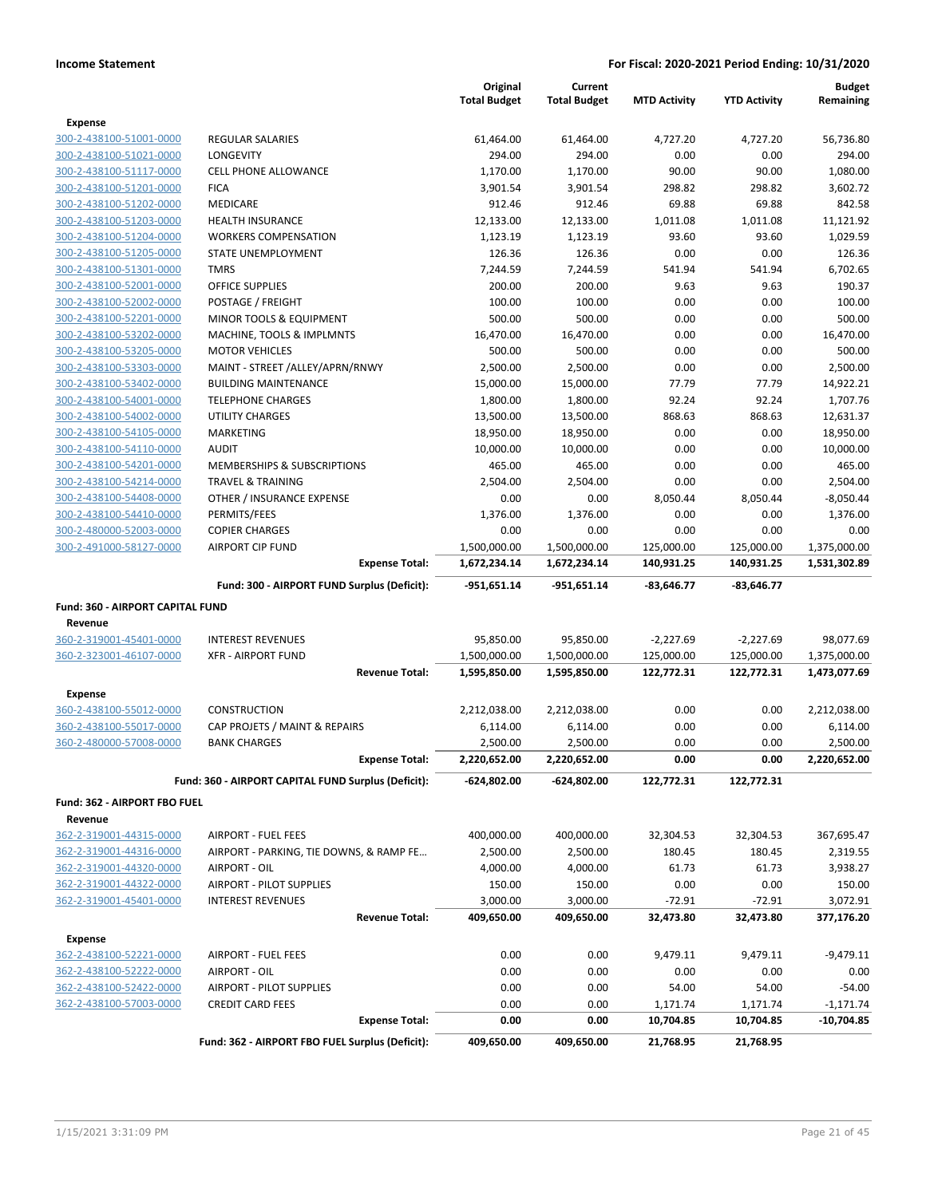|                                                    |                                                     | Original<br><b>Total Budget</b> | Current<br><b>Total Budget</b> | <b>MTD Activity</b> | <b>YTD Activity</b> | <b>Budget</b><br>Remaining |
|----------------------------------------------------|-----------------------------------------------------|---------------------------------|--------------------------------|---------------------|---------------------|----------------------------|
|                                                    |                                                     |                                 |                                |                     |                     |                            |
| Expense                                            |                                                     |                                 |                                |                     |                     |                            |
| 300-2-438100-51001-0000                            | <b>REGULAR SALARIES</b>                             | 61,464.00                       | 61,464.00                      | 4,727.20            | 4,727.20            | 56,736.80                  |
| 300-2-438100-51021-0000                            | <b>LONGEVITY</b><br><b>CELL PHONE ALLOWANCE</b>     | 294.00                          | 294.00                         | 0.00                | 0.00                | 294.00                     |
| 300-2-438100-51117-0000                            | <b>FICA</b>                                         | 1,170.00<br>3,901.54            | 1,170.00<br>3,901.54           | 90.00<br>298.82     | 90.00<br>298.82     | 1,080.00<br>3,602.72       |
| 300-2-438100-51201-0000                            |                                                     |                                 |                                |                     |                     |                            |
| 300-2-438100-51202-0000                            | <b>MEDICARE</b>                                     | 912.46                          | 912.46                         | 69.88               | 69.88               | 842.58                     |
| 300-2-438100-51203-0000                            | <b>HEALTH INSURANCE</b>                             | 12,133.00                       | 12,133.00<br>1,123.19          | 1,011.08            | 1,011.08            | 11,121.92                  |
| 300-2-438100-51204-0000<br>300-2-438100-51205-0000 | <b>WORKERS COMPENSATION</b>                         | 1,123.19                        |                                | 93.60<br>0.00       | 93.60               | 1,029.59                   |
| 300-2-438100-51301-0000                            | STATE UNEMPLOYMENT<br><b>TMRS</b>                   | 126.36<br>7,244.59              | 126.36<br>7,244.59             | 541.94              | 0.00<br>541.94      | 126.36<br>6,702.65         |
|                                                    | <b>OFFICE SUPPLIES</b>                              |                                 |                                | 9.63                | 9.63                | 190.37                     |
| 300-2-438100-52001-0000                            |                                                     | 200.00<br>100.00                | 200.00<br>100.00               | 0.00                | 0.00                | 100.00                     |
| 300-2-438100-52002-0000                            | POSTAGE / FREIGHT                                   |                                 |                                |                     |                     |                            |
| 300-2-438100-52201-0000                            | MINOR TOOLS & EQUIPMENT                             | 500.00                          | 500.00                         | 0.00                | 0.00                | 500.00                     |
| 300-2-438100-53202-0000                            | MACHINE, TOOLS & IMPLMNTS                           | 16,470.00                       | 16,470.00                      | 0.00                | 0.00                | 16,470.00                  |
| 300-2-438100-53205-0000                            | <b>MOTOR VEHICLES</b>                               | 500.00                          | 500.00                         | 0.00                | 0.00                | 500.00                     |
| 300-2-438100-53303-0000                            | MAINT - STREET /ALLEY/APRN/RNWY                     | 2,500.00                        | 2,500.00                       | 0.00                | 0.00                | 2,500.00                   |
| 300-2-438100-53402-0000                            | <b>BUILDING MAINTENANCE</b>                         | 15,000.00                       | 15,000.00                      | 77.79               | 77.79               | 14,922.21                  |
| 300-2-438100-54001-0000                            | <b>TELEPHONE CHARGES</b>                            | 1,800.00                        | 1,800.00                       | 92.24               | 92.24               | 1,707.76                   |
| 300-2-438100-54002-0000                            | <b>UTILITY CHARGES</b>                              | 13,500.00                       | 13,500.00                      | 868.63              | 868.63              | 12,631.37                  |
| 300-2-438100-54105-0000                            | MARKETING                                           | 18,950.00                       | 18,950.00                      | 0.00                | 0.00                | 18,950.00                  |
| 300-2-438100-54110-0000                            | <b>AUDIT</b>                                        | 10,000.00                       | 10,000.00                      | 0.00                | 0.00                | 10,000.00                  |
| 300-2-438100-54201-0000                            | MEMBERSHIPS & SUBSCRIPTIONS                         | 465.00                          | 465.00                         | 0.00                | 0.00                | 465.00                     |
| 300-2-438100-54214-0000                            | <b>TRAVEL &amp; TRAINING</b>                        | 2,504.00                        | 2,504.00                       | 0.00                | 0.00                | 2,504.00                   |
| 300-2-438100-54408-0000                            | OTHER / INSURANCE EXPENSE                           | 0.00                            | 0.00                           | 8,050.44            | 8,050.44            | $-8,050.44$                |
| 300-2-438100-54410-0000                            | PERMITS/FEES                                        | 1,376.00                        | 1,376.00                       | 0.00                | 0.00                | 1,376.00                   |
| 300-2-480000-52003-0000                            | <b>COPIER CHARGES</b>                               | 0.00                            | 0.00                           | 0.00                | 0.00                | 0.00                       |
| 300-2-491000-58127-0000                            | <b>AIRPORT CIP FUND</b>                             | 1,500,000.00                    | 1,500,000.00                   | 125,000.00          | 125,000.00          | 1,375,000.00               |
|                                                    | <b>Expense Total:</b>                               | 1,672,234.14                    | 1,672,234.14                   | 140,931.25          | 140,931.25          | 1,531,302.89               |
|                                                    | Fund: 300 - AIRPORT FUND Surplus (Deficit):         | -951,651.14                     | -951,651.14                    | -83,646.77          | $-83,646.77$        |                            |
| Fund: 360 - AIRPORT CAPITAL FUND                   |                                                     |                                 |                                |                     |                     |                            |
| Revenue                                            |                                                     |                                 |                                |                     |                     |                            |
| 360-2-319001-45401-0000                            | <b>INTEREST REVENUES</b>                            | 95,850.00                       | 95,850.00                      | $-2,227.69$         | $-2,227.69$         | 98,077.69                  |
| 360-2-323001-46107-0000                            | <b>XFR - AIRPORT FUND</b>                           | 1,500,000.00                    | 1,500,000.00                   | 125,000.00          | 125,000.00          | 1,375,000.00               |
|                                                    | <b>Revenue Total:</b>                               | 1,595,850.00                    | 1,595,850.00                   | 122,772.31          | 122,772.31          | 1,473,077.69               |
| Expense                                            |                                                     |                                 |                                |                     |                     |                            |
| 360-2-438100-55012-0000                            | <b>CONSTRUCTION</b>                                 | 2,212,038.00                    | 2,212,038.00                   | 0.00                | 0.00                | 2,212,038.00               |
| 360-2-438100-55017-0000                            | CAP PROJETS / MAINT & REPAIRS                       | 6,114.00                        | 6,114.00                       | 0.00                | 0.00                | 6,114.00                   |
| 360-2-480000-57008-0000                            | <b>BANK CHARGES</b>                                 | 2,500.00                        | 2,500.00                       | 0.00                | 0.00                | 2,500.00                   |
|                                                    | <b>Expense Total:</b>                               | 2,220,652.00                    | 2,220,652.00                   | 0.00                | 0.00                | 2,220,652.00               |
|                                                    | Fund: 360 - AIRPORT CAPITAL FUND Surplus (Deficit): | $-624,802.00$                   | $-624,802.00$                  | 122,772.31          | 122,772.31          |                            |
|                                                    |                                                     |                                 |                                |                     |                     |                            |
| Fund: 362 - AIRPORT FBO FUEL                       |                                                     |                                 |                                |                     |                     |                            |
| Revenue                                            |                                                     |                                 |                                |                     |                     |                            |
| 362-2-319001-44315-0000                            | <b>AIRPORT - FUEL FEES</b>                          | 400,000.00                      | 400,000.00                     | 32,304.53           | 32,304.53           | 367,695.47                 |
| 362-2-319001-44316-0000                            | AIRPORT - PARKING, TIE DOWNS, & RAMP FE             | 2,500.00                        | 2,500.00                       | 180.45              | 180.45              | 2,319.55                   |
| 362-2-319001-44320-0000                            | AIRPORT - OIL                                       | 4,000.00                        | 4,000.00                       | 61.73               | 61.73               | 3,938.27                   |
| 362-2-319001-44322-0000                            | AIRPORT - PILOT SUPPLIES                            | 150.00                          | 150.00                         | 0.00                | 0.00                | 150.00                     |
| 362-2-319001-45401-0000                            | <b>INTEREST REVENUES</b>                            | 3,000.00                        | 3,000.00                       | $-72.91$            | $-72.91$            | 3,072.91                   |
|                                                    | <b>Revenue Total:</b>                               | 409,650.00                      | 409,650.00                     | 32,473.80           | 32,473.80           | 377,176.20                 |
| <b>Expense</b>                                     |                                                     |                                 |                                |                     |                     |                            |
| 362-2-438100-52221-0000                            | <b>AIRPORT - FUEL FEES</b>                          | 0.00                            | 0.00                           | 9,479.11            | 9,479.11            | $-9,479.11$                |
| 362-2-438100-52222-0000                            | AIRPORT - OIL                                       | 0.00                            | 0.00                           | 0.00                | 0.00                | 0.00                       |
| 362-2-438100-52422-0000                            | AIRPORT - PILOT SUPPLIES                            | 0.00                            | 0.00                           | 54.00               | 54.00               | $-54.00$                   |
| 362-2-438100-57003-0000                            | <b>CREDIT CARD FEES</b>                             | 0.00                            | 0.00                           | 1,171.74            | 1,171.74            | $-1,171.74$                |
|                                                    | <b>Expense Total:</b>                               | 0.00                            | 0.00                           | 10,704.85           | 10,704.85           | -10,704.85                 |
|                                                    | Fund: 362 - AIRPORT FBO FUEL Surplus (Deficit):     | 409,650.00                      | 409,650.00                     | 21,768.95           | 21,768.95           |                            |
|                                                    |                                                     |                                 |                                |                     |                     |                            |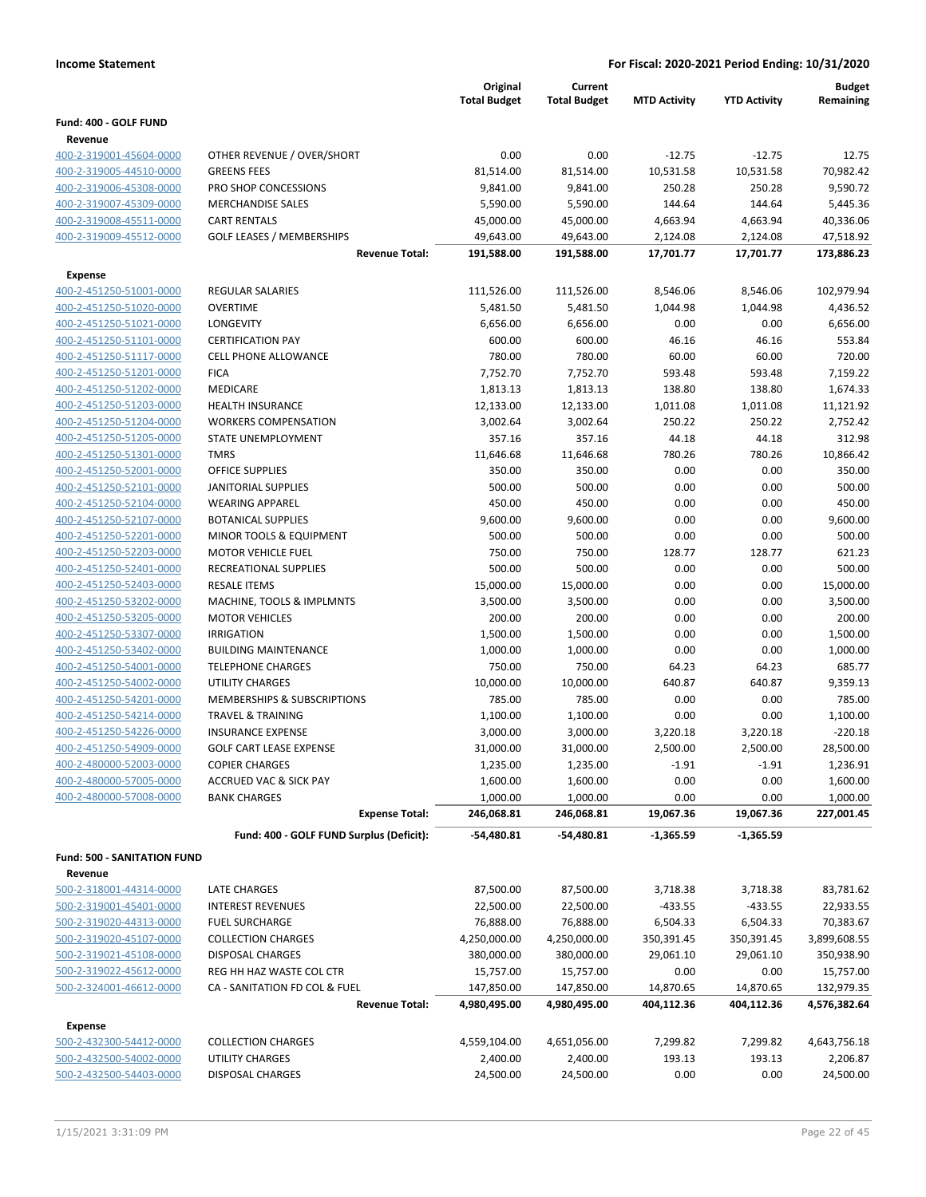|                                                    |                                                  | Original              | Current               |                     |                     | <b>Budget</b>          |
|----------------------------------------------------|--------------------------------------------------|-----------------------|-----------------------|---------------------|---------------------|------------------------|
|                                                    |                                                  | <b>Total Budget</b>   | <b>Total Budget</b>   | <b>MTD Activity</b> | <b>YTD Activity</b> | Remaining              |
| Fund: 400 - GOLF FUND                              |                                                  |                       |                       |                     |                     |                        |
| Revenue                                            |                                                  |                       |                       |                     |                     |                        |
| 400-2-319001-45604-0000                            | OTHER REVENUE / OVER/SHORT                       | 0.00                  | 0.00                  | $-12.75$            | $-12.75$            | 12.75                  |
| 400-2-319005-44510-0000<br>400-2-319006-45308-0000 | <b>GREENS FEES</b>                               | 81,514.00<br>9,841.00 | 81,514.00             | 10,531.58           | 10,531.58           | 70,982.42<br>9,590.72  |
|                                                    | PRO SHOP CONCESSIONS<br><b>MERCHANDISE SALES</b> |                       | 9,841.00              | 250.28              | 250.28              |                        |
| 400-2-319007-45309-0000                            | <b>CART RENTALS</b>                              | 5,590.00<br>45,000.00 | 5,590.00<br>45,000.00 | 144.64<br>4,663.94  | 144.64<br>4,663.94  | 5,445.36               |
| 400-2-319008-45511-0000<br>400-2-319009-45512-0000 | <b>GOLF LEASES / MEMBERSHIPS</b>                 | 49,643.00             | 49,643.00             | 2,124.08            | 2,124.08            | 40,336.06<br>47,518.92 |
|                                                    | <b>Revenue Total:</b>                            | 191,588.00            | 191,588.00            | 17,701.77           | 17,701.77           | 173,886.23             |
|                                                    |                                                  |                       |                       |                     |                     |                        |
| Expense                                            |                                                  |                       |                       |                     |                     |                        |
| 400-2-451250-51001-0000                            | <b>REGULAR SALARIES</b>                          | 111,526.00            | 111,526.00            | 8,546.06            | 8,546.06            | 102,979.94             |
| 400-2-451250-51020-0000<br>400-2-451250-51021-0000 | <b>OVERTIME</b><br>LONGEVITY                     | 5,481.50<br>6,656.00  | 5,481.50<br>6,656.00  | 1,044.98<br>0.00    | 1,044.98<br>0.00    | 4,436.52<br>6,656.00   |
| 400-2-451250-51101-0000                            | <b>CERTIFICATION PAY</b>                         | 600.00                | 600.00                | 46.16               | 46.16               | 553.84                 |
| 400-2-451250-51117-0000                            | <b>CELL PHONE ALLOWANCE</b>                      | 780.00                | 780.00                | 60.00               | 60.00               | 720.00                 |
| 400-2-451250-51201-0000                            | <b>FICA</b>                                      | 7,752.70              | 7,752.70              | 593.48              | 593.48              | 7,159.22               |
| 400-2-451250-51202-0000                            | MEDICARE                                         | 1,813.13              | 1,813.13              | 138.80              | 138.80              | 1,674.33               |
| 400-2-451250-51203-0000                            | <b>HEALTH INSURANCE</b>                          | 12,133.00             | 12,133.00             | 1,011.08            | 1,011.08            | 11,121.92              |
| 400-2-451250-51204-0000                            | <b>WORKERS COMPENSATION</b>                      | 3,002.64              | 3,002.64              | 250.22              | 250.22              | 2,752.42               |
| 400-2-451250-51205-0000                            | STATE UNEMPLOYMENT                               | 357.16                | 357.16                | 44.18               | 44.18               | 312.98                 |
| 400-2-451250-51301-0000                            | <b>TMRS</b>                                      | 11,646.68             | 11,646.68             | 780.26              | 780.26              | 10,866.42              |
| 400-2-451250-52001-0000                            | <b>OFFICE SUPPLIES</b>                           | 350.00                | 350.00                | 0.00                | 0.00                | 350.00                 |
| 400-2-451250-52101-0000                            | <b>JANITORIAL SUPPLIES</b>                       | 500.00                | 500.00                | 0.00                | 0.00                | 500.00                 |
| 400-2-451250-52104-0000                            | <b>WEARING APPAREL</b>                           | 450.00                | 450.00                | 0.00                | 0.00                | 450.00                 |
| 400-2-451250-52107-0000                            | <b>BOTANICAL SUPPLIES</b>                        | 9,600.00              | 9,600.00              | 0.00                | 0.00                | 9,600.00               |
| 400-2-451250-52201-0000                            | MINOR TOOLS & EQUIPMENT                          | 500.00                | 500.00                | 0.00                | 0.00                | 500.00                 |
| 400-2-451250-52203-0000                            | <b>MOTOR VEHICLE FUEL</b>                        | 750.00                | 750.00                | 128.77              | 128.77              | 621.23                 |
| 400-2-451250-52401-0000                            | RECREATIONAL SUPPLIES                            | 500.00                | 500.00                | 0.00                | 0.00                | 500.00                 |
| 400-2-451250-52403-0000                            | <b>RESALE ITEMS</b>                              | 15,000.00             | 15,000.00             | 0.00                | 0.00                | 15,000.00              |
| 400-2-451250-53202-0000                            | MACHINE, TOOLS & IMPLMNTS                        | 3,500.00              | 3,500.00              | 0.00                | 0.00                | 3,500.00               |
| 400-2-451250-53205-0000                            | <b>MOTOR VEHICLES</b>                            | 200.00                | 200.00                | 0.00                | 0.00                | 200.00                 |
| 400-2-451250-53307-0000                            | <b>IRRIGATION</b>                                | 1,500.00              | 1,500.00              | 0.00                | 0.00                | 1,500.00               |
| 400-2-451250-53402-0000                            | <b>BUILDING MAINTENANCE</b>                      | 1,000.00              | 1,000.00              | 0.00                | 0.00                | 1,000.00               |
| 400-2-451250-54001-0000                            | <b>TELEPHONE CHARGES</b>                         | 750.00                | 750.00                | 64.23               | 64.23               | 685.77                 |
| 400-2-451250-54002-0000                            | UTILITY CHARGES                                  | 10,000.00             | 10,000.00             | 640.87              | 640.87              | 9,359.13               |
| 400-2-451250-54201-0000                            | <b>MEMBERSHIPS &amp; SUBSCRIPTIONS</b>           | 785.00                | 785.00                | 0.00                | 0.00                | 785.00                 |
| 400-2-451250-54214-0000                            | <b>TRAVEL &amp; TRAINING</b>                     | 1,100.00              | 1,100.00              | 0.00                | 0.00                | 1,100.00               |
| 400-2-451250-54226-0000                            | <b>INSURANCE EXPENSE</b>                         | 3,000.00              | 3,000.00              | 3,220.18            | 3,220.18            | $-220.18$              |
| 400-2-451250-54909-0000                            | <b>GOLF CART LEASE EXPENSE</b>                   | 31,000.00             | 31,000.00             | 2,500.00            | 2,500.00            | 28,500.00              |
| 400-2-480000-52003-0000                            | <b>COPIER CHARGES</b>                            | 1,235.00              | 1,235.00              | $-1.91$             | $-1.91$             | 1,236.91               |
| 400-2-480000-57005-0000                            | <b>ACCRUED VAC &amp; SICK PAY</b>                | 1,600.00              | 1,600.00              | 0.00                | 0.00                | 1,600.00               |
| 400-2-480000-57008-0000                            | <b>BANK CHARGES</b>                              | 1,000.00              | 1,000.00              | 0.00                | 0.00                | 1,000.00               |
|                                                    | <b>Expense Total:</b>                            | 246,068.81            | 246,068.81            | 19,067.36           | 19,067.36           | 227,001.45             |
|                                                    | Fund: 400 - GOLF FUND Surplus (Deficit):         | -54,480.81            | -54,480.81            | $-1,365.59$         | $-1,365.59$         |                        |
| Fund: 500 - SANITATION FUND                        |                                                  |                       |                       |                     |                     |                        |
| Revenue                                            |                                                  |                       |                       |                     |                     |                        |
| 500-2-318001-44314-0000                            | LATE CHARGES                                     | 87,500.00             | 87,500.00             | 3,718.38            | 3,718.38            | 83,781.62              |
| 500-2-319001-45401-0000                            | <b>INTEREST REVENUES</b>                         | 22,500.00             | 22,500.00             | $-433.55$           | $-433.55$           | 22,933.55              |
| 500-2-319020-44313-0000                            | <b>FUEL SURCHARGE</b>                            | 76,888.00             | 76,888.00             | 6,504.33            | 6,504.33            | 70,383.67              |
| 500-2-319020-45107-0000                            | <b>COLLECTION CHARGES</b>                        | 4,250,000.00          | 4,250,000.00          | 350,391.45          | 350,391.45          | 3,899,608.55           |
| 500-2-319021-45108-0000                            | <b>DISPOSAL CHARGES</b>                          | 380,000.00            | 380,000.00            | 29,061.10           | 29,061.10           | 350,938.90             |
| 500-2-319022-45612-0000                            | REG HH HAZ WASTE COL CTR                         | 15,757.00             | 15,757.00             | 0.00                | 0.00                | 15,757.00              |
| 500-2-324001-46612-0000                            | CA - SANITATION FD COL & FUEL                    | 147,850.00            | 147,850.00            | 14,870.65           | 14,870.65           | 132,979.35             |
|                                                    | <b>Revenue Total:</b>                            | 4,980,495.00          | 4,980,495.00          | 404,112.36          | 404,112.36          | 4,576,382.64           |
| <b>Expense</b>                                     |                                                  |                       |                       |                     |                     |                        |
| 500-2-432300-54412-0000                            | <b>COLLECTION CHARGES</b>                        | 4,559,104.00          | 4,651,056.00          | 7,299.82            | 7,299.82            | 4,643,756.18           |
| 500-2-432500-54002-0000                            | UTILITY CHARGES                                  | 2,400.00              | 2,400.00              | 193.13              | 193.13              | 2,206.87               |
| 500-2-432500-54403-0000                            | <b>DISPOSAL CHARGES</b>                          | 24,500.00             | 24,500.00             | 0.00                | 0.00                | 24,500.00              |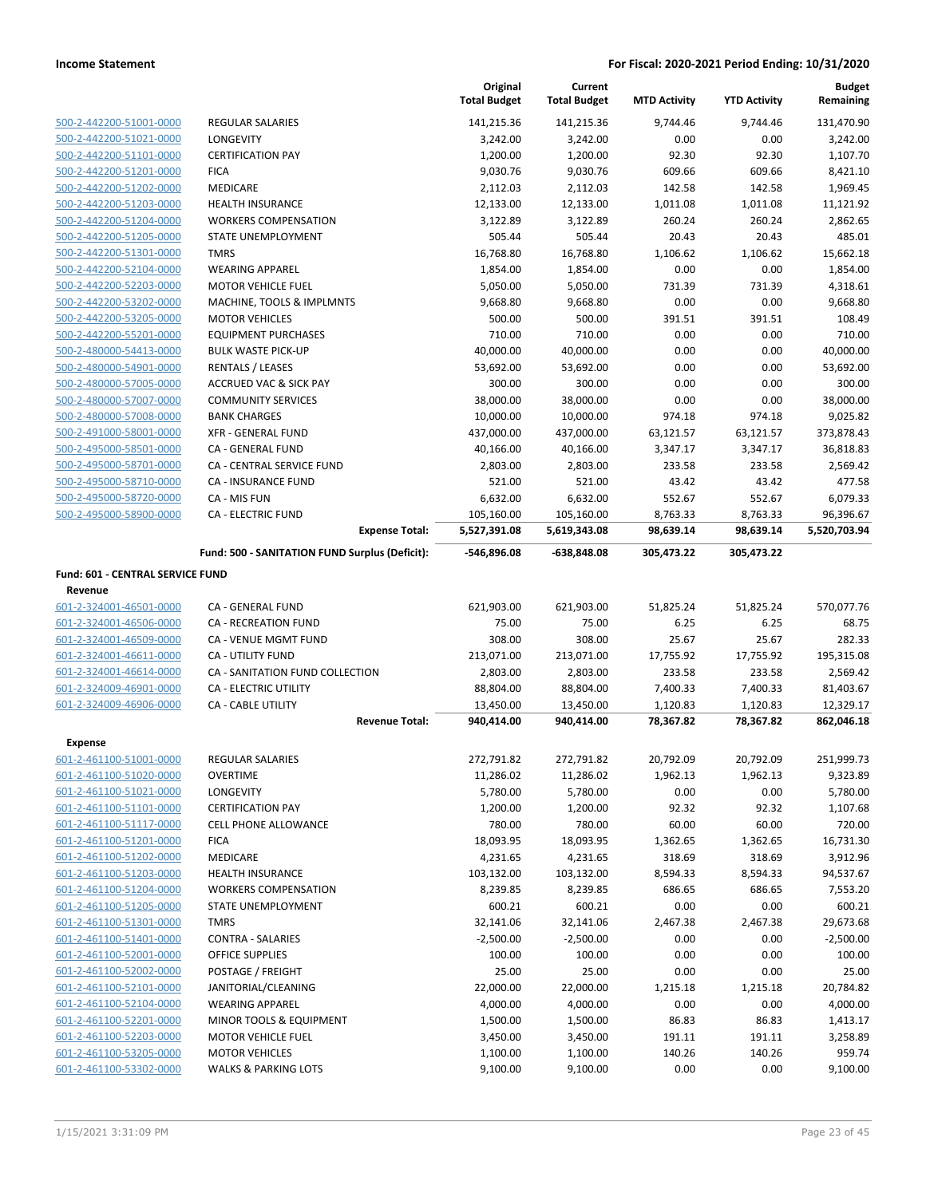|                                  |                                                | Original<br><b>Total Budget</b> | Current<br><b>Total Budget</b> | <b>MTD Activity</b> | <b>YTD Activity</b> | <b>Budget</b><br>Remaining |
|----------------------------------|------------------------------------------------|---------------------------------|--------------------------------|---------------------|---------------------|----------------------------|
| 500-2-442200-51001-0000          | <b>REGULAR SALARIES</b>                        | 141,215.36                      | 141,215.36                     | 9,744.46            | 9,744.46            | 131,470.90                 |
| 500-2-442200-51021-0000          | <b>LONGEVITY</b>                               | 3,242.00                        | 3,242.00                       | 0.00                | 0.00                | 3,242.00                   |
| 500-2-442200-51101-0000          | <b>CERTIFICATION PAY</b>                       | 1,200.00                        | 1,200.00                       | 92.30               | 92.30               | 1,107.70                   |
| 500-2-442200-51201-0000          | <b>FICA</b>                                    | 9,030.76                        | 9,030.76                       | 609.66              | 609.66              | 8,421.10                   |
| 500-2-442200-51202-0000          | <b>MEDICARE</b>                                | 2,112.03                        | 2,112.03                       | 142.58              | 142.58              | 1,969.45                   |
| 500-2-442200-51203-0000          | <b>HEALTH INSURANCE</b>                        | 12,133.00                       | 12,133.00                      | 1,011.08            | 1,011.08            | 11,121.92                  |
| 500-2-442200-51204-0000          | <b>WORKERS COMPENSATION</b>                    | 3,122.89                        | 3,122.89                       | 260.24              | 260.24              | 2,862.65                   |
| 500-2-442200-51205-0000          | STATE UNEMPLOYMENT                             | 505.44                          | 505.44                         | 20.43               | 20.43               | 485.01                     |
| 500-2-442200-51301-0000          | <b>TMRS</b>                                    | 16,768.80                       | 16,768.80                      | 1,106.62            | 1,106.62            | 15,662.18                  |
| 500-2-442200-52104-0000          | <b>WEARING APPAREL</b>                         | 1,854.00                        | 1,854.00                       | 0.00                | 0.00                | 1,854.00                   |
| 500-2-442200-52203-0000          | <b>MOTOR VEHICLE FUEL</b>                      | 5,050.00                        | 5,050.00                       | 731.39              | 731.39              | 4,318.61                   |
| 500-2-442200-53202-0000          | MACHINE, TOOLS & IMPLMNTS                      | 9,668.80                        | 9,668.80                       | 0.00                | 0.00                | 9,668.80                   |
| 500-2-442200-53205-0000          | <b>MOTOR VEHICLES</b>                          | 500.00                          | 500.00                         | 391.51              | 391.51              | 108.49                     |
| 500-2-442200-55201-0000          | <b>EQUIPMENT PURCHASES</b>                     | 710.00                          | 710.00                         | 0.00                | 0.00                | 710.00                     |
| 500-2-480000-54413-0000          | <b>BULK WASTE PICK-UP</b>                      | 40,000.00                       | 40,000.00                      | 0.00                | 0.00                | 40,000.00                  |
| 500-2-480000-54901-0000          | <b>RENTALS / LEASES</b>                        | 53,692.00                       | 53,692.00                      | 0.00                | 0.00                | 53,692.00                  |
| 500-2-480000-57005-0000          | <b>ACCRUED VAC &amp; SICK PAY</b>              | 300.00                          | 300.00                         | 0.00                | 0.00                | 300.00                     |
| 500-2-480000-57007-0000          | <b>COMMUNITY SERVICES</b>                      | 38,000.00                       | 38,000.00                      | 0.00                | 0.00                | 38,000.00                  |
| 500-2-480000-57008-0000          | <b>BANK CHARGES</b>                            | 10,000.00                       | 10,000.00                      | 974.18              | 974.18              | 9.025.82                   |
| 500-2-491000-58001-0000          | <b>XFR - GENERAL FUND</b>                      | 437,000.00                      | 437,000.00                     | 63,121.57           | 63,121.57           | 373,878.43                 |
| 500-2-495000-58501-0000          | CA - GENERAL FUND                              | 40,166.00                       | 40,166.00                      | 3,347.17            | 3,347.17            | 36,818.83                  |
| 500-2-495000-58701-0000          | <b>CA - CENTRAL SERVICE FUND</b>               | 2,803.00                        | 2,803.00                       | 233.58              | 233.58              | 2,569.42                   |
| 500-2-495000-58710-0000          | CA - INSURANCE FUND                            | 521.00                          | 521.00                         | 43.42               | 43.42               | 477.58                     |
| 500-2-495000-58720-0000          | CA - MIS FUN                                   | 6,632.00                        | 6,632.00                       | 552.67              | 552.67              | 6,079.33                   |
| 500-2-495000-58900-0000          | <b>CA - ELECTRIC FUND</b>                      | 105,160.00                      | 105,160.00                     | 8,763.33            | 8,763.33            | 96,396.67                  |
|                                  | <b>Expense Total:</b>                          | 5,527,391.08                    | 5,619,343.08                   | 98,639.14           | 98,639.14           | 5,520,703.94               |
|                                  | Fund: 500 - SANITATION FUND Surplus (Deficit): | -546,896.08                     | $-638,848.08$                  | 305,473.22          | 305,473.22          |                            |
| Fund: 601 - CENTRAL SERVICE FUND |                                                |                                 |                                |                     |                     |                            |
| Revenue                          |                                                |                                 |                                |                     |                     |                            |
| 601-2-324001-46501-0000          | CA - GENERAL FUND                              | 621,903.00                      | 621,903.00                     | 51,825.24           | 51,825.24           | 570,077.76                 |
| 601-2-324001-46506-0000          | CA - RECREATION FUND                           | 75.00                           | 75.00                          | 6.25                | 6.25                | 68.75                      |
| 601-2-324001-46509-0000          | CA - VENUE MGMT FUND                           | 308.00                          | 308.00                         | 25.67               | 25.67               | 282.33                     |
| 601-2-324001-46611-0000          | <b>CA - UTILITY FUND</b>                       | 213,071.00                      | 213,071.00                     | 17,755.92           | 17,755.92           | 195,315.08                 |
| 601-2-324001-46614-0000          | CA - SANITATION FUND COLLECTION                | 2,803.00                        | 2,803.00                       | 233.58              | 233.58              | 2,569.42                   |
| 601-2-324009-46901-0000          | <b>CA - ELECTRIC UTILITY</b>                   | 88,804.00                       | 88,804.00                      | 7,400.33            | 7,400.33            | 81,403.67                  |
| 601-2-324009-46906-0000          | <b>CA - CABLE UTILITY</b>                      | 13,450.00                       | 13,450.00                      | 1,120.83            | 1,120.83            | 12,329.17                  |
|                                  | <b>Revenue Total:</b>                          | 940,414.00                      | 940,414.00                     | 78,367.82           | 78,367.82           | 862,046.18                 |
| <b>Expense</b>                   |                                                |                                 |                                |                     |                     |                            |
| 601-2-461100-51001-0000          | <b>REGULAR SALARIES</b>                        | 272,791.82                      | 272,791.82                     | 20,792.09           | 20,792.09           | 251,999.73                 |
| 601-2-461100-51020-0000          | <b>OVERTIME</b>                                | 11,286.02                       | 11,286.02                      | 1,962.13            | 1,962.13            | 9,323.89                   |
| 601-2-461100-51021-0000          | LONGEVITY                                      | 5,780.00                        | 5,780.00                       | 0.00                | 0.00                | 5,780.00                   |
| 601-2-461100-51101-0000          | <b>CERTIFICATION PAY</b>                       | 1,200.00                        | 1,200.00                       | 92.32               | 92.32               | 1,107.68                   |
| 601-2-461100-51117-0000          | <b>CELL PHONE ALLOWANCE</b>                    | 780.00                          | 780.00                         | 60.00               | 60.00               | 720.00                     |
| 601-2-461100-51201-0000          | <b>FICA</b>                                    | 18,093.95                       | 18,093.95                      | 1,362.65            | 1,362.65            | 16,731.30                  |
| 601-2-461100-51202-0000          | <b>MEDICARE</b>                                | 4,231.65                        | 4,231.65                       | 318.69              | 318.69              | 3,912.96                   |
| 601-2-461100-51203-0000          | <b>HEALTH INSURANCE</b>                        | 103,132.00                      | 103,132.00                     | 8,594.33            | 8,594.33            | 94,537.67                  |
| 601-2-461100-51204-0000          | <b>WORKERS COMPENSATION</b>                    | 8,239.85                        | 8,239.85                       | 686.65              | 686.65              | 7,553.20                   |
| 601-2-461100-51205-0000          | STATE UNEMPLOYMENT                             | 600.21                          | 600.21                         | 0.00                | 0.00                | 600.21                     |
| 601-2-461100-51301-0000          | <b>TMRS</b>                                    | 32,141.06                       | 32,141.06                      | 2,467.38            | 2,467.38            | 29,673.68                  |
| 601-2-461100-51401-0000          | <b>CONTRA - SALARIES</b>                       | $-2,500.00$                     | $-2,500.00$                    | 0.00                | 0.00                | $-2,500.00$                |
| 601-2-461100-52001-0000          | <b>OFFICE SUPPLIES</b>                         | 100.00                          | 100.00                         | 0.00                | 0.00                | 100.00                     |
| 601-2-461100-52002-0000          | POSTAGE / FREIGHT                              | 25.00                           | 25.00                          | 0.00                | 0.00                | 25.00                      |
| 601-2-461100-52101-0000          | JANITORIAL/CLEANING                            | 22,000.00                       | 22,000.00                      | 1,215.18            | 1,215.18            | 20,784.82                  |
| 601-2-461100-52104-0000          | <b>WEARING APPAREL</b>                         | 4,000.00                        | 4,000.00                       | 0.00                | 0.00                | 4,000.00                   |
| 601-2-461100-52201-0000          | MINOR TOOLS & EQUIPMENT                        | 1,500.00                        | 1,500.00                       | 86.83               | 86.83               | 1,413.17                   |
| 601-2-461100-52203-0000          | <b>MOTOR VEHICLE FUEL</b>                      | 3,450.00                        | 3,450.00                       | 191.11              | 191.11              | 3,258.89                   |
| 601-2-461100-53205-0000          | <b>MOTOR VEHICLES</b>                          | 1,100.00                        | 1,100.00                       | 140.26              | 140.26              | 959.74                     |
| 601-2-461100-53302-0000          | <b>WALKS &amp; PARKING LOTS</b>                | 9,100.00                        | 9,100.00                       | 0.00                | 0.00                | 9,100.00                   |
|                                  |                                                |                                 |                                |                     |                     |                            |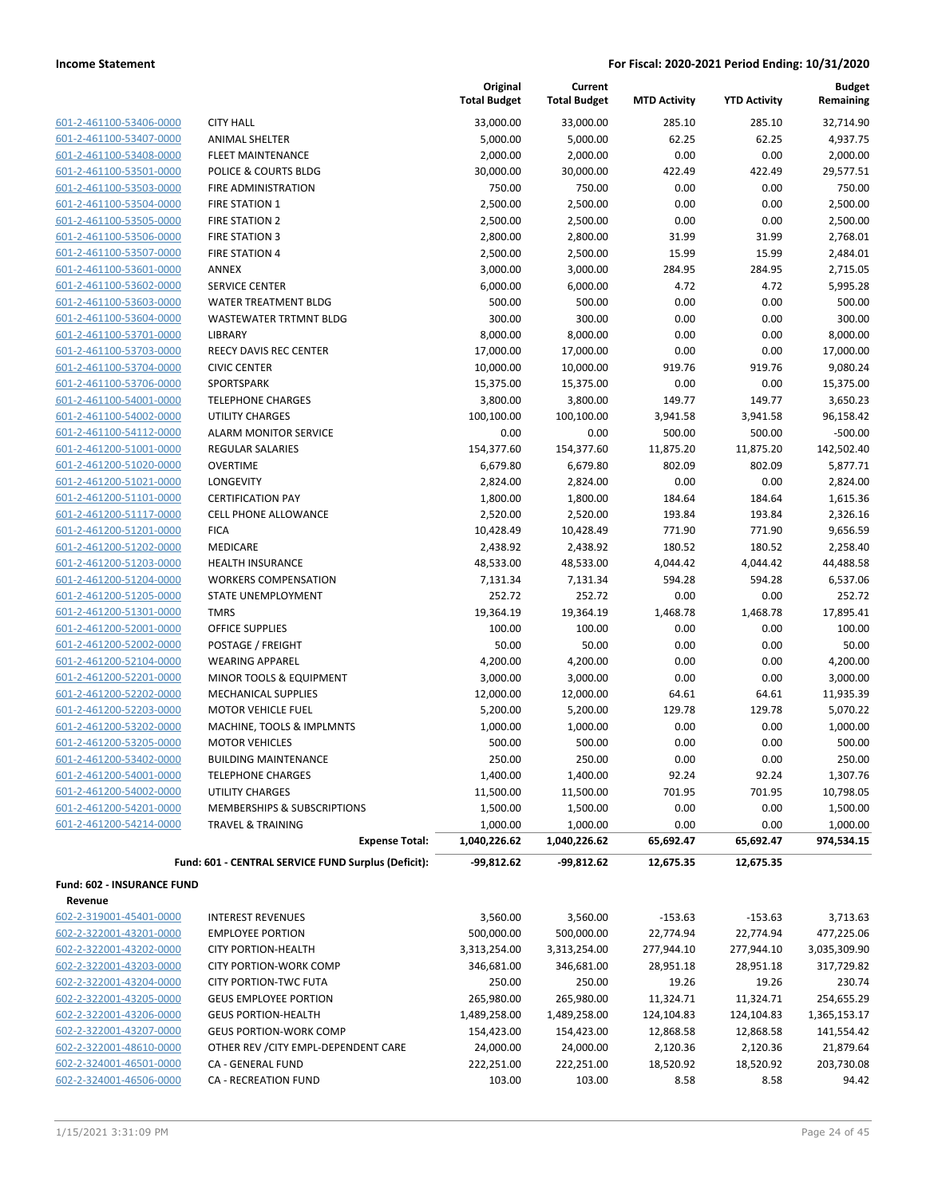| 601-2-461100-53406-0000        |
|--------------------------------|
| 601-2-461100-53407-0000        |
| 601-2-461100-53408-0000        |
| 601-2-461100-53501-0000        |
| 601-2-461100-53503-0000        |
| 601-2-461100-53504-0000        |
| 601-2-461100-53505-0000        |
| 601-2-461100-53506-0000        |
| 601-2-461100-53507-0000        |
| 601-2-461100-53601-0000        |
| 601-2-461100-53602-0000        |
| 601-2-461100-53603-0000        |
| 2-461100-53604-0000<br>601-    |
| 601-2-461100-53701-0000        |
| 601-2-461100-53703-0000        |
| 601-2-461100-53704-0000        |
| 601-2-461100-53706-0000        |
| 601-2-461100-54001-0000        |
| 601-2-461100-54002-0000        |
| 601-2-461100-54112-0000        |
| 601-2-461200-51001-0000        |
| 601-2-461200-51020-0000        |
| 601-2-461200-51021-0000        |
| 601-2-461200-51101-0000        |
| 601-2-461200-51117-0000        |
| 601-2-461200-51201-0000        |
| 601-2-461200-51202-0000        |
| 601-2-461200-51203-0000        |
| 601-2-461200-51204-0000        |
| 601-2-461200-51205-0000        |
| 601-2-461200-51301-0000        |
| 601-2-461200-52001-0000        |
| 601-2-461200-52002-0000        |
| 601-2-461200-52104-0000        |
| 601-2-461200-52201-0000        |
| 601-2-461200-52202-0000        |
| 601-2-461200-52203-0000        |
| 601-2-461200-53202-0000        |
| 601-2-461200-53205-0000        |
| 601-2-461200-53402-0000        |
| 601-2-461200-54001-0000        |
| 601-2-461200-54002-0000        |
| 601-2-461200-54201-0000        |
| 2-461200-54214-0000<br>$601 -$ |
|                                |
|                                |

|                            |                                                       | Original<br><b>Total Budget</b> | Current<br><b>Total Budget</b> | <b>MTD Activity</b> | <b>YTD Activity</b> | Budget<br>Remaining    |
|----------------------------|-------------------------------------------------------|---------------------------------|--------------------------------|---------------------|---------------------|------------------------|
| 601-2-461100-53406-0000    | <b>CITY HALL</b>                                      | 33,000.00                       | 33,000.00                      | 285.10              | 285.10              | 32,714.90              |
| 601-2-461100-53407-0000    | <b>ANIMAL SHELTER</b>                                 | 5,000.00                        | 5,000.00                       | 62.25               | 62.25               | 4,937.75               |
| 601-2-461100-53408-0000    | <b>FLEET MAINTENANCE</b>                              | 2,000.00                        | 2,000.00                       | 0.00                | 0.00                | 2,000.00               |
| 601-2-461100-53501-0000    | <b>POLICE &amp; COURTS BLDG</b>                       | 30,000.00                       | 30,000.00                      | 422.49              | 422.49              | 29,577.51              |
| 601-2-461100-53503-0000    | <b>FIRE ADMINISTRATION</b>                            | 750.00                          | 750.00                         | 0.00                | 0.00                | 750.00                 |
| 601-2-461100-53504-0000    | <b>FIRE STATION 1</b>                                 | 2,500.00                        | 2,500.00                       | 0.00                | 0.00                | 2,500.00               |
| 601-2-461100-53505-0000    | <b>FIRE STATION 2</b>                                 | 2,500.00                        | 2,500.00                       | 0.00                | 0.00                | 2,500.00               |
| 601-2-461100-53506-0000    | <b>FIRE STATION 3</b>                                 | 2,800.00                        | 2,800.00                       | 31.99               | 31.99               | 2,768.01               |
| 601-2-461100-53507-0000    | <b>FIRE STATION 4</b>                                 | 2,500.00                        | 2,500.00                       | 15.99               | 15.99               | 2,484.01               |
| 601-2-461100-53601-0000    | <b>ANNEX</b>                                          | 3,000.00                        | 3,000.00                       | 284.95              | 284.95              | 2,715.05               |
| 601-2-461100-53602-0000    | <b>SERVICE CENTER</b>                                 | 6,000.00                        | 6,000.00                       | 4.72                | 4.72                | 5,995.28               |
| 601-2-461100-53603-0000    | WATER TREATMENT BLDG                                  | 500.00                          | 500.00                         | 0.00                | 0.00                | 500.00                 |
| 601-2-461100-53604-0000    | WASTEWATER TRTMNT BLDG                                | 300.00                          | 300.00                         | 0.00                | 0.00                | 300.00                 |
| 601-2-461100-53701-0000    | LIBRARY                                               | 8,000.00                        | 8,000.00                       | 0.00                | 0.00                | 8,000.00               |
| 601-2-461100-53703-0000    | <b>REECY DAVIS REC CENTER</b>                         | 17,000.00                       | 17,000.00                      | 0.00                | 0.00                | 17,000.00              |
| 601-2-461100-53704-0000    | <b>CIVIC CENTER</b>                                   | 10,000.00                       | 10,000.00                      | 919.76              | 919.76              | 9,080.24               |
| 601-2-461100-53706-0000    | SPORTSPARK                                            | 15,375.00                       | 15,375.00                      | 0.00                | 0.00                | 15,375.00              |
| 601-2-461100-54001-0000    | <b>TELEPHONE CHARGES</b>                              | 3,800.00                        | 3,800.00                       | 149.77              | 149.77              | 3,650.23               |
| 601-2-461100-54002-0000    | <b>UTILITY CHARGES</b>                                | 100,100.00                      | 100,100.00                     | 3,941.58            | 3,941.58            | 96,158.42              |
| 601-2-461100-54112-0000    | <b>ALARM MONITOR SERVICE</b>                          | 0.00                            | 0.00                           | 500.00              | 500.00              | $-500.00$              |
| 601-2-461200-51001-0000    | <b>REGULAR SALARIES</b>                               | 154,377.60                      | 154,377.60                     | 11,875.20           | 11,875.20           | 142,502.40             |
| 601-2-461200-51020-0000    | <b>OVERTIME</b>                                       | 6,679.80                        | 6,679.80                       | 802.09              | 802.09              | 5,877.71               |
| 601-2-461200-51021-0000    | <b>LONGEVITY</b>                                      | 2,824.00                        | 2,824.00                       | 0.00                | 0.00                | 2,824.00               |
| 601-2-461200-51101-0000    | <b>CERTIFICATION PAY</b>                              | 1,800.00                        | 1,800.00                       | 184.64              | 184.64              | 1,615.36               |
| 601-2-461200-51117-0000    | <b>CELL PHONE ALLOWANCE</b>                           | 2,520.00                        | 2,520.00                       | 193.84              | 193.84              | 2,326.16               |
| 601-2-461200-51201-0000    | <b>FICA</b>                                           | 10,428.49                       | 10,428.49                      | 771.90              | 771.90              | 9,656.59               |
| 601-2-461200-51202-0000    | <b>MEDICARE</b>                                       | 2,438.92                        | 2,438.92                       | 180.52              | 180.52              | 2,258.40               |
| 601-2-461200-51203-0000    | <b>HEALTH INSURANCE</b>                               | 48,533.00                       | 48,533.00                      | 4,044.42            | 4,044.42            | 44,488.58              |
| 601-2-461200-51204-0000    | <b>WORKERS COMPENSATION</b>                           | 7,131.34                        | 7,131.34                       | 594.28              | 594.28              | 6,537.06               |
| 601-2-461200-51205-0000    | STATE UNEMPLOYMENT                                    | 252.72                          | 252.72                         | 0.00                | 0.00                | 252.72                 |
| 601-2-461200-51301-0000    | <b>TMRS</b>                                           | 19,364.19                       | 19,364.19                      | 1,468.78            | 1,468.78            | 17,895.41              |
| 601-2-461200-52001-0000    | OFFICE SUPPLIES                                       | 100.00                          | 100.00                         | 0.00                | 0.00                | 100.00                 |
| 601-2-461200-52002-0000    | POSTAGE / FREIGHT                                     | 50.00                           | 50.00                          | 0.00                | 0.00                | 50.00                  |
| 601-2-461200-52104-0000    | <b>WEARING APPAREL</b>                                | 4,200.00                        | 4,200.00                       | 0.00                | 0.00                | 4,200.00               |
| 601-2-461200-52201-0000    | <b>MINOR TOOLS &amp; EQUIPMENT</b>                    | 3,000.00                        | 3,000.00                       | 0.00                | 0.00                | 3,000.00               |
| 601-2-461200-52202-0000    | <b>MECHANICAL SUPPLIES</b>                            | 12,000.00                       | 12,000.00                      | 64.61               | 64.61               | 11,935.39              |
| 601-2-461200-52203-0000    | <b>MOTOR VEHICLE FUEL</b>                             | 5,200.00                        | 5,200.00                       | 129.78              | 129.78              | 5,070.22               |
| 601-2-461200-53202-0000    | MACHINE, TOOLS & IMPLMNTS                             | 1,000.00                        | 1,000.00                       | 0.00                | 0.00                | 1,000.00               |
| 601-2-461200-53205-0000    | <b>MOTOR VEHICLES</b>                                 | 500.00                          | 500.00                         | 0.00                | 0.00                | 500.00                 |
| 601-2-461200-53402-0000    | <b>BUILDING MAINTENANCE</b>                           | 250.00                          | 250.00                         | 0.00                | 0.00                | 250.00                 |
| 601-2-461200-54001-0000    | <b>TELEPHONE CHARGES</b>                              | 1,400.00                        | 1,400.00                       | 92.24               | 92.24               | 1,307.76               |
|                            |                                                       |                                 |                                |                     |                     | 10,798.05              |
| 601-2-461200-54002-0000    | UTILITY CHARGES                                       | 11,500.00<br>1,500.00           | 11,500.00                      | 701.95              | 701.95              |                        |
| 601-2-461200-54201-0000    | MEMBERSHIPS & SUBSCRIPTIONS                           |                                 | 1,500.00                       | 0.00                | 0.00                | 1,500.00               |
| 601-2-461200-54214-0000    | <b>TRAVEL &amp; TRAINING</b><br><b>Expense Total:</b> | 1,000.00                        | 1,000.00<br>1,040,226.62       | 0.00                | 0.00                | 1,000.00<br>974,534.15 |
|                            |                                                       | 1,040,226.62                    |                                | 65,692.47           | 65,692.47           |                        |
|                            | Fund: 601 - CENTRAL SERVICE FUND Surplus (Deficit):   | -99,812.62                      | -99,812.62                     | 12,675.35           | 12,675.35           |                        |
| Fund: 602 - INSURANCE FUND |                                                       |                                 |                                |                     |                     |                        |
| Revenue                    |                                                       |                                 |                                |                     |                     |                        |
| 602-2-319001-45401-0000    | <b>INTEREST REVENUES</b>                              | 3,560.00                        | 3,560.00                       | $-153.63$           | $-153.63$           | 3,713.63               |
| 602-2-322001-43201-0000    | <b>EMPLOYEE PORTION</b>                               | 500,000.00                      | 500,000.00                     | 22,774.94           | 22,774.94           | 477,225.06             |
| 602-2-322001-43202-0000    | <b>CITY PORTION-HEALTH</b>                            | 3,313,254.00                    | 3,313,254.00                   | 277,944.10          | 277,944.10          | 3,035,309.90           |
| 602-2-322001-43203-0000    | <b>CITY PORTION-WORK COMP</b>                         | 346,681.00                      | 346,681.00                     | 28,951.18           | 28,951.18           | 317,729.82             |
| 602-2-322001-43204-0000    | <b>CITY PORTION-TWC FUTA</b>                          | 250.00                          | 250.00                         | 19.26               | 19.26               | 230.74                 |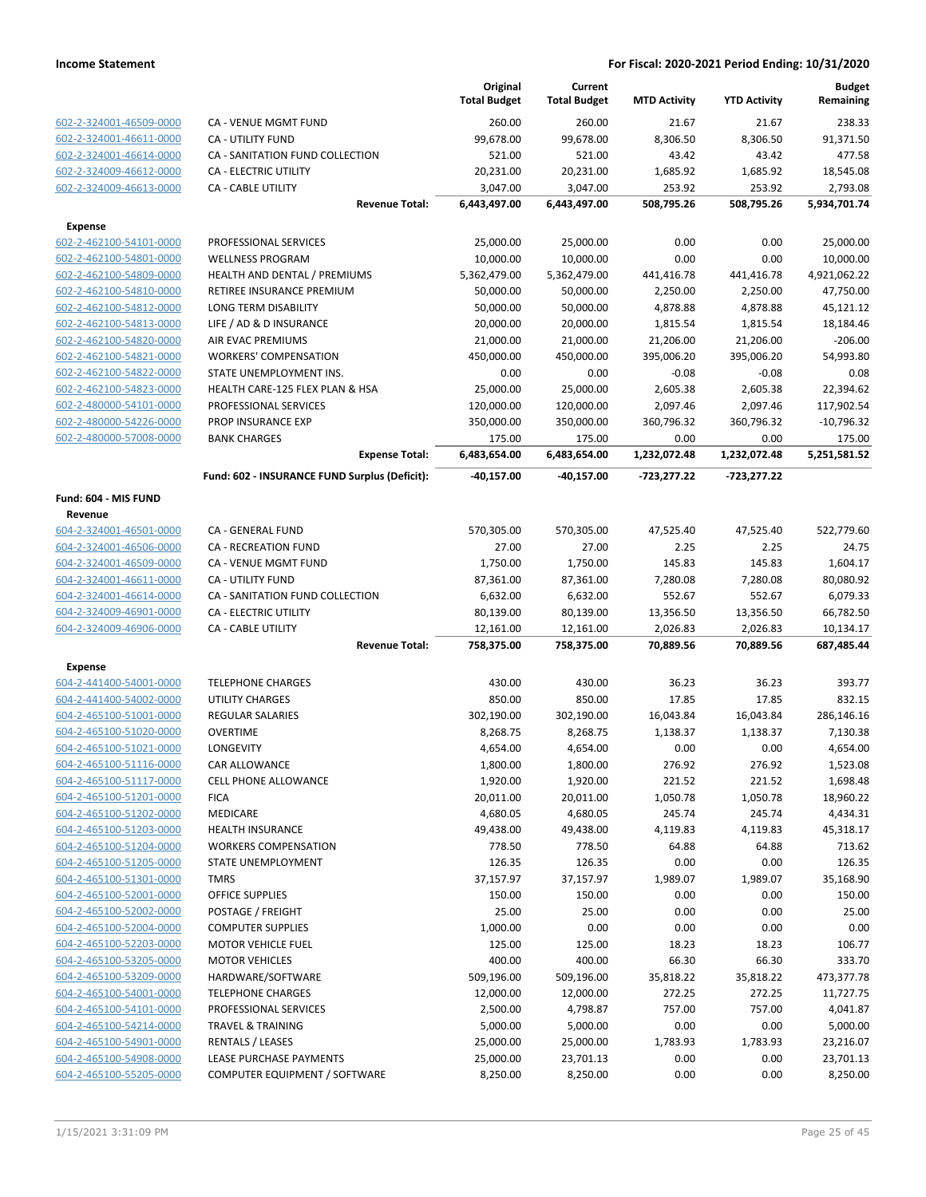|                                                    |                                               | Original<br><b>Total Budget</b> | Current<br><b>Total Budget</b> | <b>MTD Activity</b>   | <b>YTD Activity</b>   | <b>Budget</b><br>Remaining |
|----------------------------------------------------|-----------------------------------------------|---------------------------------|--------------------------------|-----------------------|-----------------------|----------------------------|
| 602-2-324001-46509-0000                            | CA - VENUE MGMT FUND                          | 260.00                          | 260.00                         | 21.67                 | 21.67                 | 238.33                     |
| 602-2-324001-46611-0000                            | CA - UTILITY FUND                             | 99,678.00                       | 99,678.00                      | 8,306.50              | 8,306.50              | 91,371.50                  |
| 602-2-324001-46614-0000                            | CA - SANITATION FUND COLLECTION               | 521.00                          | 521.00                         | 43.42                 | 43.42                 | 477.58                     |
| 602-2-324009-46612-0000                            | CA - ELECTRIC UTILITY                         | 20,231.00                       | 20,231.00                      | 1,685.92              | 1,685.92              | 18,545.08                  |
| 602-2-324009-46613-0000                            | CA - CABLE UTILITY                            | 3,047.00                        | 3,047.00                       | 253.92                | 253.92                | 2,793.08                   |
|                                                    | <b>Revenue Total:</b>                         | 6,443,497.00                    | 6,443,497.00                   | 508,795.26            | 508,795.26            | 5,934,701.74               |
| <b>Expense</b>                                     |                                               |                                 |                                |                       |                       |                            |
| 602-2-462100-54101-0000                            | PROFESSIONAL SERVICES                         | 25,000.00                       | 25,000.00                      | 0.00                  | 0.00                  | 25,000.00                  |
| 602-2-462100-54801-0000                            | <b>WELLNESS PROGRAM</b>                       | 10,000.00                       | 10,000.00                      | 0.00                  | 0.00                  | 10,000.00                  |
| 602-2-462100-54809-0000                            | HEALTH AND DENTAL / PREMIUMS                  | 5,362,479.00                    | 5,362,479.00                   | 441,416.78            | 441,416.78            | 4,921,062.22               |
| 602-2-462100-54810-0000                            | <b>RETIREE INSURANCE PREMIUM</b>              | 50,000.00                       | 50,000.00                      | 2,250.00              | 2,250.00              | 47,750.00                  |
| 602-2-462100-54812-0000                            | LONG TERM DISABILITY                          | 50,000.00                       | 50,000.00                      | 4,878.88              | 4,878.88              | 45,121.12                  |
| 602-2-462100-54813-0000                            | LIFE / AD & D INSURANCE                       | 20,000.00                       | 20,000.00                      | 1,815.54              | 1,815.54              | 18,184.46                  |
| 602-2-462100-54820-0000                            | AIR EVAC PREMIUMS                             | 21,000.00                       | 21,000.00                      | 21,206.00             | 21,206.00             | $-206.00$                  |
| 602-2-462100-54821-0000                            | <b>WORKERS' COMPENSATION</b>                  | 450,000.00                      | 450,000.00                     | 395,006.20            | 395,006.20            | 54,993.80                  |
| 602-2-462100-54822-0000                            | STATE UNEMPLOYMENT INS.                       | 0.00                            | 0.00                           | $-0.08$               | $-0.08$               | 0.08                       |
| 602-2-462100-54823-0000                            | HEALTH CARE-125 FLEX PLAN & HSA               | 25,000.00                       | 25,000.00                      | 2,605.38              | 2,605.38              | 22,394.62                  |
| 602-2-480000-54101-0000                            | PROFESSIONAL SERVICES                         | 120,000.00                      | 120,000.00                     | 2,097.46              | 2,097.46              | 117,902.54                 |
| 602-2-480000-54226-0000                            | PROP INSURANCE EXP                            | 350,000.00                      | 350,000.00                     | 360,796.32            | 360,796.32            | $-10,796.32$               |
| 602-2-480000-57008-0000                            | <b>BANK CHARGES</b>                           | 175.00                          | 175.00                         | 0.00                  | 0.00                  | 175.00                     |
|                                                    | <b>Expense Total:</b>                         | 6,483,654.00                    | 6,483,654.00                   | 1,232,072.48          | 1,232,072.48          | 5,251,581.52               |
|                                                    | Fund: 602 - INSURANCE FUND Surplus (Deficit): | -40,157.00                      | $-40,157.00$                   | $-723,277.22$         | $-723,277.22$         |                            |
| Fund: 604 - MIS FUND                               |                                               |                                 |                                |                       |                       |                            |
| Revenue                                            |                                               |                                 |                                |                       |                       |                            |
| 604-2-324001-46501-0000                            | CA - GENERAL FUND                             | 570,305.00                      | 570,305.00                     | 47,525.40             | 47,525.40             | 522,779.60                 |
| 604-2-324001-46506-0000                            | <b>CA - RECREATION FUND</b>                   | 27.00                           | 27.00                          | 2.25                  | 2.25                  | 24.75                      |
| 604-2-324001-46509-0000                            | CA - VENUE MGMT FUND                          | 1,750.00                        | 1,750.00                       | 145.83                | 145.83                | 1,604.17                   |
| 604-2-324001-46611-0000                            | CA - UTILITY FUND                             | 87,361.00                       | 87,361.00                      | 7,280.08              | 7,280.08              | 80,080.92                  |
| 604-2-324001-46614-0000                            | CA - SANITATION FUND COLLECTION               | 6,632.00                        | 6,632.00                       | 552.67                | 552.67                | 6,079.33                   |
| 604-2-324009-46901-0000<br>604-2-324009-46906-0000 | CA - ELECTRIC UTILITY                         | 80,139.00                       | 80,139.00                      | 13,356.50             | 13,356.50             | 66,782.50                  |
|                                                    | CA - CABLE UTILITY<br><b>Revenue Total:</b>   | 12,161.00<br>758,375.00         | 12,161.00<br>758,375.00        | 2,026.83<br>70,889.56 | 2,026.83<br>70,889.56 | 10,134.17<br>687,485.44    |
| <b>Expense</b>                                     |                                               |                                 |                                |                       |                       |                            |
| 604-2-441400-54001-0000                            | <b>TELEPHONE CHARGES</b>                      | 430.00                          | 430.00                         | 36.23                 | 36.23                 | 393.77                     |
| 604-2-441400-54002-0000                            | <b>UTILITY CHARGES</b>                        | 850.00                          | 850.00                         | 17.85                 | 17.85                 | 832.15                     |
| 604-2-465100-51001-0000                            | <b>REGULAR SALARIES</b>                       | 302,190.00                      | 302,190.00                     | 16,043.84             | 16,043.84             | 286,146.16                 |
| 604-2-465100-51020-0000                            | OVERTIME                                      | 8,268.75                        | 8,268.75                       | 1,138.37              | 1,138.37              | 7,130.38                   |
| 604-2-465100-51021-0000                            | LONGEVITY                                     | 4,654.00                        | 4,654.00                       | 0.00                  | 0.00                  | 4,654.00                   |
| 604-2-465100-51116-0000                            | CAR ALLOWANCE                                 | 1,800.00                        | 1,800.00                       | 276.92                | 276.92                | 1,523.08                   |
| 604-2-465100-51117-0000                            | <b>CELL PHONE ALLOWANCE</b>                   | 1,920.00                        | 1,920.00                       | 221.52                | 221.52                | 1,698.48                   |
| 604-2-465100-51201-0000                            | <b>FICA</b>                                   | 20,011.00                       | 20,011.00                      | 1,050.78              | 1,050.78              | 18,960.22                  |
| 604-2-465100-51202-0000                            | MEDICARE                                      | 4,680.05                        | 4,680.05                       | 245.74                | 245.74                | 4,434.31                   |
| 604-2-465100-51203-0000                            | <b>HEALTH INSURANCE</b>                       | 49,438.00                       | 49,438.00                      | 4,119.83              | 4,119.83              | 45,318.17                  |
| 604-2-465100-51204-0000                            | <b>WORKERS COMPENSATION</b>                   | 778.50                          | 778.50                         | 64.88                 | 64.88                 | 713.62                     |
| 604-2-465100-51205-0000                            | <b>STATE UNEMPLOYMENT</b>                     | 126.35                          | 126.35                         | 0.00                  | 0.00                  | 126.35                     |
| 604-2-465100-51301-0000                            | <b>TMRS</b>                                   | 37,157.97                       | 37,157.97                      | 1,989.07              | 1,989.07              | 35,168.90                  |
| 604-2-465100-52001-0000                            | <b>OFFICE SUPPLIES</b>                        | 150.00                          | 150.00                         | 0.00                  | 0.00                  | 150.00                     |
| 604-2-465100-52002-0000                            | POSTAGE / FREIGHT                             | 25.00                           | 25.00                          | 0.00                  | 0.00                  | 25.00                      |
| 604-2-465100-52004-0000                            | <b>COMPUTER SUPPLIES</b>                      | 1,000.00                        | 0.00                           | 0.00                  | 0.00                  | 0.00                       |
| 604-2-465100-52203-0000                            | <b>MOTOR VEHICLE FUEL</b>                     | 125.00                          | 125.00                         | 18.23                 | 18.23                 | 106.77                     |
| 604-2-465100-53205-0000                            | <b>MOTOR VEHICLES</b>                         | 400.00                          | 400.00                         | 66.30                 | 66.30                 | 333.70                     |
| 604-2-465100-53209-0000                            | HARDWARE/SOFTWARE                             | 509,196.00                      | 509,196.00                     | 35,818.22             | 35,818.22             | 473,377.78                 |
| 604-2-465100-54001-0000                            | <b>TELEPHONE CHARGES</b>                      | 12,000.00                       | 12,000.00                      | 272.25                | 272.25                | 11,727.75                  |
| 604-2-465100-54101-0000                            | PROFESSIONAL SERVICES                         | 2,500.00                        | 4,798.87                       | 757.00                | 757.00                | 4,041.87                   |
| 604-2-465100-54214-0000                            | <b>TRAVEL &amp; TRAINING</b>                  | 5,000.00                        | 5,000.00                       | 0.00                  | 0.00                  | 5,000.00                   |
| 604-2-465100-54901-0000                            | <b>RENTALS / LEASES</b>                       | 25,000.00                       | 25,000.00                      | 1,783.93              | 1,783.93              | 23,216.07                  |
| 604-2-465100-54908-0000                            | LEASE PURCHASE PAYMENTS                       | 25,000.00                       | 23,701.13                      | 0.00                  | 0.00                  | 23,701.13                  |
| 604-2-465100-55205-0000                            | COMPUTER EQUIPMENT / SOFTWARE                 | 8,250.00                        | 8,250.00                       | 0.00                  | 0.00                  | 8,250.00                   |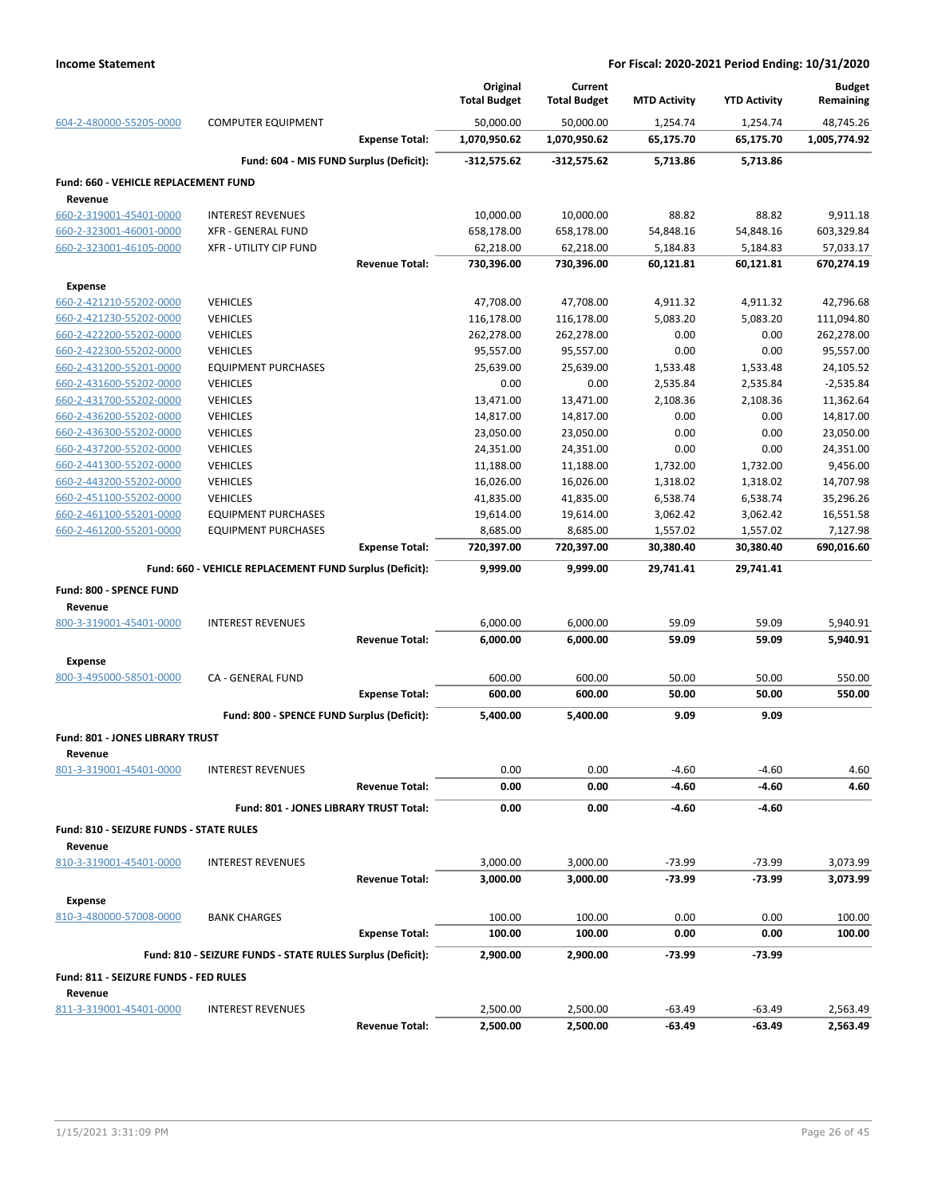|                                                    |                                                            | Original<br><b>Total Budget</b> | Current<br><b>Total Budget</b> | <b>MTD Activity</b> | <b>YTD Activity</b> | <b>Budget</b><br>Remaining |
|----------------------------------------------------|------------------------------------------------------------|---------------------------------|--------------------------------|---------------------|---------------------|----------------------------|
| 604-2-480000-55205-0000                            | <b>COMPUTER EQUIPMENT</b>                                  | 50,000.00                       | 50,000.00                      | 1,254.74            | 1,254.74            | 48,745.26                  |
|                                                    | <b>Expense Total:</b>                                      | 1,070,950.62                    | 1,070,950.62                   | 65,175.70           | 65,175.70           | 1,005,774.92               |
|                                                    | Fund: 604 - MIS FUND Surplus (Deficit):                    | -312,575.62                     | $-312,575.62$                  | 5,713.86            | 5,713.86            |                            |
| Fund: 660 - VEHICLE REPLACEMENT FUND               |                                                            |                                 |                                |                     |                     |                            |
| Revenue                                            |                                                            |                                 |                                |                     |                     |                            |
| 660-2-319001-45401-0000                            | <b>INTEREST REVENUES</b>                                   | 10,000.00                       | 10,000.00                      | 88.82               | 88.82               | 9,911.18                   |
| 660-2-323001-46001-0000                            | <b>XFR - GENERAL FUND</b>                                  | 658,178.00                      | 658,178.00                     | 54,848.16           | 54,848.16           | 603,329.84                 |
| 660-2-323001-46105-0000                            | <b>XFR - UTILITY CIP FUND</b>                              | 62,218.00                       | 62,218.00                      | 5,184.83            | 5,184.83            | 57,033.17                  |
|                                                    | <b>Revenue Total:</b>                                      | 730,396.00                      | 730,396.00                     | 60,121.81           | 60,121.81           | 670,274.19                 |
| <b>Expense</b>                                     |                                                            |                                 |                                |                     |                     |                            |
| 660-2-421210-55202-0000                            | <b>VEHICLES</b>                                            | 47,708.00                       | 47,708.00                      | 4,911.32            | 4,911.32            | 42,796.68                  |
| 660-2-421230-55202-0000                            | <b>VEHICLES</b>                                            | 116,178.00                      | 116,178.00                     | 5,083.20            | 5,083.20            | 111,094.80                 |
| 660-2-422200-55202-0000                            | <b>VEHICLES</b>                                            | 262,278.00                      | 262,278.00                     | 0.00                | 0.00                | 262,278.00                 |
| 660-2-422300-55202-0000                            | <b>VEHICLES</b>                                            | 95,557.00                       | 95,557.00                      | 0.00                | 0.00                | 95,557.00                  |
| 660-2-431200-55201-0000                            | <b>EQUIPMENT PURCHASES</b>                                 | 25,639.00                       | 25,639.00                      | 1,533.48            | 1,533.48            | 24,105.52                  |
| 660-2-431600-55202-0000                            | <b>VEHICLES</b>                                            | 0.00                            | 0.00                           | 2,535.84            | 2,535.84            | $-2,535.84$                |
| 660-2-431700-55202-0000                            | <b>VEHICLES</b>                                            | 13,471.00                       | 13,471.00                      | 2,108.36            | 2,108.36            | 11,362.64                  |
| 660-2-436200-55202-0000<br>660-2-436300-55202-0000 | <b>VEHICLES</b><br><b>VEHICLES</b>                         | 14,817.00<br>23,050.00          | 14,817.00<br>23,050.00         | 0.00<br>0.00        | 0.00<br>0.00        | 14,817.00<br>23,050.00     |
| 660-2-437200-55202-0000                            | <b>VEHICLES</b>                                            | 24,351.00                       | 24,351.00                      | 0.00                | 0.00                | 24,351.00                  |
| 660-2-441300-55202-0000                            | <b>VEHICLES</b>                                            | 11,188.00                       | 11,188.00                      | 1,732.00            | 1,732.00            | 9,456.00                   |
| 660-2-443200-55202-0000                            | <b>VEHICLES</b>                                            | 16,026.00                       | 16,026.00                      | 1,318.02            | 1,318.02            | 14,707.98                  |
| 660-2-451100-55202-0000                            | <b>VEHICLES</b>                                            | 41,835.00                       | 41,835.00                      | 6,538.74            | 6,538.74            | 35,296.26                  |
| 660-2-461100-55201-0000                            | <b>EQUIPMENT PURCHASES</b>                                 | 19,614.00                       | 19,614.00                      | 3,062.42            | 3,062.42            | 16,551.58                  |
| 660-2-461200-55201-0000                            | <b>EQUIPMENT PURCHASES</b>                                 | 8,685.00                        | 8,685.00                       | 1,557.02            | 1,557.02            | 7,127.98                   |
|                                                    | <b>Expense Total:</b>                                      | 720,397.00                      | 720,397.00                     | 30,380.40           | 30,380.40           | 690,016.60                 |
|                                                    | Fund: 660 - VEHICLE REPLACEMENT FUND Surplus (Deficit):    | 9,999.00                        | 9,999.00                       | 29,741.41           | 29,741.41           |                            |
| Fund: 800 - SPENCE FUND                            |                                                            |                                 |                                |                     |                     |                            |
| Revenue                                            |                                                            |                                 |                                |                     |                     |                            |
| 800-3-319001-45401-0000                            | <b>INTEREST REVENUES</b>                                   | 6,000.00                        | 6,000.00                       | 59.09               | 59.09               | 5,940.91                   |
|                                                    | <b>Revenue Total:</b>                                      | 6,000.00                        | 6,000.00                       | 59.09               | 59.09               | 5,940.91                   |
| <b>Expense</b>                                     |                                                            |                                 |                                |                     |                     |                            |
| 800-3-495000-58501-0000                            | CA - GENERAL FUND                                          | 600.00                          | 600.00                         | 50.00               | 50.00               | 550.00                     |
|                                                    | <b>Expense Total:</b>                                      | 600.00                          | 600.00                         | 50.00               | 50.00               | 550.00                     |
|                                                    | Fund: 800 - SPENCE FUND Surplus (Deficit):                 | 5,400.00                        | 5,400.00                       | 9.09                | 9.09                |                            |
| Fund: 801 - JONES LIBRARY TRUST                    |                                                            |                                 |                                |                     |                     |                            |
| Revenue                                            |                                                            |                                 |                                |                     |                     |                            |
| 801-3-319001-45401-0000                            | <b>INTEREST REVENUES</b>                                   | 0.00                            | 0.00                           | $-4.60$             | -4.60               | 4.60                       |
|                                                    | <b>Revenue Total:</b>                                      | 0.00                            | 0.00                           | -4.60               | -4.60               | 4.60                       |
|                                                    | Fund: 801 - JONES LIBRARY TRUST Total:                     | 0.00                            | 0.00                           | -4.60               | -4.60               |                            |
|                                                    |                                                            |                                 |                                |                     |                     |                            |
| Fund: 810 - SEIZURE FUNDS - STATE RULES            |                                                            |                                 |                                |                     |                     |                            |
| Revenue<br>810-3-319001-45401-0000                 |                                                            |                                 |                                | $-73.99$            | $-73.99$            |                            |
|                                                    | <b>INTEREST REVENUES</b><br><b>Revenue Total:</b>          | 3,000.00<br>3,000.00            | 3,000.00<br>3,000.00           | -73.99              | -73.99              | 3,073.99<br>3,073.99       |
|                                                    |                                                            |                                 |                                |                     |                     |                            |
| <b>Expense</b>                                     |                                                            |                                 |                                |                     |                     |                            |
| 810-3-480000-57008-0000                            | <b>BANK CHARGES</b>                                        | 100.00                          | 100.00                         | 0.00                | 0.00                | 100.00                     |
|                                                    | <b>Expense Total:</b>                                      | 100.00                          | 100.00                         | 0.00                | 0.00                | 100.00                     |
|                                                    | Fund: 810 - SEIZURE FUNDS - STATE RULES Surplus (Deficit): | 2,900.00                        | 2,900.00                       | -73.99              | $-73.99$            |                            |
| Fund: 811 - SEIZURE FUNDS - FED RULES              |                                                            |                                 |                                |                     |                     |                            |
| Revenue                                            |                                                            |                                 |                                |                     |                     |                            |
| 811-3-319001-45401-0000                            | <b>INTEREST REVENUES</b>                                   | 2,500.00                        | 2,500.00                       | $-63.49$            | $-63.49$            | 2,563.49                   |
|                                                    | <b>Revenue Total:</b>                                      | 2,500.00                        | 2,500.00                       | -63.49              | -63.49              | 2,563.49                   |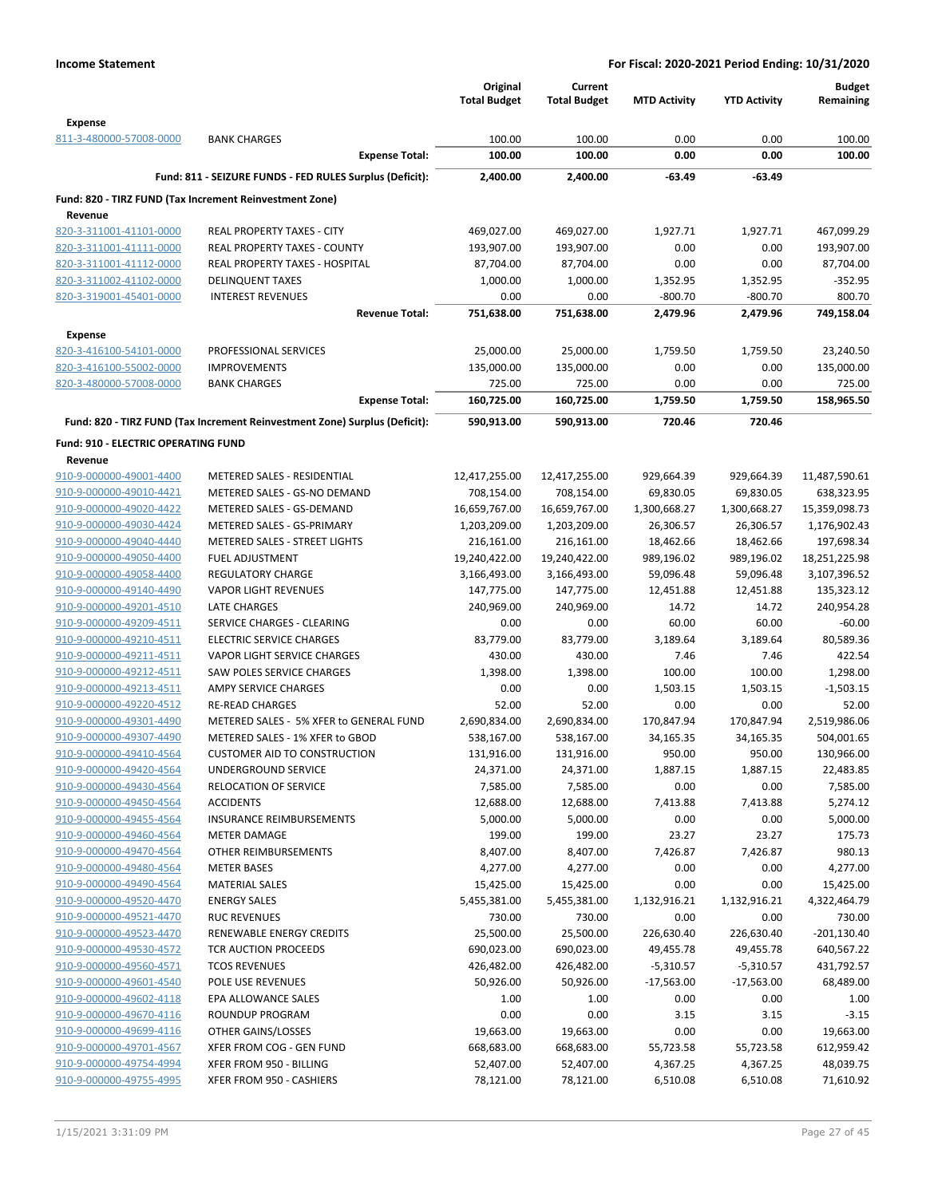|                                                    |                                                                            | Original<br><b>Total Budget</b> | Current<br><b>Total Budget</b> | <b>MTD Activity</b> | <b>YTD Activity</b> | <b>Budget</b><br>Remaining |
|----------------------------------------------------|----------------------------------------------------------------------------|---------------------------------|--------------------------------|---------------------|---------------------|----------------------------|
| <b>Expense</b>                                     |                                                                            |                                 |                                |                     |                     |                            |
| 811-3-480000-57008-0000                            | <b>BANK CHARGES</b>                                                        | 100.00                          | 100.00                         | 0.00                | 0.00                | 100.00                     |
|                                                    | <b>Expense Total:</b>                                                      | 100.00                          | 100.00                         | 0.00                | 0.00                | 100.00                     |
|                                                    | Fund: 811 - SEIZURE FUNDS - FED RULES Surplus (Deficit):                   | 2,400.00                        | 2,400.00                       | $-63.49$            | $-63.49$            |                            |
| Revenue                                            | Fund: 820 - TIRZ FUND (Tax Increment Reinvestment Zone)                    |                                 |                                |                     |                     |                            |
| 820-3-311001-41101-0000                            | <b>REAL PROPERTY TAXES - CITY</b>                                          | 469,027.00                      | 469,027.00                     | 1,927.71            | 1,927.71            | 467,099.29                 |
| 820-3-311001-41111-0000                            | REAL PROPERTY TAXES - COUNTY                                               | 193,907.00                      | 193,907.00                     | 0.00                | 0.00                | 193,907.00                 |
| 820-3-311001-41112-0000                            | <b>REAL PROPERTY TAXES - HOSPITAL</b>                                      | 87,704.00                       | 87,704.00                      | 0.00                | 0.00                | 87,704.00                  |
| 820-3-311002-41102-0000                            | <b>DELINQUENT TAXES</b>                                                    | 1,000.00                        | 1,000.00                       | 1,352.95            | 1,352.95            | $-352.95$                  |
| 820-3-319001-45401-0000                            | <b>INTEREST REVENUES</b>                                                   | 0.00                            | 0.00                           | $-800.70$           | $-800.70$           | 800.70                     |
|                                                    | <b>Revenue Total:</b>                                                      | 751,638.00                      | 751,638.00                     | 2,479.96            | 2,479.96            | 749,158.04                 |
| <b>Expense</b>                                     |                                                                            |                                 |                                |                     |                     |                            |
| 820-3-416100-54101-0000                            | PROFESSIONAL SERVICES                                                      | 25,000.00                       | 25,000.00                      | 1,759.50            | 1,759.50            | 23,240.50                  |
| 820-3-416100-55002-0000                            | <b>IMPROVEMENTS</b>                                                        | 135,000.00                      | 135,000.00                     | 0.00                | 0.00                | 135,000.00                 |
| 820-3-480000-57008-0000                            | <b>BANK CHARGES</b><br><b>Expense Total:</b>                               | 725.00<br>160,725.00            | 725.00<br>160,725.00           | 0.00<br>1,759.50    | 0.00<br>1,759.50    | 725.00<br>158,965.50       |
|                                                    | Fund: 820 - TIRZ FUND (Tax Increment Reinvestment Zone) Surplus (Deficit): | 590,913.00                      | 590,913.00                     | 720.46              | 720.46              |                            |
| <b>Fund: 910 - ELECTRIC OPERATING FUND</b>         |                                                                            |                                 |                                |                     |                     |                            |
| Revenue                                            |                                                                            |                                 |                                |                     |                     |                            |
| 910-9-000000-49001-4400                            | METERED SALES - RESIDENTIAL                                                | 12,417,255.00                   | 12,417,255.00                  | 929,664.39          | 929,664.39          | 11,487,590.61              |
| 910-9-000000-49010-4421                            | METERED SALES - GS-NO DEMAND                                               | 708,154.00                      | 708,154.00                     | 69,830.05           | 69,830.05           | 638,323.95                 |
| 910-9-000000-49020-4422                            | METERED SALES - GS-DEMAND                                                  | 16,659,767.00                   | 16,659,767.00                  | 1,300,668.27        | 1,300,668.27        | 15,359,098.73              |
| 910-9-000000-49030-4424                            | METERED SALES - GS-PRIMARY                                                 | 1,203,209.00                    | 1,203,209.00                   | 26,306.57           | 26,306.57           | 1,176,902.43               |
| 910-9-000000-49040-4440                            | <b>METERED SALES - STREET LIGHTS</b>                                       | 216,161.00                      | 216,161.00                     | 18,462.66           | 18,462.66           | 197,698.34                 |
| 910-9-000000-49050-4400                            | <b>FUEL ADJUSTMENT</b>                                                     | 19,240,422.00                   | 19,240,422.00                  | 989,196.02          | 989,196.02          | 18,251,225.98              |
| 910-9-000000-49058-4400                            | REGULATORY CHARGE                                                          | 3,166,493.00                    | 3,166,493.00                   | 59,096.48           | 59,096.48           | 3,107,396.52               |
| 910-9-000000-49140-4490<br>910-9-000000-49201-4510 | <b>VAPOR LIGHT REVENUES</b><br><b>LATE CHARGES</b>                         | 147,775.00                      | 147,775.00                     | 12,451.88<br>14.72  | 12,451.88<br>14.72  | 135,323.12<br>240,954.28   |
| 910-9-000000-49209-4511                            | SERVICE CHARGES - CLEARING                                                 | 240,969.00<br>0.00              | 240,969.00<br>0.00             | 60.00               | 60.00               | $-60.00$                   |
| 910-9-000000-49210-4511                            | <b>ELECTRIC SERVICE CHARGES</b>                                            | 83,779.00                       | 83,779.00                      | 3,189.64            | 3,189.64            | 80,589.36                  |
| 910-9-000000-49211-4511                            | VAPOR LIGHT SERVICE CHARGES                                                | 430.00                          | 430.00                         | 7.46                | 7.46                | 422.54                     |
| 910-9-000000-49212-4511                            | <b>SAW POLES SERVICE CHARGES</b>                                           | 1,398.00                        | 1,398.00                       | 100.00              | 100.00              | 1,298.00                   |
| 910-9-000000-49213-4511                            | AMPY SERVICE CHARGES                                                       | 0.00                            | 0.00                           | 1,503.15            | 1,503.15            | $-1,503.15$                |
| 910-9-000000-49220-4512                            | <b>RE-READ CHARGES</b>                                                     | 52.00                           | 52.00                          | 0.00                | 0.00                | 52.00                      |
| 910-9-000000-49301-4490                            | METERED SALES - 5% XFER to GENERAL FUND                                    | 2,690,834.00                    | 2,690,834.00                   | 170,847.94          | 170,847.94          | 2,519,986.06               |
| 910-9-000000-49307-4490                            | METERED SALES - 1% XFER to GBOD                                            | 538,167.00                      | 538,167.00                     | 34,165.35           | 34,165.35           | 504,001.65                 |
| 910-9-000000-49410-4564                            | <b>CUSTOMER AID TO CONSTRUCTION</b>                                        | 131,916.00                      | 131,916.00                     | 950.00              | 950.00              | 130,966.00                 |
| 910-9-000000-49420-4564                            | <b>UNDERGROUND SERVICE</b>                                                 | 24,371.00                       | 24,371.00                      | 1,887.15            | 1,887.15            | 22,483.85                  |
| 910-9-000000-49430-4564                            | RELOCATION OF SERVICE                                                      | 7,585.00                        | 7,585.00                       | 0.00                | 0.00                | 7,585.00                   |
| 910-9-000000-49450-4564                            | <b>ACCIDENTS</b>                                                           | 12,688.00                       | 12,688.00                      | 7,413.88            | 7,413.88            | 5,274.12                   |
| 910-9-000000-49455-4564                            | <b>INSURANCE REIMBURSEMENTS</b>                                            | 5,000.00                        | 5,000.00                       | 0.00                | 0.00                | 5,000.00                   |
| 910-9-000000-49460-4564                            | <b>METER DAMAGE</b>                                                        | 199.00                          | 199.00                         | 23.27               | 23.27               | 175.73                     |
| 910-9-000000-49470-4564                            | OTHER REIMBURSEMENTS                                                       | 8,407.00                        | 8,407.00                       | 7,426.87            | 7,426.87            | 980.13                     |
| 910-9-000000-49480-4564                            | <b>METER BASES</b>                                                         | 4,277.00                        | 4,277.00                       | 0.00                | 0.00                | 4,277.00                   |
| 910-9-000000-49490-4564                            | <b>MATERIAL SALES</b>                                                      | 15,425.00                       | 15,425.00                      | 0.00                | 0.00                | 15,425.00                  |
| 910-9-000000-49520-4470                            | <b>ENERGY SALES</b>                                                        | 5,455,381.00                    | 5,455,381.00                   | 1,132,916.21        | 1,132,916.21        | 4,322,464.79               |
| 910-9-000000-49521-4470                            | <b>RUC REVENUES</b>                                                        | 730.00                          | 730.00                         | 0.00                | 0.00                | 730.00                     |
| 910-9-000000-49523-4470                            | RENEWABLE ENERGY CREDITS                                                   | 25,500.00                       | 25,500.00                      | 226,630.40          | 226,630.40          | $-201,130.40$              |
| 910-9-000000-49530-4572                            | TCR AUCTION PROCEEDS                                                       | 690,023.00                      | 690,023.00                     | 49,455.78           | 49,455.78           | 640,567.22                 |
| 910-9-000000-49560-4571                            | <b>TCOS REVENUES</b>                                                       | 426,482.00                      | 426,482.00                     | $-5,310.57$         | $-5,310.57$         | 431,792.57                 |
| 910-9-000000-49601-4540                            | POLE USE REVENUES                                                          | 50,926.00                       | 50,926.00                      | $-17,563.00$        | $-17,563.00$        | 68,489.00                  |
| 910-9-000000-49602-4118                            | EPA ALLOWANCE SALES                                                        | 1.00                            | 1.00                           | 0.00                | 0.00                | 1.00                       |
| 910-9-000000-49670-4116<br>910-9-000000-49699-4116 | ROUNDUP PROGRAM<br>OTHER GAINS/LOSSES                                      | 0.00<br>19,663.00               | 0.00<br>19,663.00              | 3.15<br>0.00        | 3.15<br>0.00        | $-3.15$<br>19,663.00       |
| 910-9-000000-49701-4567                            | XFER FROM COG - GEN FUND                                                   | 668,683.00                      | 668,683.00                     | 55,723.58           | 55,723.58           | 612,959.42                 |
| 910-9-000000-49754-4994                            | XFER FROM 950 - BILLING                                                    | 52,407.00                       | 52,407.00                      | 4,367.25            | 4,367.25            | 48,039.75                  |
| 910-9-000000-49755-4995                            | XFER FROM 950 - CASHIERS                                                   | 78,121.00                       | 78,121.00                      | 6,510.08            | 6,510.08            | 71,610.92                  |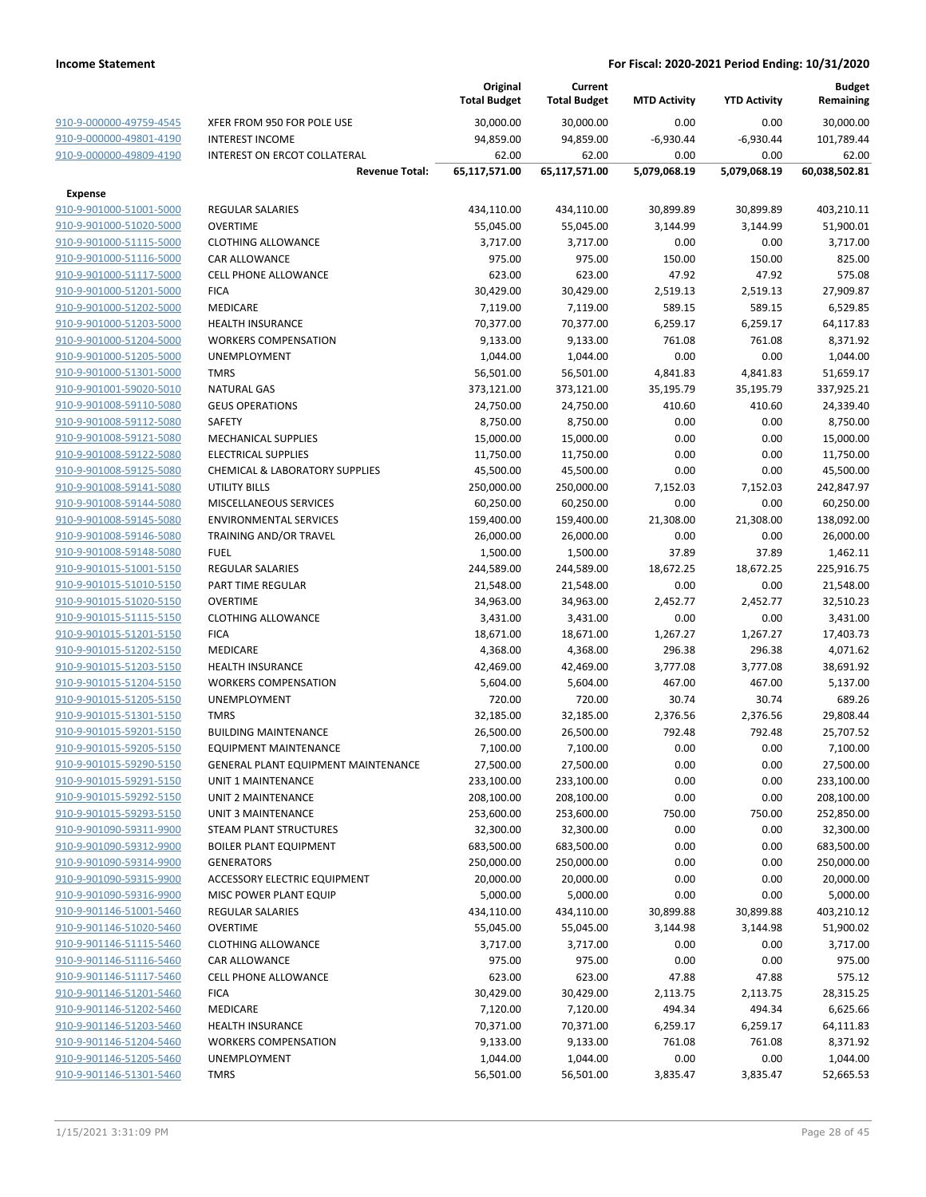|                                                    |                                                   | Original<br><b>Total Budget</b> | Current<br><b>Total Budget</b> | <b>MTD Activity</b> | <b>YTD Activity</b> | <b>Budget</b><br>Remaining |
|----------------------------------------------------|---------------------------------------------------|---------------------------------|--------------------------------|---------------------|---------------------|----------------------------|
| 910-9-000000-49759-4545                            | XFER FROM 950 FOR POLE USE                        | 30,000.00                       | 30,000.00                      | 0.00                | 0.00                | 30,000.00                  |
| 910-9-000000-49801-4190                            | <b>INTEREST INCOME</b>                            | 94,859.00                       | 94,859.00                      | $-6,930.44$         | $-6,930.44$         | 101,789.44                 |
| 910-9-000000-49809-4190                            | <b>INTEREST ON ERCOT COLLATERAL</b>               | 62.00                           | 62.00                          | 0.00                | 0.00                | 62.00                      |
|                                                    | <b>Revenue Total:</b>                             | 65,117,571.00                   | 65,117,571.00                  | 5,079,068.19        | 5,079,068.19        | 60,038,502.81              |
| <b>Expense</b>                                     |                                                   |                                 |                                |                     |                     |                            |
| 910-9-901000-51001-5000                            | <b>REGULAR SALARIES</b>                           | 434,110.00                      | 434,110.00                     | 30,899.89           | 30,899.89           | 403,210.11                 |
| 910-9-901000-51020-5000                            | <b>OVERTIME</b>                                   | 55,045.00                       | 55,045.00                      | 3,144.99            | 3,144.99            | 51,900.01                  |
| 910-9-901000-51115-5000                            | <b>CLOTHING ALLOWANCE</b>                         | 3,717.00                        | 3,717.00                       | 0.00                | 0.00                | 3,717.00                   |
| 910-9-901000-51116-5000                            | <b>CAR ALLOWANCE</b>                              | 975.00                          | 975.00                         | 150.00              | 150.00              | 825.00                     |
| 910-9-901000-51117-5000                            | <b>CELL PHONE ALLOWANCE</b>                       | 623.00                          | 623.00                         | 47.92               | 47.92               | 575.08                     |
| 910-9-901000-51201-5000                            | <b>FICA</b>                                       | 30,429.00                       | 30,429.00                      | 2,519.13            | 2,519.13            | 27,909.87                  |
| 910-9-901000-51202-5000                            | <b>MEDICARE</b>                                   | 7,119.00                        | 7,119.00                       | 589.15              | 589.15              | 6,529.85                   |
| 910-9-901000-51203-5000                            | <b>HEALTH INSURANCE</b>                           | 70,377.00                       | 70,377.00                      | 6,259.17            | 6,259.17            | 64,117.83                  |
| 910-9-901000-51204-5000                            | <b>WORKERS COMPENSATION</b>                       | 9,133.00                        | 9,133.00                       | 761.08              | 761.08              | 8,371.92                   |
| 910-9-901000-51205-5000                            | <b>UNEMPLOYMENT</b>                               | 1,044.00                        | 1,044.00                       | 0.00                | 0.00                | 1,044.00                   |
| 910-9-901000-51301-5000                            | <b>TMRS</b>                                       | 56,501.00                       | 56,501.00                      | 4,841.83            | 4,841.83            | 51,659.17                  |
| 910-9-901001-59020-5010                            | <b>NATURAL GAS</b>                                | 373,121.00                      | 373,121.00                     | 35,195.79           | 35,195.79           | 337,925.21                 |
| 910-9-901008-59110-5080                            | <b>GEUS OPERATIONS</b>                            | 24,750.00                       | 24,750.00                      | 410.60              | 410.60              | 24,339.40                  |
| 910-9-901008-59112-5080                            | SAFETY                                            | 8,750.00                        | 8,750.00                       | 0.00                | 0.00                | 8,750.00                   |
| 910-9-901008-59121-5080                            | <b>MECHANICAL SUPPLIES</b>                        | 15,000.00                       | 15,000.00                      | 0.00                | 0.00                | 15,000.00                  |
| 910-9-901008-59122-5080                            | <b>ELECTRICAL SUPPLIES</b>                        | 11,750.00                       | 11,750.00                      | 0.00                | 0.00                | 11,750.00                  |
| 910-9-901008-59125-5080                            | <b>CHEMICAL &amp; LABORATORY SUPPLIES</b>         | 45,500.00                       | 45,500.00                      | 0.00                | 0.00                | 45,500.00                  |
| 910-9-901008-59141-5080                            | <b>UTILITY BILLS</b>                              | 250,000.00                      | 250,000.00                     | 7,152.03            | 7,152.03            | 242,847.97                 |
| 910-9-901008-59144-5080                            | MISCELLANEOUS SERVICES                            | 60,250.00                       | 60,250.00                      | 0.00                | 0.00                | 60,250.00                  |
| 910-9-901008-59145-5080                            | <b>ENVIRONMENTAL SERVICES</b>                     | 159,400.00                      | 159,400.00                     | 21,308.00           | 21,308.00           | 138,092.00                 |
| 910-9-901008-59146-5080                            | TRAINING AND/OR TRAVEL                            | 26,000.00                       | 26,000.00                      | 0.00                | 0.00                | 26,000.00                  |
| 910-9-901008-59148-5080                            | <b>FUEL</b>                                       | 1,500.00                        | 1,500.00                       | 37.89               | 37.89               | 1,462.11                   |
| 910-9-901015-51001-5150                            | <b>REGULAR SALARIES</b>                           | 244,589.00                      | 244,589.00                     | 18,672.25           | 18,672.25           | 225,916.75                 |
| 910-9-901015-51010-5150                            | PART TIME REGULAR                                 | 21,548.00                       | 21,548.00                      | 0.00                | 0.00                | 21,548.00                  |
| 910-9-901015-51020-5150                            | <b>OVERTIME</b>                                   | 34,963.00                       | 34,963.00                      | 2,452.77            | 2,452.77            | 32,510.23                  |
| 910-9-901015-51115-5150                            | <b>CLOTHING ALLOWANCE</b>                         | 3,431.00                        | 3,431.00                       | 0.00                | 0.00                | 3,431.00                   |
| 910-9-901015-51201-5150                            | <b>FICA</b>                                       | 18,671.00                       | 18,671.00                      | 1,267.27            | 1,267.27            | 17,403.73                  |
| 910-9-901015-51202-5150                            | <b>MEDICARE</b>                                   | 4,368.00                        | 4,368.00                       | 296.38              | 296.38              | 4,071.62                   |
| 910-9-901015-51203-5150                            | <b>HEALTH INSURANCE</b>                           | 42,469.00                       | 42,469.00                      | 3,777.08            | 3,777.08            | 38,691.92                  |
| 910-9-901015-51204-5150                            | <b>WORKERS COMPENSATION</b>                       | 5,604.00                        | 5,604.00                       | 467.00              | 467.00              | 5,137.00                   |
| 910-9-901015-51205-5150                            | <b>UNEMPLOYMENT</b>                               | 720.00                          | 720.00                         | 30.74               | 30.74               | 689.26                     |
| 910-9-901015-51301-5150                            | <b>TMRS</b>                                       | 32,185.00                       | 32,185.00                      | 2,376.56            | 2,376.56            | 29,808.44                  |
| 910-9-901015-59201-5150                            | <b>BUILDING MAINTENANCE</b>                       | 26,500.00                       | 26,500.00                      | 792.48              | 792.48              | 25,707.52                  |
| 910-9-901015-59205-5150                            | <b>EQUIPMENT MAINTENANCE</b>                      | 7,100.00                        | 7,100.00                       | 0.00                | 0.00                | 7,100.00                   |
| 910-9-901015-59290-5150                            | <b>GENERAL PLANT EQUIPMENT MAINTENANCE</b>        | 27,500.00                       | 27,500.00                      | 0.00                | 0.00                | 27,500.00                  |
| 910-9-901015-59291-5150                            | UNIT 1 MAINTENANCE                                | 233,100.00                      | 233,100.00                     | 0.00                | 0.00                | 233,100.00                 |
| 910-9-901015-59292-5150                            | UNIT 2 MAINTENANCE                                | 208,100.00                      | 208,100.00                     | 0.00                | 0.00                | 208,100.00                 |
| 910-9-901015-59293-5150                            | UNIT 3 MAINTENANCE                                | 253,600.00                      | 253,600.00                     | 750.00              | 750.00              | 252,850.00                 |
| 910-9-901090-59311-9900                            | STEAM PLANT STRUCTURES                            | 32,300.00                       | 32,300.00                      | 0.00                | 0.00                | 32,300.00                  |
| 910-9-901090-59312-9900                            | <b>BOILER PLANT EQUIPMENT</b>                     | 683,500.00                      | 683,500.00                     | 0.00                | 0.00                | 683,500.00                 |
| 910-9-901090-59314-9900                            | <b>GENERATORS</b>                                 | 250,000.00                      | 250,000.00                     | 0.00                | 0.00                | 250,000.00                 |
| 910-9-901090-59315-9900                            | ACCESSORY ELECTRIC EQUIPMENT                      | 20,000.00<br>5,000.00           | 20,000.00<br>5,000.00          | 0.00<br>0.00        | 0.00<br>0.00        | 20,000.00<br>5,000.00      |
| 910-9-901090-59316-9900<br>910-9-901146-51001-5460 | MISC POWER PLANT EQUIP<br><b>REGULAR SALARIES</b> |                                 |                                | 30,899.88           | 30,899.88           | 403,210.12                 |
| 910-9-901146-51020-5460                            | <b>OVERTIME</b>                                   | 434,110.00<br>55,045.00         | 434,110.00<br>55,045.00        | 3,144.98            | 3,144.98            | 51,900.02                  |
| 910-9-901146-51115-5460                            | <b>CLOTHING ALLOWANCE</b>                         | 3,717.00                        | 3,717.00                       | 0.00                | 0.00                | 3,717.00                   |
| 910-9-901146-51116-5460                            | CAR ALLOWANCE                                     | 975.00                          | 975.00                         | 0.00                | 0.00                | 975.00                     |
| 910-9-901146-51117-5460                            | <b>CELL PHONE ALLOWANCE</b>                       | 623.00                          | 623.00                         | 47.88               | 47.88               | 575.12                     |
| 910-9-901146-51201-5460                            | <b>FICA</b>                                       | 30,429.00                       | 30,429.00                      | 2,113.75            | 2,113.75            | 28,315.25                  |
| 910-9-901146-51202-5460                            | <b>MEDICARE</b>                                   | 7,120.00                        | 7,120.00                       | 494.34              | 494.34              | 6,625.66                   |
| 910-9-901146-51203-5460                            | <b>HEALTH INSURANCE</b>                           | 70,371.00                       | 70,371.00                      | 6,259.17            | 6,259.17            | 64,111.83                  |
| 910-9-901146-51204-5460                            | <b>WORKERS COMPENSATION</b>                       | 9,133.00                        | 9,133.00                       | 761.08              | 761.08              | 8,371.92                   |
| 910-9-901146-51205-5460                            | UNEMPLOYMENT                                      | 1,044.00                        | 1,044.00                       | 0.00                | 0.00                | 1,044.00                   |
| 910-9-901146-51301-5460                            | <b>TMRS</b>                                       | 56,501.00                       | 56,501.00                      | 3,835.47            | 3,835.47            | 52,665.53                  |
|                                                    |                                                   |                                 |                                |                     |                     |                            |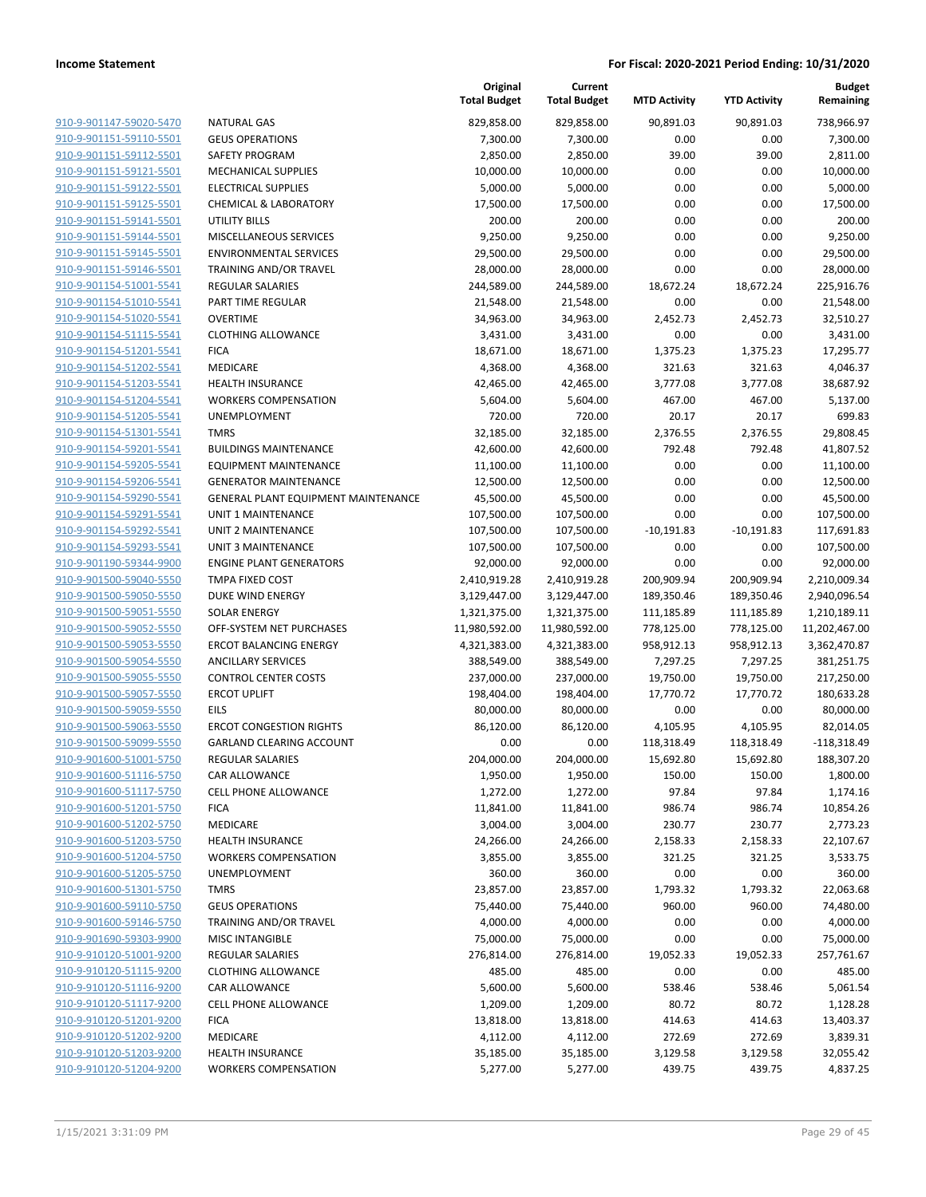| 910-9-901147-59020-5470        |
|--------------------------------|
| 910-9-901151-59110-5501        |
| 910-9-901151-59112-5501        |
| 910-9-901151-59121-5501        |
| <u>910-9-901151-59122-5501</u> |
| 910-9-901151-59125-5501        |
| 910-9-901151-59141-5501        |
| 910-9-901151-59144-5501        |
| 910-9-901151-59145-5501        |
| 910-9-901151-59146-5501        |
| 910-9-901154-51001-5541        |
| 910-9-901154-51010-5541        |
| 910-9-901154-51020-5541        |
|                                |
| 910-9-901154-51115-5541        |
| <u>910-9-901154-51201-5541</u> |
| 910-9-901154-51202-5541        |
| 910-9-901154-51203-5541        |
| 910-9-901154-51204-5541        |
| 910-9-901154-51205-5541        |
| <u>910-9-901154-51301-5541</u> |
| 910-9-901154-59201-5541        |
| 910-9-901154-59205-5541        |
| 910-9-901154-59206-5541        |
| 910-9-901154-59290-5541        |
| 910-9-901154-59291-5541        |
| 910-9-901154-59292-5541        |
| 910-9-901154-59293-5541        |
| 910-9-901190-59344-9900        |
| <u>910-9-901500-59040-5550</u> |
| <u>910-9-901500-59050-5550</u> |
| 910-9-901500-59051-5550        |
| 910-9-901500-59052-5550        |
| 910-9-901500-59053-5550        |
|                                |
| 910-9-901500-59054-5550        |
| <u>910-9-901500-59055-5550</u> |
| 910-9-901500-59057-5550        |
| 910-9-901500-59059-5550        |
| 910-9-901500-59063-5550        |
| 910-9-901500-59099-5550        |
| <u>910-9-901600-51001-5750</u> |
| 910-9-901600-51116-5750        |
| 910-9-901600-51117-5750        |
| 910-9-901600-51201-5750        |
| <u>910-9-901600-51202-5750</u> |
| <u>910-9-901600-51203-5750</u> |
| 910-9-901600-51204-5750        |
| 910-9-901600-51205-5750        |
| 910-9-901600-51301-5750        |
| <u>910-9-901600-59110-5750</u> |
| <u>910-9-901600-59146-5750</u> |
| 910-9-901690-59303-9900        |
| 910-9-910120-51001-9200        |
| 910-9-910120-51115-9200        |
| <u>910-9-910120-51116-9200</u> |
| <u>910-9-910120-51117-9200</u> |
| 910-9-910120-51201-9200        |
|                                |
| 910-9-910120-51202-9200        |
| 910-9-910120-51203-9200        |
| 910-9-910120-51204-9200        |

|                                                    |                                                           | Original<br><b>Total Budget</b> | Current<br><b>Total Budget</b> | <b>MTD Activity</b> | <b>YTD Activity</b> | <b>Budget</b><br>Remaining |
|----------------------------------------------------|-----------------------------------------------------------|---------------------------------|--------------------------------|---------------------|---------------------|----------------------------|
| 910-9-901147-59020-5470                            | <b>NATURAL GAS</b>                                        | 829,858.00                      | 829,858.00                     | 90,891.03           | 90,891.03           | 738,966.97                 |
| 910-9-901151-59110-5501                            | <b>GEUS OPERATIONS</b>                                    | 7,300.00                        | 7,300.00                       | 0.00                | 0.00                | 7,300.00                   |
| 910-9-901151-59112-5501                            | SAFETY PROGRAM                                            | 2,850.00                        | 2,850.00                       | 39.00               | 39.00               | 2,811.00                   |
| 910-9-901151-59121-5501                            | <b>MECHANICAL SUPPLIES</b>                                | 10,000.00                       | 10,000.00                      | 0.00                | 0.00                | 10,000.00                  |
| 910-9-901151-59122-5501                            | <b>ELECTRICAL SUPPLIES</b>                                | 5,000.00                        | 5,000.00                       | 0.00                | 0.00                | 5,000.00                   |
| 910-9-901151-59125-5501                            | <b>CHEMICAL &amp; LABORATORY</b>                          | 17,500.00                       | 17,500.00                      | 0.00                | 0.00                | 17,500.00                  |
| 910-9-901151-59141-5501                            | <b>UTILITY BILLS</b>                                      | 200.00                          | 200.00                         | 0.00                | 0.00                | 200.00                     |
| 910-9-901151-59144-5501                            | MISCELLANEOUS SERVICES                                    | 9,250.00                        | 9,250.00                       | 0.00                | 0.00                | 9,250.00                   |
| 910-9-901151-59145-5501                            | <b>ENVIRONMENTAL SERVICES</b>                             | 29,500.00                       | 29,500.00                      | 0.00                | 0.00                | 29,500.00                  |
| 910-9-901151-59146-5501                            | TRAINING AND/OR TRAVEL                                    | 28,000.00                       | 28,000.00                      | 0.00                | 0.00                | 28,000.00                  |
| 910-9-901154-51001-5541                            | <b>REGULAR SALARIES</b>                                   | 244,589.00                      | 244,589.00                     | 18,672.24           | 18,672.24           | 225,916.76                 |
| 910-9-901154-51010-5541                            | PART TIME REGULAR                                         | 21,548.00                       | 21,548.00                      | 0.00                | 0.00                | 21,548.00                  |
| 910-9-901154-51020-5541                            | <b>OVERTIME</b>                                           | 34,963.00                       | 34,963.00                      | 2,452.73            | 2,452.73            | 32,510.27                  |
| 910-9-901154-51115-5541                            | <b>CLOTHING ALLOWANCE</b>                                 | 3,431.00                        | 3,431.00                       | 0.00                | 0.00                | 3,431.00                   |
| 910-9-901154-51201-5541                            | <b>FICA</b>                                               | 18,671.00                       | 18,671.00                      | 1,375.23            | 1,375.23            | 17,295.77                  |
| 910-9-901154-51202-5541                            | MEDICARE                                                  | 4,368.00                        | 4,368.00                       | 321.63              | 321.63              | 4,046.37                   |
| 910-9-901154-51203-5541                            | <b>HEALTH INSURANCE</b>                                   | 42,465.00                       | 42,465.00                      | 3,777.08            | 3,777.08            | 38,687.92                  |
| 910-9-901154-51204-5541                            | <b>WORKERS COMPENSATION</b>                               | 5,604.00                        | 5,604.00                       | 467.00              | 467.00              | 5,137.00                   |
| 910-9-901154-51205-5541                            | UNEMPLOYMENT                                              | 720.00                          | 720.00                         | 20.17               | 20.17               | 699.83                     |
| 910-9-901154-51301-5541                            | <b>TMRS</b>                                               | 32,185.00                       | 32,185.00                      | 2,376.55            | 2,376.55            | 29,808.45                  |
| 910-9-901154-59201-5541                            | <b>BUILDINGS MAINTENANCE</b>                              | 42,600.00                       | 42,600.00                      | 792.48              | 792.48              | 41,807.52                  |
| 910-9-901154-59205-5541                            | <b>EQUIPMENT MAINTENANCE</b>                              | 11,100.00                       | 11,100.00                      | 0.00                | 0.00                | 11,100.00                  |
| 910-9-901154-59206-5541<br>910-9-901154-59290-5541 | <b>GENERATOR MAINTENANCE</b>                              | 12,500.00                       | 12,500.00                      | 0.00                | 0.00                | 12,500.00                  |
| 910-9-901154-59291-5541                            | GENERAL PLANT EQUIPMENT MAINTENANCE<br>UNIT 1 MAINTENANCE | 45,500.00<br>107,500.00         | 45,500.00<br>107,500.00        | 0.00<br>0.00        | 0.00<br>0.00        | 45,500.00<br>107,500.00    |
| 910-9-901154-59292-5541                            | UNIT 2 MAINTENANCE                                        | 107,500.00                      | 107,500.00                     | $-10,191.83$        | $-10,191.83$        | 117,691.83                 |
| 910-9-901154-59293-5541                            | <b>UNIT 3 MAINTENANCE</b>                                 | 107,500.00                      | 107,500.00                     | 0.00                | 0.00                | 107,500.00                 |
| 910-9-901190-59344-9900                            | <b>ENGINE PLANT GENERATORS</b>                            | 92,000.00                       | 92,000.00                      | 0.00                | 0.00                | 92,000.00                  |
| 910-9-901500-59040-5550                            | TMPA FIXED COST                                           | 2,410,919.28                    | 2,410,919.28                   | 200,909.94          | 200,909.94          | 2,210,009.34               |
| 910-9-901500-59050-5550                            | DUKE WIND ENERGY                                          | 3,129,447.00                    | 3,129,447.00                   | 189,350.46          | 189,350.46          | 2,940,096.54               |
| 910-9-901500-59051-5550                            | <b>SOLAR ENERGY</b>                                       | 1,321,375.00                    | 1,321,375.00                   | 111,185.89          | 111,185.89          | 1,210,189.11               |
| 910-9-901500-59052-5550                            | OFF-SYSTEM NET PURCHASES                                  | 11,980,592.00                   | 11,980,592.00                  | 778,125.00          | 778,125.00          | 11,202,467.00              |
| 910-9-901500-59053-5550                            | <b>ERCOT BALANCING ENERGY</b>                             | 4,321,383.00                    | 4,321,383.00                   | 958,912.13          | 958,912.13          | 3,362,470.87               |
| 910-9-901500-59054-5550                            | <b>ANCILLARY SERVICES</b>                                 | 388,549.00                      | 388,549.00                     | 7,297.25            | 7,297.25            | 381,251.75                 |
| 910-9-901500-59055-5550                            | <b>CONTROL CENTER COSTS</b>                               | 237,000.00                      | 237,000.00                     | 19,750.00           | 19,750.00           | 217,250.00                 |
| 910-9-901500-59057-5550                            | <b>ERCOT UPLIFT</b>                                       | 198,404.00                      | 198,404.00                     | 17,770.72           | 17,770.72           | 180,633.28                 |
| 910-9-901500-59059-5550                            | EILS                                                      | 80,000.00                       | 80,000.00                      | 0.00                | 0.00                | 80,000.00                  |
| 910-9-901500-59063-5550                            | <b>ERCOT CONGESTION RIGHTS</b>                            | 86,120.00                       | 86,120.00                      | 4,105.95            | 4,105.95            | 82,014.05                  |
| 910-9-901500-59099-5550                            | <b>GARLAND CLEARING ACCOUNT</b>                           | 0.00                            | 0.00                           | 118,318.49          | 118,318.49          | $-118,318.49$              |
| 910-9-901600-51001-5750                            | <b>REGULAR SALARIES</b>                                   | 204,000.00                      | 204,000.00                     | 15,692.80           | 15,692.80           | 188,307.20                 |
| 910-9-901600-51116-5750                            | CAR ALLOWANCE                                             | 1,950.00                        | 1,950.00                       | 150.00              | 150.00              | 1,800.00                   |
| 910-9-901600-51117-5750                            | CELL PHONE ALLOWANCE                                      | 1,272.00                        | 1,272.00                       | 97.84               | 97.84               | 1,174.16                   |
| 910-9-901600-51201-5750                            | <b>FICA</b>                                               | 11,841.00                       | 11,841.00                      | 986.74              | 986.74              | 10,854.26                  |
| 910-9-901600-51202-5750                            | MEDICARE                                                  | 3,004.00                        | 3,004.00                       | 230.77              | 230.77              | 2,773.23                   |
| 910-9-901600-51203-5750                            | <b>HEALTH INSURANCE</b>                                   | 24,266.00                       | 24,266.00                      | 2,158.33            | 2,158.33            | 22,107.67                  |
| 910-9-901600-51204-5750                            | <b>WORKERS COMPENSATION</b>                               | 3,855.00                        | 3,855.00                       | 321.25              | 321.25              | 3,533.75                   |
| 910-9-901600-51205-5750                            | UNEMPLOYMENT                                              | 360.00                          | 360.00                         | 0.00                | 0.00                | 360.00                     |
| 910-9-901600-51301-5750                            | <b>TMRS</b>                                               | 23,857.00                       | 23,857.00                      | 1,793.32            | 1,793.32            | 22,063.68                  |
| 910-9-901600-59110-5750                            | <b>GEUS OPERATIONS</b>                                    | 75,440.00                       | 75,440.00                      | 960.00              | 960.00              | 74,480.00                  |
| 910-9-901600-59146-5750                            | TRAINING AND/OR TRAVEL<br><b>MISC INTANGIBLE</b>          | 4,000.00                        | 4,000.00                       | 0.00                | 0.00                | 4,000.00                   |
| 910-9-901690-59303-9900                            |                                                           | 75,000.00                       | 75,000.00                      | 0.00                | 0.00                | 75,000.00                  |
| 910-9-910120-51001-9200                            | <b>REGULAR SALARIES</b>                                   | 276,814.00                      | 276,814.00                     | 19,052.33           | 19,052.33           | 257,761.67                 |
| 910-9-910120-51115-9200<br>910-9-910120-51116-9200 | <b>CLOTHING ALLOWANCE</b>                                 | 485.00                          | 485.00                         | 0.00                | 0.00                | 485.00                     |
| 910-9-910120-51117-9200                            | CAR ALLOWANCE<br>CELL PHONE ALLOWANCE                     | 5,600.00<br>1,209.00            | 5,600.00<br>1,209.00           | 538.46<br>80.72     | 538.46<br>80.72     | 5,061.54<br>1,128.28       |
| 910-9-910120-51201-9200                            | <b>FICA</b>                                               | 13,818.00                       | 13,818.00                      | 414.63              | 414.63              | 13,403.37                  |
| 910-9-910120-51202-9200                            | MEDICARE                                                  | 4,112.00                        | 4,112.00                       | 272.69              | 272.69              | 3,839.31                   |
| 910-9-910120-51203-9200                            | <b>HEALTH INSURANCE</b>                                   | 35,185.00                       | 35,185.00                      | 3,129.58            | 3,129.58            | 32,055.42                  |
| 910-9-910120-51204-9200                            | <b>WORKERS COMPENSATION</b>                               | 5,277.00                        | 5,277.00                       | 439.75              | 439.75              | 4,837.25                   |
|                                                    |                                                           |                                 |                                |                     |                     |                            |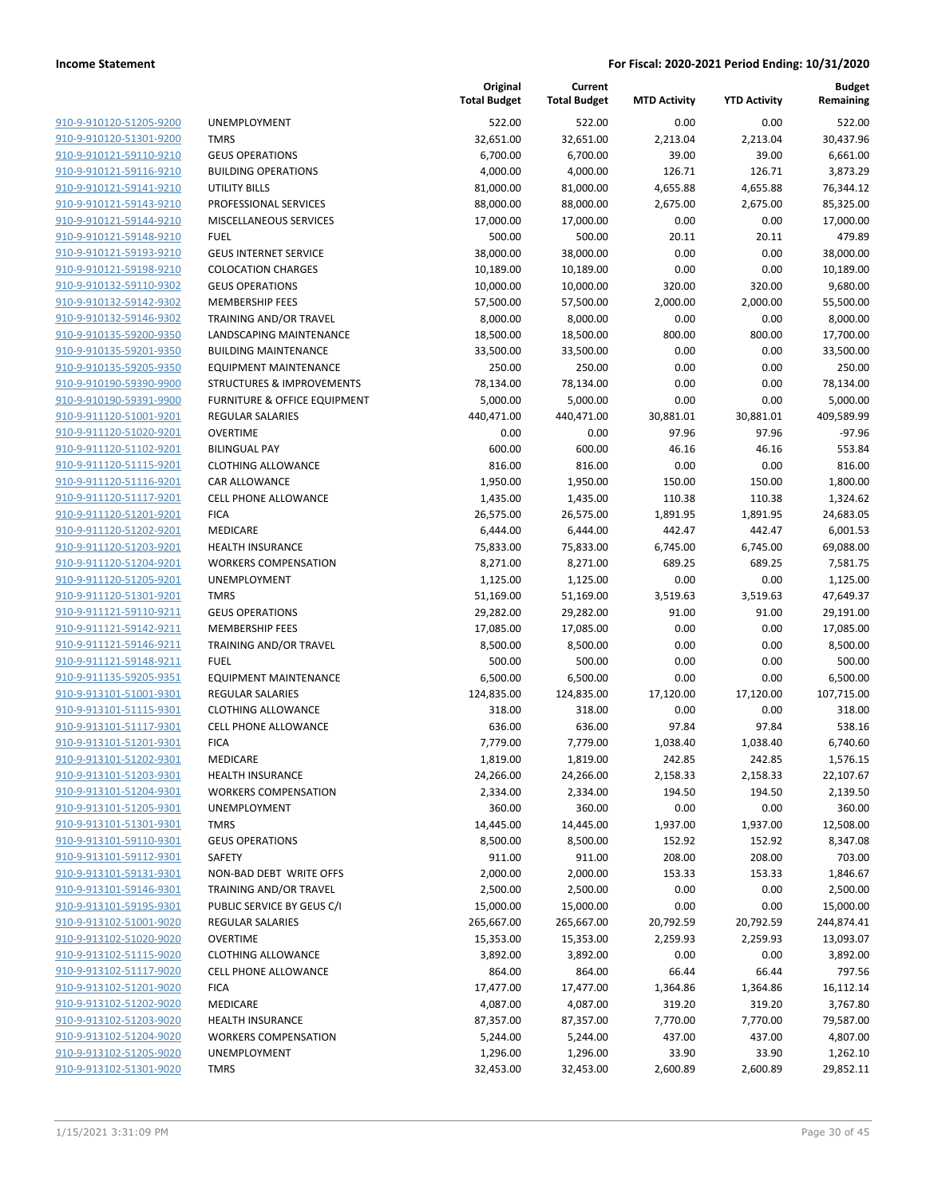**Budget Remaining**

**MTD Activity YTD Activity**

**Current**

**Original**

|                         |                              | <b>Total Budget</b> | <b>Total Budget</b> | <b>MTD Activity</b> | <b>YTD Activity</b> | Remaining  |
|-------------------------|------------------------------|---------------------|---------------------|---------------------|---------------------|------------|
| 910-9-910120-51205-9200 | <b>UNEMPLOYMENT</b>          | 522.00              | 522.00              | 0.00                | 0.00                | 522.00     |
| 910-9-910120-51301-9200 | <b>TMRS</b>                  | 32,651.00           | 32,651.00           | 2,213.04            | 2,213.04            | 30,437.96  |
| 910-9-910121-59110-9210 | <b>GEUS OPERATIONS</b>       | 6,700.00            | 6,700.00            | 39.00               | 39.00               | 6,661.00   |
| 910-9-910121-59116-9210 | <b>BUILDING OPERATIONS</b>   | 4,000.00            | 4,000.00            | 126.71              | 126.71              | 3,873.29   |
| 910-9-910121-59141-9210 | UTILITY BILLS                | 81,000.00           | 81,000.00           | 4,655.88            | 4,655.88            | 76,344.12  |
| 910-9-910121-59143-9210 | PROFESSIONAL SERVICES        | 88,000.00           | 88,000.00           | 2,675.00            | 2,675.00            | 85,325.00  |
| 910-9-910121-59144-9210 | MISCELLANEOUS SERVICES       | 17,000.00           | 17,000.00           | 0.00                | 0.00                | 17,000.00  |
| 910-9-910121-59148-9210 | <b>FUEL</b>                  | 500.00              | 500.00              | 20.11               | 20.11               | 479.89     |
| 910-9-910121-59193-9210 | <b>GEUS INTERNET SERVICE</b> | 38,000.00           | 38,000.00           | 0.00                | 0.00                | 38,000.00  |
| 910-9-910121-59198-9210 | <b>COLOCATION CHARGES</b>    | 10,189.00           | 10,189.00           | 0.00                | 0.00                | 10,189.00  |
| 910-9-910132-59110-9302 | <b>GEUS OPERATIONS</b>       | 10,000.00           | 10,000.00           | 320.00              | 320.00              | 9,680.00   |
| 910-9-910132-59142-9302 | <b>MEMBERSHIP FEES</b>       | 57,500.00           | 57,500.00           | 2,000.00            | 2,000.00            | 55,500.00  |
| 910-9-910132-59146-9302 | TRAINING AND/OR TRAVEL       | 8,000.00            | 8,000.00            | 0.00                | 0.00                | 8,000.00   |
| 910-9-910135-59200-9350 | LANDSCAPING MAINTENANCE      | 18,500.00           | 18,500.00           | 800.00              | 800.00              | 17,700.00  |
| 910-9-910135-59201-9350 | <b>BUILDING MAINTENANCE</b>  | 33,500.00           | 33,500.00           | 0.00                | 0.00                | 33,500.00  |
| 910-9-910135-59205-9350 | EQUIPMENT MAINTENANCE        | 250.00              | 250.00              | 0.00                | 0.00                | 250.00     |
| 910-9-910190-59390-9900 | STRUCTURES & IMPROVEMENTS    | 78,134.00           | 78,134.00           | 0.00                | 0.00                | 78,134.00  |
| 910-9-910190-59391-9900 | FURNITURE & OFFICE EQUIPMENT | 5,000.00            | 5,000.00            | 0.00                | 0.00                | 5,000.00   |
| 910-9-911120-51001-9201 | <b>REGULAR SALARIES</b>      | 440,471.00          | 440,471.00          | 30,881.01           | 30,881.01           | 409.589.99 |
| 910-9-911120-51020-9201 | <b>OVERTIME</b>              | 0.00                | 0.00                | 97.96               | 97.96               | $-97.96$   |
| 910-9-911120-51102-9201 | <b>BILINGUAL PAY</b>         | 600.00              | 600.00              | 46.16               | 46.16               | 553.84     |
| 910-9-911120-51115-9201 | <b>CLOTHING ALLOWANCE</b>    | 816.00              | 816.00              | 0.00                | 0.00                | 816.00     |
| 910-9-911120-51116-9201 | <b>CAR ALLOWANCE</b>         | 1,950.00            | 1,950.00            | 150.00              | 150.00              | 1,800.00   |
| 910-9-911120-51117-9201 | <b>CELL PHONE ALLOWANCE</b>  | 1,435.00            | 1,435.00            | 110.38              | 110.38              | 1,324.62   |
| 910-9-911120-51201-9201 | <b>FICA</b>                  | 26,575.00           | 26,575.00           | 1,891.95            | 1,891.95            | 24,683.05  |
| 910-9-911120-51202-9201 | MEDICARE                     | 6,444.00            | 6,444.00            | 442.47              | 442.47              | 6,001.53   |
| 910-9-911120-51203-9201 | <b>HEALTH INSURANCE</b>      | 75,833.00           | 75,833.00           | 6,745.00            | 6,745.00            | 69,088.00  |
| 910-9-911120-51204-9201 | <b>WORKERS COMPENSATION</b>  | 8,271.00            | 8,271.00            | 689.25              | 689.25              | 7,581.75   |
| 910-9-911120-51205-9201 | UNEMPLOYMENT                 | 1,125.00            | 1,125.00            | 0.00                | 0.00                | 1,125.00   |
| 910-9-911120-51301-9201 | <b>TMRS</b>                  | 51,169.00           | 51,169.00           | 3,519.63            | 3,519.63            | 47,649.37  |
| 910-9-911121-59110-9211 | <b>GEUS OPERATIONS</b>       | 29,282.00           | 29,282.00           | 91.00               | 91.00               | 29,191.00  |
| 910-9-911121-59142-9211 | <b>MEMBERSHIP FEES</b>       | 17,085.00           | 17,085.00           | 0.00                | 0.00                | 17,085.00  |
| 910-9-911121-59146-9211 | TRAINING AND/OR TRAVEL       | 8,500.00            | 8,500.00            | 0.00                | 0.00                | 8,500.00   |
| 910-9-911121-59148-9211 | <b>FUEL</b>                  | 500.00              | 500.00              | 0.00                | 0.00                | 500.00     |
| 910-9-911135-59205-9351 | EQUIPMENT MAINTENANCE        | 6,500.00            | 6,500.00            | 0.00                | 0.00                | 6,500.00   |
| 910-9-913101-51001-9301 | REGULAR SALARIES             | 124,835.00          | 124,835.00          | 17,120.00           | 17,120.00           | 107,715.00 |
| 910-9-913101-51115-9301 | <b>CLOTHING ALLOWANCE</b>    | 318.00              | 318.00              | 0.00                | 0.00                | 318.00     |
| 910-9-913101-51117-9301 | <b>CELL PHONE ALLOWANCE</b>  | 636.00              | 636.00              | 97.84               | 97.84               | 538.16     |
| 910-9-913101-51201-9301 | <b>FICA</b>                  | 7,779.00            | 7,779.00            | 1,038.40            | 1,038.40            | 6,740.60   |
| 910-9-913101-51202-9301 | MEDICARE                     | 1,819.00            | 1,819.00            | 242.85              | 242.85              | 1,576.15   |
| 910-9-913101-51203-9301 | <b>HEALTH INSURANCE</b>      | 24,266.00           | 24,266.00           | 2,158.33            | 2,158.33            | 22,107.67  |
| 910-9-913101-51204-9301 | <b>WORKERS COMPENSATION</b>  | 2,334.00            | 2,334.00            | 194.50              | 194.50              | 2,139.50   |
| 910-9-913101-51205-9301 | <b>UNEMPLOYMENT</b>          | 360.00              | 360.00              | 0.00                | 0.00                | 360.00     |
| 910-9-913101-51301-9301 | <b>TMRS</b>                  | 14,445.00           | 14,445.00           | 1,937.00            | 1,937.00            | 12,508.00  |
| 910-9-913101-59110-9301 | <b>GEUS OPERATIONS</b>       | 8,500.00            | 8,500.00            | 152.92              | 152.92              | 8,347.08   |
| 910-9-913101-59112-9301 | SAFETY                       | 911.00              | 911.00              | 208.00              | 208.00              | 703.00     |
| 910-9-913101-59131-9301 | NON-BAD DEBT WRITE OFFS      | 2,000.00            | 2,000.00            | 153.33              | 153.33              | 1,846.67   |
| 910-9-913101-59146-9301 | TRAINING AND/OR TRAVEL       | 2,500.00            | 2,500.00            | 0.00                | 0.00                | 2,500.00   |
| 910-9-913101-59195-9301 | PUBLIC SERVICE BY GEUS C/I   | 15,000.00           | 15,000.00           | 0.00                | 0.00                | 15,000.00  |
| 910-9-913102-51001-9020 | REGULAR SALARIES             | 265,667.00          | 265,667.00          | 20,792.59           | 20,792.59           | 244,874.41 |
| 910-9-913102-51020-9020 | <b>OVERTIME</b>              | 15,353.00           | 15,353.00           | 2,259.93            | 2,259.93            | 13,093.07  |
| 910-9-913102-51115-9020 | <b>CLOTHING ALLOWANCE</b>    | 3,892.00            | 3,892.00            | 0.00                | 0.00                | 3,892.00   |
| 910-9-913102-51117-9020 | <b>CELL PHONE ALLOWANCE</b>  | 864.00              | 864.00              | 66.44               | 66.44               | 797.56     |
| 910-9-913102-51201-9020 | <b>FICA</b>                  | 17,477.00           | 17,477.00           | 1,364.86            | 1,364.86            | 16,112.14  |
| 910-9-913102-51202-9020 | MEDICARE                     | 4,087.00            | 4,087.00            | 319.20              | 319.20              | 3,767.80   |
| 910-9-913102-51203-9020 | <b>HEALTH INSURANCE</b>      | 87,357.00           | 87,357.00           | 7,770.00            | 7,770.00            | 79,587.00  |
| 910-9-913102-51204-9020 | <b>WORKERS COMPENSATION</b>  | 5,244.00            | 5,244.00            | 437.00              | 437.00              | 4,807.00   |
| 910-9-913102-51205-9020 | UNEMPLOYMENT                 | 1,296.00            | 1,296.00            | 33.90               | 33.90               | 1,262.10   |
| 910-9-913102-51301-9020 | TMRS                         | 32,453.00           | 32,453.00           | 2,600.89            | 2,600.89            | 29,852.11  |
|                         |                              |                     |                     |                     |                     |            |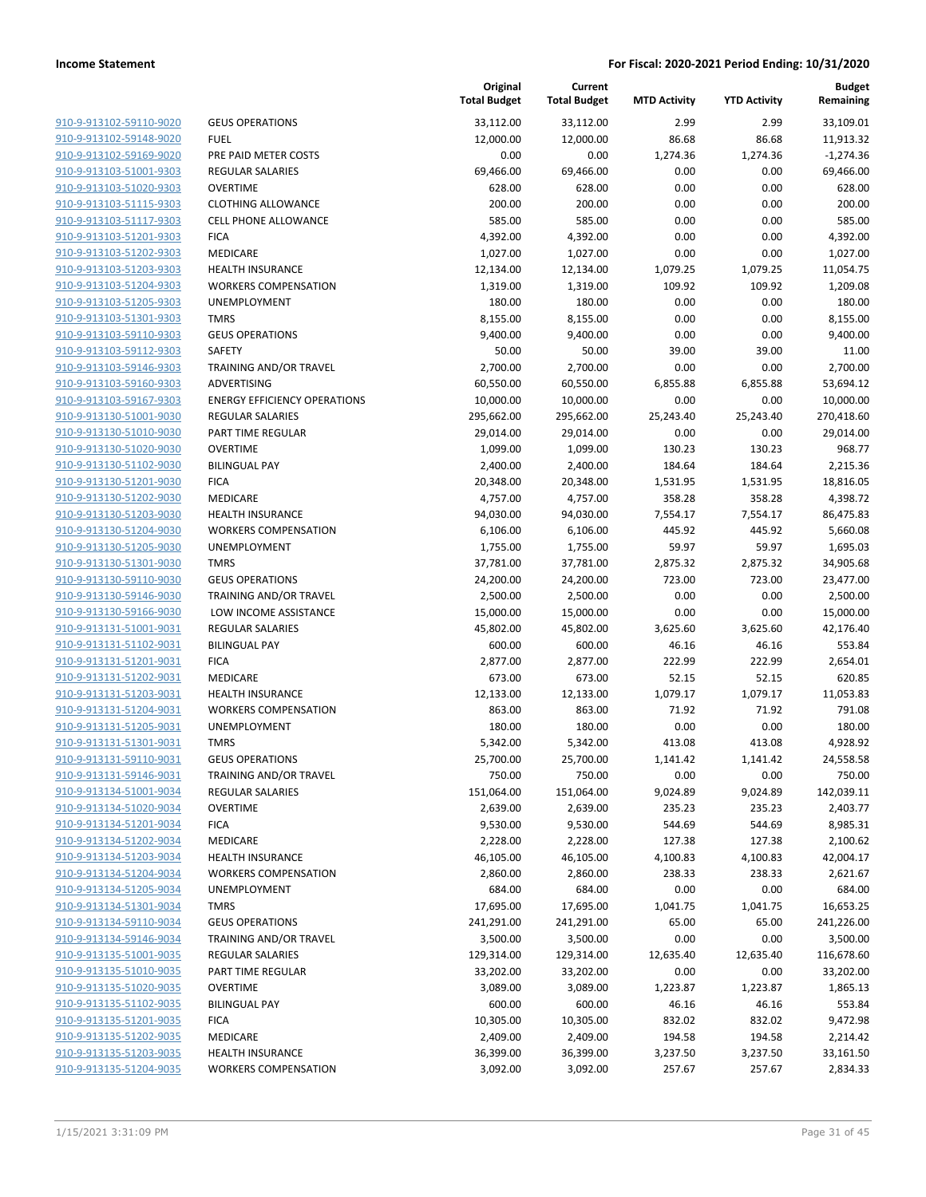**Current**

**Original**

**Budget Remaining**

|                         |                                     | <b>Total Budget</b> | <b>Total Budget</b> | <b>MTD Activity</b> | <b>YTD Activity</b> | Remaining   |
|-------------------------|-------------------------------------|---------------------|---------------------|---------------------|---------------------|-------------|
| 910-9-913102-59110-9020 | <b>GEUS OPERATIONS</b>              | 33,112.00           | 33,112.00           | 2.99                | 2.99                | 33,109.01   |
| 910-9-913102-59148-9020 | <b>FUEL</b>                         | 12,000.00           | 12,000.00           | 86.68               | 86.68               | 11,913.32   |
| 910-9-913102-59169-9020 | PRE PAID METER COSTS                | 0.00                | 0.00                | 1,274.36            | 1,274.36            | $-1,274.36$ |
| 910-9-913103-51001-9303 | <b>REGULAR SALARIES</b>             | 69,466.00           | 69,466.00           | 0.00                | 0.00                | 69,466.00   |
| 910-9-913103-51020-9303 | <b>OVERTIME</b>                     | 628.00              | 628.00              | 0.00                | 0.00                | 628.00      |
| 910-9-913103-51115-9303 | <b>CLOTHING ALLOWANCE</b>           | 200.00              | 200.00              | 0.00                | 0.00                | 200.00      |
| 910-9-913103-51117-9303 | <b>CELL PHONE ALLOWANCE</b>         | 585.00              | 585.00              | 0.00                | 0.00                | 585.00      |
| 910-9-913103-51201-9303 | <b>FICA</b>                         | 4,392.00            | 4,392.00            | 0.00                | 0.00                | 4,392.00    |
| 910-9-913103-51202-9303 | MEDICARE                            | 1,027.00            | 1,027.00            | 0.00                | 0.00                | 1,027.00    |
| 910-9-913103-51203-9303 | <b>HEALTH INSURANCE</b>             | 12,134.00           | 12,134.00           | 1,079.25            | 1,079.25            | 11,054.75   |
| 910-9-913103-51204-9303 | <b>WORKERS COMPENSATION</b>         | 1,319.00            | 1,319.00            | 109.92              | 109.92              | 1,209.08    |
| 910-9-913103-51205-9303 | UNEMPLOYMENT                        | 180.00              | 180.00              | 0.00                | 0.00                | 180.00      |
| 910-9-913103-51301-9303 | <b>TMRS</b>                         | 8,155.00            | 8,155.00            | 0.00                | 0.00                | 8,155.00    |
| 910-9-913103-59110-9303 | <b>GEUS OPERATIONS</b>              | 9,400.00            | 9,400.00            | 0.00                | 0.00                | 9,400.00    |
| 910-9-913103-59112-9303 | SAFETY                              | 50.00               | 50.00               | 39.00               | 39.00               | 11.00       |
| 910-9-913103-59146-9303 | TRAINING AND/OR TRAVEL              | 2,700.00            | 2,700.00            | 0.00                | 0.00                | 2,700.00    |
| 910-9-913103-59160-9303 | ADVERTISING                         | 60,550.00           | 60,550.00           | 6,855.88            | 6,855.88            | 53,694.12   |
| 910-9-913103-59167-9303 | <b>ENERGY EFFICIENCY OPERATIONS</b> | 10,000.00           | 10,000.00           | 0.00                | 0.00                | 10,000.00   |
| 910-9-913130-51001-9030 | <b>REGULAR SALARIES</b>             | 295,662.00          | 295,662.00          | 25,243.40           | 25,243.40           | 270,418.60  |
| 910-9-913130-51010-9030 | PART TIME REGULAR                   | 29,014.00           | 29,014.00           | 0.00                | 0.00                | 29,014.00   |
| 910-9-913130-51020-9030 | <b>OVERTIME</b>                     | 1,099.00            | 1,099.00            | 130.23              | 130.23              | 968.77      |
| 910-9-913130-51102-9030 | <b>BILINGUAL PAY</b>                | 2,400.00            | 2,400.00            | 184.64              | 184.64              | 2,215.36    |
| 910-9-913130-51201-9030 | <b>FICA</b>                         | 20,348.00           | 20,348.00           | 1,531.95            | 1,531.95            | 18,816.05   |
| 910-9-913130-51202-9030 | <b>MEDICARE</b>                     | 4,757.00            | 4,757.00            | 358.28              | 358.28              | 4,398.72    |
| 910-9-913130-51203-9030 | <b>HEALTH INSURANCE</b>             | 94,030.00           | 94,030.00           | 7,554.17            | 7,554.17            | 86,475.83   |
| 910-9-913130-51204-9030 | <b>WORKERS COMPENSATION</b>         | 6,106.00            | 6,106.00            | 445.92              | 445.92              | 5,660.08    |
| 910-9-913130-51205-9030 | UNEMPLOYMENT                        | 1,755.00            | 1,755.00            | 59.97               | 59.97               | 1,695.03    |
| 910-9-913130-51301-9030 | <b>TMRS</b>                         | 37,781.00           | 37,781.00           | 2,875.32            | 2,875.32            | 34,905.68   |
| 910-9-913130-59110-9030 | <b>GEUS OPERATIONS</b>              | 24,200.00           | 24,200.00           | 723.00              | 723.00              | 23,477.00   |
| 910-9-913130-59146-9030 | TRAINING AND/OR TRAVEL              | 2,500.00            | 2,500.00            | 0.00                | 0.00                | 2,500.00    |
| 910-9-913130-59166-9030 | LOW INCOME ASSISTANCE               | 15,000.00           | 15,000.00           | 0.00                | 0.00                | 15,000.00   |
| 910-9-913131-51001-9031 | <b>REGULAR SALARIES</b>             | 45,802.00           | 45,802.00           | 3,625.60            | 3,625.60            | 42,176.40   |
| 910-9-913131-51102-9031 | <b>BILINGUAL PAY</b>                | 600.00              | 600.00              | 46.16               | 46.16               | 553.84      |
| 910-9-913131-51201-9031 | <b>FICA</b>                         | 2,877.00            | 2,877.00            | 222.99              | 222.99              | 2,654.01    |
| 910-9-913131-51202-9031 | MEDICARE                            | 673.00              | 673.00              | 52.15               | 52.15               | 620.85      |
| 910-9-913131-51203-9031 | HEALTH INSURANCE                    | 12,133.00           | 12,133.00           | 1,079.17            | 1,079.17            | 11,053.83   |
| 910-9-913131-51204-9031 | <b>WORKERS COMPENSATION</b>         | 863.00              | 863.00              | 71.92               | 71.92               | 791.08      |
| 910-9-913131-51205-9031 | UNEMPLOYMENT                        | 180.00              | 180.00              | 0.00                | 0.00                | 180.00      |
| 910-9-913131-51301-9031 | <b>TMRS</b>                         | 5,342.00            | 5,342.00            | 413.08              | 413.08              | 4,928.92    |
| 910-9-913131-59110-9031 | <b>GEUS OPERATIONS</b>              | 25,700.00           | 25,700.00           | 1,141.42            | 1,141.42            | 24,558.58   |
| 910-9-913131-59146-9031 | TRAINING AND/OR TRAVEL              | 750.00              | 750.00              | 0.00                | 0.00                | 750.00      |
| 910-9-913134-51001-9034 | <b>REGULAR SALARIES</b>             | 151,064.00          | 151,064.00          | 9,024.89            | 9,024.89            | 142,039.11  |
| 910-9-913134-51020-9034 | <b>OVERTIME</b>                     | 2,639.00            | 2,639.00            | 235.23              | 235.23              | 2,403.77    |
| 910-9-913134-51201-9034 | <b>FICA</b>                         | 9,530.00            | 9,530.00            | 544.69              | 544.69              | 8,985.31    |
| 910-9-913134-51202-9034 | MEDICARE                            | 2,228.00            | 2,228.00            | 127.38              | 127.38              | 2,100.62    |
| 910-9-913134-51203-9034 | HEALTH INSURANCE                    | 46,105.00           | 46,105.00           | 4,100.83            | 4,100.83            | 42,004.17   |
| 910-9-913134-51204-9034 | <b>WORKERS COMPENSATION</b>         | 2,860.00            | 2,860.00            | 238.33              | 238.33              | 2,621.67    |
| 910-9-913134-51205-9034 | UNEMPLOYMENT                        | 684.00              | 684.00              | 0.00                | 0.00                | 684.00      |
| 910-9-913134-51301-9034 | <b>TMRS</b>                         | 17,695.00           | 17,695.00           | 1,041.75            | 1,041.75            | 16,653.25   |
| 910-9-913134-59110-9034 | <b>GEUS OPERATIONS</b>              | 241,291.00          | 241,291.00          | 65.00               | 65.00               | 241,226.00  |
| 910-9-913134-59146-9034 | TRAINING AND/OR TRAVEL              | 3,500.00            | 3,500.00            | 0.00                | 0.00                | 3,500.00    |
| 910-9-913135-51001-9035 | REGULAR SALARIES                    | 129,314.00          | 129,314.00          | 12,635.40           | 12,635.40           | 116,678.60  |
| 910-9-913135-51010-9035 | PART TIME REGULAR                   | 33,202.00           | 33,202.00           | 0.00                | 0.00                | 33,202.00   |
| 910-9-913135-51020-9035 | <b>OVERTIME</b>                     | 3,089.00            | 3,089.00            | 1,223.87            | 1,223.87            | 1,865.13    |
| 910-9-913135-51102-9035 | <b>BILINGUAL PAY</b>                | 600.00              | 600.00              | 46.16               | 46.16               | 553.84      |
| 910-9-913135-51201-9035 | <b>FICA</b>                         | 10,305.00           | 10,305.00           | 832.02              | 832.02              | 9,472.98    |
| 910-9-913135-51202-9035 | MEDICARE                            | 2,409.00            | 2,409.00            | 194.58              | 194.58              | 2,214.42    |
| 910-9-913135-51203-9035 | <b>HEALTH INSURANCE</b>             | 36,399.00           | 36,399.00           | 3,237.50            | 3,237.50            | 33,161.50   |
| 910-9-913135-51204-9035 | <b>WORKERS COMPENSATION</b>         | 3,092.00            | 3,092.00            | 257.67              | 257.67              | 2,834.33    |
|                         |                                     |                     |                     |                     |                     |             |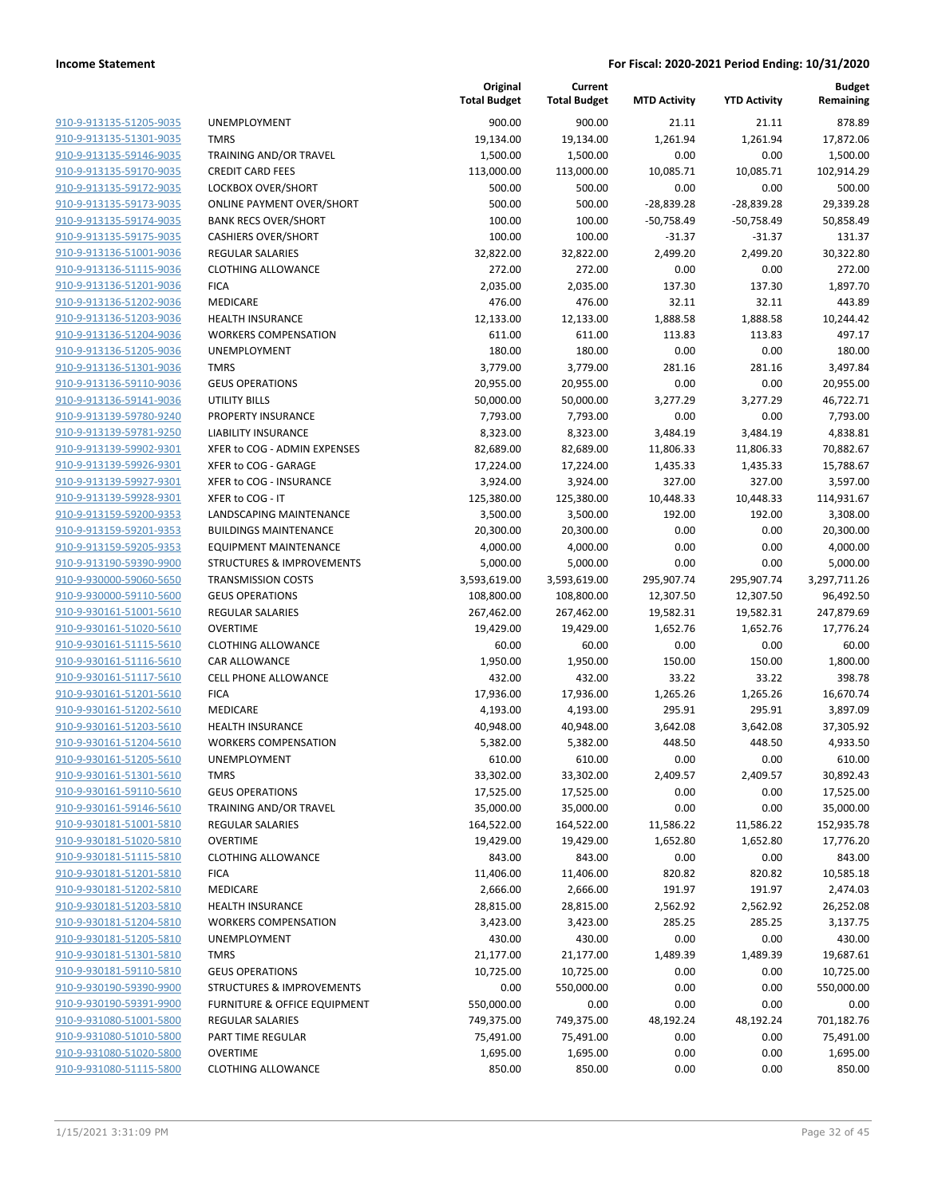| 910-9-913135-51205-9035                                   |
|-----------------------------------------------------------|
| 910-9-913135-51301-9035                                   |
| 910-9-913135-59146-9035                                   |
| 910-9-913135-59170-9035                                   |
| 910-9-913135-59172-9035                                   |
| 910-9-913135-59173-9035                                   |
| 910-9-913135-59174-9035                                   |
| 910-9-913135-59175-9035                                   |
| 910-9-913136-51001-9036                                   |
| 910-9-913136-51115-9036                                   |
| 910-9-913136-51201-9036                                   |
| 910-9-913136-51202-9036                                   |
| 910-9-913136-51203-9036                                   |
| 910-9-913136-51204-9036                                   |
| 910-9-913136-51205-9036                                   |
| 910-9-913136-51301-9036                                   |
| 910-9-913136-59110-9036                                   |
| 910-9-913136-59141-9036                                   |
| 910-9-913139-59780-9240                                   |
| 910-9-913139-59781-9250                                   |
| 910-9-913139-59902-9301                                   |
| 910-9-913139-59926-9301                                   |
| 910-9-913139-59927-9301                                   |
| 910-9-913139-59928-9301                                   |
| 910-9-913159-59200-9353                                   |
| 910-9-913159-59201-9353                                   |
| 910-9-913159-59205-9353                                   |
| 910-9-913190-59390-9900                                   |
| 910-9-930000-59060-5650                                   |
| 910-9-930000-59110-5600                                   |
| 910-9-930161-51001-5610                                   |
| 910-9-930161-51020-5610                                   |
| 910-9-930161-51115-5610                                   |
| 910-9-930161-51116-5610                                   |
| 910-9-930161-51117-5610                                   |
| 910-9-930161-51201-5610                                   |
| 910-9-930161-51202-5610                                   |
| 910-9-930161-51203-5610                                   |
| 910-9-930161-51204-5610                                   |
| 910-9-930161-51205-5610                                   |
| 910-9-930161-51301-5610                                   |
| <u>910-9-930161-59110-5610</u>                            |
| <u>910-9-930161-59146-5610</u>                            |
| <u>910-9-930181-51001-5810</u>                            |
| 910-9-930181-51020-5810                                   |
| 910-9-930181-51115-5810                                   |
| <u>910-9-930181-51201-5810</u>                            |
| <u>910-9-930181-51202-5810</u>                            |
| 910-9-930181-51203-5810                                   |
| 910-9-930181-51204-5810                                   |
|                                                           |
| <u>910-9-930181-51205-5810</u>                            |
| <u>910-9-930181-51301-5810</u><br>910-9-930181-59110-5810 |
|                                                           |
| <u>910-9-930190-59390-9900</u>                            |
| 910-9-930190-59391-9900                                   |
| 910-9-931080-51001-5800                                   |
| <u>910-9-931080-51010-5800</u>                            |
| <u>910-9-931080-51020-5800</u>                            |
| <u>910-9-931080-51115-5800</u>                            |

|                         |                                      | Original<br><b>Total Budget</b> | Current<br><b>Total Budget</b> | <b>MTD Activity</b> | <b>YTD Activity</b> | Budget<br>Remaining |
|-------------------------|--------------------------------------|---------------------------------|--------------------------------|---------------------|---------------------|---------------------|
| 910-9-913135-51205-9035 | <b>UNEMPLOYMENT</b>                  | 900.00                          | 900.00                         | 21.11               | 21.11               | 878.89              |
| 910-9-913135-51301-9035 | <b>TMRS</b>                          | 19,134.00                       | 19,134.00                      | 1,261.94            | 1,261.94            | 17,872.06           |
| 910-9-913135-59146-9035 | TRAINING AND/OR TRAVEL               | 1,500.00                        | 1,500.00                       | 0.00                | 0.00                | 1,500.00            |
| 910-9-913135-59170-9035 | <b>CREDIT CARD FEES</b>              | 113,000.00                      | 113,000.00                     | 10,085.71           | 10,085.71           | 102,914.29          |
| 910-9-913135-59172-9035 | LOCKBOX OVER/SHORT                   | 500.00                          | 500.00                         | 0.00                | 0.00                | 500.00              |
| 910-9-913135-59173-9035 | <b>ONLINE PAYMENT OVER/SHORT</b>     | 500.00                          | 500.00                         | $-28,839.28$        | $-28,839.28$        | 29,339.28           |
| 910-9-913135-59174-9035 | <b>BANK RECS OVER/SHORT</b>          | 100.00                          | 100.00                         | $-50,758.49$        | $-50,758.49$        | 50,858.49           |
| 910-9-913135-59175-9035 | <b>CASHIERS OVER/SHORT</b>           | 100.00                          | 100.00                         | $-31.37$            | $-31.37$            | 131.37              |
| 910-9-913136-51001-9036 | REGULAR SALARIES                     | 32,822.00                       | 32,822.00                      | 2,499.20            | 2,499.20            | 30,322.80           |
| 910-9-913136-51115-9036 | <b>CLOTHING ALLOWANCE</b>            | 272.00                          | 272.00                         | 0.00                | 0.00                | 272.00              |
| 910-9-913136-51201-9036 | <b>FICA</b>                          | 2,035.00                        | 2,035.00                       | 137.30              | 137.30              | 1,897.70            |
| 910-9-913136-51202-9036 | <b>MEDICARE</b>                      | 476.00                          | 476.00                         | 32.11               | 32.11               | 443.89              |
| 910-9-913136-51203-9036 | <b>HEALTH INSURANCE</b>              | 12,133.00                       | 12,133.00                      | 1,888.58            | 1,888.58            | 10,244.42           |
| 910-9-913136-51204-9036 | <b>WORKERS COMPENSATION</b>          | 611.00                          | 611.00                         | 113.83              | 113.83              | 497.17              |
| 910-9-913136-51205-9036 | <b>UNEMPLOYMENT</b>                  | 180.00                          | 180.00                         | 0.00                | 0.00                | 180.00              |
| 910-9-913136-51301-9036 | <b>TMRS</b>                          | 3,779.00                        | 3,779.00                       | 281.16              | 281.16              | 3,497.84            |
| 910-9-913136-59110-9036 | <b>GEUS OPERATIONS</b>               | 20,955.00                       | 20,955.00                      | 0.00                | 0.00                | 20,955.00           |
| 910-9-913136-59141-9036 | UTILITY BILLS                        | 50,000.00                       | 50,000.00                      | 3,277.29            | 3,277.29            | 46,722.71           |
| 910-9-913139-59780-9240 | PROPERTY INSURANCE                   | 7,793.00                        | 7,793.00                       | 0.00                | 0.00                | 7,793.00            |
| 910-9-913139-59781-9250 | <b>LIABILITY INSURANCE</b>           | 8,323.00                        | 8,323.00                       | 3,484.19            | 3,484.19            | 4,838.81            |
| 910-9-913139-59902-9301 | XFER to COG - ADMIN EXPENSES         | 82,689.00                       | 82,689.00                      | 11,806.33           | 11,806.33           | 70,882.67           |
| 910-9-913139-59926-9301 | XFER to COG - GARAGE                 | 17,224.00                       | 17,224.00                      | 1,435.33            | 1,435.33            | 15,788.67           |
| 910-9-913139-59927-9301 | XFER to COG - INSURANCE              | 3,924.00                        | 3,924.00                       | 327.00              | 327.00              | 3,597.00            |
| 910-9-913139-59928-9301 | XFER to COG - IT                     | 125,380.00                      | 125,380.00                     | 10,448.33           | 10,448.33           | 114,931.67          |
| 910-9-913159-59200-9353 | LANDSCAPING MAINTENANCE              | 3,500.00                        | 3,500.00                       | 192.00              | 192.00              | 3,308.00            |
| 910-9-913159-59201-9353 | <b>BUILDINGS MAINTENANCE</b>         | 20,300.00                       | 20,300.00                      | 0.00                | 0.00                | 20,300.00           |
| 910-9-913159-59205-9353 | <b>EQUIPMENT MAINTENANCE</b>         | 4,000.00                        | 4,000.00                       | 0.00                | 0.00                | 4,000.00            |
| 910-9-913190-59390-9900 | <b>STRUCTURES &amp; IMPROVEMENTS</b> | 5,000.00                        | 5,000.00                       | 0.00                | 0.00                | 5,000.00            |
| 910-9-930000-59060-5650 | <b>TRANSMISSION COSTS</b>            | 3,593,619.00                    | 3,593,619.00                   | 295,907.74          | 295,907.74          | 3,297,711.26        |
| 910-9-930000-59110-5600 | <b>GEUS OPERATIONS</b>               | 108,800.00                      | 108,800.00                     | 12,307.50           | 12,307.50           | 96,492.50           |
| 910-9-930161-51001-5610 | REGULAR SALARIES                     | 267,462.00                      | 267,462.00                     | 19,582.31           | 19,582.31           | 247,879.69          |
| 910-9-930161-51020-5610 | <b>OVERTIME</b>                      | 19,429.00                       | 19,429.00                      | 1,652.76            | 1,652.76            | 17,776.24           |
| 910-9-930161-51115-5610 | <b>CLOTHING ALLOWANCE</b>            | 60.00                           | 60.00                          | 0.00                | 0.00                | 60.00               |
| 910-9-930161-51116-5610 | <b>CAR ALLOWANCE</b>                 | 1,950.00                        | 1,950.00                       | 150.00              | 150.00              | 1,800.00            |
| 910-9-930161-51117-5610 | <b>CELL PHONE ALLOWANCE</b>          | 432.00                          | 432.00                         | 33.22               | 33.22               | 398.78              |
| 910-9-930161-51201-5610 | <b>FICA</b>                          | 17,936.00                       | 17,936.00                      | 1,265.26            | 1,265.26            | 16,670.74           |
| 910-9-930161-51202-5610 | MEDICARE                             | 4,193.00                        | 4,193.00                       | 295.91              | 295.91              | 3,897.09            |
| 910-9-930161-51203-5610 | <b>HEALTH INSURANCE</b>              | 40,948.00                       | 40,948.00                      | 3,642.08            | 3,642.08            | 37,305.92           |
| 910-9-930161-51204-5610 | <b>WORKERS COMPENSATION</b>          | 5,382.00                        | 5,382.00                       | 448.50              | 448.50              | 4,933.50            |
| 910-9-930161-51205-5610 | UNEMPLOYMENT                         | 610.00                          | 610.00                         | 0.00                | 0.00                | 610.00              |
| 910-9-930161-51301-5610 | TMRS                                 | 33,302.00                       | 33,302.00                      | 2,409.57            | 2,409.57            | 30,892.43           |
| 910-9-930161-59110-5610 | <b>GEUS OPERATIONS</b>               | 17,525.00                       | 17,525.00                      | 0.00                | 0.00                | 17,525.00           |
| 910-9-930161-59146-5610 | <b>TRAINING AND/OR TRAVEL</b>        | 35,000.00                       | 35,000.00                      | 0.00                | 0.00                | 35,000.00           |
| 910-9-930181-51001-5810 | REGULAR SALARIES                     | 164,522.00                      | 164,522.00                     | 11,586.22           | 11,586.22           | 152,935.78          |
| 910-9-930181-51020-5810 | <b>OVERTIME</b>                      | 19,429.00                       | 19,429.00                      | 1,652.80            | 1,652.80            | 17,776.20           |
| 910-9-930181-51115-5810 | <b>CLOTHING ALLOWANCE</b>            | 843.00                          | 843.00                         | 0.00                | 0.00                | 843.00              |
| 910-9-930181-51201-5810 | <b>FICA</b>                          | 11,406.00                       | 11,406.00                      | 820.82              | 820.82              | 10,585.18           |
| 910-9-930181-51202-5810 | MEDICARE                             | 2,666.00                        | 2,666.00                       | 191.97              | 191.97              | 2,474.03            |
| 910-9-930181-51203-5810 | <b>HEALTH INSURANCE</b>              | 28,815.00                       | 28,815.00                      | 2,562.92            | 2,562.92            | 26,252.08           |
| 910-9-930181-51204-5810 | <b>WORKERS COMPENSATION</b>          | 3,423.00                        | 3,423.00                       | 285.25              | 285.25              | 3,137.75            |
| 910-9-930181-51205-5810 | UNEMPLOYMENT                         | 430.00                          | 430.00                         | 0.00                | 0.00                | 430.00              |
| 910-9-930181-51301-5810 | <b>TMRS</b>                          | 21,177.00                       | 21,177.00                      | 1,489.39            | 1,489.39            | 19,687.61           |
| 910-9-930181-59110-5810 | <b>GEUS OPERATIONS</b>               | 10,725.00                       | 10,725.00                      | 0.00                | 0.00                | 10,725.00           |
| 910-9-930190-59390-9900 | STRUCTURES & IMPROVEMENTS            | 0.00                            | 550,000.00                     | 0.00                | 0.00                | 550,000.00          |
| 910-9-930190-59391-9900 | FURNITURE & OFFICE EQUIPMENT         | 550,000.00                      | 0.00                           | 0.00                | 0.00                | 0.00                |
| 910-9-931080-51001-5800 | <b>REGULAR SALARIES</b>              | 749,375.00                      | 749,375.00                     | 48,192.24           | 48,192.24           | 701,182.76          |
| 910-9-931080-51010-5800 | PART TIME REGULAR                    | 75,491.00                       | 75,491.00                      | 0.00                | 0.00                | 75,491.00           |
| 910-9-931080-51020-5800 | <b>OVERTIME</b>                      | 1,695.00                        | 1,695.00                       | 0.00                | 0.00                | 1,695.00            |
| 910-9-931080-51115-5800 | <b>CLOTHING ALLOWANCE</b>            | 850.00                          | 850.00                         | 0.00                | 0.00                | 850.00              |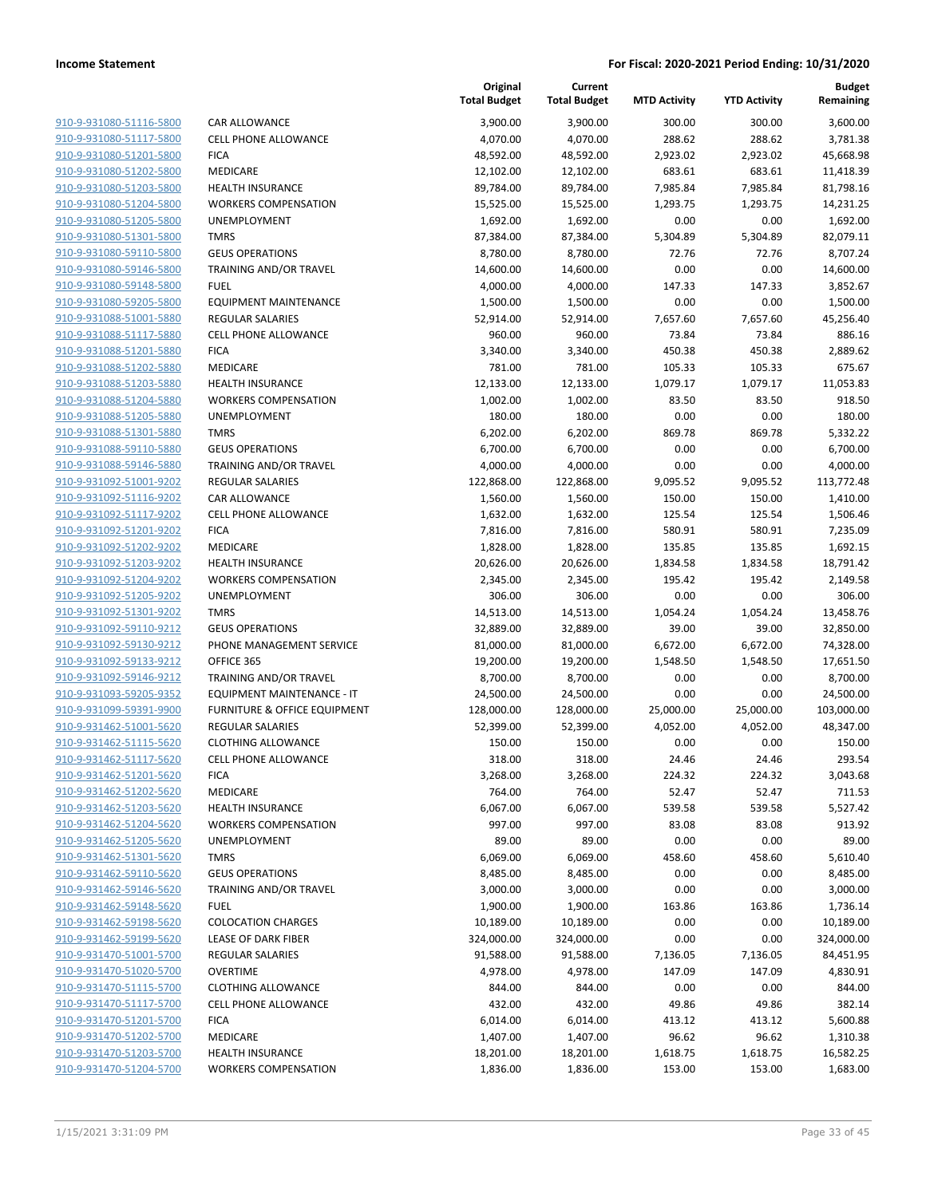**Current**

**Original**

**Budget Remaining**

| 910-9-931080-51116-5800        |
|--------------------------------|
| 910-9-931080-51117-5800        |
| 910-9-931080-51201-5800        |
| 910-9-931080-51202-5800        |
| 910-9-931080-51203-5800        |
| <u>910-9-931080-51204-5800</u> |
| 910-9-931080-51205-5800        |
| 910-9-931080-51301-5800        |
| 910-9-931080-59110-5800        |
| 910-9-931080-59146-5800        |
| 910-9-931080-59148-5800        |
| 910-9-931080-59205-5800        |
| 910-9-931088-51001-5880        |
| 910-9-931088-51117-5880        |
|                                |
| 910-9-931088-51201-5880        |
| <u>910-9-931088-51202-5880</u> |
| 910-9-931088-51203-5880        |
| 910-9-931088-51204-5880        |
| 910-9-931088-51205-5880        |
| 910-9-931088-51301-5880        |
| 910-9-931088-59110-5880        |
| 910-9-931088-59146-5880        |
| 910-9-931092-51001-9202        |
| 910-9-931092-51116-9202        |
| 910-9-931092-51117-9202        |
| 910-9-931092-51201-9202        |
| 910-9-931092-51202-9202        |
| 910-9-931092-51203-9202        |
| 910-9-931092-51204-9202        |
| 910-9-931092-51205-9202        |
| 910-9-931092-51301-9202        |
| 910-9-931092-59110-9212        |
| 910-9-931092-59130-9212        |
| 910-9-931092-59133-9212        |
| 910-9-931092-59146-9212        |
|                                |
| <u>910-9-931093-59205-9352</u> |
| 910-9-931099-59391-9900        |
| 910-9-931462-51001-5620        |
| 910-9-931462-51115-5620        |
| 910-9-931462-51117-5620        |
| 910-9-931462-51201-5620        |
| <u>910-9-931462-51202-5620</u> |
| 910-9-931462-51203-5620        |
| 910-9-931462-51204-5620        |
| 910-9-931462-51205-5620        |
| 910-9-931462-51301-5620        |
| 910-9-931462-59110-5620        |
| 910-9-931462-59146-5620        |
| 910-9-931462-59148-5620        |
| <u>910-9-931462-59198-5620</u> |
| <u>910-9-931462-59199-5620</u> |
| 910-9-931470-51001-5700        |
| 910-9-931470-51020-5700        |
| 910-9-931470-51115-5700        |
| 910-9-931470-51117-5700        |
| 910-9-931470-51201-5700        |
| 910-9-931470-51202-5700        |
| 910-9-931470-51203-5700        |
| 910-9-931470-51204-5700        |
|                                |

|                                                    |                                                        | <b>Total Budget</b> | <b>Total Budget</b> | <b>MTD Activity</b> | <b>YTD Activity</b> | Remaining           |
|----------------------------------------------------|--------------------------------------------------------|---------------------|---------------------|---------------------|---------------------|---------------------|
| 910-9-931080-51116-5800                            | CAR ALLOWANCE                                          | 3,900.00            | 3,900.00            | 300.00              | 300.00              | 3,600.00            |
| 910-9-931080-51117-5800                            | <b>CELL PHONE ALLOWANCE</b>                            | 4,070.00            | 4,070.00            | 288.62              | 288.62              | 3,781.38            |
| 910-9-931080-51201-5800                            | <b>FICA</b>                                            | 48,592.00           | 48,592.00           | 2,923.02            | 2,923.02            | 45,668.98           |
| 910-9-931080-51202-5800                            | MEDICARE                                               | 12,102.00           | 12,102.00           | 683.61              | 683.61              | 11,418.39           |
| 910-9-931080-51203-5800                            | <b>HEALTH INSURANCE</b>                                | 89,784.00           | 89,784.00           | 7,985.84            | 7,985.84            | 81,798.16           |
| 910-9-931080-51204-5800                            | <b>WORKERS COMPENSATION</b>                            | 15,525.00           | 15,525.00           | 1,293.75            | 1,293.75            | 14,231.25           |
| 910-9-931080-51205-5800                            | UNEMPLOYMENT                                           | 1,692.00            | 1,692.00            | 0.00                | 0.00                | 1,692.00            |
| 910-9-931080-51301-5800                            | <b>TMRS</b>                                            | 87,384.00           | 87,384.00           | 5,304.89            | 5,304.89            | 82,079.11           |
| 910-9-931080-59110-5800                            | <b>GEUS OPERATIONS</b>                                 | 8,780.00            | 8,780.00            | 72.76               | 72.76               | 8,707.24            |
| 910-9-931080-59146-5800                            | TRAINING AND/OR TRAVEL                                 | 14,600.00           | 14,600.00           | 0.00                | 0.00                | 14,600.00           |
| 910-9-931080-59148-5800                            | <b>FUEL</b>                                            | 4,000.00            | 4,000.00            | 147.33              | 147.33              | 3,852.67            |
| 910-9-931080-59205-5800                            | <b>EQUIPMENT MAINTENANCE</b>                           | 1,500.00            | 1,500.00            | 0.00                | 0.00                | 1,500.00            |
| 910-9-931088-51001-5880                            | <b>REGULAR SALARIES</b>                                | 52,914.00           | 52,914.00           | 7,657.60            | 7,657.60            | 45,256.40           |
| 910-9-931088-51117-5880                            | <b>CELL PHONE ALLOWANCE</b>                            | 960.00              | 960.00              | 73.84               | 73.84               | 886.16              |
| 910-9-931088-51201-5880<br>910-9-931088-51202-5880 | <b>FICA</b>                                            | 3,340.00            | 3,340.00            | 450.38              | 450.38              | 2,889.62            |
| 910-9-931088-51203-5880                            | MEDICARE<br><b>HEALTH INSURANCE</b>                    | 781.00<br>12,133.00 | 781.00<br>12,133.00 | 105.33<br>1,079.17  | 105.33<br>1,079.17  | 675.67<br>11,053.83 |
| 910-9-931088-51204-5880                            | <b>WORKERS COMPENSATION</b>                            | 1,002.00            | 1,002.00            | 83.50               | 83.50               | 918.50              |
| 910-9-931088-51205-5880                            | UNEMPLOYMENT                                           | 180.00              | 180.00              | 0.00                | 0.00                | 180.00              |
| 910-9-931088-51301-5880                            | <b>TMRS</b>                                            | 6,202.00            | 6,202.00            | 869.78              | 869.78              | 5,332.22            |
| 910-9-931088-59110-5880                            | <b>GEUS OPERATIONS</b>                                 | 6,700.00            | 6,700.00            | 0.00                | 0.00                | 6,700.00            |
| 910-9-931088-59146-5880                            | <b>TRAINING AND/OR TRAVEL</b>                          | 4,000.00            | 4,000.00            | 0.00                | 0.00                | 4,000.00            |
| 910-9-931092-51001-9202                            | <b>REGULAR SALARIES</b>                                | 122,868.00          | 122,868.00          | 9,095.52            | 9,095.52            | 113,772.48          |
| 910-9-931092-51116-9202                            | CAR ALLOWANCE                                          | 1,560.00            | 1,560.00            | 150.00              | 150.00              | 1,410.00            |
| 910-9-931092-51117-9202                            | <b>CELL PHONE ALLOWANCE</b>                            | 1,632.00            | 1,632.00            | 125.54              | 125.54              | 1,506.46            |
| 910-9-931092-51201-9202                            | <b>FICA</b>                                            | 7,816.00            | 7,816.00            | 580.91              | 580.91              | 7,235.09            |
| 910-9-931092-51202-9202                            | MEDICARE                                               | 1,828.00            | 1,828.00            | 135.85              | 135.85              | 1,692.15            |
| 910-9-931092-51203-9202                            | <b>HEALTH INSURANCE</b>                                | 20,626.00           | 20,626.00           | 1,834.58            | 1,834.58            | 18,791.42           |
| 910-9-931092-51204-9202                            | <b>WORKERS COMPENSATION</b>                            | 2,345.00            | 2,345.00            | 195.42              | 195.42              | 2,149.58            |
| 910-9-931092-51205-9202                            | UNEMPLOYMENT                                           | 306.00              | 306.00              | 0.00                | 0.00                | 306.00              |
| 910-9-931092-51301-9202                            | <b>TMRS</b>                                            | 14,513.00           | 14,513.00           | 1,054.24            | 1,054.24            | 13,458.76           |
| 910-9-931092-59110-9212                            | <b>GEUS OPERATIONS</b>                                 | 32,889.00           | 32,889.00           | 39.00               | 39.00               | 32,850.00           |
| 910-9-931092-59130-9212                            | PHONE MANAGEMENT SERVICE                               | 81,000.00           | 81,000.00           | 6,672.00            | 6,672.00            | 74,328.00           |
| 910-9-931092-59133-9212                            | OFFICE 365                                             | 19,200.00           | 19,200.00           | 1,548.50            | 1,548.50            | 17,651.50           |
| 910-9-931092-59146-9212                            | TRAINING AND/OR TRAVEL                                 | 8,700.00            | 8,700.00            | 0.00                | 0.00                | 8,700.00            |
| 910-9-931093-59205-9352                            | <b>EQUIPMENT MAINTENANCE - IT</b>                      | 24,500.00           | 24,500.00           | 0.00                | 0.00                | 24,500.00           |
| 910-9-931099-59391-9900                            | FURNITURE & OFFICE EQUIPMENT                           | 128,000.00          | 128,000.00          | 25,000.00           | 25,000.00           | 103,000.00          |
| 910-9-931462-51001-5620                            | <b>REGULAR SALARIES</b>                                | 52,399.00           | 52,399.00           | 4,052.00            | 4,052.00            | 48,347.00           |
| 910-9-931462-51115-5620                            | <b>CLOTHING ALLOWANCE</b>                              | 150.00              | 150.00              | 0.00                | 0.00                | 150.00              |
| 910-9-931462-51117-5620                            | <b>CELL PHONE ALLOWANCE</b>                            | 318.00              | 318.00              | 24.46               | 24.46               | 293.54              |
| 910-9-931462-51201-5620                            | <b>FICA</b>                                            | 3,268.00            | 3,268.00            | 224.32              | 224.32              | 3,043.68            |
| 910-9-931462-51202-5620                            | MEDICARE                                               | 764.00              | 764.00              | 52.47               | 52.47               | 711.53              |
| 910-9-931462-51203-5620<br>910-9-931462-51204-5620 | <b>HEALTH INSURANCE</b><br><b>WORKERS COMPENSATION</b> | 6,067.00<br>997.00  | 6,067.00<br>997.00  | 539.58<br>83.08     | 539.58<br>83.08     | 5,527.42<br>913.92  |
| 910-9-931462-51205-5620                            | <b>UNEMPLOYMENT</b>                                    | 89.00               | 89.00               | 0.00                | 0.00                | 89.00               |
| 910-9-931462-51301-5620                            | <b>TMRS</b>                                            | 6,069.00            | 6,069.00            | 458.60              | 458.60              | 5,610.40            |
| 910-9-931462-59110-5620                            | <b>GEUS OPERATIONS</b>                                 | 8,485.00            | 8,485.00            | 0.00                | 0.00                | 8,485.00            |
| 910-9-931462-59146-5620                            | TRAINING AND/OR TRAVEL                                 | 3,000.00            | 3,000.00            | 0.00                | 0.00                | 3,000.00            |
| 910-9-931462-59148-5620                            | <b>FUEL</b>                                            | 1,900.00            | 1,900.00            | 163.86              | 163.86              | 1,736.14            |
| 910-9-931462-59198-5620                            | <b>COLOCATION CHARGES</b>                              | 10,189.00           | 10,189.00           | 0.00                | 0.00                | 10,189.00           |
| 910-9-931462-59199-5620                            | LEASE OF DARK FIBER                                    | 324,000.00          | 324,000.00          | 0.00                | 0.00                | 324,000.00          |
| 910-9-931470-51001-5700                            | REGULAR SALARIES                                       | 91,588.00           | 91,588.00           | 7,136.05            | 7,136.05            | 84,451.95           |
| 910-9-931470-51020-5700                            | <b>OVERTIME</b>                                        | 4,978.00            | 4,978.00            | 147.09              | 147.09              | 4,830.91            |
| 910-9-931470-51115-5700                            | <b>CLOTHING ALLOWANCE</b>                              | 844.00              | 844.00              | 0.00                | 0.00                | 844.00              |
| 910-9-931470-51117-5700                            | <b>CELL PHONE ALLOWANCE</b>                            | 432.00              | 432.00              | 49.86               | 49.86               | 382.14              |
| 910-9-931470-51201-5700                            | <b>FICA</b>                                            | 6,014.00            | 6,014.00            | 413.12              | 413.12              | 5,600.88            |
| 910-9-931470-51202-5700                            | MEDICARE                                               | 1,407.00            | 1,407.00            | 96.62               | 96.62               | 1,310.38            |
| 910-9-931470-51203-5700                            | <b>HEALTH INSURANCE</b>                                | 18,201.00           | 18,201.00           | 1,618.75            | 1,618.75            | 16,582.25           |
| 910-9-931470-51204-5700                            | <b>WORKERS COMPENSATION</b>                            | 1,836.00            | 1,836.00            | 153.00              | 153.00              | 1,683.00            |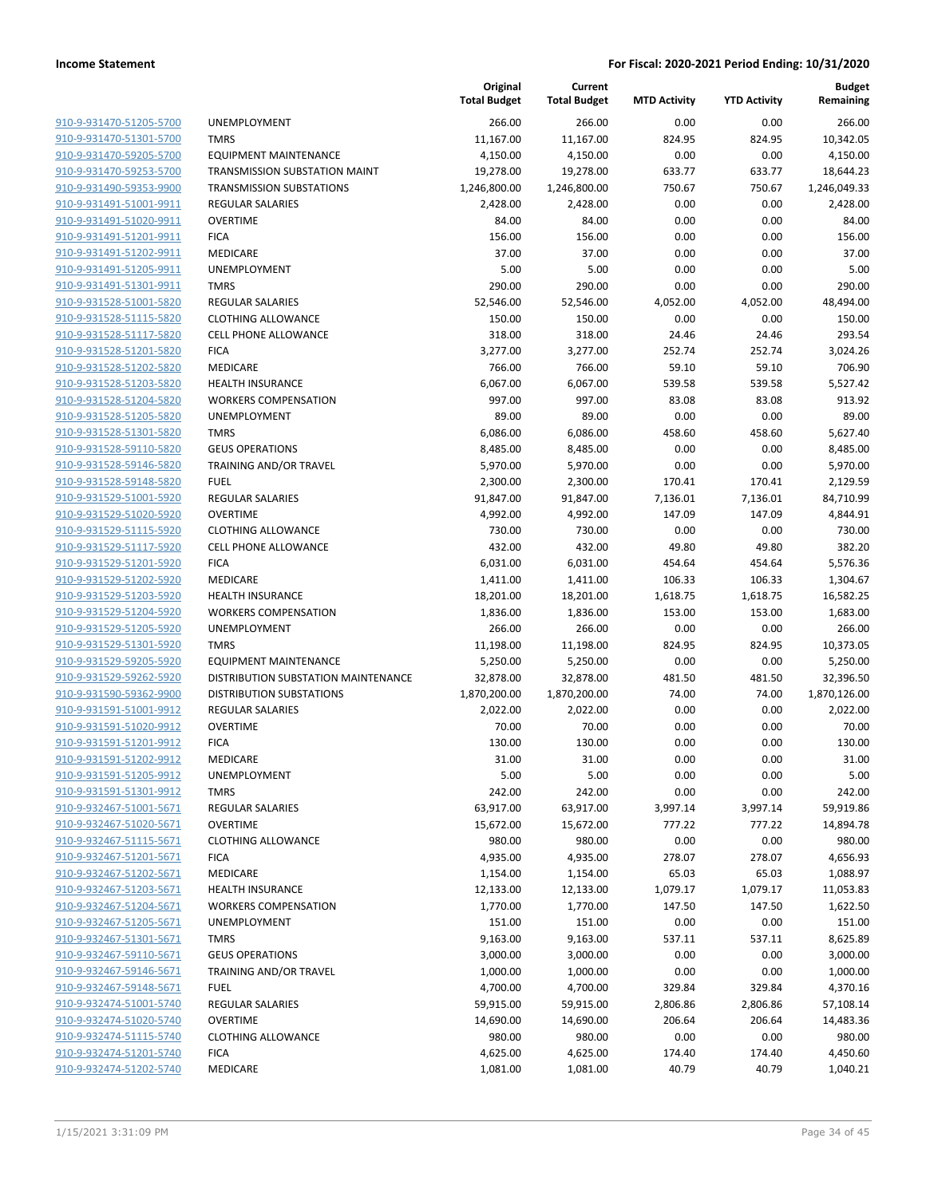|                                                    |                                          | Original<br><b>Total Budget</b> | Current<br><b>Total Budget</b> | <b>MTD Activity</b> | <b>YTD Activity</b> | <b>Budget</b><br>Remaining |
|----------------------------------------------------|------------------------------------------|---------------------------------|--------------------------------|---------------------|---------------------|----------------------------|
| 910-9-931470-51205-5700                            | UNEMPLOYMENT                             | 266.00                          | 266.00                         | 0.00                | 0.00                | 266.00                     |
| 910-9-931470-51301-5700                            | <b>TMRS</b>                              | 11,167.00                       | 11,167.00                      | 824.95              | 824.95              | 10,342.05                  |
| 910-9-931470-59205-5700                            | <b>EQUIPMENT MAINTENANCE</b>             | 4,150.00                        | 4,150.00                       | 0.00                | 0.00                | 4,150.00                   |
| 910-9-931470-59253-5700                            | TRANSMISSION SUBSTATION MAINT            | 19,278.00                       | 19,278.00                      | 633.77              | 633.77              | 18,644.23                  |
| 910-9-931490-59353-9900                            | <b>TRANSMISSION SUBSTATIONS</b>          | 1,246,800.00                    | 1,246,800.00                   | 750.67              | 750.67              | 1,246,049.33               |
| 910-9-931491-51001-9911                            | <b>REGULAR SALARIES</b>                  | 2,428.00                        | 2,428.00                       | 0.00                | 0.00                | 2,428.00                   |
| 910-9-931491-51020-9911                            | <b>OVERTIME</b>                          | 84.00                           | 84.00                          | 0.00                | 0.00                | 84.00                      |
| 910-9-931491-51201-9911                            | <b>FICA</b>                              | 156.00                          | 156.00                         | 0.00                | 0.00                | 156.00                     |
| 910-9-931491-51202-9911                            | <b>MEDICARE</b>                          | 37.00                           | 37.00                          | 0.00                | 0.00                | 37.00                      |
| 910-9-931491-51205-9911                            | <b>UNEMPLOYMENT</b>                      | 5.00                            | 5.00                           | 0.00                | 0.00                | 5.00                       |
| 910-9-931491-51301-9911                            | <b>TMRS</b>                              | 290.00                          | 290.00                         | 0.00                | 0.00                | 290.00                     |
| 910-9-931528-51001-5820                            | <b>REGULAR SALARIES</b>                  | 52,546.00                       | 52,546.00                      | 4,052.00            | 4,052.00            | 48,494.00                  |
| 910-9-931528-51115-5820                            | <b>CLOTHING ALLOWANCE</b>                | 150.00                          | 150.00                         | 0.00                | 0.00                | 150.00                     |
| 910-9-931528-51117-5820                            | <b>CELL PHONE ALLOWANCE</b>              | 318.00                          | 318.00                         | 24.46               | 24.46               | 293.54                     |
| 910-9-931528-51201-5820                            | <b>FICA</b>                              | 3,277.00                        | 3,277.00                       | 252.74              | 252.74              | 3,024.26                   |
| 910-9-931528-51202-5820                            | MEDICARE                                 | 766.00                          | 766.00                         | 59.10               | 59.10               | 706.90                     |
| 910-9-931528-51203-5820                            | <b>HEALTH INSURANCE</b>                  | 6,067.00                        | 6,067.00                       | 539.58              | 539.58              | 5,527.42                   |
| 910-9-931528-51204-5820                            | <b>WORKERS COMPENSATION</b>              | 997.00                          | 997.00                         | 83.08               | 83.08               | 913.92                     |
| 910-9-931528-51205-5820                            | <b>UNEMPLOYMENT</b>                      | 89.00                           | 89.00                          | 0.00                | 0.00                | 89.00                      |
| 910-9-931528-51301-5820                            | <b>TMRS</b>                              | 6,086.00                        | 6,086.00                       | 458.60              | 458.60              | 5,627.40                   |
| 910-9-931528-59110-5820                            | <b>GEUS OPERATIONS</b>                   | 8,485.00                        | 8,485.00                       | 0.00                | 0.00                | 8,485.00                   |
| 910-9-931528-59146-5820                            | TRAINING AND/OR TRAVEL                   | 5,970.00                        | 5,970.00                       | 0.00                | 0.00                | 5,970.00                   |
| 910-9-931528-59148-5820                            | <b>FUEL</b>                              | 2,300.00                        | 2,300.00                       | 170.41              | 170.41              | 2,129.59                   |
| 910-9-931529-51001-5920                            | <b>REGULAR SALARIES</b>                  | 91,847.00                       | 91,847.00                      | 7,136.01            | 7,136.01            | 84,710.99                  |
| 910-9-931529-51020-5920                            | <b>OVERTIME</b>                          | 4,992.00                        | 4,992.00                       | 147.09              | 147.09              | 4,844.91                   |
| 910-9-931529-51115-5920                            | <b>CLOTHING ALLOWANCE</b>                | 730.00                          | 730.00                         | 0.00                | 0.00                | 730.00                     |
| 910-9-931529-51117-5920                            | <b>CELL PHONE ALLOWANCE</b>              | 432.00                          | 432.00                         | 49.80               | 49.80               | 382.20                     |
| 910-9-931529-51201-5920                            | <b>FICA</b>                              | 6,031.00                        | 6,031.00                       | 454.64              | 454.64              | 5,576.36                   |
| 910-9-931529-51202-5920                            | MEDICARE                                 | 1,411.00                        | 1,411.00                       | 106.33              | 106.33              | 1,304.67                   |
| 910-9-931529-51203-5920                            | <b>HEALTH INSURANCE</b>                  | 18,201.00                       | 18,201.00                      | 1,618.75            | 1,618.75            | 16,582.25                  |
| 910-9-931529-51204-5920                            | <b>WORKERS COMPENSATION</b>              | 1,836.00                        | 1,836.00                       | 153.00              | 153.00              | 1,683.00                   |
| 910-9-931529-51205-5920                            | UNEMPLOYMENT                             | 266.00                          | 266.00                         | 0.00                | 0.00                | 266.00                     |
| 910-9-931529-51301-5920                            | <b>TMRS</b>                              | 11,198.00                       | 11,198.00                      | 824.95              | 824.95              | 10,373.05                  |
| 910-9-931529-59205-5920                            | <b>EQUIPMENT MAINTENANCE</b>             | 5,250.00                        | 5,250.00                       | 0.00                | 0.00                | 5,250.00                   |
| 910-9-931529-59262-5920                            | DISTRIBUTION SUBSTATION MAINTENANCE      | 32,878.00                       | 32,878.00                      | 481.50              | 481.50              | 32,396.50                  |
| 910-9-931590-59362-9900                            | DISTRIBUTION SUBSTATIONS                 | 1,870,200.00                    | 1,870,200.00                   | 74.00               | 74.00               | 1,870,126.00               |
| 910-9-931591-51001-9912                            | <b>REGULAR SALARIES</b>                  | 2,022.00                        | 2,022.00                       | 0.00                | 0.00                | 2,022.00                   |
| 910-9-931591-51020-9912                            | <b>OVERTIME</b>                          | 70.00                           | 70.00                          | 0.00                | 0.00                | 70.00                      |
| 910-9-931591-51201-9912                            | <b>FICA</b>                              | 130.00                          | 130.00                         | 0.00                | 0.00                | 130.00                     |
| 910-9-931591-51202-9912                            | <b>MEDICARE</b>                          | 31.00                           | 31.00                          | 0.00                | 0.00                | 31.00                      |
| 910-9-931591-51205-9912                            | UNEMPLOYMENT                             | 5.00                            | 5.00                           | 0.00                | 0.00                | 5.00                       |
| 910-9-931591-51301-9912                            | <b>TMRS</b>                              | 242.00                          | 242.00                         | 0.00                | 0.00                | 242.00                     |
| 910-9-932467-51001-5671                            | REGULAR SALARIES                         | 63,917.00                       | 63,917.00                      | 3,997.14            | 3,997.14            | 59,919.86                  |
| 910-9-932467-51020-5671<br>910-9-932467-51115-5671 | <b>OVERTIME</b>                          | 15,672.00                       | 15,672.00                      | 777.22              | 777.22              | 14,894.78                  |
| 910-9-932467-51201-5671                            | <b>CLOTHING ALLOWANCE</b><br><b>FICA</b> | 980.00<br>4,935.00              | 980.00                         | 0.00<br>278.07      | 0.00<br>278.07      | 980.00<br>4,656.93         |
| 910-9-932467-51202-5671                            | MEDICARE                                 | 1,154.00                        | 4,935.00                       | 65.03               | 65.03               | 1,088.97                   |
| 910-9-932467-51203-5671                            | <b>HEALTH INSURANCE</b>                  |                                 | 1,154.00                       | 1,079.17            | 1,079.17            | 11,053.83                  |
| 910-9-932467-51204-5671                            | <b>WORKERS COMPENSATION</b>              | 12,133.00<br>1,770.00           | 12,133.00<br>1,770.00          | 147.50              | 147.50              | 1,622.50                   |
| 910-9-932467-51205-5671                            | <b>UNEMPLOYMENT</b>                      | 151.00                          | 151.00                         | 0.00                | 0.00                | 151.00                     |
| 910-9-932467-51301-5671                            | <b>TMRS</b>                              | 9,163.00                        | 9,163.00                       | 537.11              | 537.11              | 8,625.89                   |
| 910-9-932467-59110-5671                            | <b>GEUS OPERATIONS</b>                   | 3,000.00                        | 3,000.00                       | 0.00                | 0.00                | 3,000.00                   |
| 910-9-932467-59146-5671                            | TRAINING AND/OR TRAVEL                   | 1,000.00                        | 1,000.00                       | 0.00                | 0.00                | 1,000.00                   |
| 910-9-932467-59148-5671                            | <b>FUEL</b>                              | 4,700.00                        | 4,700.00                       | 329.84              | 329.84              | 4,370.16                   |
| 910-9-932474-51001-5740                            | REGULAR SALARIES                         | 59,915.00                       | 59,915.00                      | 2,806.86            | 2,806.86            | 57,108.14                  |
| 910-9-932474-51020-5740                            | <b>OVERTIME</b>                          | 14,690.00                       | 14,690.00                      | 206.64              | 206.64              | 14,483.36                  |
| 910-9-932474-51115-5740                            | <b>CLOTHING ALLOWANCE</b>                | 980.00                          | 980.00                         | 0.00                | 0.00                | 980.00                     |
| 910-9-932474-51201-5740                            | <b>FICA</b>                              | 4,625.00                        | 4,625.00                       | 174.40              | 174.40              | 4,450.60                   |
| 910-9-932474-51202-5740                            | MEDICARE                                 | 1,081.00                        | 1,081.00                       | 40.79               | 40.79               | 1,040.21                   |
|                                                    |                                          |                                 |                                |                     |                     |                            |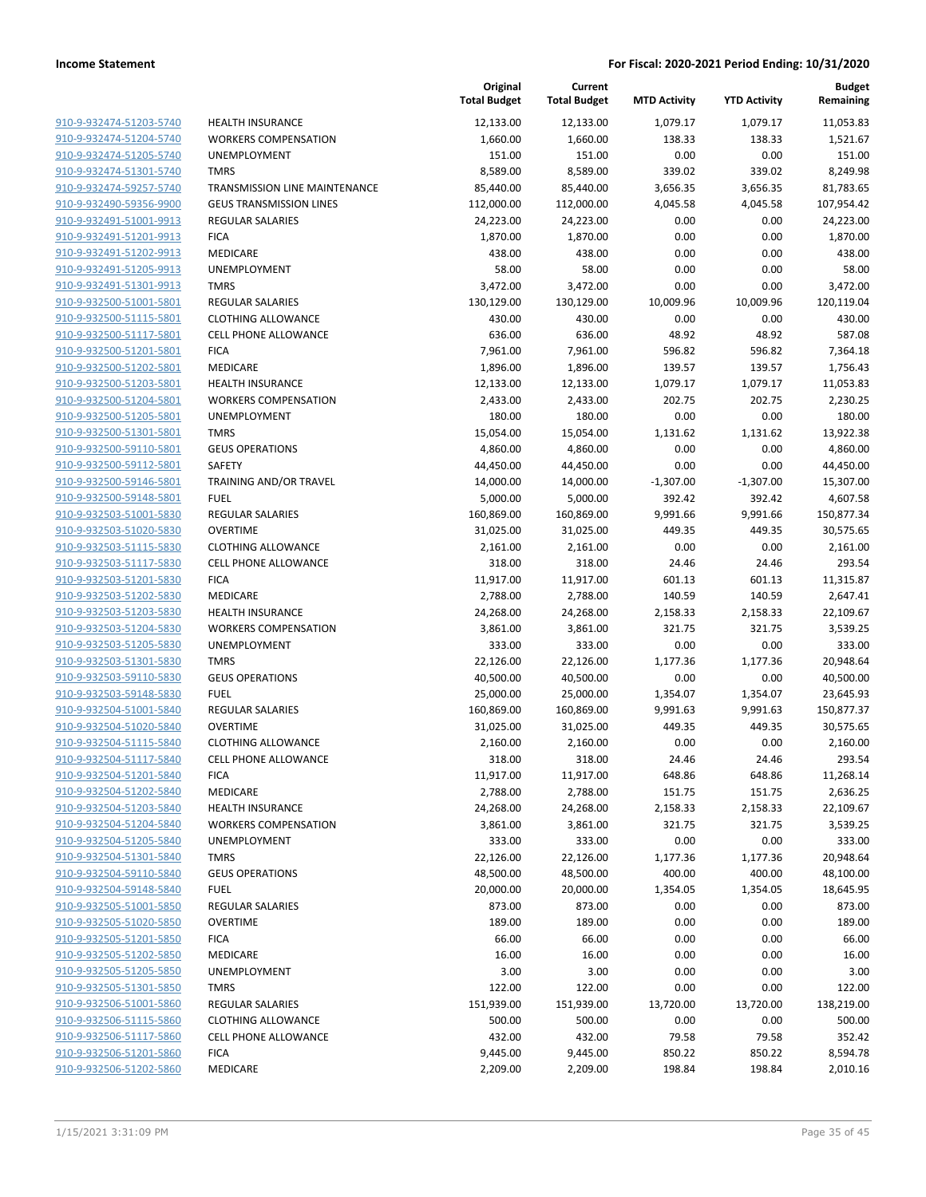|                                                    |                                            | Original<br><b>Total Budget</b> | Current<br><b>Total Budget</b> | <b>MTD Activity</b> | <b>YTD Activity</b> | <b>Budget</b><br>Remaining |
|----------------------------------------------------|--------------------------------------------|---------------------------------|--------------------------------|---------------------|---------------------|----------------------------|
| 910-9-932474-51203-5740                            | <b>HEALTH INSURANCE</b>                    | 12,133.00                       | 12,133.00                      | 1,079.17            | 1,079.17            | 11,053.83                  |
| 910-9-932474-51204-5740                            | <b>WORKERS COMPENSATION</b>                | 1,660.00                        | 1,660.00                       | 138.33              | 138.33              | 1,521.67                   |
| 910-9-932474-51205-5740                            | UNEMPLOYMENT                               | 151.00                          | 151.00                         | 0.00                | 0.00                | 151.00                     |
| 910-9-932474-51301-5740                            | <b>TMRS</b>                                | 8,589.00                        | 8,589.00                       | 339.02              | 339.02              | 8,249.98                   |
| 910-9-932474-59257-5740                            | TRANSMISSION LINE MAINTENANCE              | 85,440.00                       | 85,440.00                      | 3,656.35            | 3,656.35            | 81,783.65                  |
| 910-9-932490-59356-9900                            | <b>GEUS TRANSMISSION LINES</b>             | 112,000.00                      | 112,000.00                     | 4,045.58            | 4,045.58            | 107,954.42                 |
| 910-9-932491-51001-9913                            | REGULAR SALARIES                           | 24,223.00                       | 24,223.00                      | 0.00                | 0.00                | 24,223.00                  |
| 910-9-932491-51201-9913                            | <b>FICA</b>                                | 1,870.00                        | 1,870.00                       | 0.00                | 0.00                | 1,870.00                   |
| 910-9-932491-51202-9913                            | MEDICARE                                   | 438.00                          | 438.00                         | 0.00                | 0.00                | 438.00                     |
| 910-9-932491-51205-9913                            | UNEMPLOYMENT                               | 58.00                           | 58.00                          | 0.00                | 0.00                | 58.00                      |
| 910-9-932491-51301-9913                            | <b>TMRS</b>                                | 3,472.00                        | 3,472.00                       | 0.00                | 0.00                | 3,472.00                   |
| 910-9-932500-51001-5801                            | REGULAR SALARIES                           | 130,129.00                      | 130,129.00                     | 10,009.96           | 10,009.96           | 120,119.04                 |
| 910-9-932500-51115-5801                            | <b>CLOTHING ALLOWANCE</b>                  | 430.00                          | 430.00                         | 0.00                | 0.00                | 430.00                     |
| 910-9-932500-51117-5801                            | <b>CELL PHONE ALLOWANCE</b>                | 636.00                          | 636.00                         | 48.92               | 48.92               | 587.08                     |
| 910-9-932500-51201-5801                            | <b>FICA</b>                                | 7,961.00                        | 7,961.00                       | 596.82              | 596.82              | 7,364.18                   |
| 910-9-932500-51202-5801                            | MEDICARE                                   | 1,896.00                        | 1,896.00                       | 139.57              | 139.57              | 1,756.43                   |
| 910-9-932500-51203-5801                            | <b>HEALTH INSURANCE</b>                    | 12,133.00                       | 12,133.00                      | 1,079.17            | 1,079.17            | 11,053.83                  |
| 910-9-932500-51204-5801                            | <b>WORKERS COMPENSATION</b>                | 2,433.00                        | 2,433.00                       | 202.75              | 202.75              | 2,230.25                   |
| 910-9-932500-51205-5801                            | UNEMPLOYMENT                               | 180.00                          | 180.00                         | 0.00                | 0.00                | 180.00                     |
| 910-9-932500-51301-5801                            | <b>TMRS</b>                                | 15,054.00                       | 15,054.00                      | 1,131.62            | 1,131.62            | 13,922.38                  |
| 910-9-932500-59110-5801                            | <b>GEUS OPERATIONS</b>                     | 4,860.00                        | 4,860.00                       | 0.00                | 0.00                | 4,860.00                   |
| 910-9-932500-59112-5801                            | SAFETY                                     | 44,450.00                       | 44,450.00                      | 0.00                | 0.00                | 44,450.00                  |
| 910-9-932500-59146-5801                            | TRAINING AND/OR TRAVEL                     | 14,000.00                       | 14,000.00                      | $-1,307.00$         | $-1,307.00$         | 15,307.00                  |
| 910-9-932500-59148-5801                            | <b>FUEL</b>                                | 5,000.00                        | 5,000.00                       | 392.42              | 392.42              | 4,607.58                   |
| 910-9-932503-51001-5830                            | REGULAR SALARIES                           | 160,869.00                      | 160,869.00                     | 9,991.66            | 9,991.66            | 150,877.34                 |
| 910-9-932503-51020-5830                            | <b>OVERTIME</b>                            | 31,025.00                       | 31,025.00                      | 449.35              | 449.35              | 30,575.65                  |
| 910-9-932503-51115-5830                            | <b>CLOTHING ALLOWANCE</b>                  | 2,161.00                        | 2,161.00                       | 0.00                | 0.00                | 2,161.00                   |
| 910-9-932503-51117-5830                            | <b>CELL PHONE ALLOWANCE</b>                | 318.00                          | 318.00                         | 24.46               | 24.46               | 293.54                     |
| 910-9-932503-51201-5830                            | <b>FICA</b>                                | 11,917.00                       | 11,917.00                      | 601.13              | 601.13              | 11,315.87                  |
| 910-9-932503-51202-5830                            | MEDICARE                                   | 2,788.00                        | 2,788.00                       | 140.59              | 140.59              | 2,647.41                   |
| 910-9-932503-51203-5830                            | <b>HEALTH INSURANCE</b>                    | 24,268.00                       | 24,268.00                      | 2,158.33            | 2,158.33            | 22,109.67                  |
| 910-9-932503-51204-5830                            | <b>WORKERS COMPENSATION</b>                | 3,861.00                        | 3,861.00                       | 321.75              | 321.75              | 3,539.25                   |
| 910-9-932503-51205-5830                            | UNEMPLOYMENT                               | 333.00                          | 333.00                         | 0.00                | 0.00                | 333.00                     |
| 910-9-932503-51301-5830                            | <b>TMRS</b>                                | 22,126.00                       | 22,126.00                      | 1,177.36            | 1,177.36            | 20,948.64                  |
| 910-9-932503-59110-5830                            | <b>GEUS OPERATIONS</b>                     | 40,500.00                       | 40,500.00                      | 0.00                | 0.00                | 40,500.00                  |
| 910-9-932503-59148-5830                            | <b>FUEL</b>                                | 25,000.00                       | 25,000.00                      | 1,354.07            | 1,354.07            | 23,645.93                  |
| 910-9-932504-51001-5840                            | <b>REGULAR SALARIES</b>                    | 160,869.00                      | 160,869.00                     | 9,991.63            | 9,991.63            | 150,877.37                 |
| 910-9-932504-51020-5840                            | <b>OVERTIME</b>                            | 31,025.00                       | 31,025.00                      | 449.35              | 449.35              | 30,575.65                  |
| 910-9-932504-51115-5840                            | <b>CLOTHING ALLOWANCE</b>                  | 2,160.00                        | 2,160.00                       | 0.00                | 0.00                | 2,160.00                   |
| 910-9-932504-51117-5840                            | <b>CELL PHONE ALLOWANCE</b>                | 318.00                          | 318.00                         | 24.46               | 24.46               | 293.54                     |
| 910-9-932504-51201-5840                            | <b>FICA</b>                                | 11,917.00                       | 11,917.00                      | 648.86              | 648.86              | 11,268.14                  |
| 910-9-932504-51202-5840                            | MEDICARE                                   | 2,788.00                        | 2,788.00                       | 151.75              | 151.75              | 2,636.25                   |
| 910-9-932504-51203-5840                            | <b>HEALTH INSURANCE</b>                    | 24,268.00                       | 24,268.00                      | 2,158.33            | 2,158.33            | 22,109.67                  |
| 910-9-932504-51204-5840                            | <b>WORKERS COMPENSATION</b>                | 3,861.00                        | 3,861.00                       | 321.75              | 321.75              | 3,539.25                   |
| 910-9-932504-51205-5840                            | <b>UNEMPLOYMENT</b>                        | 333.00                          | 333.00                         | 0.00                | 0.00                | 333.00                     |
| 910-9-932504-51301-5840<br>910-9-932504-59110-5840 | <b>TMRS</b><br><b>GEUS OPERATIONS</b>      | 22,126.00                       | 22,126.00                      | 1,177.36            | 1,177.36            | 20,948.64                  |
|                                                    |                                            | 48,500.00                       | 48,500.00                      | 400.00              | 400.00              | 48,100.00                  |
| 910-9-932504-59148-5840                            | <b>FUEL</b>                                | 20,000.00                       | 20,000.00                      | 1,354.05            | 1,354.05            | 18,645.95                  |
| 910-9-932505-51001-5850                            | <b>REGULAR SALARIES</b><br><b>OVERTIME</b> | 873.00                          | 873.00                         | 0.00                | 0.00                | 873.00                     |
| 910-9-932505-51020-5850                            |                                            | 189.00                          | 189.00                         | 0.00                | 0.00                | 189.00                     |
| 910-9-932505-51201-5850                            | <b>FICA</b>                                | 66.00                           | 66.00                          | 0.00                | 0.00                | 66.00                      |
| 910-9-932505-51202-5850                            | MEDICARE                                   | 16.00                           | 16.00                          | 0.00                | 0.00                | 16.00                      |
| 910-9-932505-51205-5850                            | UNEMPLOYMENT                               | 3.00                            | 3.00                           | 0.00                | 0.00                | 3.00                       |
| 910-9-932505-51301-5850                            | <b>TMRS</b>                                | 122.00                          | 122.00                         | 0.00                | 0.00                | 122.00                     |
| 910-9-932506-51001-5860                            | REGULAR SALARIES                           | 151,939.00                      | 151,939.00                     | 13,720.00           | 13,720.00           | 138,219.00                 |
| 910-9-932506-51115-5860                            | <b>CLOTHING ALLOWANCE</b>                  | 500.00                          | 500.00                         | 0.00                | 0.00                | 500.00                     |
| 910-9-932506-51117-5860                            | <b>CELL PHONE ALLOWANCE</b>                | 432.00                          | 432.00                         | 79.58               | 79.58               | 352.42                     |
| 910-9-932506-51201-5860                            | <b>FICA</b>                                | 9,445.00                        | 9,445.00                       | 850.22              | 850.22              | 8,594.78                   |
| 910-9-932506-51202-5860                            | MEDICARE                                   | 2,209.00                        | 2,209.00                       | 198.84              | 198.84              | 2,010.16                   |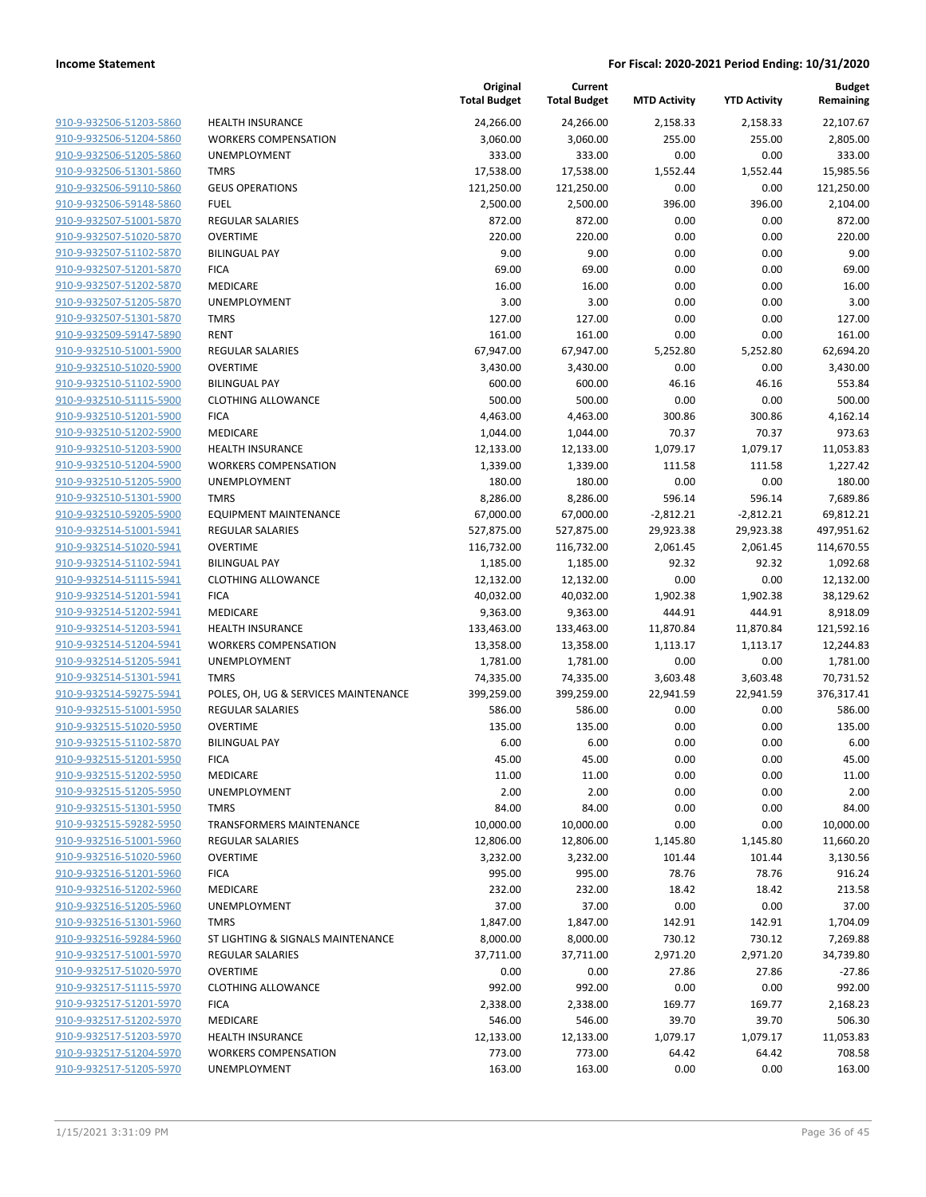| 910-9-932506-51203-5860                            |
|----------------------------------------------------|
| 910-9-932506-51204-5860                            |
| 910-9-932506-51205-5860                            |
| 910-9-932506-51301-5860                            |
| <u>910-9-932506-59110-5860</u>                     |
| 910-9-932506-59148-5860                            |
| 910-9-932507-51001-5870                            |
| 910-9-932507-51020-5870                            |
| 910-9-932507-51102-5870                            |
| 910-9-932507-51201-5870                            |
| 910-9-932507-51202-5870                            |
| 910-9-932507-51205-5870                            |
| 910-9-932507-51301-5870                            |
| 910-9-932509-59147-5890                            |
| <u>910-9-932510-51001-5900</u>                     |
| 910-9-932510-51020-5900                            |
| 910-9-932510-51102-5900                            |
| 910-9-932510-51115-5900                            |
| 910-9-932510-51201-5900                            |
| 910-9-932510-51202-5900                            |
| 910-9-932510-51203-5900                            |
| 910-9-932510-51204-5900                            |
| 910-9-932510-51205-5900                            |
| 910-9-932510-51301-5900                            |
| <u>910-9-932510-59205-5900</u>                     |
| 910-9-932514-51001-5941                            |
| 910-9-932514-51020-5941                            |
| 910-9-932514-51102-5941                            |
| 910-9-932514-51115-5941                            |
| <u>910-9-932514-51201-5941</u>                     |
| 910-9-932514-51202-5941                            |
| <u>910-9-932514-51203-5941</u>                     |
| 910-9-932514-51204-5941                            |
| 910-9-932514-51205-5941                            |
| <u>910-9-932514-51301-5941</u>                     |
| 910-9-932514-59275-5941                            |
| 910-9-932515-51001-5950                            |
| 910-9-932515-51020-5950                            |
| 910-9-932515-51102-5870                            |
| 910-9-932515-51201-5950                            |
| 910-9-932515-51202-5950                            |
| 910-9-932515-51205-5950                            |
| 910-9-932515-51301-5950                            |
| 910-9-932515-59282-5950                            |
| 910-9-932516-51001-5960                            |
| 910-9-932516-51020-5960                            |
| 910-9-932516-51201-5960                            |
| 910-9-932516-51202-5960                            |
| 910-9-932516-51205-5960                            |
| <u>910-9-932516-51301-5960</u>                     |
| <u>910-9-932516-59284-5960</u>                     |
| 910-9-932517-51001-5970                            |
| 910-9-932517-51020-5970                            |
| 910-9-932517-51115-5970<br>910-9-932517-51201-5970 |
| 910-9-932517-51202-5970                            |
| 910-9-932517-51203-5970                            |
| 910-9-932517-51204-5970                            |
| 910-9-932517-51205-5970                            |
|                                                    |

|                         |                                      | Original<br><b>Total Budget</b> | Current<br><b>Total Budget</b> | <b>MTD Activity</b> | <b>YTD Activity</b> | <b>Budget</b><br>Remaining |
|-------------------------|--------------------------------------|---------------------------------|--------------------------------|---------------------|---------------------|----------------------------|
| 910-9-932506-51203-5860 | <b>HEALTH INSURANCE</b>              | 24,266.00                       | 24,266.00                      | 2,158.33            | 2,158.33            | 22,107.67                  |
| 910-9-932506-51204-5860 | <b>WORKERS COMPENSATION</b>          | 3,060.00                        | 3,060.00                       | 255.00              | 255.00              | 2,805.00                   |
| 910-9-932506-51205-5860 | <b>UNEMPLOYMENT</b>                  | 333.00                          | 333.00                         | 0.00                | 0.00                | 333.00                     |
| 910-9-932506-51301-5860 | <b>TMRS</b>                          | 17,538.00                       | 17,538.00                      | 1,552.44            | 1,552.44            | 15,985.56                  |
| 910-9-932506-59110-5860 | <b>GEUS OPERATIONS</b>               | 121,250.00                      | 121,250.00                     | 0.00                | 0.00                | 121,250.00                 |
| 910-9-932506-59148-5860 | <b>FUEL</b>                          | 2,500.00                        | 2,500.00                       | 396.00              | 396.00              | 2,104.00                   |
| 910-9-932507-51001-5870 | <b>REGULAR SALARIES</b>              | 872.00                          | 872.00                         | 0.00                | 0.00                | 872.00                     |
| 910-9-932507-51020-5870 | <b>OVERTIME</b>                      | 220.00                          | 220.00                         | 0.00                | 0.00                | 220.00                     |
| 910-9-932507-51102-5870 | <b>BILINGUAL PAY</b>                 | 9.00                            | 9.00                           | 0.00                | 0.00                | 9.00                       |
| 910-9-932507-51201-5870 | <b>FICA</b>                          | 69.00                           | 69.00                          | 0.00                | 0.00                | 69.00                      |
| 910-9-932507-51202-5870 | MEDICARE                             | 16.00                           | 16.00                          | 0.00                | 0.00                | 16.00                      |
| 910-9-932507-51205-5870 | UNEMPLOYMENT                         | 3.00                            | 3.00                           | 0.00                | 0.00                | 3.00                       |
| 910-9-932507-51301-5870 | <b>TMRS</b>                          | 127.00                          | 127.00                         | 0.00                | 0.00                | 127.00                     |
| 910-9-932509-59147-5890 | <b>RENT</b>                          | 161.00                          | 161.00                         | 0.00                | 0.00                | 161.00                     |
| 910-9-932510-51001-5900 | <b>REGULAR SALARIES</b>              | 67,947.00                       | 67,947.00                      | 5,252.80            | 5,252.80            | 62,694.20                  |
| 910-9-932510-51020-5900 | <b>OVERTIME</b>                      | 3,430.00                        | 3,430.00                       | 0.00                | 0.00                | 3,430.00                   |
| 910-9-932510-51102-5900 | <b>BILINGUAL PAY</b>                 | 600.00                          | 600.00                         | 46.16               | 46.16               | 553.84                     |
| 910-9-932510-51115-5900 | <b>CLOTHING ALLOWANCE</b>            | 500.00                          | 500.00                         | 0.00                | 0.00                | 500.00                     |
| 910-9-932510-51201-5900 | <b>FICA</b>                          | 4,463.00                        | 4,463.00                       | 300.86              | 300.86              | 4,162.14                   |
| 910-9-932510-51202-5900 | <b>MEDICARE</b>                      | 1,044.00                        | 1,044.00                       | 70.37               | 70.37               | 973.63                     |
| 910-9-932510-51203-5900 | <b>HEALTH INSURANCE</b>              | 12,133.00                       | 12,133.00                      | 1,079.17            | 1,079.17            | 11,053.83                  |
| 910-9-932510-51204-5900 | <b>WORKERS COMPENSATION</b>          | 1,339.00                        | 1,339.00                       | 111.58              | 111.58              | 1,227.42                   |
| 910-9-932510-51205-5900 | <b>UNEMPLOYMENT</b>                  | 180.00                          | 180.00                         | 0.00                | 0.00                | 180.00                     |
| 910-9-932510-51301-5900 | <b>TMRS</b>                          | 8,286.00                        | 8,286.00                       | 596.14              | 596.14              | 7,689.86                   |
| 910-9-932510-59205-5900 | <b>EQUIPMENT MAINTENANCE</b>         | 67,000.00                       | 67,000.00                      | $-2,812.21$         | $-2,812.21$         | 69,812.21                  |
| 910-9-932514-51001-5941 | REGULAR SALARIES                     | 527,875.00                      | 527,875.00                     | 29,923.38           | 29,923.38           | 497,951.62                 |
| 910-9-932514-51020-5941 | <b>OVERTIME</b>                      | 116,732.00                      | 116,732.00                     | 2,061.45            | 2,061.45            | 114,670.55                 |
| 910-9-932514-51102-5941 | <b>BILINGUAL PAY</b>                 | 1,185.00                        | 1,185.00                       | 92.32               | 92.32               | 1,092.68                   |
| 910-9-932514-51115-5941 | <b>CLOTHING ALLOWANCE</b>            | 12,132.00                       | 12,132.00                      | 0.00                | 0.00                | 12,132.00                  |
| 910-9-932514-51201-5941 | <b>FICA</b>                          | 40,032.00                       | 40,032.00                      | 1,902.38            | 1,902.38            | 38,129.62                  |
| 910-9-932514-51202-5941 | MEDICARE                             | 9,363.00                        | 9,363.00                       | 444.91              | 444.91              | 8,918.09                   |
| 910-9-932514-51203-5941 | <b>HEALTH INSURANCE</b>              | 133,463.00                      | 133,463.00                     | 11,870.84           | 11,870.84           | 121,592.16                 |
| 910-9-932514-51204-5941 | <b>WORKERS COMPENSATION</b>          | 13,358.00                       | 13,358.00                      | 1,113.17            | 1,113.17            | 12,244.83                  |
| 910-9-932514-51205-5941 | UNEMPLOYMENT                         | 1,781.00                        | 1,781.00                       | 0.00                | 0.00                | 1,781.00                   |
| 910-9-932514-51301-5941 | <b>TMRS</b>                          | 74,335.00                       | 74,335.00                      | 3,603.48            | 3,603.48            | 70,731.52                  |
| 910-9-932514-59275-5941 | POLES, OH, UG & SERVICES MAINTENANCE | 399,259.00                      | 399,259.00                     | 22,941.59           | 22,941.59           | 376,317.41                 |
| 910-9-932515-51001-5950 | REGULAR SALARIES                     | 586.00                          | 586.00                         | 0.00                | 0.00                | 586.00                     |
| 910-9-932515-51020-5950 | <b>OVERTIME</b>                      | 135.00                          | 135.00                         | 0.00                | 0.00                | 135.00                     |
| 910-9-932515-51102-5870 | <b>BILINGUAL PAY</b>                 | 6.00                            | 6.00                           | 0.00                | 0.00                | 6.00                       |
| 910-9-932515-51201-5950 | <b>FICA</b>                          | 45.00                           | 45.00                          | 0.00                | 0.00                | 45.00                      |
| 910-9-932515-51202-5950 | MEDICARE                             | 11.00                           | 11.00                          | 0.00                | 0.00                | 11.00                      |
| 910-9-932515-51205-5950 | UNEMPLOYMENT                         | 2.00                            | 2.00                           | 0.00                | 0.00                | 2.00                       |
| 910-9-932515-51301-5950 | <b>TMRS</b>                          | 84.00                           | 84.00                          | 0.00                | 0.00                | 84.00                      |
| 910-9-932515-59282-5950 | <b>TRANSFORMERS MAINTENANCE</b>      | 10,000.00                       | 10,000.00                      | 0.00                | 0.00                | 10,000.00                  |
| 910-9-932516-51001-5960 | REGULAR SALARIES                     | 12,806.00                       | 12,806.00                      | 1,145.80            | 1,145.80            | 11,660.20                  |
| 910-9-932516-51020-5960 | <b>OVERTIME</b>                      | 3,232.00                        | 3,232.00                       | 101.44              | 101.44              | 3,130.56                   |
| 910-9-932516-51201-5960 | <b>FICA</b>                          | 995.00                          | 995.00                         | 78.76               | 78.76               | 916.24                     |
| 910-9-932516-51202-5960 | MEDICARE                             | 232.00                          | 232.00                         | 18.42               | 18.42               | 213.58                     |
| 910-9-932516-51205-5960 | <b>UNEMPLOYMENT</b>                  | 37.00                           | 37.00                          | 0.00                | 0.00                | 37.00                      |
| 910-9-932516-51301-5960 | <b>TMRS</b>                          | 1,847.00                        | 1,847.00                       | 142.91              | 142.91              | 1,704.09                   |
| 910-9-932516-59284-5960 | ST LIGHTING & SIGNALS MAINTENANCE    | 8,000.00                        | 8,000.00                       | 730.12              | 730.12              | 7,269.88                   |
| 910-9-932517-51001-5970 | <b>REGULAR SALARIES</b>              | 37,711.00                       | 37,711.00                      | 2,971.20            | 2,971.20            | 34,739.80                  |
| 910-9-932517-51020-5970 | <b>OVERTIME</b>                      | 0.00                            | 0.00                           | 27.86               | 27.86               | $-27.86$                   |
| 910-9-932517-51115-5970 | <b>CLOTHING ALLOWANCE</b>            | 992.00                          | 992.00                         | 0.00                | 0.00                | 992.00                     |
| 910-9-932517-51201-5970 | <b>FICA</b>                          | 2,338.00                        | 2,338.00                       | 169.77              | 169.77              | 2,168.23                   |
| 910-9-932517-51202-5970 | MEDICARE                             | 546.00                          | 546.00                         | 39.70               | 39.70               | 506.30                     |
| 910-9-932517-51203-5970 | <b>HEALTH INSURANCE</b>              | 12,133.00                       | 12,133.00                      | 1,079.17            | 1,079.17            | 11,053.83                  |
| 910-9-932517-51204-5970 | <b>WORKERS COMPENSATION</b>          | 773.00                          | 773.00                         | 64.42               | 64.42               | 708.58                     |
| 910-9-932517-51205-5970 | UNEMPLOYMENT                         | 163.00                          | 163.00                         | 0.00                | 0.00                | 163.00                     |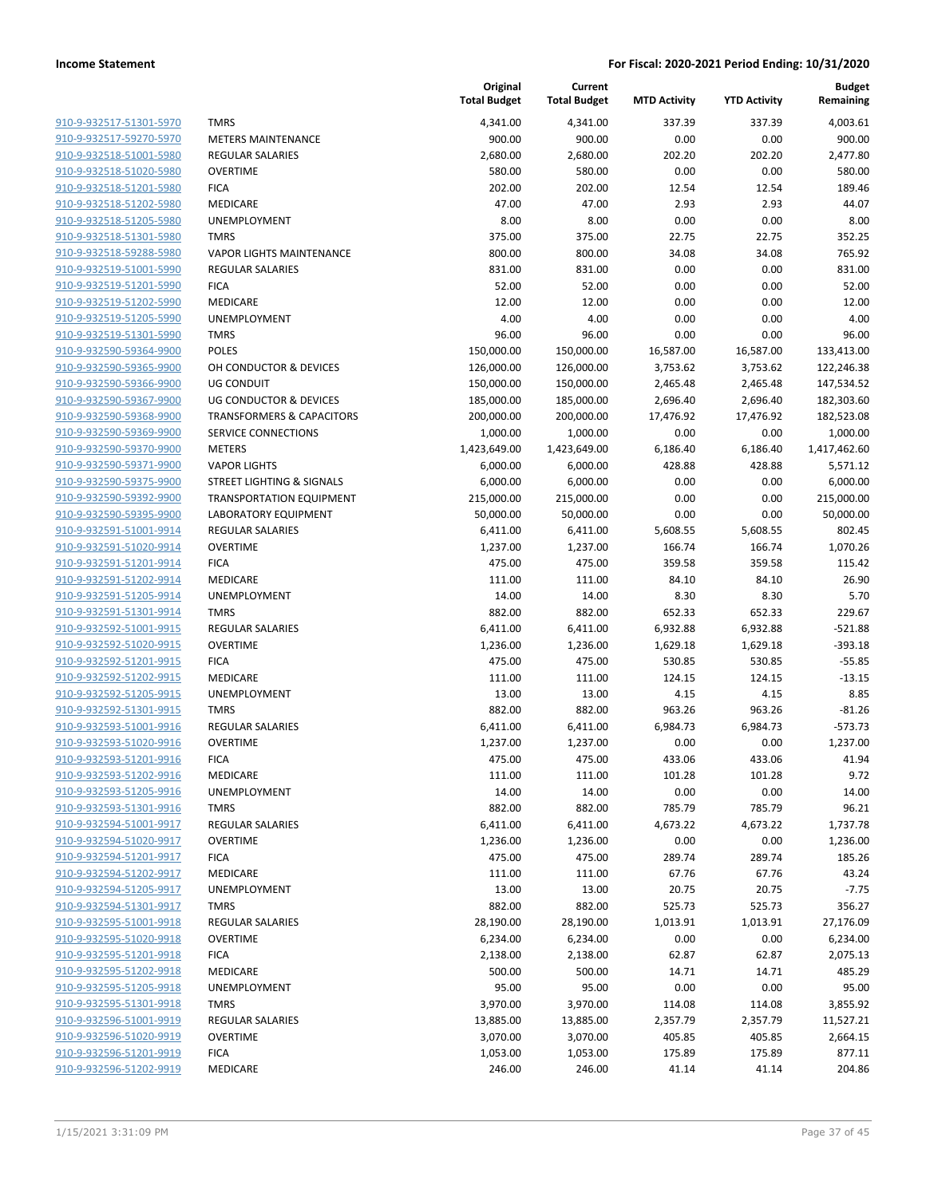| 910-9-932517-51301-5970                            |
|----------------------------------------------------|
| 910-9-932517-59270-5970                            |
| 910-9-932518-51001-5980                            |
| 910-9-932518-51020-5980                            |
| 910-9-932518-51201-5980                            |
| 910-9-932518-51202-5980                            |
| 910-9-932518-51205-5980                            |
| <u>910-9-932518-51301-5980</u>                     |
| 910-9-932518-59288-5980<br>910-9-932519-51001-5990 |
| 910-9-932519-51201-5990                            |
| 910-9-932519-51202-5990                            |
| 910-9-932519-51205-5990                            |
| 910-9-932519-51301-5990                            |
| 910-9-932590-59364-9900                            |
| 910-9-932590-59365-9900                            |
| 910-9-932590-59366-9900                            |
| 910-9-932590-59367-9900                            |
| 910-9-932590-59368-9900                            |
| 910-9-932590-59369-9900                            |
| 910-9-932590-59370-9900                            |
| 910-9-932590-59371-9900                            |
| 910-9-932590-59375-9900                            |
| 910-9-932590-59392-9900                            |
| 910-9-932590-59395-9900                            |
| 910-9-932591-51001-9914                            |
| 910-9-932591-51020-9914                            |
| 910-9-932591-51201-9914                            |
| 910-9-932591-51202-9914                            |
| 910-9-932591-51205-9914                            |
| 910-9-932591-51301-9914                            |
| 910-9-932592-51001-9915                            |
| 910-9-932592-51020-9915                            |
| 910-9-932592-51201-9915                            |
| 910-9-932592-51202-9915                            |
| 910-9-932592-51205-9915                            |
| 910-9-932592-51301-9915                            |
| 910-9-932593-51001-9916                            |
| 910-9-932593-51020-9916<br>910-9-932593-51201-9916 |
| 910-9-932593-51202-9916                            |
| <u>910-9-932593-51205-9916</u>                     |
| 910-9-932593-51301-9916                            |
| 910-9-932594-51001-9917                            |
| 910-9-932594-51020-9917                            |
| 910-9-932594-51201-9917                            |
| 910-9-932594-51202-9917                            |
| 910-9-932594-51205-9917                            |
| 910-9-932594-51301-9917                            |
| 910-9-932595-51001-9918                            |
| 910-9-932595-51020-9918                            |
| <u>910-9-932595-51201-9918</u>                     |
| 910-9-932595-51202-9918                            |
| 910-9-932595-51205-9918                            |
| 910-9-932595-51301-9918                            |
| 910-9-932596-51001-9919                            |
| 910-9-932596-51020-9919                            |
| 910-9-932596-51201-9919                            |
| 910-9-932596-51202-9919                            |
|                                                    |

|                         |                                      | Original<br><b>Total Budget</b> | Current<br><b>Total Budget</b> | <b>MTD Activity</b> | <b>YTD Activity</b> | <b>Budget</b><br>Remaining |
|-------------------------|--------------------------------------|---------------------------------|--------------------------------|---------------------|---------------------|----------------------------|
| 910-9-932517-51301-5970 | <b>TMRS</b>                          | 4,341.00                        | 4,341.00                       | 337.39              | 337.39              | 4,003.61                   |
| 910-9-932517-59270-5970 | <b>METERS MAINTENANCE</b>            | 900.00                          | 900.00                         | 0.00                | 0.00                | 900.00                     |
| 910-9-932518-51001-5980 | <b>REGULAR SALARIES</b>              | 2,680.00                        | 2,680.00                       | 202.20              | 202.20              | 2,477.80                   |
| 910-9-932518-51020-5980 | <b>OVERTIME</b>                      | 580.00                          | 580.00                         | 0.00                | 0.00                | 580.00                     |
| 910-9-932518-51201-5980 | <b>FICA</b>                          | 202.00                          | 202.00                         | 12.54               | 12.54               | 189.46                     |
| 910-9-932518-51202-5980 | <b>MEDICARE</b>                      | 47.00                           | 47.00                          | 2.93                | 2.93                | 44.07                      |
| 910-9-932518-51205-5980 | <b>UNEMPLOYMENT</b>                  | 8.00                            | 8.00                           | 0.00                | 0.00                | 8.00                       |
| 910-9-932518-51301-5980 | <b>TMRS</b>                          | 375.00                          | 375.00                         | 22.75               | 22.75               | 352.25                     |
| 910-9-932518-59288-5980 | <b>VAPOR LIGHTS MAINTENANCE</b>      | 800.00                          | 800.00                         | 34.08               | 34.08               | 765.92                     |
| 910-9-932519-51001-5990 | <b>REGULAR SALARIES</b>              | 831.00                          | 831.00                         | 0.00                | 0.00                | 831.00                     |
| 910-9-932519-51201-5990 | <b>FICA</b>                          | 52.00                           | 52.00                          | 0.00                | 0.00                | 52.00                      |
| 910-9-932519-51202-5990 | MEDICARE                             | 12.00                           | 12.00                          | 0.00                | 0.00                | 12.00                      |
| 910-9-932519-51205-5990 | <b>UNEMPLOYMENT</b>                  | 4.00                            | 4.00                           | 0.00                | 0.00                | 4.00                       |
| 910-9-932519-51301-5990 | <b>TMRS</b>                          | 96.00                           | 96.00                          | 0.00                | 0.00                | 96.00                      |
| 910-9-932590-59364-9900 | <b>POLES</b>                         | 150,000.00                      | 150,000.00                     | 16,587.00           | 16,587.00           | 133,413.00                 |
| 910-9-932590-59365-9900 | OH CONDUCTOR & DEVICES               | 126,000.00                      | 126,000.00                     | 3,753.62            | 3,753.62            | 122,246.38                 |
| 910-9-932590-59366-9900 | UG CONDUIT                           | 150,000.00                      | 150,000.00                     | 2,465.48            | 2,465.48            | 147,534.52                 |
| 910-9-932590-59367-9900 | <b>UG CONDUCTOR &amp; DEVICES</b>    | 185,000.00                      | 185,000.00                     | 2,696.40            | 2,696.40            | 182,303.60                 |
| 910-9-932590-59368-9900 | <b>TRANSFORMERS &amp; CAPACITORS</b> | 200,000.00                      | 200,000.00                     | 17,476.92           | 17,476.92           | 182,523.08                 |
| 910-9-932590-59369-9900 | SERVICE CONNECTIONS                  | 1,000.00                        | 1,000.00                       | 0.00                | 0.00                | 1,000.00                   |
| 910-9-932590-59370-9900 | <b>METERS</b>                        | 1,423,649.00                    | 1,423,649.00                   | 6,186.40            | 6,186.40            | 1,417,462.60               |
| 910-9-932590-59371-9900 | <b>VAPOR LIGHTS</b>                  | 6,000.00                        | 6,000.00                       | 428.88              | 428.88              | 5,571.12                   |
| 910-9-932590-59375-9900 | STREET LIGHTING & SIGNALS            | 6,000.00                        | 6,000.00                       | 0.00                | 0.00                | 6,000.00                   |
| 910-9-932590-59392-9900 | <b>TRANSPORTATION EQUIPMENT</b>      | 215,000.00                      | 215,000.00                     | 0.00                | 0.00                | 215,000.00                 |
| 910-9-932590-59395-9900 | <b>LABORATORY EQUIPMENT</b>          | 50,000.00                       | 50,000.00                      | 0.00                | 0.00                | 50,000.00                  |
| 910-9-932591-51001-9914 | <b>REGULAR SALARIES</b>              | 6,411.00                        | 6,411.00                       | 5,608.55            | 5,608.55            | 802.45                     |
| 910-9-932591-51020-9914 | <b>OVERTIME</b>                      | 1,237.00                        | 1,237.00                       | 166.74              | 166.74              | 1,070.26                   |
| 910-9-932591-51201-9914 | <b>FICA</b>                          | 475.00                          | 475.00                         | 359.58              | 359.58              | 115.42                     |
| 910-9-932591-51202-9914 | MEDICARE                             | 111.00                          | 111.00                         | 84.10               | 84.10               | 26.90                      |
| 910-9-932591-51205-9914 | <b>UNEMPLOYMENT</b>                  | 14.00                           | 14.00                          | 8.30                | 8.30                | 5.70                       |
| 910-9-932591-51301-9914 | <b>TMRS</b>                          | 882.00                          | 882.00                         | 652.33              | 652.33              | 229.67                     |
| 910-9-932592-51001-9915 | <b>REGULAR SALARIES</b>              | 6,411.00                        | 6,411.00                       | 6,932.88            | 6,932.88            | $-521.88$                  |
| 910-9-932592-51020-9915 | <b>OVERTIME</b>                      | 1,236.00                        | 1,236.00                       | 1,629.18            | 1,629.18            | $-393.18$                  |
| 910-9-932592-51201-9915 | <b>FICA</b>                          | 475.00                          | 475.00                         | 530.85              | 530.85              | $-55.85$                   |
| 910-9-932592-51202-9915 | MEDICARE                             | 111.00                          | 111.00                         | 124.15              | 124.15              | $-13.15$                   |
| 910-9-932592-51205-9915 | <b>UNEMPLOYMENT</b>                  | 13.00                           | 13.00                          | 4.15                | 4.15                | 8.85                       |
| 910-9-932592-51301-9915 | <b>TMRS</b>                          | 882.00                          | 882.00                         | 963.26              | 963.26              | $-81.26$                   |
| 910-9-932593-51001-9916 | <b>REGULAR SALARIES</b>              | 6,411.00                        | 6,411.00                       | 6,984.73            | 6,984.73            | $-573.73$                  |
| 910-9-932593-51020-9916 | <b>OVERTIME</b>                      | 1,237.00                        | 1,237.00                       | 0.00                | 0.00                | 1,237.00                   |
| 910-9-932593-51201-9916 | <b>FICA</b>                          | 475.00                          | 475.00                         | 433.06              | 433.06              | 41.94                      |
| 910-9-932593-51202-9916 | <b>MEDICARE</b>                      | 111.00                          | 111.00                         | 101.28              | 101.28              | 9.72                       |
| 910-9-932593-51205-9916 | UNEMPLOYMENT                         | 14.00                           | 14.00                          | 0.00                | 0.00                | 14.00                      |
| 910-9-932593-51301-9916 | <b>TMRS</b>                          | 882.00                          | 882.00                         | 785.79              | 785.79              | 96.21                      |
| 910-9-932594-51001-9917 | <b>REGULAR SALARIES</b>              | 6,411.00                        | 6,411.00                       | 4,673.22            | 4,673.22            | 1,737.78                   |
| 910-9-932594-51020-9917 | <b>OVERTIME</b>                      | 1,236.00                        | 1,236.00                       | 0.00                | 0.00                | 1,236.00                   |
| 910-9-932594-51201-9917 | <b>FICA</b>                          | 475.00                          | 475.00                         | 289.74              | 289.74              | 185.26                     |
| 910-9-932594-51202-9917 | MEDICARE                             | 111.00                          | 111.00                         | 67.76               | 67.76               | 43.24                      |
| 910-9-932594-51205-9917 | UNEMPLOYMENT                         | 13.00                           | 13.00                          | 20.75               | 20.75               | $-7.75$                    |
| 910-9-932594-51301-9917 | <b>TMRS</b>                          | 882.00                          | 882.00                         | 525.73              | 525.73              | 356.27                     |
| 910-9-932595-51001-9918 | <b>REGULAR SALARIES</b>              | 28,190.00                       | 28,190.00                      | 1,013.91            | 1,013.91            | 27,176.09                  |
| 910-9-932595-51020-9918 | <b>OVERTIME</b>                      | 6,234.00                        | 6,234.00                       | 0.00                | 0.00                | 6,234.00                   |
| 910-9-932595-51201-9918 | <b>FICA</b>                          | 2,138.00                        | 2,138.00                       | 62.87               | 62.87               | 2,075.13                   |
| 910-9-932595-51202-9918 | MEDICARE                             | 500.00                          | 500.00                         | 14.71               | 14.71               | 485.29                     |
| 910-9-932595-51205-9918 | <b>UNEMPLOYMENT</b>                  | 95.00                           | 95.00                          | 0.00                | 0.00                | 95.00                      |
| 910-9-932595-51301-9918 | <b>TMRS</b>                          | 3,970.00                        | 3,970.00                       | 114.08              | 114.08              | 3,855.92                   |
| 910-9-932596-51001-9919 | <b>REGULAR SALARIES</b>              | 13,885.00                       | 13,885.00                      | 2,357.79            | 2,357.79            | 11,527.21                  |
| 910-9-932596-51020-9919 | <b>OVERTIME</b>                      | 3,070.00                        | 3,070.00                       | 405.85              | 405.85              | 2,664.15                   |
| 910-9-932596-51201-9919 | <b>FICA</b>                          | 1,053.00                        | 1,053.00                       | 175.89              | 175.89              | 877.11                     |
| 910-9-932596-51202-9919 | MEDICARE                             | 246.00                          | 246.00                         | 41.14               | 41.14               | 204.86                     |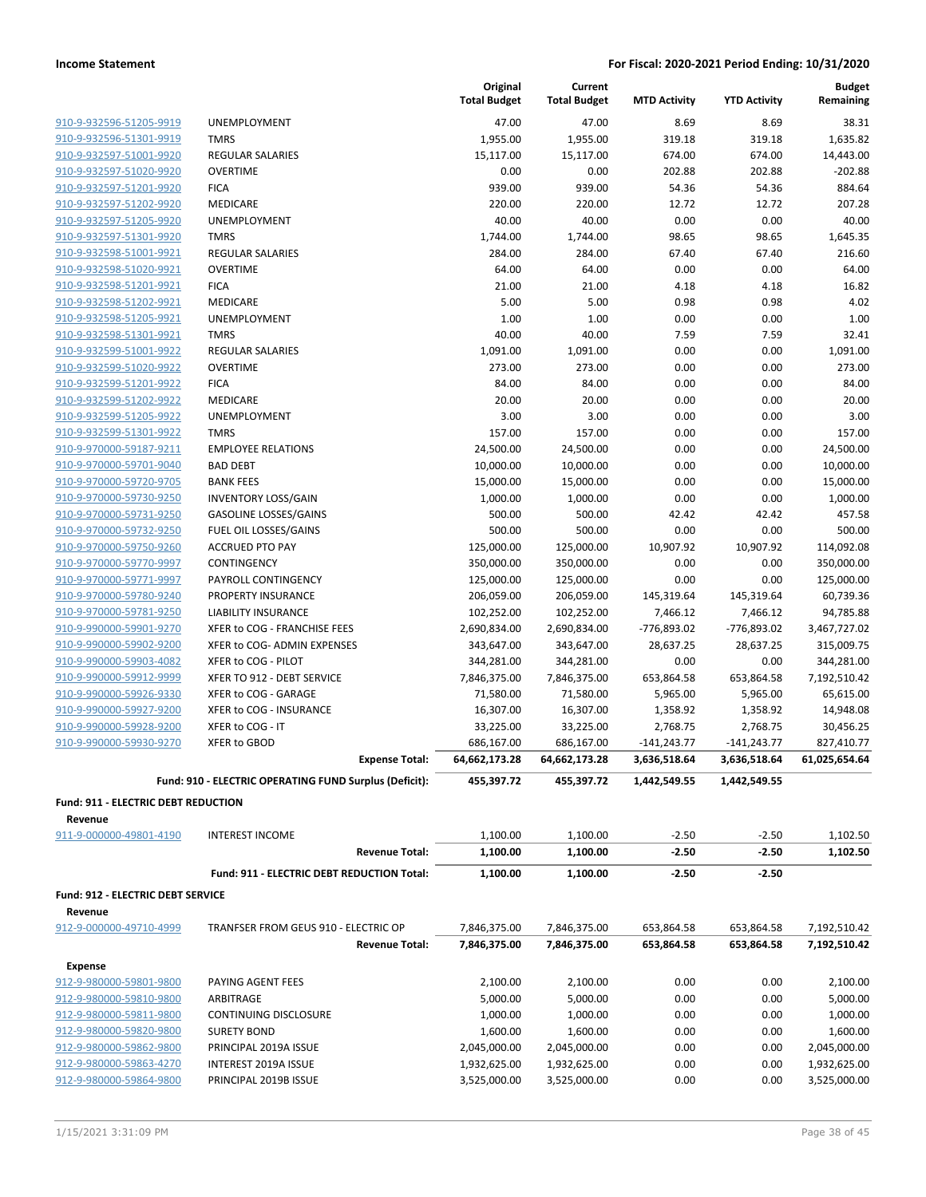|                                                    |                                                        | Original<br><b>Total Budget</b> | Current<br><b>Total Budget</b> | <b>MTD Activity</b>    | <b>YTD Activity</b>    | <b>Budget</b><br>Remaining |
|----------------------------------------------------|--------------------------------------------------------|---------------------------------|--------------------------------|------------------------|------------------------|----------------------------|
| 910-9-932596-51205-9919                            | UNEMPLOYMENT                                           | 47.00                           | 47.00                          | 8.69                   | 8.69                   | 38.31                      |
| 910-9-932596-51301-9919                            | <b>TMRS</b>                                            | 1,955.00                        | 1,955.00                       | 319.18                 | 319.18                 | 1,635.82                   |
| 910-9-932597-51001-9920                            | <b>REGULAR SALARIES</b>                                | 15,117.00                       | 15,117.00                      | 674.00                 | 674.00                 | 14,443.00                  |
| 910-9-932597-51020-9920                            | <b>OVERTIME</b>                                        | 0.00                            | 0.00                           | 202.88                 | 202.88                 | $-202.88$                  |
| 910-9-932597-51201-9920                            | <b>FICA</b>                                            | 939.00                          | 939.00                         | 54.36                  | 54.36                  | 884.64                     |
| 910-9-932597-51202-9920                            | MEDICARE                                               | 220.00                          | 220.00                         | 12.72                  | 12.72                  | 207.28                     |
| 910-9-932597-51205-9920                            | UNEMPLOYMENT                                           | 40.00                           | 40.00                          | 0.00                   | 0.00                   | 40.00                      |
| 910-9-932597-51301-9920                            | <b>TMRS</b>                                            | 1,744.00                        | 1,744.00                       | 98.65                  | 98.65                  | 1,645.35                   |
| 910-9-932598-51001-9921                            | <b>REGULAR SALARIES</b>                                | 284.00                          | 284.00                         | 67.40                  | 67.40                  | 216.60                     |
| 910-9-932598-51020-9921                            | <b>OVERTIME</b>                                        | 64.00                           | 64.00                          | 0.00                   | 0.00                   | 64.00                      |
| 910-9-932598-51201-9921                            | <b>FICA</b>                                            | 21.00                           | 21.00                          | 4.18                   | 4.18                   | 16.82                      |
| 910-9-932598-51202-9921                            | MEDICARE                                               | 5.00                            | 5.00                           | 0.98                   | 0.98                   | 4.02                       |
| 910-9-932598-51205-9921                            | UNEMPLOYMENT                                           | 1.00                            | 1.00                           | 0.00                   | 0.00                   | 1.00                       |
| 910-9-932598-51301-9921                            | <b>TMRS</b>                                            | 40.00                           | 40.00                          | 7.59                   | 7.59                   | 32.41                      |
| 910-9-932599-51001-9922                            | REGULAR SALARIES                                       | 1,091.00                        | 1,091.00                       | 0.00                   | 0.00                   | 1,091.00                   |
| 910-9-932599-51020-9922                            | <b>OVERTIME</b>                                        | 273.00                          | 273.00                         | 0.00                   | 0.00                   | 273.00                     |
| 910-9-932599-51201-9922                            | <b>FICA</b>                                            | 84.00                           | 84.00                          | 0.00                   | 0.00                   | 84.00                      |
| 910-9-932599-51202-9922                            | MEDICARE                                               | 20.00                           | 20.00                          | 0.00                   | 0.00                   | 20.00                      |
| 910-9-932599-51205-9922                            | UNEMPLOYMENT                                           | 3.00                            | 3.00                           | 0.00                   | 0.00                   | 3.00                       |
| 910-9-932599-51301-9922                            | <b>TMRS</b>                                            | 157.00                          | 157.00                         | 0.00                   | 0.00                   | 157.00                     |
| 910-9-970000-59187-9211                            | <b>EMPLOYEE RELATIONS</b>                              | 24,500.00                       | 24,500.00                      | 0.00                   | 0.00                   | 24,500.00                  |
| 910-9-970000-59701-9040                            | <b>BAD DEBT</b>                                        | 10,000.00                       | 10,000.00                      | 0.00                   | 0.00                   | 10,000.00                  |
| 910-9-970000-59720-9705                            | <b>BANK FEES</b>                                       | 15,000.00                       | 15,000.00                      | 0.00                   | 0.00                   | 15,000.00                  |
| 910-9-970000-59730-9250                            | <b>INVENTORY LOSS/GAIN</b>                             | 1,000.00                        | 1,000.00                       | 0.00                   | 0.00                   | 1,000.00                   |
| 910-9-970000-59731-9250                            | <b>GASOLINE LOSSES/GAINS</b>                           | 500.00                          | 500.00                         | 42.42                  | 42.42                  | 457.58                     |
| 910-9-970000-59732-9250                            | FUEL OIL LOSSES/GAINS                                  | 500.00                          | 500.00                         | 0.00                   | 0.00                   | 500.00                     |
| 910-9-970000-59750-9260                            | <b>ACCRUED PTO PAY</b>                                 | 125,000.00                      | 125,000.00                     | 10,907.92              | 10,907.92              | 114,092.08                 |
| 910-9-970000-59770-9997                            | CONTINGENCY                                            | 350,000.00                      | 350,000.00                     | 0.00                   | 0.00                   | 350,000.00                 |
| 910-9-970000-59771-9997<br>910-9-970000-59780-9240 | PAYROLL CONTINGENCY<br>PROPERTY INSURANCE              | 125,000.00<br>206,059.00        | 125,000.00<br>206,059.00       | 0.00                   | 0.00                   | 125,000.00<br>60,739.36    |
| 910-9-970000-59781-9250                            | <b>LIABILITY INSURANCE</b>                             | 102,252.00                      | 102,252.00                     | 145,319.64<br>7,466.12 | 145,319.64<br>7,466.12 | 94,785.88                  |
| 910-9-990000-59901-9270                            | XFER to COG - FRANCHISE FEES                           | 2,690,834.00                    | 2,690,834.00                   | $-776,893.02$          | -776,893.02            | 3,467,727.02               |
| 910-9-990000-59902-9200                            | XFER to COG- ADMIN EXPENSES                            | 343,647.00                      | 343,647.00                     | 28,637.25              | 28,637.25              | 315,009.75                 |
| 910-9-990000-59903-4082                            | XFER to COG - PILOT                                    | 344,281.00                      | 344,281.00                     | 0.00                   | 0.00                   | 344,281.00                 |
| 910-9-990000-59912-9999                            | XFER TO 912 - DEBT SERVICE                             | 7,846,375.00                    | 7,846,375.00                   | 653,864.58             | 653,864.58             | 7,192,510.42               |
| 910-9-990000-59926-9330                            | XFER to COG - GARAGE                                   | 71,580.00                       | 71,580.00                      | 5,965.00               | 5,965.00               | 65,615.00                  |
| 910-9-990000-59927-9200                            | XFER to COG - INSURANCE                                | 16,307.00                       | 16,307.00                      | 1,358.92               | 1,358.92               | 14,948.08                  |
| 910-9-990000-59928-9200                            | XFER to COG - IT                                       | 33,225.00                       | 33,225.00                      | 2,768.75               | 2,768.75               | 30,456.25                  |
| 910-9-990000-59930-9270                            | XFER to GBOD                                           | 686,167.00                      | 686,167.00                     | $-141,243.77$          | $-141,243.77$          | 827,410.77                 |
|                                                    | <b>Expense Total:</b>                                  | 64,662,173.28                   | 64,662,173.28                  | 3,636,518.64           | 3,636,518.64           | 61,025,654.64              |
|                                                    | Fund: 910 - ELECTRIC OPERATING FUND Surplus (Deficit): | 455,397.72                      | 455,397.72                     | 1,442,549.55           | 1,442,549.55           |                            |
| Fund: 911 - ELECTRIC DEBT REDUCTION                |                                                        |                                 |                                |                        |                        |                            |
| Revenue                                            |                                                        |                                 |                                |                        |                        |                            |
| 911-9-000000-49801-4190                            | <b>INTEREST INCOME</b>                                 | 1,100.00                        | 1,100.00                       | $-2.50$                | $-2.50$                | 1,102.50                   |
|                                                    | <b>Revenue Total:</b>                                  | 1,100.00                        | 1,100.00                       | $-2.50$                | $-2.50$                | 1,102.50                   |
|                                                    | Fund: 911 - ELECTRIC DEBT REDUCTION Total:             | 1,100.00                        | 1,100.00                       | $-2.50$                | $-2.50$                |                            |
| Fund: 912 - ELECTRIC DEBT SERVICE<br>Revenue       |                                                        |                                 |                                |                        |                        |                            |
| 912-9-000000-49710-4999                            | TRANFSER FROM GEUS 910 - ELECTRIC OP                   | 7,846,375.00                    | 7,846,375.00                   | 653,864.58             | 653,864.58             | 7,192,510.42               |
|                                                    | <b>Revenue Total:</b>                                  | 7,846,375.00                    | 7,846,375.00                   | 653,864.58             | 653,864.58             | 7,192,510.42               |
| <b>Expense</b>                                     |                                                        |                                 |                                |                        |                        |                            |
| 912-9-980000-59801-9800                            | PAYING AGENT FEES                                      | 2,100.00                        | 2,100.00                       | 0.00                   | 0.00                   | 2,100.00                   |
| 912-9-980000-59810-9800                            | ARBITRAGE                                              | 5,000.00                        | 5,000.00                       | 0.00                   | 0.00                   | 5,000.00                   |
| 912-9-980000-59811-9800                            | <b>CONTINUING DISCLOSURE</b>                           | 1,000.00                        | 1,000.00                       | 0.00                   | 0.00                   | 1,000.00                   |
| 912-9-980000-59820-9800                            | <b>SURETY BOND</b>                                     | 1,600.00                        | 1,600.00                       | 0.00                   | 0.00                   | 1,600.00                   |
| 912-9-980000-59862-9800                            | PRINCIPAL 2019A ISSUE                                  | 2,045,000.00                    | 2,045,000.00                   | 0.00                   | 0.00                   | 2,045,000.00               |
| 912-9-980000-59863-4270                            | INTEREST 2019A ISSUE                                   | 1,932,625.00                    | 1,932,625.00                   | 0.00                   | 0.00                   | 1,932,625.00               |
| 912-9-980000-59864-9800                            | PRINCIPAL 2019B ISSUE                                  | 3,525,000.00                    | 3,525,000.00                   | 0.00                   | 0.00                   | 3,525,000.00               |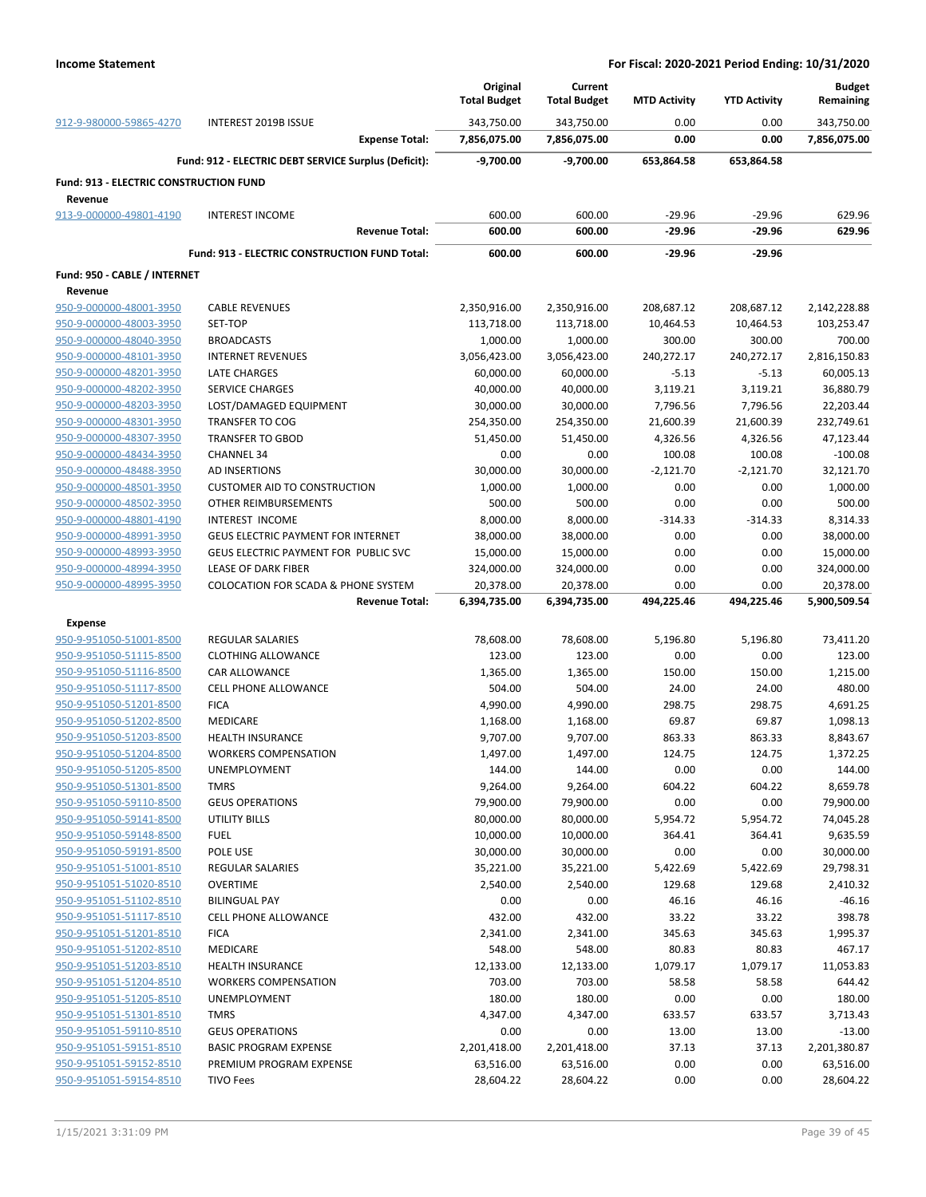|                                                          |                                                      | Original<br><b>Total Budget</b> | Current<br><b>Total Budget</b> | <b>MTD Activity</b> | <b>YTD Activity</b> | <b>Budget</b><br>Remaining |
|----------------------------------------------------------|------------------------------------------------------|---------------------------------|--------------------------------|---------------------|---------------------|----------------------------|
| 912-9-980000-59865-4270                                  | INTEREST 2019B ISSUE                                 | 343,750.00                      | 343,750.00                     | 0.00                | 0.00                | 343,750.00                 |
|                                                          | <b>Expense Total:</b>                                | 7,856,075.00                    | 7,856,075.00                   | 0.00                | 0.00                | 7,856,075.00               |
|                                                          | Fund: 912 - ELECTRIC DEBT SERVICE Surplus (Deficit): | $-9,700.00$                     | $-9,700.00$                    | 653,864.58          | 653,864.58          |                            |
| <b>Fund: 913 - ELECTRIC CONSTRUCTION FUND</b><br>Revenue |                                                      |                                 |                                |                     |                     |                            |
| 913-9-000000-49801-4190                                  | <b>INTEREST INCOME</b>                               | 600.00                          | 600.00                         | $-29.96$            | $-29.96$            | 629.96                     |
|                                                          | <b>Revenue Total:</b>                                | 600.00                          | 600.00                         | $-29.96$            | -29.96              | 629.96                     |
|                                                          | Fund: 913 - ELECTRIC CONSTRUCTION FUND Total:        | 600.00                          | 600.00                         | -29.96              | $-29.96$            |                            |
| Fund: 950 - CABLE / INTERNET                             |                                                      |                                 |                                |                     |                     |                            |
| Revenue                                                  |                                                      |                                 |                                |                     |                     |                            |
| 950-9-000000-48001-3950                                  | <b>CABLE REVENUES</b>                                | 2,350,916.00                    | 2,350,916.00                   | 208,687.12          | 208,687.12          | 2,142,228.88               |
| 950-9-000000-48003-3950                                  | SET-TOP                                              | 113,718.00                      | 113,718.00                     | 10,464.53           | 10,464.53           | 103,253.47                 |
| 950-9-000000-48040-3950                                  | <b>BROADCASTS</b>                                    | 1,000.00                        | 1,000.00                       | 300.00              | 300.00              | 700.00                     |
| 950-9-000000-48101-3950                                  | <b>INTERNET REVENUES</b>                             | 3,056,423.00                    | 3,056,423.00                   | 240,272.17          | 240,272.17          | 2,816,150.83               |
| 950-9-000000-48201-3950                                  | LATE CHARGES                                         | 60,000.00                       | 60,000.00                      | $-5.13$             | $-5.13$             | 60,005.13                  |
| 950-9-000000-48202-3950                                  | <b>SERVICE CHARGES</b>                               | 40,000.00                       | 40,000.00                      | 3,119.21            | 3,119.21            | 36,880.79                  |
| 950-9-000000-48203-3950                                  | LOST/DAMAGED EQUIPMENT                               | 30,000.00                       | 30,000.00                      | 7,796.56            | 7,796.56            | 22,203.44                  |
| 950-9-000000-48301-3950                                  | <b>TRANSFER TO COG</b>                               | 254,350.00                      | 254,350.00                     | 21,600.39           | 21,600.39           | 232,749.61                 |
| 950-9-000000-48307-3950                                  | <b>TRANSFER TO GBOD</b>                              | 51,450.00                       | 51,450.00                      | 4,326.56            | 4,326.56            | 47,123.44                  |
| 950-9-000000-48434-3950                                  | <b>CHANNEL 34</b>                                    | 0.00                            | 0.00                           | 100.08              | 100.08              | $-100.08$                  |
| 950-9-000000-48488-3950                                  | <b>AD INSERTIONS</b>                                 | 30,000.00                       | 30,000.00                      | $-2,121.70$         | $-2,121.70$         | 32,121.70                  |
| 950-9-000000-48501-3950                                  | <b>CUSTOMER AID TO CONSTRUCTION</b>                  | 1,000.00                        | 1,000.00                       | 0.00                | 0.00                | 1,000.00                   |
| 950-9-000000-48502-3950                                  | OTHER REIMBURSEMENTS                                 | 500.00                          | 500.00                         | 0.00                | 0.00                | 500.00                     |
| 950-9-000000-48801-4190                                  | <b>INTEREST INCOME</b>                               | 8,000.00                        | 8,000.00                       | $-314.33$           | $-314.33$           | 8,314.33                   |
| 950-9-000000-48991-3950                                  | GEUS ELECTRIC PAYMENT FOR INTERNET                   | 38,000.00                       | 38,000.00                      | 0.00                | 0.00                | 38,000.00                  |
| 950-9-000000-48993-3950                                  | GEUS ELECTRIC PAYMENT FOR PUBLIC SVC                 | 15,000.00                       | 15,000.00                      | 0.00                | 0.00                | 15,000.00                  |
| 950-9-000000-48994-3950                                  | <b>LEASE OF DARK FIBER</b>                           | 324,000.00                      | 324,000.00                     | 0.00                | 0.00                | 324,000.00                 |
| 950-9-000000-48995-3950                                  | <b>COLOCATION FOR SCADA &amp; PHONE SYSTEM</b>       | 20,378.00                       | 20,378.00                      | 0.00                | 0.00                | 20,378.00                  |
|                                                          | <b>Revenue Total:</b>                                | 6,394,735.00                    | 6,394,735.00                   | 494,225.46          | 494,225.46          | 5,900,509.54               |
| <b>Expense</b>                                           |                                                      |                                 |                                |                     |                     |                            |
| 950-9-951050-51001-8500                                  | <b>REGULAR SALARIES</b>                              | 78,608.00                       | 78,608.00                      | 5,196.80            | 5,196.80            | 73,411.20                  |
| 950-9-951050-51115-8500                                  | <b>CLOTHING ALLOWANCE</b>                            | 123.00                          | 123.00                         | 0.00                | 0.00                | 123.00                     |
| 950-9-951050-51116-8500                                  | CAR ALLOWANCE                                        | 1,365.00                        | 1,365.00                       | 150.00              | 150.00              | 1,215.00                   |
| 950-9-951050-51117-8500                                  | <b>CELL PHONE ALLOWANCE</b>                          | 504.00                          | 504.00                         | 24.00               | 24.00               | 480.00                     |
| 950-9-951050-51201-8500                                  | <b>FICA</b>                                          | 4,990.00                        | 4,990.00                       | 298.75              | 298.75              | 4,691.25                   |
| 950-9-951050-51202-8500                                  | MEDICARE                                             | 1,168.00                        | 1,168.00                       | 69.87               | 69.87               | 1,098.13                   |
| 950-9-951050-51203-8500                                  | <b>HEALTH INSURANCE</b>                              | 9,707.00                        | 9,707.00                       | 863.33              | 863.33              | 8,843.67                   |
| 950-9-951050-51204-8500                                  | <b>WORKERS COMPENSATION</b>                          | 1,497.00                        | 1,497.00                       | 124.75              | 124.75              | 1,372.25                   |
| 950-9-951050-51205-8500                                  | <b>UNEMPLOYMENT</b>                                  | 144.00                          | 144.00                         | 0.00                | 0.00                | 144.00                     |
| 950-9-951050-51301-8500                                  | <b>TMRS</b>                                          | 9,264.00                        | 9,264.00                       | 604.22              | 604.22              | 8,659.78                   |
| 950-9-951050-59110-8500                                  | <b>GEUS OPERATIONS</b>                               | 79,900.00                       | 79,900.00                      | 0.00                | 0.00                | 79,900.00                  |
| 950-9-951050-59141-8500                                  | UTILITY BILLS                                        | 80,000.00                       | 80,000.00                      | 5,954.72            | 5,954.72            | 74,045.28                  |
| 950-9-951050-59148-8500                                  | <b>FUEL</b>                                          | 10,000.00                       | 10,000.00                      | 364.41              | 364.41              | 9,635.59                   |
| 950-9-951050-59191-8500                                  | POLE USE                                             | 30,000.00                       | 30,000.00                      | 0.00                | 0.00                | 30,000.00                  |
| 950-9-951051-51001-8510                                  | REGULAR SALARIES                                     | 35,221.00                       | 35,221.00                      | 5,422.69            | 5,422.69            | 29,798.31                  |
| 950-9-951051-51020-8510                                  | <b>OVERTIME</b>                                      | 2,540.00                        | 2,540.00                       | 129.68              | 129.68              | 2,410.32                   |
| 950-9-951051-51102-8510                                  | <b>BILINGUAL PAY</b>                                 |                                 |                                |                     |                     |                            |
| 950-9-951051-51117-8510                                  | <b>CELL PHONE ALLOWANCE</b>                          | 0.00                            | 0.00                           | 46.16               | 46.16               | $-46.16$                   |
|                                                          |                                                      | 432.00                          | 432.00                         | 33.22               | 33.22               | 398.78                     |
| 950-9-951051-51201-8510                                  | <b>FICA</b>                                          | 2,341.00                        | 2,341.00                       | 345.63              | 345.63              | 1,995.37                   |
| 950-9-951051-51202-8510                                  | MEDICARE                                             | 548.00                          | 548.00                         | 80.83               | 80.83               | 467.17                     |
| 950-9-951051-51203-8510                                  | <b>HEALTH INSURANCE</b>                              | 12,133.00                       | 12,133.00                      | 1,079.17            | 1,079.17            | 11,053.83                  |
| 950-9-951051-51204-8510                                  | <b>WORKERS COMPENSATION</b>                          | 703.00                          | 703.00                         | 58.58               | 58.58               | 644.42                     |
| 950-9-951051-51205-8510                                  | UNEMPLOYMENT                                         | 180.00                          | 180.00                         | 0.00                | 0.00                | 180.00                     |
| 950-9-951051-51301-8510                                  | <b>TMRS</b>                                          | 4,347.00                        | 4,347.00                       | 633.57              | 633.57              | 3,713.43                   |
| 950-9-951051-59110-8510                                  | <b>GEUS OPERATIONS</b>                               | 0.00                            | 0.00                           | 13.00               | 13.00               | $-13.00$                   |
| 950-9-951051-59151-8510                                  | <b>BASIC PROGRAM EXPENSE</b>                         | 2,201,418.00                    | 2,201,418.00                   | 37.13               | 37.13               | 2,201,380.87               |
| 950-9-951051-59152-8510                                  | PREMIUM PROGRAM EXPENSE                              | 63,516.00                       | 63,516.00                      | 0.00                | 0.00                | 63,516.00                  |
| 950-9-951051-59154-8510                                  | <b>TIVO Fees</b>                                     | 28,604.22                       | 28,604.22                      | 0.00                | 0.00                | 28,604.22                  |
|                                                          |                                                      |                                 |                                |                     |                     |                            |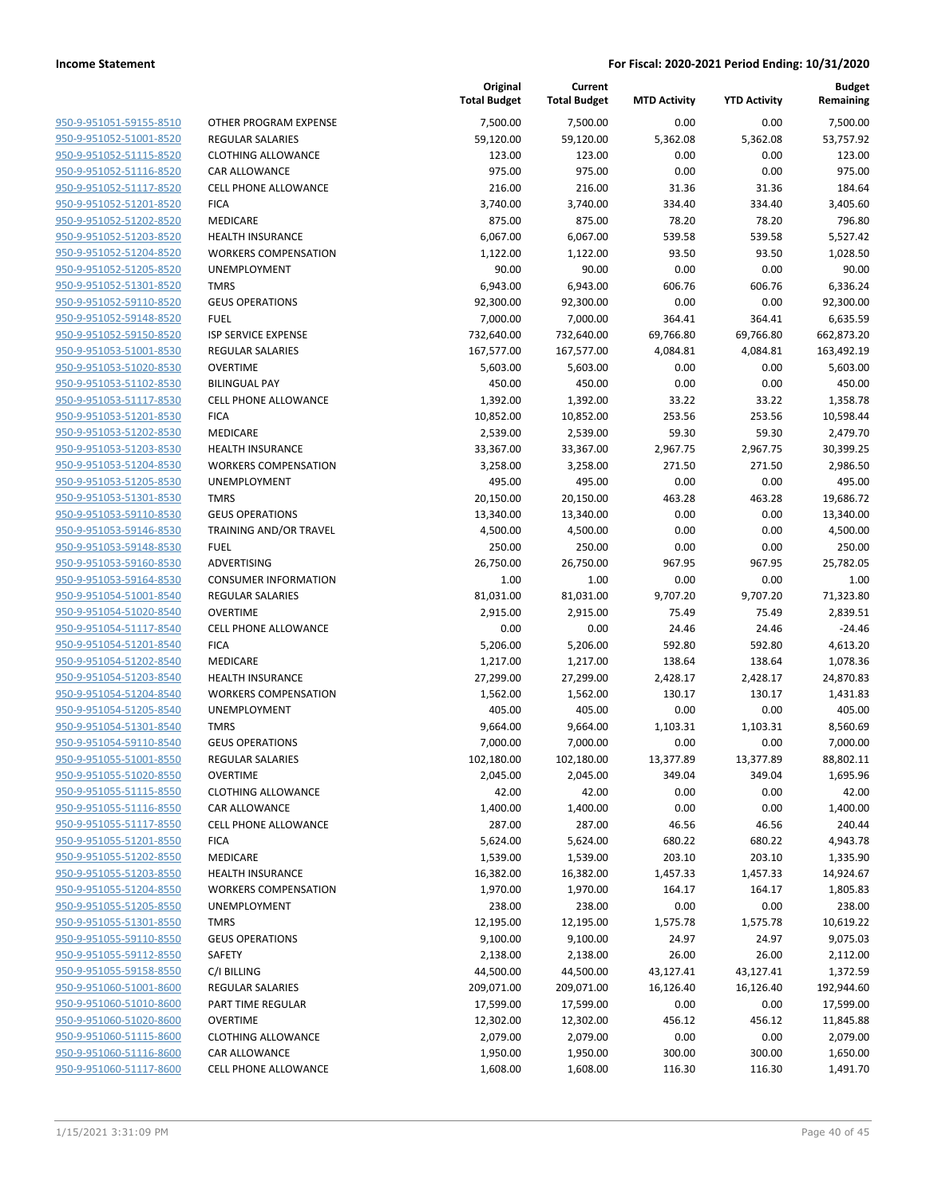| 950-9-951051-59155-8510                            |
|----------------------------------------------------|
| 950-9-951052-51001-8520                            |
| 950-9-951052-51115-8520                            |
| <u>950-9-951052-51116-8520</u>                     |
| 950-9-951052-51117-8520                            |
| 950-9-951052-51201-8520                            |
| 950-9-951052-51202-8520                            |
| <u>950-9-951052-51203-8520</u>                     |
| <u>950-9-951052-51204-8520</u>                     |
| 950-9-951052-51205-8520                            |
| 950-9-951052-51301-8520                            |
|                                                    |
| 950-9-951052-59110-8520                            |
| <u>950-9-951052-59148-8520</u>                     |
| <u>950-9-951052-59150-8520</u>                     |
| <u>950-9-951053-51001-8530</u>                     |
| 950-9-951053-51020-8530                            |
| 950-9-951053-51102-8530                            |
| <u>950-9-951053-51117-8530</u>                     |
| <u>950-9-951053-51201-8530</u>                     |
| 950-9-951053-51202-8530                            |
| 950-9-951053-51203-8530                            |
| 950-9-951053-51204-8530                            |
| 950-9-951053-51205-8530                            |
| <u>950-9-951053-51301-8530</u>                     |
| <u>950-9-951053-59110-8530</u>                     |
| 950-9-951053-59146-8530                            |
| 950-9-951053-59148-8530                            |
| <u>950-9-951053-59160-8530</u>                     |
| <u>950-9-951053-59164-8530</u>                     |
| <u>950-9-951054-51001-8540</u>                     |
| 950-9-951054-51020-8540                            |
| 950-9-951054-51117-8540                            |
| <u>950-9-951054-51201-8540</u>                     |
| <u>950-9-951054-51202-8540</u>                     |
| <u>950-9-951054-51203-8540</u>                     |
| 950-9-951054-51204-8540                            |
|                                                    |
| 950-9-951054-51205-8540                            |
| 950-9-951054-51301-8540                            |
| <u>950-9-951054-59110-8540</u>                     |
| 950-9-951055-51001-8550                            |
| 950-9-951055-51020-8550                            |
| 950-9-951055-51115-8550                            |
| 950-9-951055-51116-8550                            |
| 950-9-951055-51117-8550                            |
| 950-9-951055-51201-8550                            |
| 950-9-951055-51202-8550                            |
| 950-9-951055-51203-8550                            |
| 950-9-951055-51204-8550                            |
| 950-9-951055-51205-8550                            |
| 950-9-951055-51301-8550                            |
| 950-9-951055-59110-8550                            |
| 950-9-951055-59112-8550                            |
| 950-9-951055-59158-8550                            |
|                                                    |
|                                                    |
| 950-9-951060-51001-8600                            |
| 950-9-951060-51010-8600                            |
| 950-9-951060-51020-8600                            |
| 950-9-951060-51115-8600                            |
| 950-9-951060-51116-8600<br>950-9-951060-51117-8600 |

|                                                    |                             | Original<br><b>Total Budget</b> | Current<br><b>Total Budget</b> | <b>MTD Activity</b> | <b>YTD Activity</b> | <b>Budget</b><br>Remaining |
|----------------------------------------------------|-----------------------------|---------------------------------|--------------------------------|---------------------|---------------------|----------------------------|
| 950-9-951051-59155-8510                            | OTHER PROGRAM EXPENSE       | 7,500.00                        | 7,500.00                       | 0.00                | 0.00                | 7,500.00                   |
| 950-9-951052-51001-8520                            | <b>REGULAR SALARIES</b>     | 59,120.00                       | 59,120.00                      | 5,362.08            | 5,362.08            | 53,757.92                  |
| 950-9-951052-51115-8520                            | <b>CLOTHING ALLOWANCE</b>   | 123.00                          | 123.00                         | 0.00                | 0.00                | 123.00                     |
| 950-9-951052-51116-8520                            | <b>CAR ALLOWANCE</b>        | 975.00                          | 975.00                         | 0.00                | 0.00                | 975.00                     |
| 950-9-951052-51117-8520                            | <b>CELL PHONE ALLOWANCE</b> | 216.00                          | 216.00                         | 31.36               | 31.36               | 184.64                     |
| 950-9-951052-51201-8520                            | <b>FICA</b>                 | 3,740.00                        | 3,740.00                       | 334.40              | 334.40              | 3,405.60                   |
| 950-9-951052-51202-8520                            | MEDICARE                    | 875.00                          | 875.00                         | 78.20               | 78.20               | 796.80                     |
| 950-9-951052-51203-8520                            | <b>HEALTH INSURANCE</b>     | 6,067.00                        | 6,067.00                       | 539.58              | 539.58              | 5,527.42                   |
| 950-9-951052-51204-8520                            | <b>WORKERS COMPENSATION</b> | 1,122.00                        | 1,122.00                       | 93.50               | 93.50               | 1,028.50                   |
| 950-9-951052-51205-8520                            | <b>UNEMPLOYMENT</b>         | 90.00                           | 90.00                          | 0.00                | 0.00                | 90.00                      |
| 950-9-951052-51301-8520                            | <b>TMRS</b>                 | 6,943.00                        | 6,943.00                       | 606.76              | 606.76              | 6,336.24                   |
| 950-9-951052-59110-8520                            | <b>GEUS OPERATIONS</b>      | 92,300.00                       | 92,300.00                      | 0.00                | 0.00                | 92,300.00                  |
| 950-9-951052-59148-8520                            | <b>FUEL</b>                 | 7,000.00                        | 7,000.00                       | 364.41              | 364.41              | 6,635.59                   |
| 950-9-951052-59150-8520                            | <b>ISP SERVICE EXPENSE</b>  | 732,640.00                      | 732,640.00                     | 69,766.80           | 69,766.80           | 662,873.20                 |
| 950-9-951053-51001-8530                            | <b>REGULAR SALARIES</b>     | 167,577.00                      | 167,577.00                     | 4,084.81            | 4,084.81            | 163,492.19                 |
| 950-9-951053-51020-8530                            | <b>OVERTIME</b>             | 5,603.00                        | 5,603.00                       | 0.00                | 0.00                | 5,603.00                   |
| 950-9-951053-51102-8530                            | <b>BILINGUAL PAY</b>        | 450.00                          | 450.00                         | 0.00                | 0.00                | 450.00                     |
| 950-9-951053-51117-8530                            | <b>CELL PHONE ALLOWANCE</b> | 1,392.00                        | 1,392.00                       | 33.22               | 33.22               | 1,358.78                   |
| 950-9-951053-51201-8530                            | <b>FICA</b>                 | 10,852.00                       | 10,852.00                      | 253.56              | 253.56              | 10,598.44                  |
| 950-9-951053-51202-8530                            | <b>MEDICARE</b>             | 2,539.00                        | 2,539.00                       | 59.30               | 59.30               | 2,479.70                   |
| 950-9-951053-51203-8530                            | <b>HEALTH INSURANCE</b>     | 33,367.00                       | 33,367.00                      | 2,967.75            | 2,967.75            | 30,399.25                  |
| 950-9-951053-51204-8530                            | <b>WORKERS COMPENSATION</b> | 3,258.00                        | 3,258.00                       | 271.50              | 271.50              | 2,986.50                   |
| 950-9-951053-51205-8530                            | UNEMPLOYMENT                | 495.00                          | 495.00                         | 0.00                | 0.00                | 495.00                     |
| 950-9-951053-51301-8530<br>950-9-951053-59110-8530 | <b>TMRS</b>                 | 20,150.00                       | 20,150.00                      | 463.28              | 463.28              | 19,686.72                  |
| 950-9-951053-59146-8530                            | <b>GEUS OPERATIONS</b>      | 13,340.00                       | 13,340.00                      | 0.00<br>0.00        | 0.00<br>0.00        | 13,340.00                  |
| 950-9-951053-59148-8530                            | TRAINING AND/OR TRAVEL      | 4,500.00                        | 4,500.00                       |                     | 0.00                | 4,500.00                   |
| 950-9-951053-59160-8530                            | <b>FUEL</b><br>ADVERTISING  | 250.00<br>26,750.00             | 250.00<br>26,750.00            | 0.00<br>967.95      | 967.95              | 250.00<br>25,782.05        |
| 950-9-951053-59164-8530                            | <b>CONSUMER INFORMATION</b> | 1.00                            | 1.00                           | 0.00                | 0.00                | 1.00                       |
| 950-9-951054-51001-8540                            | <b>REGULAR SALARIES</b>     | 81,031.00                       | 81,031.00                      | 9,707.20            | 9,707.20            | 71,323.80                  |
| 950-9-951054-51020-8540                            | <b>OVERTIME</b>             | 2,915.00                        | 2,915.00                       | 75.49               | 75.49               | 2,839.51                   |
| 950-9-951054-51117-8540                            | <b>CELL PHONE ALLOWANCE</b> | 0.00                            | 0.00                           | 24.46               | 24.46               | $-24.46$                   |
| 950-9-951054-51201-8540                            | <b>FICA</b>                 | 5,206.00                        | 5,206.00                       | 592.80              | 592.80              | 4,613.20                   |
| 950-9-951054-51202-8540                            | MEDICARE                    | 1,217.00                        | 1,217.00                       | 138.64              | 138.64              | 1,078.36                   |
| 950-9-951054-51203-8540                            | <b>HEALTH INSURANCE</b>     | 27,299.00                       | 27,299.00                      | 2,428.17            | 2,428.17            | 24,870.83                  |
| 950-9-951054-51204-8540                            | <b>WORKERS COMPENSATION</b> | 1,562.00                        | 1,562.00                       | 130.17              | 130.17              | 1,431.83                   |
| 950-9-951054-51205-8540                            | UNEMPLOYMENT                | 405.00                          | 405.00                         | 0.00                | 0.00                | 405.00                     |
| 950-9-951054-51301-8540                            | <b>TMRS</b>                 | 9,664.00                        | 9,664.00                       | 1,103.31            | 1,103.31            | 8,560.69                   |
| 950-9-951054-59110-8540                            | <b>GEUS OPERATIONS</b>      | 7,000.00                        | 7,000.00                       | 0.00                | 0.00                | 7,000.00                   |
| 950-9-951055-51001-8550                            | REGULAR SALARIES            | 102,180.00                      | 102,180.00                     | 13,377.89           | 13,377.89           | 88,802.11                  |
| 950-9-951055-51020-8550                            | <b>OVERTIME</b>             | 2,045.00                        | 2,045.00                       | 349.04              | 349.04              | 1,695.96                   |
| 950-9-951055-51115-8550                            | <b>CLOTHING ALLOWANCE</b>   | 42.00                           | 42.00                          | 0.00                | 0.00                | 42.00                      |
| 950-9-951055-51116-8550                            | CAR ALLOWANCE               | 1,400.00                        | 1,400.00                       | 0.00                | 0.00                | 1,400.00                   |
| 950-9-951055-51117-8550                            | <b>CELL PHONE ALLOWANCE</b> | 287.00                          | 287.00                         | 46.56               | 46.56               | 240.44                     |
| 950-9-951055-51201-8550                            | <b>FICA</b>                 | 5,624.00                        | 5,624.00                       | 680.22              | 680.22              | 4,943.78                   |
| 950-9-951055-51202-8550                            | MEDICARE                    | 1,539.00                        | 1,539.00                       | 203.10              | 203.10              | 1,335.90                   |
| 950-9-951055-51203-8550                            | HEALTH INSURANCE            | 16,382.00                       | 16,382.00                      | 1,457.33            | 1,457.33            | 14,924.67                  |
| 950-9-951055-51204-8550                            | <b>WORKERS COMPENSATION</b> | 1,970.00                        | 1,970.00                       | 164.17              | 164.17              | 1,805.83                   |
| 950-9-951055-51205-8550                            | UNEMPLOYMENT                | 238.00                          | 238.00                         | 0.00                | 0.00                | 238.00                     |
| 950-9-951055-51301-8550                            | <b>TMRS</b>                 | 12,195.00                       | 12,195.00                      | 1,575.78            | 1,575.78            | 10,619.22                  |
| 950-9-951055-59110-8550                            | <b>GEUS OPERATIONS</b>      | 9,100.00                        | 9,100.00                       | 24.97               | 24.97               | 9,075.03                   |
| 950-9-951055-59112-8550                            | SAFETY                      | 2,138.00                        | 2,138.00                       | 26.00               | 26.00               | 2,112.00                   |
| 950-9-951055-59158-8550                            | C/I BILLING                 | 44,500.00                       | 44,500.00                      | 43,127.41           | 43,127.41           | 1,372.59                   |
| 950-9-951060-51001-8600                            | REGULAR SALARIES            | 209,071.00                      | 209,071.00                     | 16,126.40           | 16,126.40           | 192,944.60                 |
| 950-9-951060-51010-8600                            | PART TIME REGULAR           | 17,599.00                       | 17,599.00                      | 0.00                | 0.00                | 17,599.00                  |
| 950-9-951060-51020-8600                            | <b>OVERTIME</b>             | 12,302.00                       | 12,302.00                      | 456.12              | 456.12              | 11,845.88                  |
| 950-9-951060-51115-8600                            | <b>CLOTHING ALLOWANCE</b>   | 2,079.00                        | 2,079.00                       | 0.00                | 0.00                | 2,079.00                   |
| 950-9-951060-51116-8600                            | CAR ALLOWANCE               | 1,950.00                        | 1,950.00                       | 300.00              | 300.00              | 1,650.00                   |
| 950-9-951060-51117-8600                            | <b>CELL PHONE ALLOWANCE</b> | 1,608.00                        | 1,608.00                       | 116.30              | 116.30              | 1,491.70                   |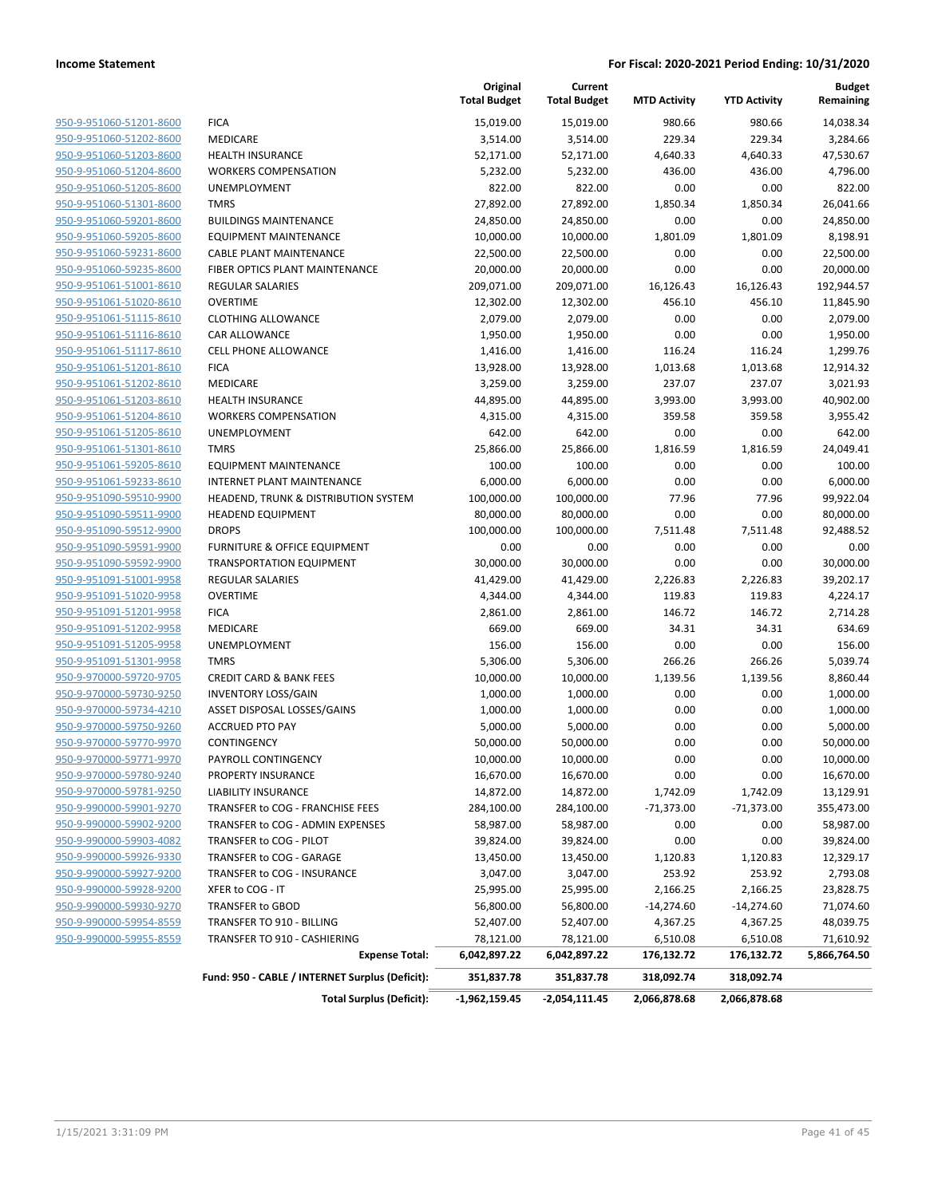|                                |                                                 | Original<br><b>Total Budget</b> | Current<br><b>Total Budget</b> | <b>MTD Activity</b> | <b>YTD Activity</b> | Budget<br>Remaining |
|--------------------------------|-------------------------------------------------|---------------------------------|--------------------------------|---------------------|---------------------|---------------------|
| 950-9-951060-51201-8600        | <b>FICA</b>                                     | 15,019.00                       | 15,019.00                      | 980.66              | 980.66              | 14,038.34           |
| 950-9-951060-51202-8600        | MEDICARE                                        | 3,514.00                        | 3,514.00                       | 229.34              | 229.34              | 3,284.66            |
| 950-9-951060-51203-8600        | <b>HEALTH INSURANCE</b>                         | 52,171.00                       | 52,171.00                      | 4,640.33            | 4,640.33            | 47,530.67           |
| 950-9-951060-51204-8600        | <b>WORKERS COMPENSATION</b>                     | 5,232.00                        | 5,232.00                       | 436.00              | 436.00              | 4,796.00            |
| 950-9-951060-51205-8600        | <b>UNEMPLOYMENT</b>                             | 822.00                          | 822.00                         | 0.00                | 0.00                | 822.00              |
| 950-9-951060-51301-8600        | <b>TMRS</b>                                     | 27,892.00                       | 27,892.00                      | 1,850.34            | 1,850.34            | 26,041.66           |
| 950-9-951060-59201-8600        | <b>BUILDINGS MAINTENANCE</b>                    | 24,850.00                       | 24,850.00                      | 0.00                | 0.00                | 24,850.00           |
| 950-9-951060-59205-8600        | EQUIPMENT MAINTENANCE                           | 10,000.00                       | 10,000.00                      | 1,801.09            | 1,801.09            | 8,198.91            |
| 950-9-951060-59231-8600        | <b>CABLE PLANT MAINTENANCE</b>                  | 22,500.00                       | 22,500.00                      | 0.00                | 0.00                | 22,500.00           |
| 950-9-951060-59235-8600        | FIBER OPTICS PLANT MAINTENANCE                  | 20,000.00                       | 20,000.00                      | 0.00                | 0.00                | 20,000.00           |
| 950-9-951061-51001-8610        | <b>REGULAR SALARIES</b>                         | 209,071.00                      | 209,071.00                     | 16,126.43           | 16,126.43           | 192,944.57          |
| 950-9-951061-51020-8610        | <b>OVERTIME</b>                                 | 12,302.00                       | 12,302.00                      | 456.10              | 456.10              | 11,845.90           |
| 950-9-951061-51115-8610        | <b>CLOTHING ALLOWANCE</b>                       | 2,079.00                        | 2,079.00                       | 0.00                | 0.00                | 2,079.00            |
| 950-9-951061-51116-8610        | CAR ALLOWANCE                                   | 1,950.00                        | 1,950.00                       | 0.00                | 0.00                | 1,950.00            |
| 950-9-951061-51117-8610        | <b>CELL PHONE ALLOWANCE</b>                     | 1,416.00                        | 1,416.00                       | 116.24              | 116.24              | 1,299.76            |
| 950-9-951061-51201-8610        | <b>FICA</b>                                     | 13,928.00                       | 13,928.00                      | 1,013.68            | 1,013.68            | 12,914.32           |
| 950-9-951061-51202-8610        | <b>MEDICARE</b>                                 | 3,259.00                        | 3,259.00                       | 237.07              | 237.07              | 3,021.93            |
| 950-9-951061-51203-8610        | <b>HEALTH INSURANCE</b>                         | 44,895.00                       | 44,895.00                      | 3,993.00            | 3,993.00            | 40,902.00           |
| 950-9-951061-51204-8610        | <b>WORKERS COMPENSATION</b>                     | 4,315.00                        | 4,315.00                       | 359.58              | 359.58              | 3,955.42            |
| 950-9-951061-51205-8610        | <b>UNEMPLOYMENT</b>                             | 642.00                          | 642.00                         | 0.00                | 0.00                | 642.00              |
| 950-9-951061-51301-8610        | <b>TMRS</b>                                     | 25,866.00                       | 25,866.00                      | 1,816.59            | 1,816.59            | 24,049.41           |
| 950-9-951061-59205-8610        | <b>EQUIPMENT MAINTENANCE</b>                    | 100.00                          | 100.00                         | 0.00                | 0.00                | 100.00              |
| 950-9-951061-59233-8610        | <b>INTERNET PLANT MAINTENANCE</b>               | 6,000.00                        | 6,000.00                       | 0.00                | 0.00                | 6,000.00            |
| 950-9-951090-59510-9900        | HEADEND, TRUNK & DISTRIBUTION SYSTEM            | 100,000.00                      | 100,000.00                     | 77.96               | 77.96               | 99,922.04           |
| 950-9-951090-59511-9900        | <b>HEADEND EQUIPMENT</b>                        | 80,000.00                       | 80,000.00                      | 0.00                | 0.00                | 80,000.00           |
| 950-9-951090-59512-9900        | <b>DROPS</b>                                    | 100,000.00                      | 100,000.00                     | 7,511.48            | 7,511.48            | 92,488.52           |
| 950-9-951090-59591-9900        | <b>FURNITURE &amp; OFFICE EQUIPMENT</b>         | 0.00                            | 0.00                           | 0.00                | 0.00                | 0.00                |
| 950-9-951090-59592-9900        | <b>TRANSPORTATION EQUIPMENT</b>                 | 30,000.00                       | 30,000.00                      | 0.00                | 0.00                | 30,000.00           |
| 950-9-951091-51001-9958        | <b>REGULAR SALARIES</b>                         | 41,429.00                       | 41,429.00                      | 2,226.83            | 2,226.83            | 39,202.17           |
| 950-9-951091-51020-9958        | <b>OVERTIME</b>                                 | 4,344.00                        | 4,344.00                       | 119.83              | 119.83              | 4,224.17            |
| 950-9-951091-51201-9958        | <b>FICA</b>                                     | 2,861.00                        | 2,861.00                       | 146.72              | 146.72              | 2,714.28            |
| 950-9-951091-51202-9958        | MEDICARE                                        | 669.00                          | 669.00                         | 34.31               | 34.31               | 634.69              |
| 950-9-951091-51205-9958        | UNEMPLOYMENT                                    | 156.00                          | 156.00                         | 0.00                | 0.00                | 156.00              |
| 950-9-951091-51301-9958        | <b>TMRS</b>                                     | 5,306.00                        | 5,306.00                       | 266.26              | 266.26              | 5,039.74            |
| 950-9-970000-59720-9705        | <b>CREDIT CARD &amp; BANK FEES</b>              | 10,000.00                       | 10,000.00                      | 1,139.56            | 1,139.56            | 8,860.44            |
| 950-9-970000-59730-9250        | <b>INVENTORY LOSS/GAIN</b>                      | 1,000.00                        | 1,000.00                       | 0.00                | 0.00                | 1,000.00            |
| 950-9-970000-59734-4210        | ASSET DISPOSAL LOSSES/GAINS                     | 1,000.00                        | 1,000.00                       | 0.00                | 0.00                | 1,000.00            |
| 950-9-970000-59750-9260        | <b>ACCRUED PTO PAY</b>                          | 5,000.00                        | 5,000.00                       | 0.00                | 0.00                | 5,000.00            |
| 950-9-970000-59770-9970        | CONTINGENCY                                     | 50,000.00                       | 50,000.00                      | 0.00                | 0.00                | 50,000.00           |
| <u>950-9-970000-59771-9970</u> | PAYROLL CONTINGENCY                             | 10,000.00                       | 10,000.00                      | 0.00                | 0.00                | 10,000.00           |
| 950-9-970000-59780-9240        | PROPERTY INSURANCE                              | 16,670.00                       | 16,670.00                      | 0.00                | 0.00                | 16,670.00           |
| 950-9-970000-59781-9250        | LIABILITY INSURANCE                             | 14,872.00                       | 14,872.00                      | 1,742.09            | 1,742.09            | 13,129.91           |
| 950-9-990000-59901-9270        | TRANSFER to COG - FRANCHISE FEES                | 284,100.00                      | 284,100.00                     | -71,373.00          | -71,373.00          | 355,473.00          |
| 950-9-990000-59902-9200        | TRANSFER to COG - ADMIN EXPENSES                | 58,987.00                       | 58,987.00                      | 0.00                | 0.00                | 58,987.00           |
| 950-9-990000-59903-4082        | TRANSFER to COG - PILOT                         | 39,824.00                       | 39,824.00                      | 0.00                | 0.00                | 39,824.00           |
| 950-9-990000-59926-9330        | TRANSFER to COG - GARAGE                        | 13,450.00                       | 13,450.00                      | 1,120.83            | 1,120.83            | 12,329.17           |
| 950-9-990000-59927-9200        | TRANSFER to COG - INSURANCE                     | 3,047.00                        | 3,047.00                       | 253.92              | 253.92              | 2,793.08            |
| 950-9-990000-59928-9200        | XFER to COG - IT                                | 25,995.00                       | 25,995.00                      | 2,166.25            | 2,166.25            | 23,828.75           |
| 950-9-990000-59930-9270        | TRANSFER to GBOD                                | 56,800.00                       | 56,800.00                      | $-14,274.60$        | $-14,274.60$        | 71,074.60           |
| 950-9-990000-59954-8559        | TRANSFER TO 910 - BILLING                       | 52,407.00                       | 52,407.00                      | 4,367.25            | 4,367.25            | 48,039.75           |
| 950-9-990000-59955-8559        | TRANSFER TO 910 - CASHIERING                    | 78,121.00                       | 78,121.00                      | 6,510.08            | 6,510.08            | 71,610.92           |
|                                | <b>Expense Total:</b>                           | 6,042,897.22                    | 6,042,897.22                   | 176,132.72          | 176,132.72          | 5,866,764.50        |
|                                | Fund: 950 - CABLE / INTERNET Surplus (Deficit): | 351,837.78                      | 351,837.78                     | 318,092.74          | 318,092.74          |                     |
|                                | <b>Total Surplus (Deficit):</b>                 | $-1,962,159.45$                 | -2,054,111.45                  | 2,066,878.68        | 2,066,878.68        |                     |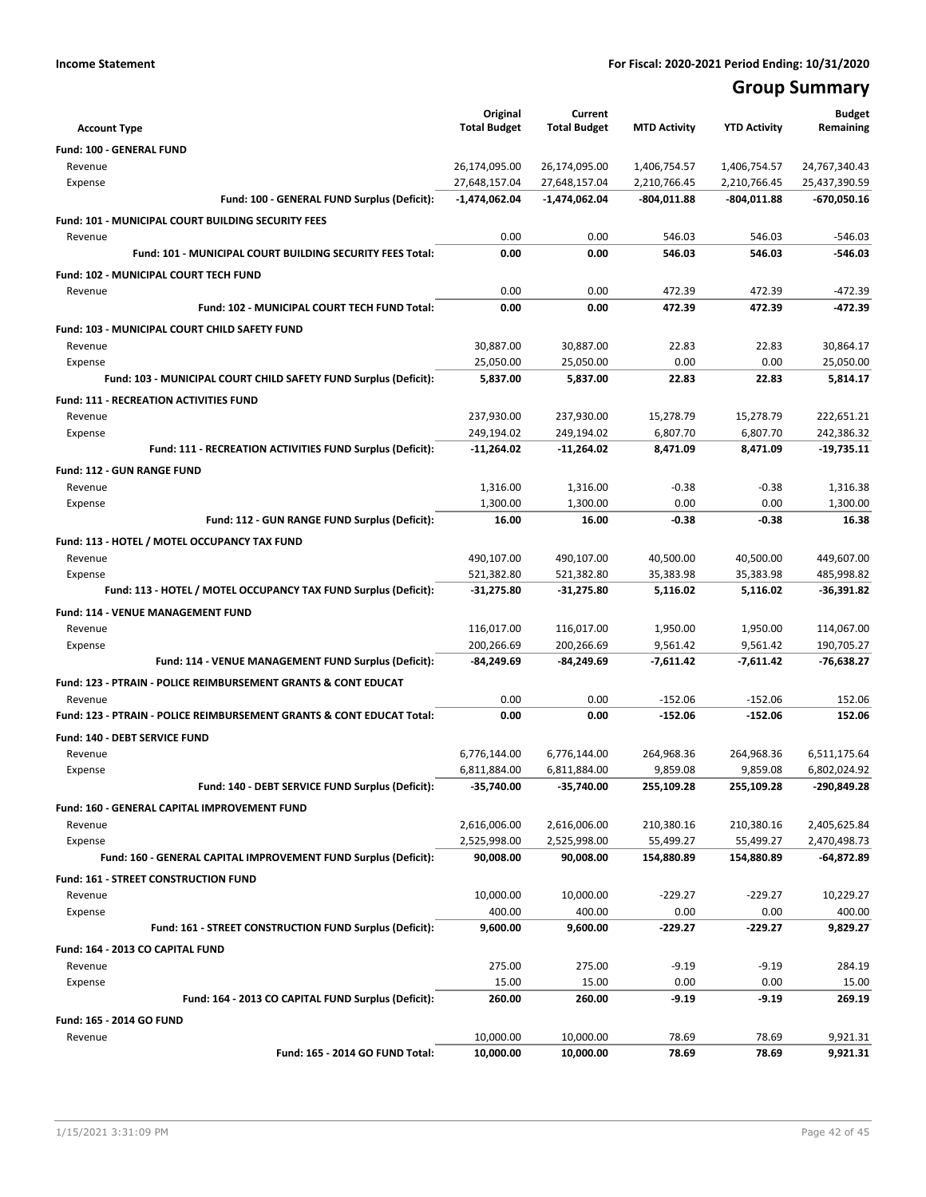## **Group Summary**

|                     |                                                                           | Original                       | Current                        |                              |                              | <b>Budget</b>                  |
|---------------------|---------------------------------------------------------------------------|--------------------------------|--------------------------------|------------------------------|------------------------------|--------------------------------|
| <b>Account Type</b> |                                                                           | <b>Total Budget</b>            | <b>Total Budget</b>            | <b>MTD Activity</b>          | <b>YTD Activity</b>          | Remaining                      |
|                     | <b>Fund: 100 - GENERAL FUND</b>                                           |                                |                                |                              |                              |                                |
| Revenue             |                                                                           | 26,174,095.00<br>27,648,157.04 | 26,174,095.00<br>27,648,157.04 | 1,406,754.57<br>2,210,766.45 | 1,406,754.57<br>2,210,766.45 | 24,767,340.43<br>25,437,390.59 |
| Expense             | Fund: 100 - GENERAL FUND Surplus (Deficit):                               | -1,474,062.04                  | $-1,474,062.04$                | $-804,011.88$                | -804,011.88                  | $-670,050.16$                  |
|                     |                                                                           |                                |                                |                              |                              |                                |
|                     | Fund: 101 - MUNICIPAL COURT BUILDING SECURITY FEES                        |                                |                                |                              |                              |                                |
| Revenue             | Fund: 101 - MUNICIPAL COURT BUILDING SECURITY FEES Total:                 | 0.00<br>0.00                   | 0.00<br>0.00                   | 546.03<br>546.03             | 546.03<br>546.03             | $-546.03$<br>$-546.03$         |
|                     |                                                                           |                                |                                |                              |                              |                                |
|                     | Fund: 102 - MUNICIPAL COURT TECH FUND                                     | 0.00                           |                                |                              |                              |                                |
| Revenue             | Fund: 102 - MUNICIPAL COURT TECH FUND Total:                              | 0.00                           | 0.00<br>0.00                   | 472.39<br>472.39             | 472.39<br>472.39             | $-472.39$<br>-472.39           |
|                     |                                                                           |                                |                                |                              |                              |                                |
|                     | Fund: 103 - MUNICIPAL COURT CHILD SAFETY FUND                             |                                |                                |                              |                              |                                |
| Revenue<br>Expense  |                                                                           | 30,887.00<br>25,050.00         | 30,887.00<br>25,050.00         | 22.83<br>0.00                | 22.83<br>0.00                | 30,864.17<br>25,050.00         |
|                     | Fund: 103 - MUNICIPAL COURT CHILD SAFETY FUND Surplus (Deficit):          | 5,837.00                       | 5,837.00                       | 22.83                        | 22.83                        | 5,814.17                       |
|                     |                                                                           |                                |                                |                              |                              |                                |
|                     | <b>Fund: 111 - RECREATION ACTIVITIES FUND</b>                             |                                |                                |                              |                              |                                |
| Revenue<br>Expense  |                                                                           | 237,930.00<br>249,194.02       | 237,930.00<br>249,194.02       | 15,278.79<br>6,807.70        | 15,278.79<br>6,807.70        | 222,651.21<br>242,386.32       |
|                     | Fund: 111 - RECREATION ACTIVITIES FUND Surplus (Deficit):                 | -11,264.02                     | $-11,264.02$                   | 8,471.09                     | 8,471.09                     | $-19,735.11$                   |
|                     |                                                                           |                                |                                |                              |                              |                                |
| Revenue             | <b>Fund: 112 - GUN RANGE FUND</b>                                         | 1,316.00                       | 1,316.00                       | $-0.38$                      | $-0.38$                      | 1,316.38                       |
| Expense             |                                                                           | 1,300.00                       | 1,300.00                       | 0.00                         | 0.00                         | 1,300.00                       |
|                     | Fund: 112 - GUN RANGE FUND Surplus (Deficit):                             | 16.00                          | 16.00                          | $-0.38$                      | $-0.38$                      | 16.38                          |
|                     |                                                                           |                                |                                |                              |                              |                                |
| Revenue             | Fund: 113 - HOTEL / MOTEL OCCUPANCY TAX FUND                              | 490,107.00                     | 490,107.00                     | 40,500.00                    | 40,500.00                    | 449,607.00                     |
| Expense             |                                                                           | 521,382.80                     | 521,382.80                     | 35,383.98                    | 35,383.98                    | 485,998.82                     |
|                     | Fund: 113 - HOTEL / MOTEL OCCUPANCY TAX FUND Surplus (Deficit):           | $-31,275.80$                   | $-31,275.80$                   | 5,116.02                     | 5,116.02                     | $-36,391.82$                   |
|                     | Fund: 114 - VENUE MANAGEMENT FUND                                         |                                |                                |                              |                              |                                |
| Revenue             |                                                                           | 116,017.00                     | 116,017.00                     | 1,950.00                     | 1,950.00                     | 114,067.00                     |
| Expense             |                                                                           | 200,266.69                     | 200,266.69                     | 9,561.42                     | 9,561.42                     | 190,705.27                     |
|                     | Fund: 114 - VENUE MANAGEMENT FUND Surplus (Deficit):                      | -84,249.69                     | -84,249.69                     | -7,611.42                    | -7,611.42                    | $-76,638.27$                   |
|                     | <b>Fund: 123 - PTRAIN - POLICE REIMBURSEMENT GRANTS &amp; CONT EDUCAT</b> |                                |                                |                              |                              |                                |
| Revenue             |                                                                           | 0.00                           | 0.00                           | $-152.06$                    | $-152.06$                    | 152.06                         |
|                     | Fund: 123 - PTRAIN - POLICE REIMBURSEMENT GRANTS & CONT EDUCAT Total:     | 0.00                           | 0.00                           | -152.06                      | $-152.06$                    | 152.06                         |
|                     | Fund: 140 - DEBT SERVICE FUND                                             |                                |                                |                              |                              |                                |
| Revenue             |                                                                           | 6,776,144.00                   | 6,776,144.00                   | 264,968.36                   | 264,968.36                   | 6,511,175.64                   |
| Expense             |                                                                           | 6,811,884.00                   | 6,811,884.00                   | 9,859.08                     | 9,859.08                     | 6,802,024.92                   |
|                     | Fund: 140 - DEBT SERVICE FUND Surplus (Deficit):                          | $-35,740.00$                   | -35,740.00                     | 255,109.28                   | 255,109.28                   | -290,849.28                    |
|                     | Fund: 160 - GENERAL CAPITAL IMPROVEMENT FUND                              |                                |                                |                              |                              |                                |
| Revenue             |                                                                           | 2,616,006.00                   | 2,616,006.00                   | 210,380.16                   | 210,380.16                   | 2,405,625.84                   |
| Expense             |                                                                           | 2,525,998.00                   | 2,525,998.00                   | 55,499.27                    | 55,499.27                    | 2,470,498.73                   |
|                     | Fund: 160 - GENERAL CAPITAL IMPROVEMENT FUND Surplus (Deficit):           | 90,008.00                      | 90,008.00                      | 154,880.89                   | 154,880.89                   | -64,872.89                     |
|                     | Fund: 161 - STREET CONSTRUCTION FUND                                      |                                |                                |                              |                              |                                |
| Revenue             |                                                                           | 10,000.00                      | 10,000.00                      | $-229.27$                    | $-229.27$                    | 10,229.27                      |
| Expense             |                                                                           | 400.00                         | 400.00                         | 0.00                         | 0.00                         | 400.00                         |
|                     | Fund: 161 - STREET CONSTRUCTION FUND Surplus (Deficit):                   | 9,600.00                       | 9,600.00                       | $-229.27$                    | $-229.27$                    | 9,829.27                       |
|                     | Fund: 164 - 2013 CO CAPITAL FUND                                          |                                |                                |                              |                              |                                |
| Revenue             |                                                                           | 275.00                         | 275.00                         | $-9.19$                      | $-9.19$                      | 284.19                         |
| Expense             |                                                                           | 15.00                          | 15.00                          | 0.00                         | 0.00                         | 15.00                          |
|                     | Fund: 164 - 2013 CO CAPITAL FUND Surplus (Deficit):                       | 260.00                         | 260.00                         | $-9.19$                      | $-9.19$                      | 269.19                         |
|                     | Fund: 165 - 2014 GO FUND                                                  |                                |                                |                              |                              |                                |
| Revenue             |                                                                           | 10,000.00                      | 10,000.00                      | 78.69                        | 78.69                        | 9,921.31                       |
|                     | Fund: 165 - 2014 GO FUND Total:                                           | 10,000.00                      | 10,000.00                      | 78.69                        | 78.69                        | 9,921.31                       |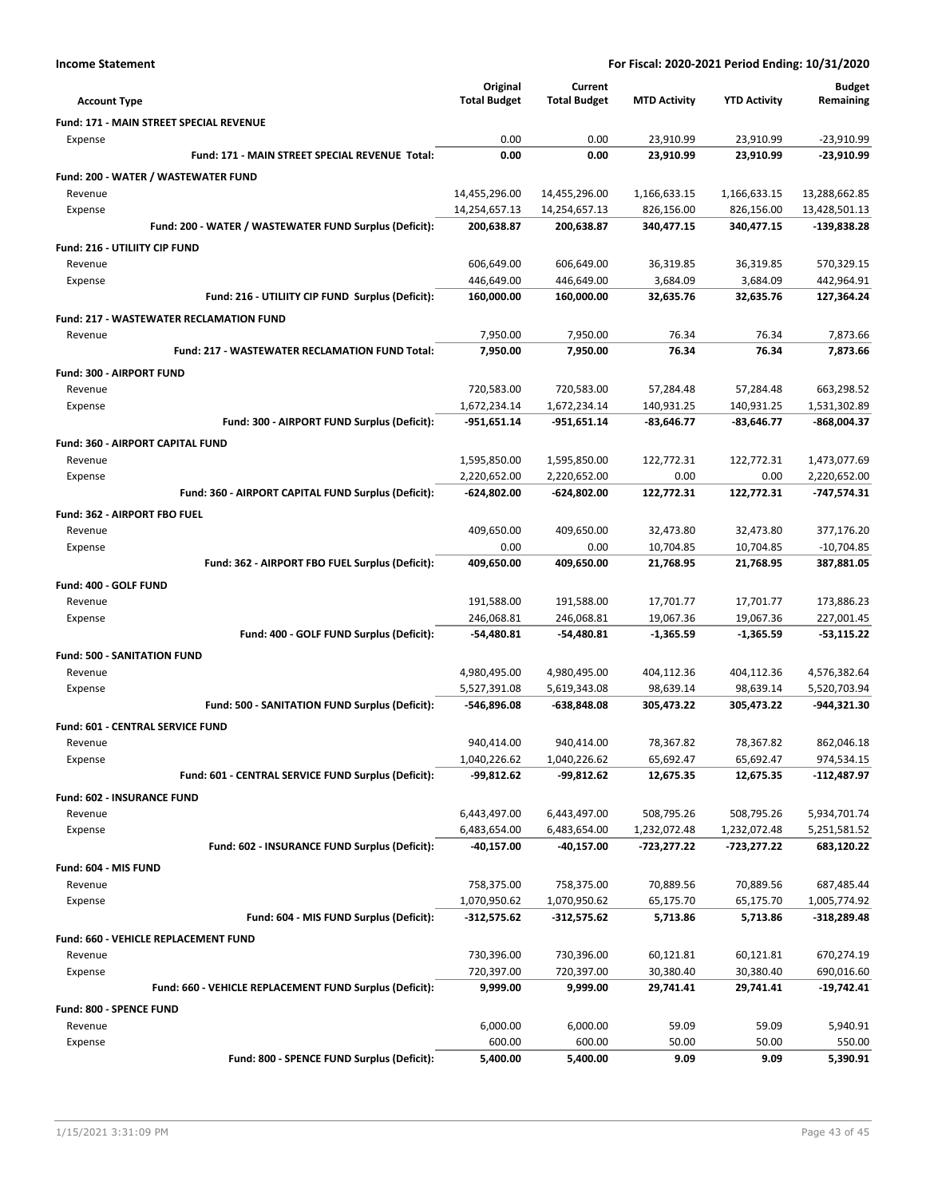| <b>Account Type</b>                                        | Original<br><b>Total Budget</b> | Current<br><b>Total Budget</b> | <b>MTD Activity</b>     | <b>YTD Activity</b>      | <b>Budget</b><br>Remaining   |
|------------------------------------------------------------|---------------------------------|--------------------------------|-------------------------|--------------------------|------------------------------|
| <b>Fund: 171 - MAIN STREET SPECIAL REVENUE</b>             |                                 |                                |                         |                          |                              |
| Expense                                                    | 0.00                            | 0.00                           | 23,910.99               | 23,910.99                | $-23,910.99$                 |
| Fund: 171 - MAIN STREET SPECIAL REVENUE Total:             | 0.00                            | 0.00                           | 23,910.99               | 23,910.99                | $-23,910.99$                 |
| Fund: 200 - WATER / WASTEWATER FUND                        |                                 |                                |                         |                          |                              |
| Revenue                                                    | 14,455,296.00                   | 14,455,296.00                  | 1,166,633.15            | 1,166,633.15             | 13,288,662.85                |
| Expense                                                    | 14,254,657.13                   | 14,254,657.13                  | 826,156.00              | 826,156.00               | 13,428,501.13                |
| Fund: 200 - WATER / WASTEWATER FUND Surplus (Deficit):     | 200,638.87                      | 200,638.87                     | 340,477.15              | 340,477.15               | -139,838.28                  |
| Fund: 216 - UTILIITY CIP FUND                              |                                 |                                |                         |                          |                              |
| Revenue                                                    | 606,649.00                      | 606,649.00                     | 36,319.85               | 36,319.85                | 570,329.15                   |
| Expense                                                    | 446,649.00                      | 446,649.00                     | 3,684.09                | 3,684.09                 | 442,964.91                   |
| Fund: 216 - UTILIITY CIP FUND Surplus (Deficit):           | 160,000.00                      | 160,000.00                     | 32,635.76               | 32,635.76                | 127,364.24                   |
| <b>Fund: 217 - WASTEWATER RECLAMATION FUND</b>             |                                 |                                |                         |                          |                              |
| Revenue                                                    | 7,950.00                        | 7,950.00                       | 76.34                   | 76.34                    | 7,873.66                     |
| <b>Fund: 217 - WASTEWATER RECLAMATION FUND Total:</b>      | 7,950.00                        | 7,950.00                       | 76.34                   | 76.34                    | 7,873.66                     |
| Fund: 300 - AIRPORT FUND                                   |                                 |                                |                         |                          |                              |
| Revenue                                                    | 720,583.00                      | 720,583.00                     | 57,284.48               | 57,284.48                | 663,298.52                   |
| Expense                                                    | 1,672,234.14                    | 1,672,234.14                   | 140,931.25              | 140,931.25               | 1,531,302.89                 |
| Fund: 300 - AIRPORT FUND Surplus (Deficit):                | $-951,651.14$                   | $-951,651.14$                  | $-83,646.77$            | $-83,646.77$             | -868,004.37                  |
| Fund: 360 - AIRPORT CAPITAL FUND                           |                                 |                                |                         |                          |                              |
| Revenue                                                    | 1,595,850.00                    | 1,595,850.00                   | 122,772.31              | 122,772.31               | 1,473,077.69                 |
| Expense                                                    | 2,220,652.00                    | 2,220,652.00                   | 0.00                    | 0.00                     | 2,220,652.00                 |
| Fund: 360 - AIRPORT CAPITAL FUND Surplus (Deficit):        | $-624,802.00$                   | -624,802.00                    | 122,772.31              | 122,772.31               | -747,574.31                  |
| Fund: 362 - AIRPORT FBO FUEL                               |                                 |                                |                         |                          |                              |
| Revenue                                                    | 409,650.00                      | 409,650.00                     | 32,473.80               | 32,473.80                | 377,176.20                   |
| Expense<br>Fund: 362 - AIRPORT FBO FUEL Surplus (Deficit): | 0.00<br>409,650.00              | 0.00<br>409,650.00             | 10,704.85<br>21,768.95  | 10,704.85<br>21,768.95   | $-10,704.85$<br>387,881.05   |
|                                                            |                                 |                                |                         |                          |                              |
| Fund: 400 - GOLF FUND                                      |                                 |                                |                         |                          |                              |
| Revenue                                                    | 191,588.00                      | 191,588.00                     | 17,701.77               | 17,701.77                | 173,886.23                   |
| Expense<br>Fund: 400 - GOLF FUND Surplus (Deficit):        | 246,068.81<br>-54,480.81        | 246,068.81<br>-54,480.81       | 19,067.36<br>-1,365.59  | 19,067.36<br>$-1,365.59$ | 227,001.45<br>$-53,115.22$   |
|                                                            |                                 |                                |                         |                          |                              |
| <b>Fund: 500 - SANITATION FUND</b>                         |                                 |                                |                         |                          |                              |
| Revenue<br>Expense                                         | 4,980,495.00<br>5,527,391.08    | 4,980,495.00<br>5,619,343.08   | 404,112.36<br>98,639.14 | 404,112.36<br>98,639.14  | 4,576,382.64<br>5,520,703.94 |
| Fund: 500 - SANITATION FUND Surplus (Deficit):             | -546,896.08                     | -638,848.08                    | 305,473.22              | 305,473.22               | -944,321.30                  |
| <b>Fund: 601 - CENTRAL SERVICE FUND</b>                    |                                 |                                |                         |                          |                              |
| Revenue                                                    | 940,414.00                      | 940,414.00                     | 78,367.82               | 78,367.82                | 862,046.18                   |
| Expense                                                    | 1,040,226.62                    | 1,040,226.62                   | 65,692.47               | 65,692.47                | 974,534.15                   |
| Fund: 601 - CENTRAL SERVICE FUND Surplus (Deficit):        | -99,812.62                      | $-99,812.62$                   | 12,675.35               | 12,675.35                | $-112,487.97$                |
| <b>Fund: 602 - INSURANCE FUND</b>                          |                                 |                                |                         |                          |                              |
| Revenue                                                    | 6,443,497.00                    | 6,443,497.00                   | 508,795.26              | 508,795.26               | 5,934,701.74                 |
| Expense                                                    | 6,483,654.00                    | 6,483,654.00                   | 1,232,072.48            | 1,232,072.48             | 5,251,581.52                 |
| Fund: 602 - INSURANCE FUND Surplus (Deficit):              | -40,157.00                      | -40,157.00                     | -723,277.22             | -723,277.22              | 683,120.22                   |
| Fund: 604 - MIS FUND                                       |                                 |                                |                         |                          |                              |
| Revenue                                                    | 758,375.00                      | 758,375.00                     | 70,889.56               | 70,889.56                | 687,485.44                   |
| Expense                                                    | 1,070,950.62                    | 1,070,950.62                   | 65,175.70               | 65,175.70                | 1,005,774.92                 |
| Fund: 604 - MIS FUND Surplus (Deficit):                    | $-312,575.62$                   | $-312,575.62$                  | 5,713.86                | 5,713.86                 | $-318,289.48$                |
| Fund: 660 - VEHICLE REPLACEMENT FUND                       |                                 |                                |                         |                          |                              |
| Revenue                                                    | 730,396.00                      | 730,396.00                     | 60,121.81               | 60,121.81                | 670,274.19                   |
| Expense                                                    | 720,397.00                      | 720,397.00                     | 30,380.40               | 30,380.40                | 690,016.60                   |
| Fund: 660 - VEHICLE REPLACEMENT FUND Surplus (Deficit):    | 9,999.00                        | 9,999.00                       | 29,741.41               | 29,741.41                | $-19,742.41$                 |
| Fund: 800 - SPENCE FUND                                    |                                 |                                |                         |                          |                              |
| Revenue                                                    | 6,000.00                        | 6,000.00                       | 59.09                   | 59.09                    | 5,940.91                     |
| Expense                                                    | 600.00                          | 600.00                         | 50.00                   | 50.00                    | 550.00                       |
| Fund: 800 - SPENCE FUND Surplus (Deficit):                 | 5,400.00                        | 5,400.00                       | 9.09                    | 9.09                     | 5,390.91                     |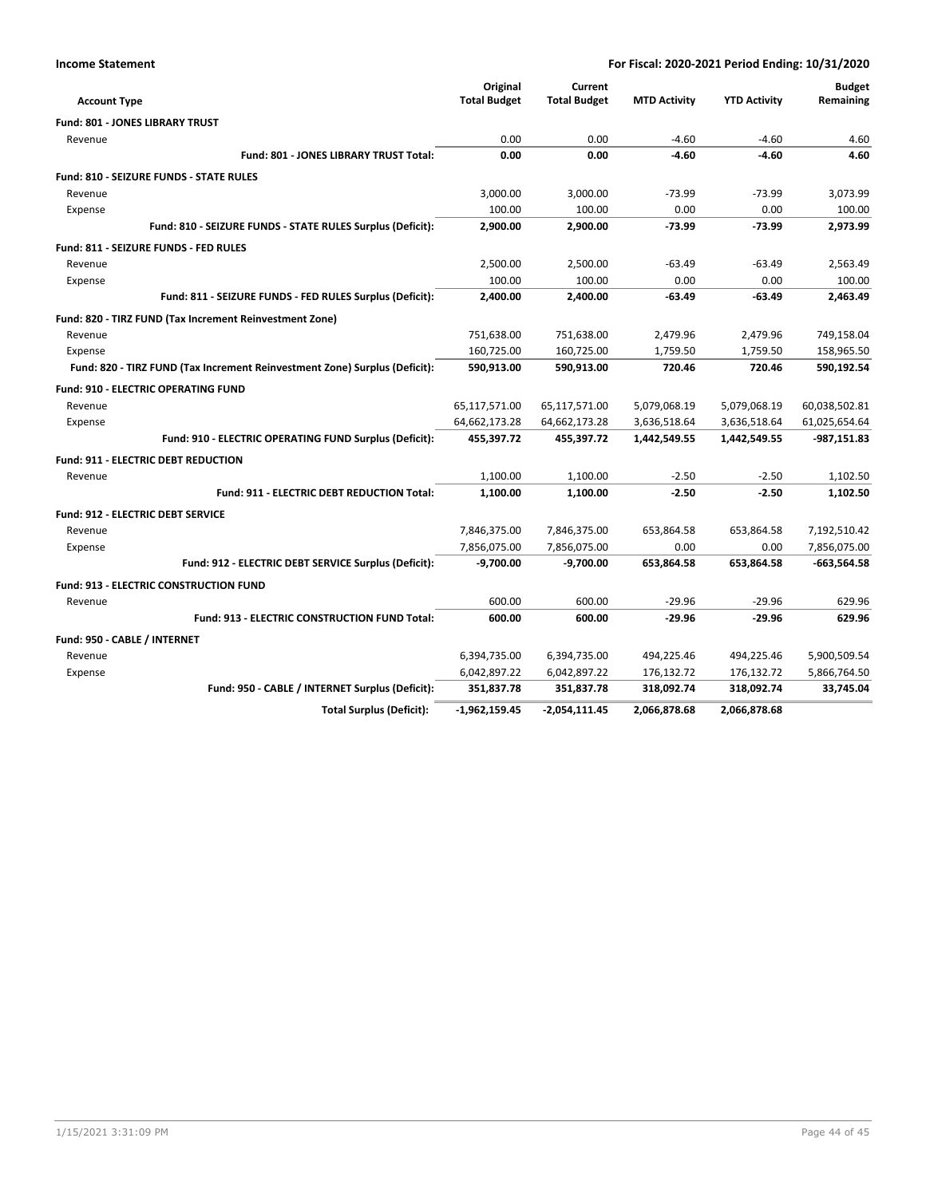|                                                                            | Original            | Current             |                     |                     | <b>Budget</b> |
|----------------------------------------------------------------------------|---------------------|---------------------|---------------------|---------------------|---------------|
| <b>Account Type</b>                                                        | <b>Total Budget</b> | <b>Total Budget</b> | <b>MTD Activity</b> | <b>YTD Activity</b> | Remaining     |
| <b>Fund: 801 - JONES LIBRARY TRUST</b>                                     |                     |                     |                     |                     |               |
| Revenue                                                                    | 0.00                | 0.00                | $-4.60$             | $-4.60$             | 4.60          |
| Fund: 801 - JONES LIBRARY TRUST Total:                                     | 0.00                | 0.00                | $-4.60$             | $-4.60$             | 4.60          |
| <b>Fund: 810 - SEIZURE FUNDS - STATE RULES</b>                             |                     |                     |                     |                     |               |
| Revenue                                                                    | 3,000.00            | 3,000.00            | $-73.99$            | $-73.99$            | 3,073.99      |
| Expense                                                                    | 100.00              | 100.00              | 0.00                | 0.00                | 100.00        |
| Fund: 810 - SEIZURE FUNDS - STATE RULES Surplus (Deficit):                 | 2,900.00            | 2,900.00            | $-73.99$            | $-73.99$            | 2,973.99      |
| Fund: 811 - SEIZURE FUNDS - FED RULES                                      |                     |                     |                     |                     |               |
| Revenue                                                                    | 2,500.00            | 2,500.00            | $-63.49$            | $-63.49$            | 2,563.49      |
| Expense                                                                    | 100.00              | 100.00              | 0.00                | 0.00                | 100.00        |
| Fund: 811 - SEIZURE FUNDS - FED RULES Surplus (Deficit):                   | 2,400.00            | 2.400.00            | $-63.49$            | $-63.49$            | 2.463.49      |
| Fund: 820 - TIRZ FUND (Tax Increment Reinvestment Zone)                    |                     |                     |                     |                     |               |
| Revenue                                                                    | 751,638.00          | 751,638.00          | 2,479.96            | 2,479.96            | 749,158.04    |
| Expense                                                                    | 160,725.00          | 160,725.00          | 1,759.50            | 1,759.50            | 158,965.50    |
| Fund: 820 - TIRZ FUND (Tax Increment Reinvestment Zone) Surplus (Deficit): | 590,913.00          | 590,913.00          | 720.46              | 720.46              | 590,192.54    |
| <b>Fund: 910 - ELECTRIC OPERATING FUND</b>                                 |                     |                     |                     |                     |               |
| Revenue                                                                    | 65,117,571.00       | 65,117,571.00       | 5,079,068.19        | 5,079,068.19        | 60,038,502.81 |
| Expense                                                                    | 64,662,173.28       | 64,662,173.28       | 3,636,518.64        | 3,636,518.64        | 61,025,654.64 |
| Fund: 910 - ELECTRIC OPERATING FUND Surplus (Deficit):                     | 455,397.72          | 455,397.72          | 1,442,549.55        | 1,442,549.55        | $-987,151.83$ |
| <b>Fund: 911 - ELECTRIC DEBT REDUCTION</b>                                 |                     |                     |                     |                     |               |
| Revenue                                                                    | 1,100.00            | 1,100.00            | $-2.50$             | $-2.50$             | 1,102.50      |
| <b>Fund: 911 - ELECTRIC DEBT REDUCTION Total:</b>                          | 1.100.00            | 1,100.00            | $-2.50$             | $-2.50$             | 1,102.50      |
| <b>Fund: 912 - ELECTRIC DEBT SERVICE</b>                                   |                     |                     |                     |                     |               |
| Revenue                                                                    | 7,846,375.00        | 7,846,375.00        | 653,864.58          | 653,864.58          | 7,192,510.42  |
| Expense                                                                    | 7,856,075.00        | 7,856,075.00        | 0.00                | 0.00                | 7,856,075.00  |
| Fund: 912 - ELECTRIC DEBT SERVICE Surplus (Deficit):                       | $-9,700.00$         | $-9,700.00$         | 653,864.58          | 653,864.58          | $-663,564.58$ |
| <b>Fund: 913 - ELECTRIC CONSTRUCTION FUND</b>                              |                     |                     |                     |                     |               |
| Revenue                                                                    | 600.00              | 600.00              | $-29.96$            | $-29.96$            | 629.96        |
| <b>Fund: 913 - ELECTRIC CONSTRUCTION FUND Total:</b>                       | 600.00              | 600.00              | $-29.96$            | $-29.96$            | 629.96        |
| Fund: 950 - CABLE / INTERNET                                               |                     |                     |                     |                     |               |
| Revenue                                                                    | 6,394,735.00        | 6,394,735.00        | 494,225.46          | 494,225.46          | 5,900,509.54  |
| Expense                                                                    | 6,042,897.22        | 6,042,897.22        | 176,132.72          | 176,132.72          | 5,866,764.50  |
| Fund: 950 - CABLE / INTERNET Surplus (Deficit):                            | 351,837.78          | 351,837.78          | 318,092.74          | 318,092.74          | 33,745.04     |
| <b>Total Surplus (Deficit):</b>                                            | $-1,962,159.45$     | -2,054,111.45       | 2,066,878.68        | 2,066,878.68        |               |